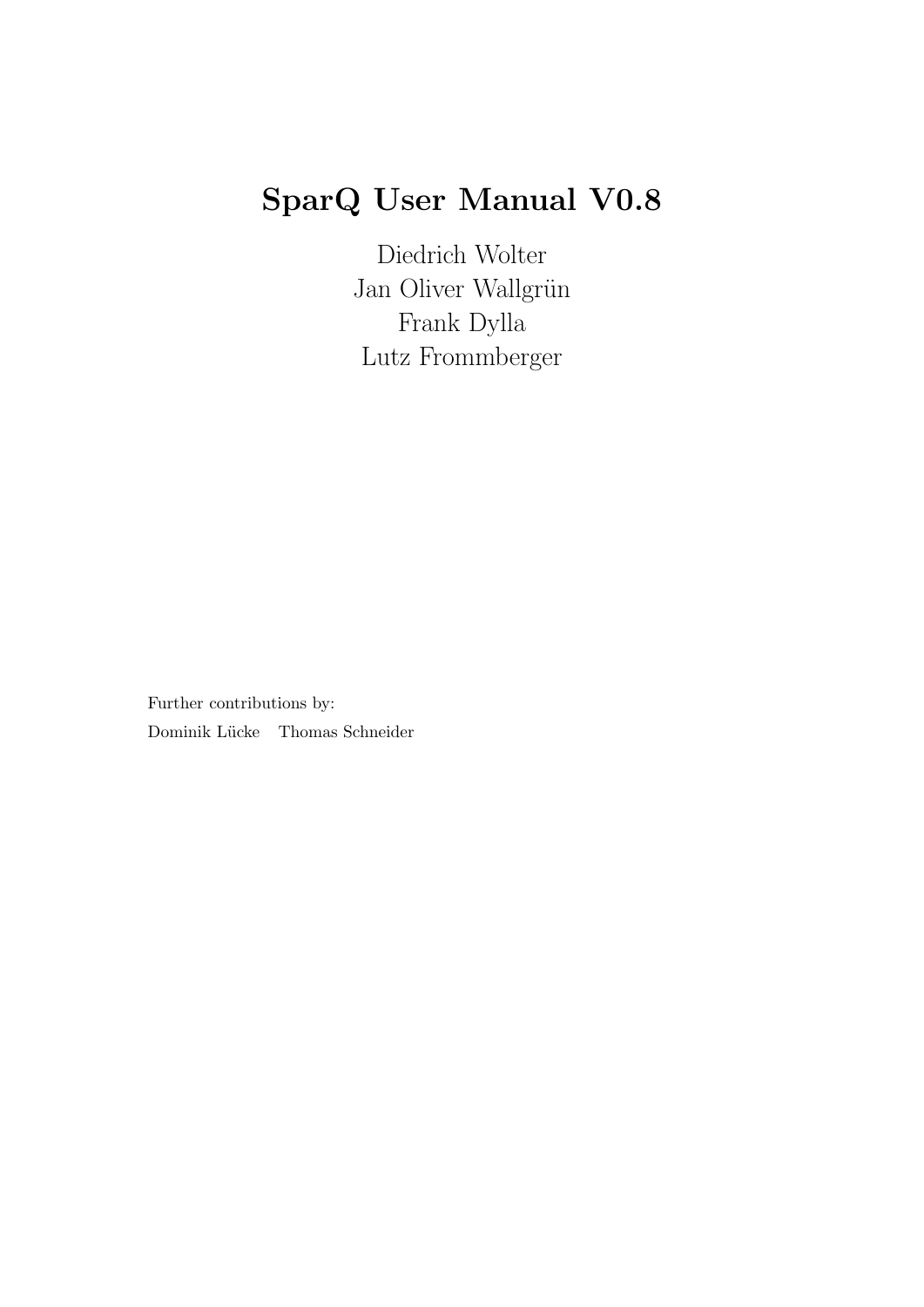# SparQ User Manual V0.8

Diedrich Wolter Jan Oliver Wallgrün Frank Dylla Lutz Frommberger

Further contributions by: Dominik Lücke Thomas Schneider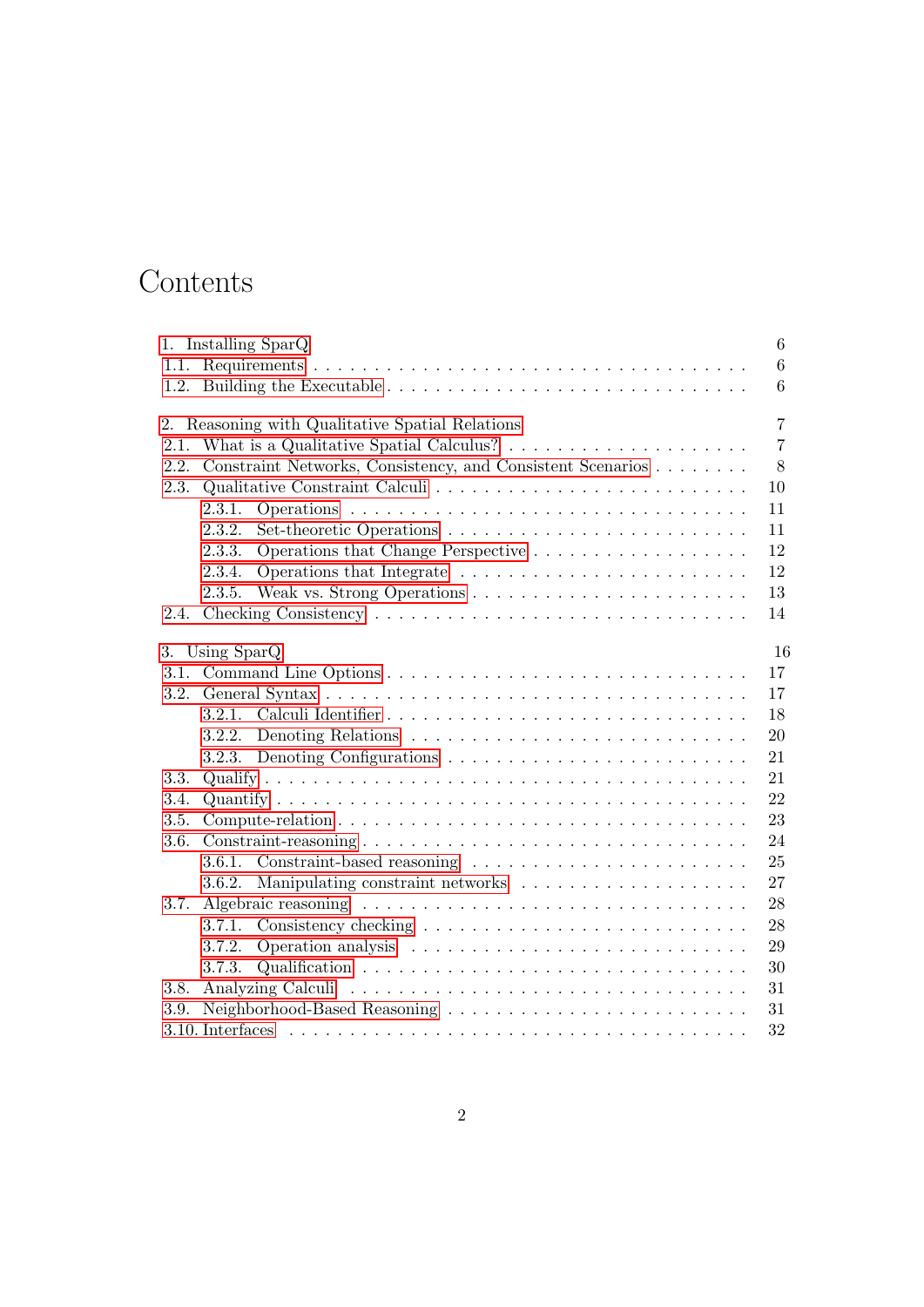# Contents

|      | 1. Installing SparQ                                                                        | 6               |
|------|--------------------------------------------------------------------------------------------|-----------------|
|      |                                                                                            | 6               |
|      |                                                                                            | $6\phantom{.}6$ |
| 2.   | Reasoning with Qualitative Spatial Relations                                               | $\overline{7}$  |
| 2.1. | What is a Qualitative Spatial Calculus? $\ldots \ldots \ldots \ldots \ldots \ldots$        | $\overline{7}$  |
| 2.2. | Constraint Networks, Consistency, and Consistent Scenarios                                 | 8               |
| 2.3. |                                                                                            | 10              |
|      | 2.3.1.                                                                                     | 11              |
|      | 2.3.2.                                                                                     | 11              |
|      | 2.3.3.                                                                                     | 12              |
|      | 2.3.4.                                                                                     | 12              |
|      | 2.3.5.                                                                                     | 13              |
| 2.4. |                                                                                            | 14              |
|      | 3. Using SparQ                                                                             | 16              |
| 3.1. |                                                                                            | 17              |
| 3.2. |                                                                                            | 17              |
|      |                                                                                            | 18              |
|      | 3.2.2. Denoting Relations $\ldots \ldots \ldots \ldots \ldots \ldots \ldots \ldots \ldots$ | 20              |
|      |                                                                                            | 21              |
| 3.3. |                                                                                            | 21              |
| 3.4. |                                                                                            | 22              |
| 3.5. |                                                                                            | 23              |
| 3.6. |                                                                                            | 24              |
|      | 3.6.1.                                                                                     | 25              |
|      | 3.6.2.                                                                                     | 27              |
| 3.7. |                                                                                            | 28              |
|      | 3.7.1.                                                                                     | 28              |
|      | 3.7.2.                                                                                     | 29              |
|      | 3.7.3.                                                                                     | 30              |
| 3.8. |                                                                                            | 31              |
| 3.9. | Neighborhood-Based Reasoning                                                               | 31              |
|      |                                                                                            | 32              |
|      |                                                                                            |                 |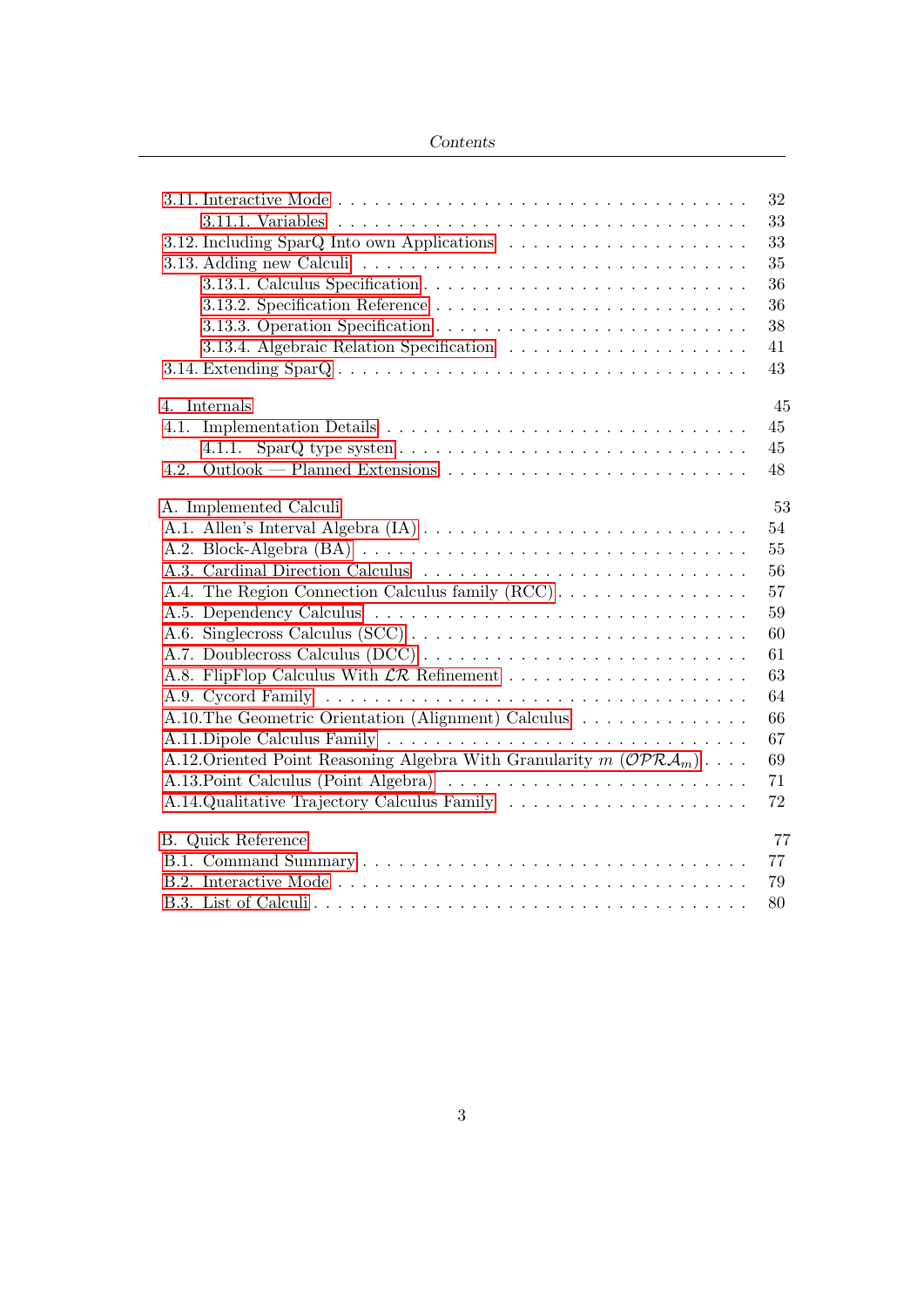|                                                                                                              | 32 |
|--------------------------------------------------------------------------------------------------------------|----|
|                                                                                                              | 33 |
|                                                                                                              | 33 |
|                                                                                                              | 35 |
|                                                                                                              | 36 |
|                                                                                                              | 36 |
|                                                                                                              | 38 |
|                                                                                                              | 41 |
| 3.14. Extending $\text{SpanQ} \dots \dots \dots \dots \dots \dots \dots \dots \dots \dots \dots \dots \dots$ | 43 |
| 4. Internals                                                                                                 | 45 |
| 4.1.                                                                                                         | 45 |
|                                                                                                              | 45 |
| 4.2.                                                                                                         | 48 |
| A. Implemented Calculi                                                                                       | 53 |
|                                                                                                              | 54 |
|                                                                                                              | 55 |
| A.3. Cardinal Direction Calculus                                                                             | 56 |
| A.4. The Region Connection Calculus family (RCC)                                                             | 57 |
|                                                                                                              | 59 |
|                                                                                                              | 60 |
| A.7. Doublecross Calculus (DCC)                                                                              | 61 |
|                                                                                                              | 63 |
|                                                                                                              | 64 |
| A.10. The Geometric Orientation (Alignment) Calculus                                                         | 66 |
|                                                                                                              | 67 |
| A.12. Oriented Point Reasoning Algebra With Granularity $m(\mathcal{OPRA}_m) \dots$                          | 69 |
| A.13. Point Calculus (Point Algebra)                                                                         | 71 |
| A.14.Qualitative Trajectory Calculus Family                                                                  | 72 |
| <b>B.</b> Quick Reference                                                                                    | 77 |
|                                                                                                              | 77 |
|                                                                                                              | 79 |
|                                                                                                              | 80 |
|                                                                                                              |    |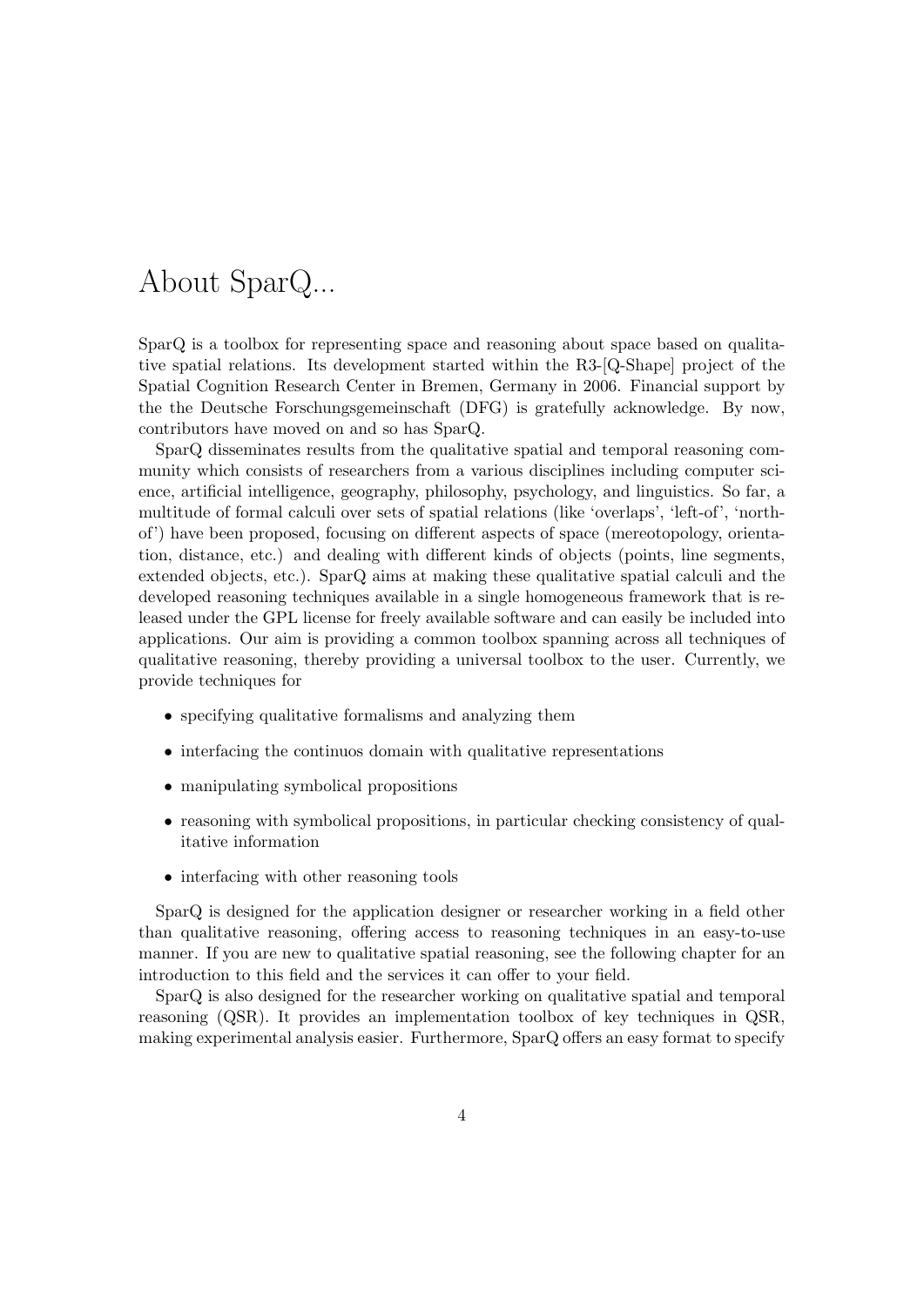## About SparQ...

SparQ is a toolbox for representing space and reasoning about space based on qualitative spatial relations. Its development started within the R3-[Q-Shape] project of the Spatial Cognition Research Center in Bremen, Germany in 2006. Financial support by the the Deutsche Forschungsgemeinschaft (DFG) is gratefully acknowledge. By now, contributors have moved on and so has SparQ.

SparQ disseminates results from the qualitative spatial and temporal reasoning community which consists of researchers from a various disciplines including computer science, artificial intelligence, geography, philosophy, psychology, and linguistics. So far, a multitude of formal calculi over sets of spatial relations (like 'overlaps', 'left-of', 'northof') have been proposed, focusing on different aspects of space (mereotopology, orientation, distance, etc.) and dealing with different kinds of objects (points, line segments, extended objects, etc.). SparQ aims at making these qualitative spatial calculi and the developed reasoning techniques available in a single homogeneous framework that is released under the GPL license for freely available software and can easily be included into applications. Our aim is providing a common toolbox spanning across all techniques of qualitative reasoning, thereby providing a universal toolbox to the user. Currently, we provide techniques for

- specifying qualitative formalisms and analyzing them
- interfacing the continuos domain with qualitative representations
- manipulating symbolical propositions
- reasoning with symbolical propositions, in particular checking consistency of qualitative information
- interfacing with other reasoning tools

SparQ is designed for the application designer or researcher working in a field other than qualitative reasoning, offering access to reasoning techniques in an easy-to-use manner. If you are new to qualitative spatial reasoning, see the following chapter for an introduction to this field and the services it can offer to your field.

SparQ is also designed for the researcher working on qualitative spatial and temporal reasoning (QSR). It provides an implementation toolbox of key techniques in QSR, making experimental analysis easier. Furthermore, SparQ offers an easy format to specify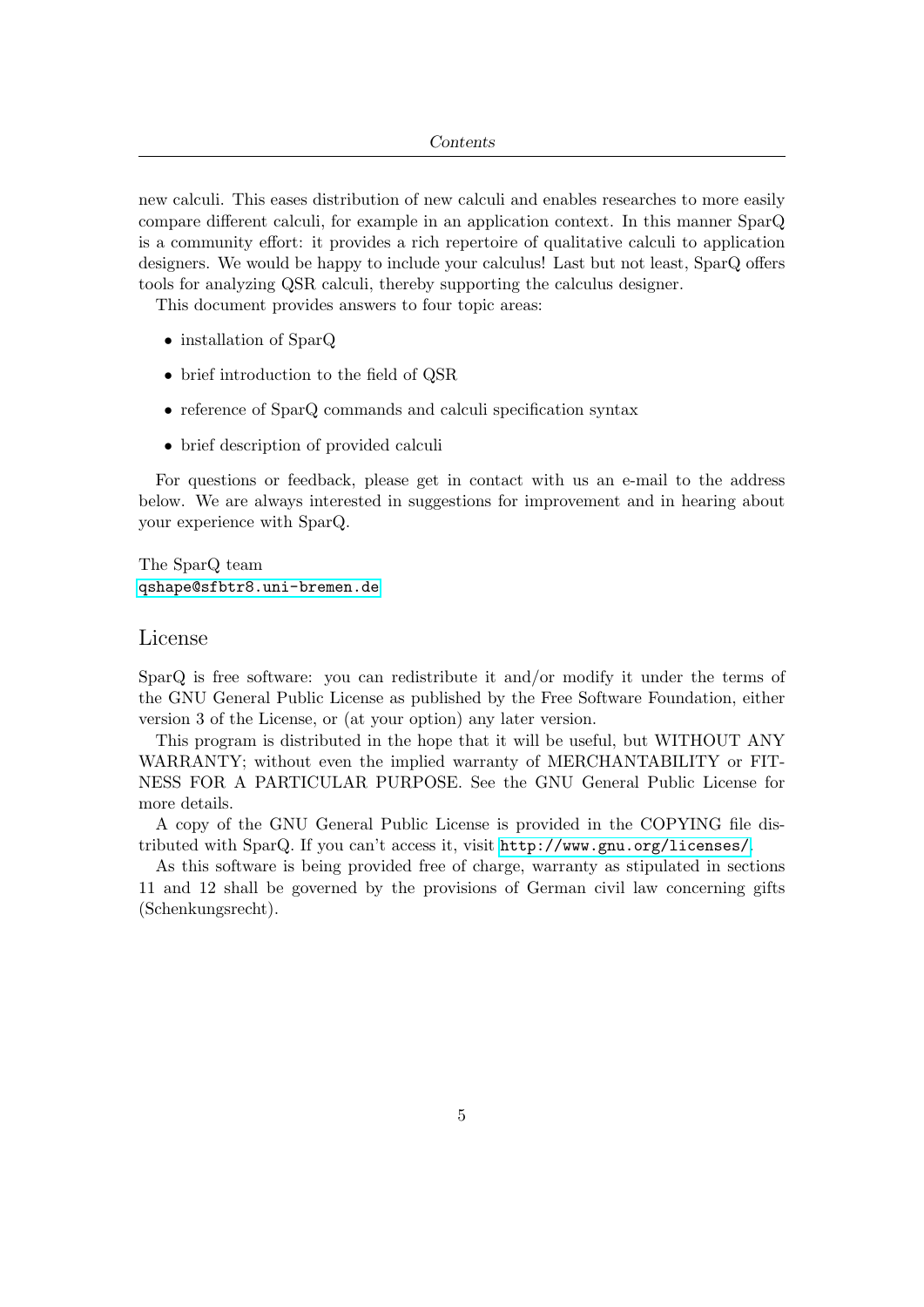new calculi. This eases distribution of new calculi and enables researches to more easily compare different calculi, for example in an application context. In this manner SparQ is a community effort: it provides a rich repertoire of qualitative calculi to application designers. We would be happy to include your calculus! Last but not least, SparQ offers tools for analyzing QSR calculi, thereby supporting the calculus designer.

This document provides answers to four topic areas:

- installation of SparQ
- brief introduction to the field of QSR
- reference of SparQ commands and calculi specification syntax
- brief description of provided calculi

For questions or feedback, please get in contact with us an e-mail to the address below. We are always interested in suggestions for improvement and in hearing about your experience with SparQ.

The SparQ team <qshape@sfbtr8.uni-bremen.de>

#### License

SparQ is free software: you can redistribute it and/or modify it under the terms of the GNU General Public License as published by the Free Software Foundation, either version 3 of the License, or (at your option) any later version.

This program is distributed in the hope that it will be useful, but WITHOUT ANY WARRANTY; without even the implied warranty of MERCHANTABILITY or FIT-NESS FOR A PARTICULAR PURPOSE. See the GNU General Public License for more details.

A copy of the GNU General Public License is provided in the COPYING file distributed with SparQ. If you can't access it, visit <http://www.gnu.org/licenses/>.

As this software is being provided free of charge, warranty as stipulated in sections 11 and 12 shall be governed by the provisions of German civil law concerning gifts (Schenkungsrecht).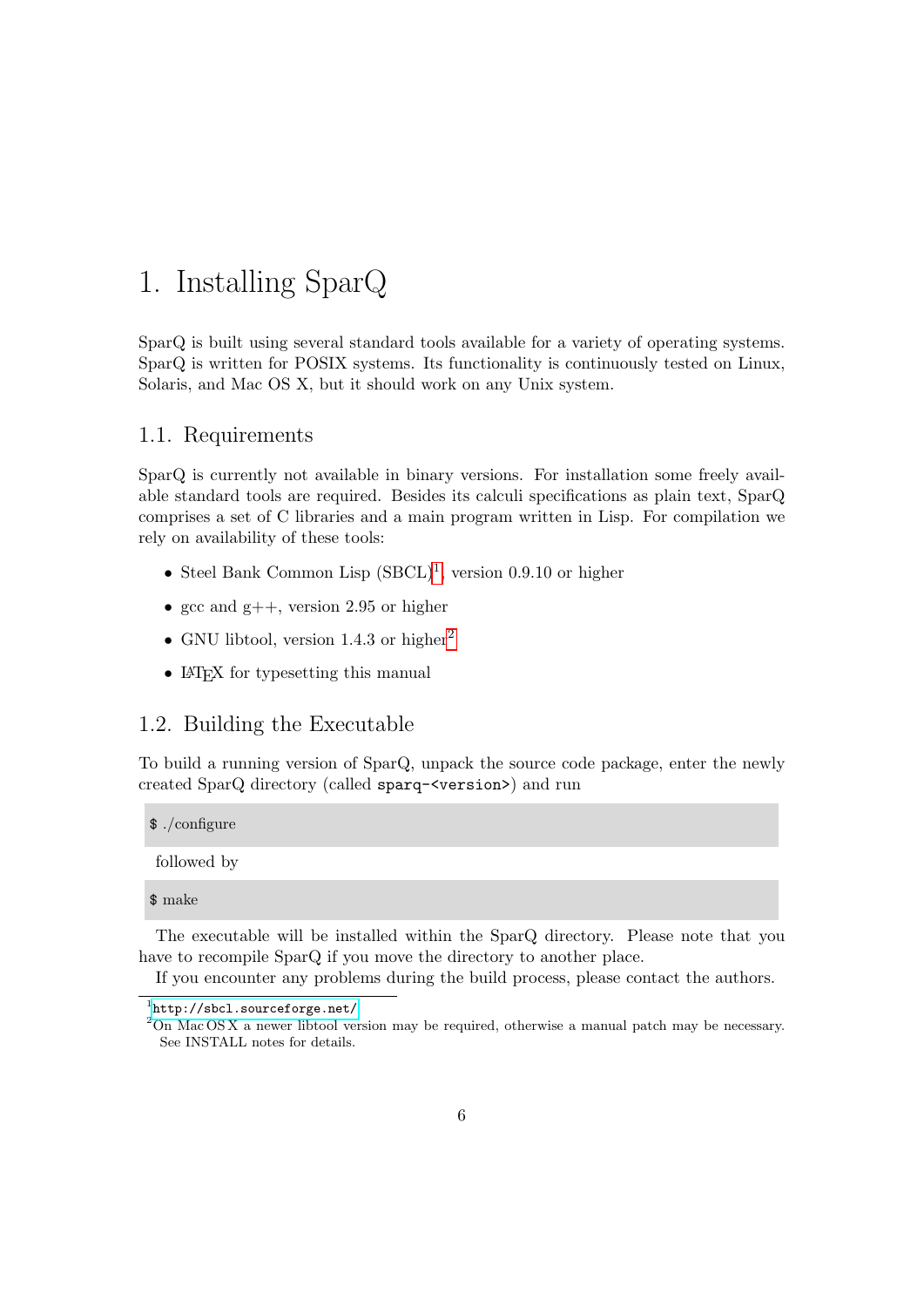## <span id="page-5-0"></span>1. Installing SparQ

SparQ is built using several standard tools available for a variety of operating systems. SparQ is written for POSIX systems. Its functionality is continuously tested on Linux, Solaris, and Mac OS X, but it should work on any Unix system.

## <span id="page-5-1"></span>1.1. Requirements

SparQ is currently not available in binary versions. For installation some freely available standard tools are required. Besides its calculi specifications as plain text, SparQ comprises a set of C libraries and a main program written in Lisp. For compilation we rely on availability of these tools:

- Steel Bank Common Lisp  $(SBCL)^1$  $(SBCL)^1$ , version 0.9.10 or higher
- gcc and  $g$ ++, version 2.95 or higher
- GNU libtool, version 1.4.3 or higher<sup>[2](#page-5-4)</sup>
- LAT<sub>EX</sub> for typesetting this manual

## <span id="page-5-2"></span>1.2. Building the Executable

To build a running version of SparQ, unpack the source code package, enter the newly created SparQ directory (called sparq-<version>) and run

| $\frac{1}{2}$ ./configure |  |  |  |
|---------------------------|--|--|--|
| followed by               |  |  |  |
| $\$ make                  |  |  |  |

The executable will be installed within the SparQ directory. Please note that you have to recompile SparQ if you move the directory to another place.

If you encounter any problems during the build process, please contact the authors.

<span id="page-5-3"></span><sup>1</sup> <http://sbcl.sourceforge.net/>

<span id="page-5-4"></span><sup>2</sup>On Mac OS X a newer libtool version may be required, otherwise a manual patch may be necessary. See INSTALL notes for details.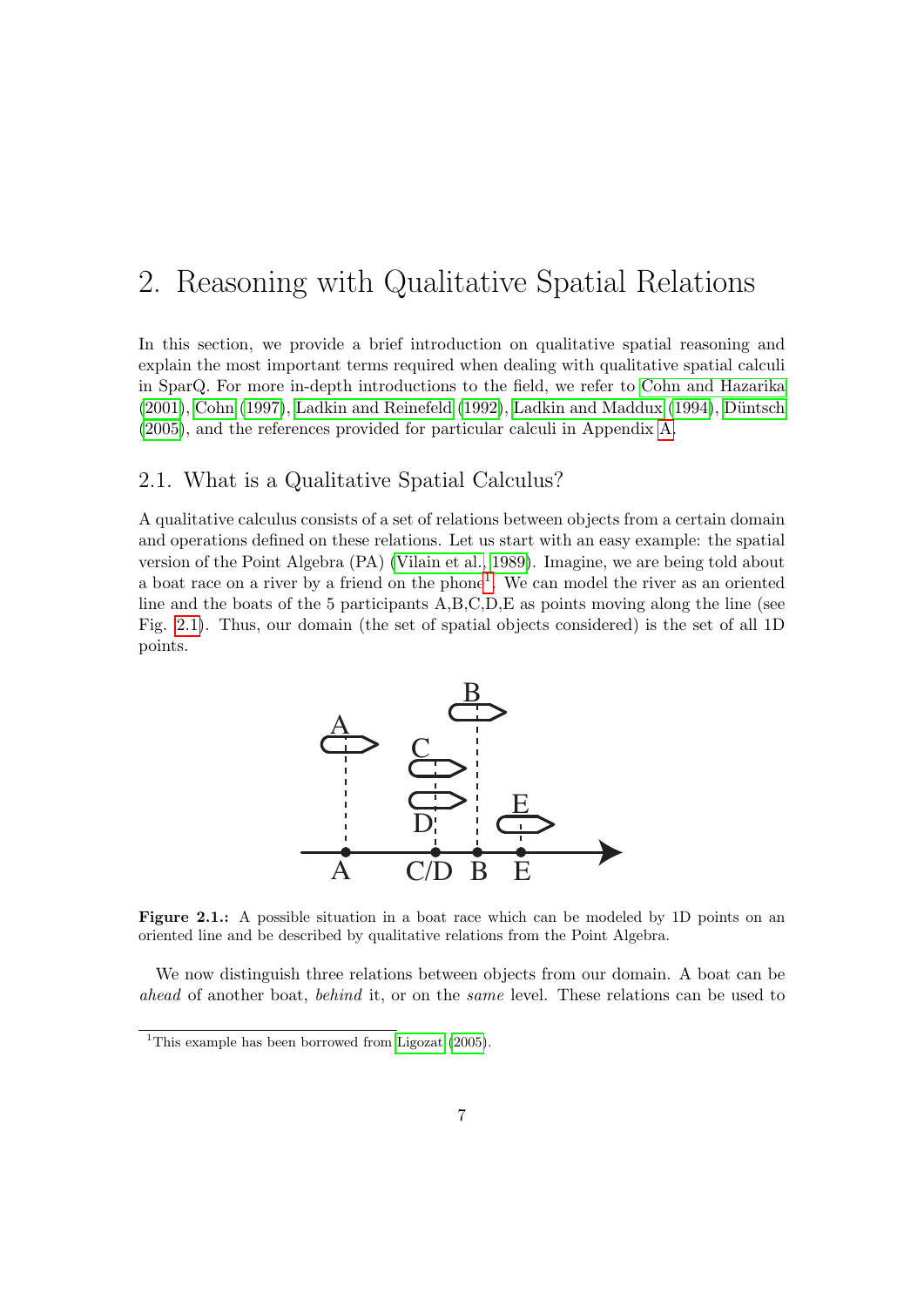## <span id="page-6-0"></span>2. Reasoning with Qualitative Spatial Relations

In this section, we provide a brief introduction on qualitative spatial reasoning and explain the most important terms required when dealing with qualitative spatial calculi in SparQ. For more in-depth introductions to the field, we refer to [Cohn and Hazarika](#page-48-0)  $(2001)$ , [Cohn](#page-48-1)  $(1997)$ , [Ladkin and Reinefeld](#page-49-0)  $(1992)$ , [Ladkin and Maddux](#page-49-1)  $(1994)$ , Düntsch [\(2005\)](#page-48-2), and the references provided for particular calculi in Appendix [A.](#page-52-0)

### <span id="page-6-1"></span>2.1. What is a Qualitative Spatial Calculus?

A qualitative calculus consists of a set of relations between objects from a certain domain and operations defined on these relations. Let us start with an easy example: the spatial version of the Point Algebra (PA) [\(Vilain et al., 1989\)](#page-51-0). Imagine, we are being told about a boat race on a river by a friend on the phone<sup>[1](#page-6-2)</sup>. We can model the river as an oriented line and the boats of the 5 participants A,B,C,D,E as points moving along the line (see Fig. [2.1\)](#page-6-3). Thus, our domain (the set of spatial objects considered) is the set of all 1D points.



<span id="page-6-3"></span>Figure 2.1.: A possible situation in a boat race which can be modeled by 1D points on an oriented line and be described by qualitative relations from the Point Algebra.

We now distinguish three relations between objects from our domain. A boat can be ahead of another boat, behind it, or on the same level. These relations can be used to

<span id="page-6-2"></span><sup>&</sup>lt;sup>1</sup>This example has been borrowed from [Ligozat](#page-50-0)  $(2005)$ .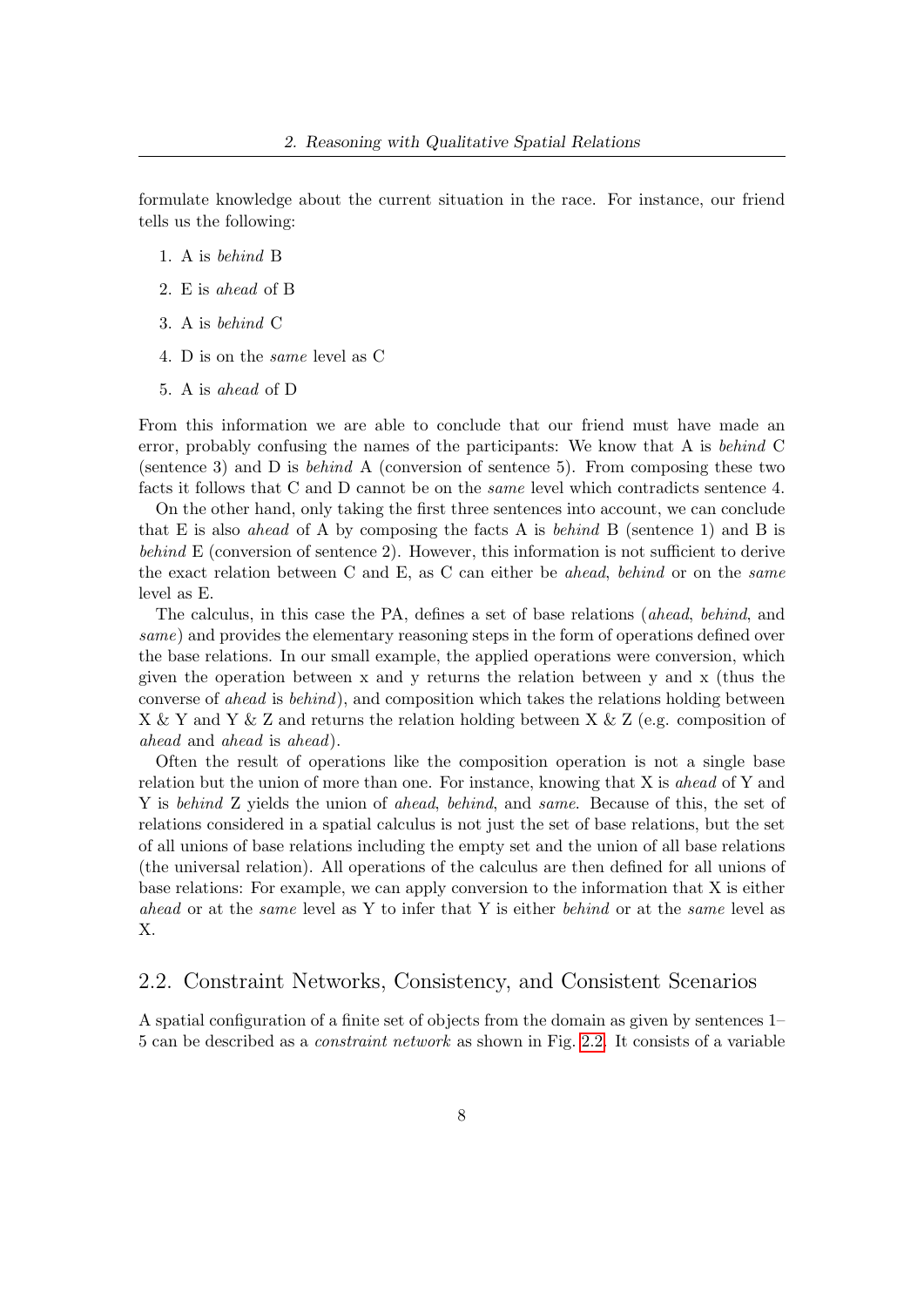formulate knowledge about the current situation in the race. For instance, our friend tells us the following:

- 1. A is behind B
- 2. E is ahead of B
- 3. A is behind C
- 4. D is on the same level as C
- 5. A is ahead of D

From this information we are able to conclude that our friend must have made an error, probably confusing the names of the participants: We know that A is behind C (sentence 3) and D is behind A (conversion of sentence 5). From composing these two facts it follows that C and D cannot be on the same level which contradicts sentence 4.

On the other hand, only taking the first three sentences into account, we can conclude that E is also *ahead* of A by composing the facts A is *behind* B (sentence 1) and B is behind E (conversion of sentence 2). However, this information is not sufficient to derive the exact relation between C and E, as C can either be *ahead*, behind or on the *same* level as E.

The calculus, in this case the PA, defines a set of base relations (ahead, behind, and same) and provides the elementary reasoning steps in the form of operations defined over the base relations. In our small example, the applied operations were conversion, which given the operation between x and y returns the relation between y and x (thus the converse of ahead is behind), and composition which takes the relations holding between X & Y and Y & Z and returns the relation holding between X & Z (e.g. composition of ahead and ahead is ahead).

Often the result of operations like the composition operation is not a single base relation but the union of more than one. For instance, knowing that X is *ahead* of Y and Y is behind Z yields the union of ahead, behind, and same. Because of this, the set of relations considered in a spatial calculus is not just the set of base relations, but the set of all unions of base relations including the empty set and the union of all base relations (the universal relation). All operations of the calculus are then defined for all unions of base relations: For example, we can apply conversion to the information that X is either ahead or at the same level as Y to infer that Y is either behind or at the same level as X.

### <span id="page-7-0"></span>2.2. Constraint Networks, Consistency, and Consistent Scenarios

A spatial configuration of a finite set of objects from the domain as given by sentences 1– 5 can be described as a constraint network as shown in Fig. [2.2.](#page-8-0) It consists of a variable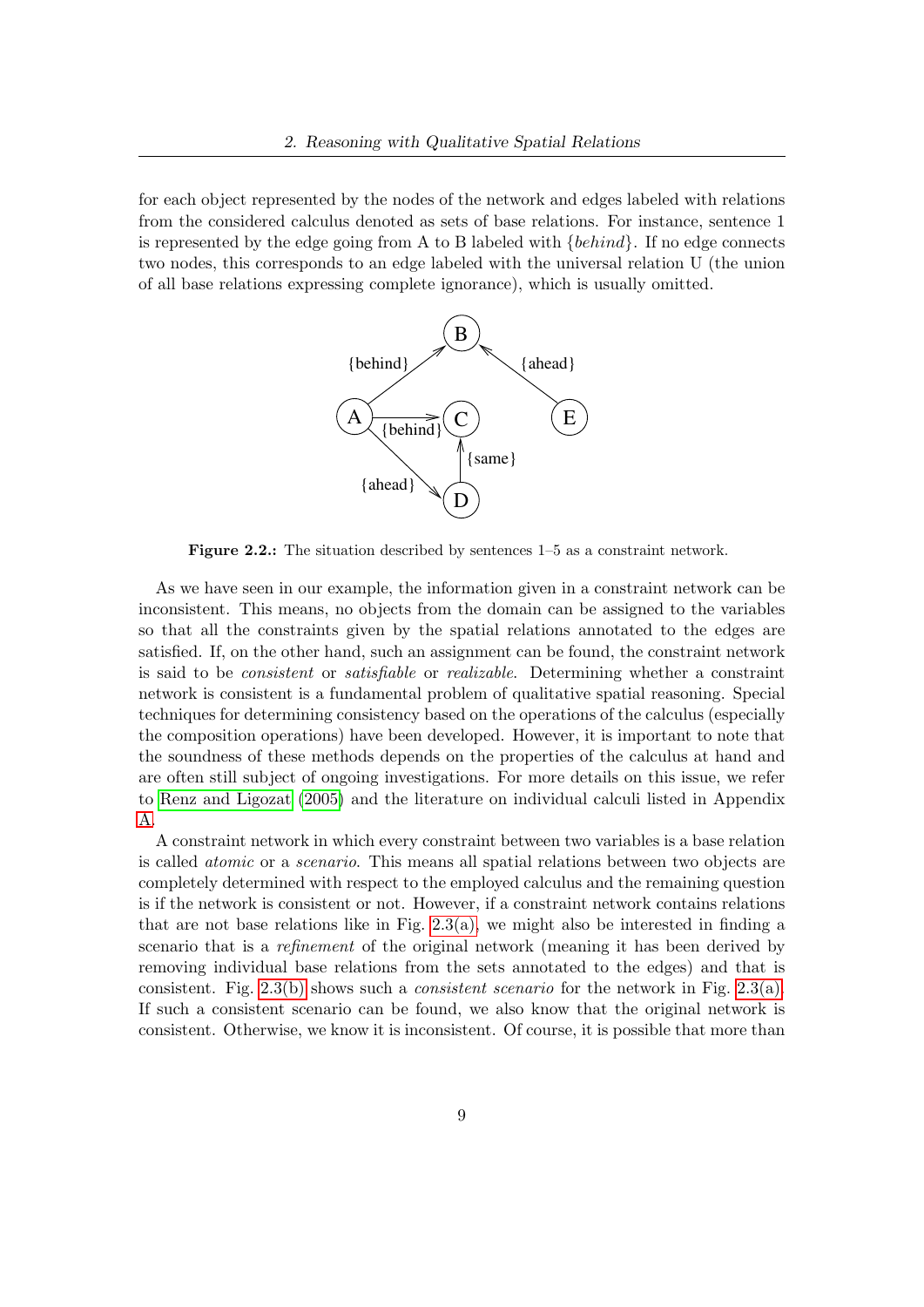for each object represented by the nodes of the network and edges labeled with relations from the considered calculus denoted as sets of base relations. For instance, sentence 1 is represented by the edge going from A to B labeled with  $\{behind\}$ . If no edge connects two nodes, this corresponds to an edge labeled with the universal relation U (the union of all base relations expressing complete ignorance), which is usually omitted.



<span id="page-8-0"></span>Figure 2.2.: The situation described by sentences 1–5 as a constraint network.

As we have seen in our example, the information given in a constraint network can be inconsistent. This means, no objects from the domain can be assigned to the variables so that all the constraints given by the spatial relations annotated to the edges are satisfied. If, on the other hand, such an assignment can be found, the constraint network is said to be consistent or satisfiable or realizable. Determining whether a constraint network is consistent is a fundamental problem of qualitative spatial reasoning. Special techniques for determining consistency based on the operations of the calculus (especially the composition operations) have been developed. However, it is important to note that the soundness of these methods depends on the properties of the calculus at hand and are often still subject of ongoing investigations. For more details on this issue, we refer to [Renz and Ligozat](#page-50-1) [\(2005\)](#page-50-1) and the literature on individual calculi listed in Appendix [A.](#page-52-0)

A constraint network in which every constraint between two variables is a base relation is called atomic or a scenario. This means all spatial relations between two objects are completely determined with respect to the employed calculus and the remaining question is if the network is consistent or not. However, if a constraint network contains relations that are not base relations like in Fig.  $2.3(a)$ , we might also be interested in finding a scenario that is a *refinement* of the original network (meaning it has been derived by removing individual base relations from the sets annotated to the edges) and that is consistent. Fig. [2.3\(b\)](#page-9-2) shows such a *consistent scenario* for the network in Fig. [2.3\(a\).](#page-9-1) If such a consistent scenario can be found, we also know that the original network is consistent. Otherwise, we know it is inconsistent. Of course, it is possible that more than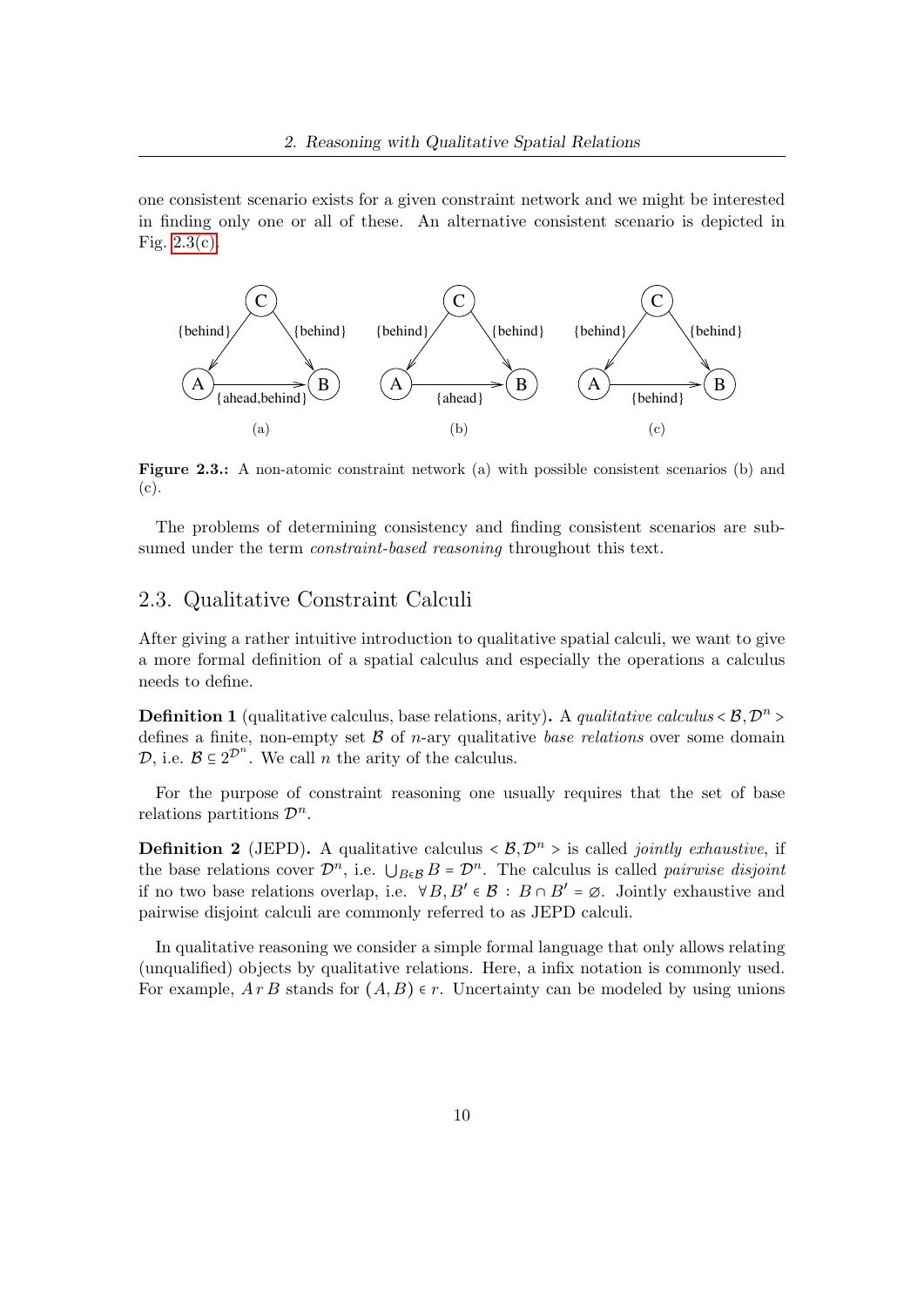one consistent scenario exists for a given constraint network and we might be interested in finding only one or all of these. An alternative consistent scenario is depicted in Fig.  $2.3(c)$ .

<span id="page-9-1"></span>

<span id="page-9-3"></span><span id="page-9-2"></span>Figure 2.3.: A non-atomic constraint network (a) with possible consistent scenarios (b) and (c).

The problems of determining consistency and finding consistent scenarios are subsumed under the term *constraint-based reasoning* throughout this text.

## <span id="page-9-0"></span>2.3. Qualitative Constraint Calculi

After giving a rather intuitive introduction to qualitative spatial calculi, we want to give a more formal definition of a spatial calculus and especially the operations a calculus needs to define.

**Definition 1** (qualitative calculus, base relations, arity). A *qualitative calculus*  $\langle \mathcal{B}, \mathcal{D}^n \rangle$ defines a finite, non-empty set  $\beta$  of *n*-ary qualitative *base relations* over some domain  $\mathcal{D}$ , i.e.  $\mathcal{B} \subseteq 2^{\mathcal{D}^n}$ . We call *n* the arity of the calculus.

For the purpose of constraint reasoning one usually requires that the set of base relations partitions  $\mathcal{D}^n$ .

**Definition 2** (JEPD). A qualitative calculus  $\langle B, \mathcal{D}^n \rangle$  is called *jointly exhaustive*, if the base relations cover  $\mathcal{D}^n$ , i.e.  $\bigcup_{B \in \mathcal{B}} B = \mathcal{D}^n$ . The calculus is called *pairwise disjoint* if no two base relations overlap, i.e.  $\forall B, B' \in \mathcal{B} : B \cap B' = \emptyset$ . Jointly exhaustive and pairwise disjoint calculi are commonly referred to as JEPD calculi.

In qualitative reasoning we consider a simple formal language that only allows relating (unqualified) objects by qualitative relations. Here, a infix notation is commonly used. For example,  $ArB$  stands for  $(A, B) \in r$ . Uncertainty can be modeled by using unions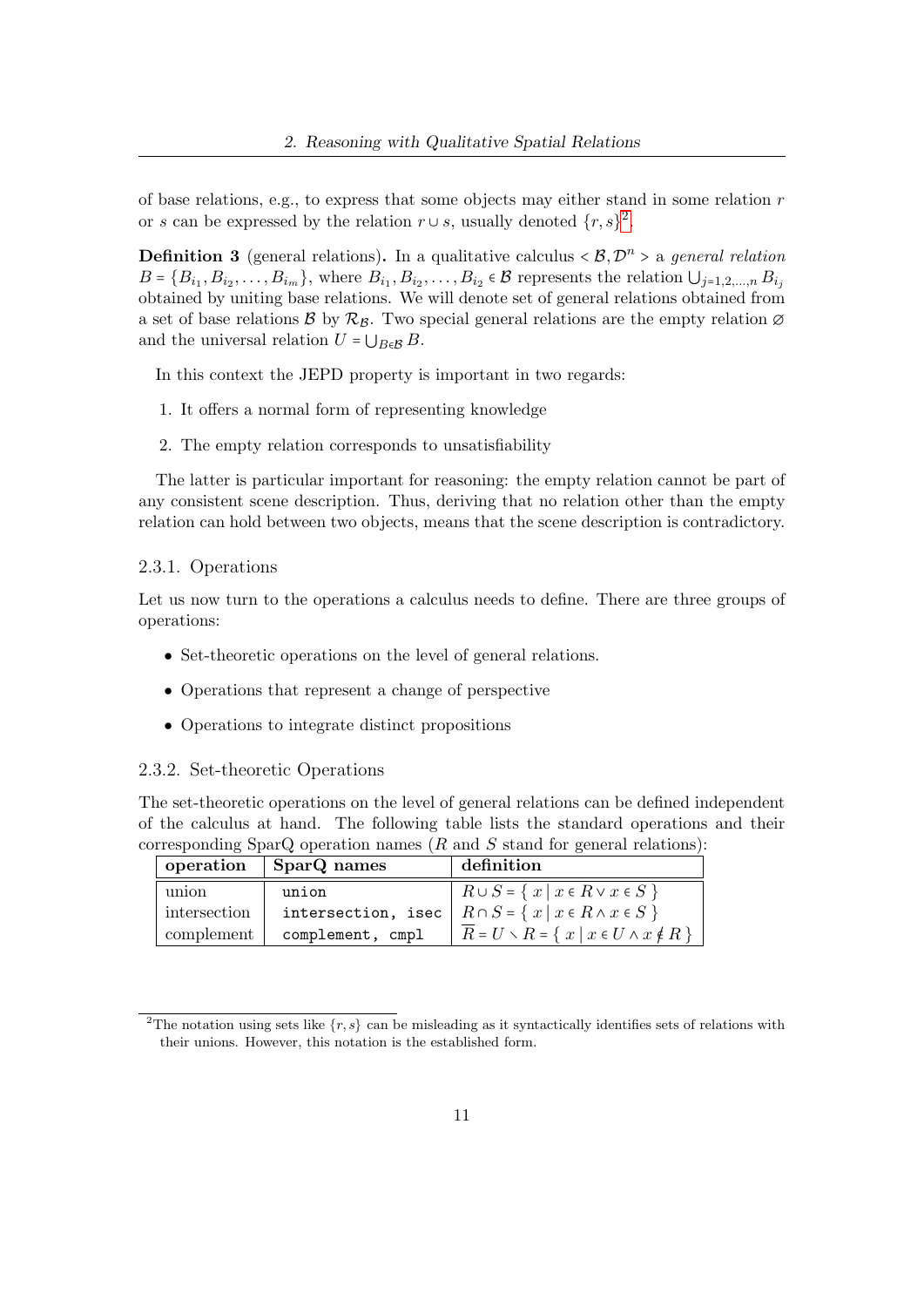of base relations, e.g., to express that some objects may either stand in some relation  $r$ or s can be expressed by the relation  $r \cup s$ , usually denoted  $\{r, s\}^2$  $\{r, s\}^2$ .

**Definition 3** (general relations). In a qualitative calculus  $\langle \mathcal{B}, \mathcal{D}^n \rangle$  a general relation  $B = \{B_{i_1}, B_{i_2}, \ldots, B_{i_m}\}\$ , where  $B_{i_1}, B_{i_2}, \ldots, B_{i_2} \in \mathcal{B}$  represents the relation  $\bigcup_{j=1,2,\ldots,n} B_{i_j}$ obtained by uniting base relations. We will denote set of general relations obtained from a set of base relations B by  $\mathcal{R}_B$ . Two special general relations are the empty relation  $\varnothing$ and the universal relation  $U = \bigcup_{B \in \mathcal{B}} B$ .

In this context the JEPD property is important in two regards:

- 1. It offers a normal form of representing knowledge
- 2. The empty relation corresponds to unsatisfiability

The latter is particular important for reasoning: the empty relation cannot be part of any consistent scene description. Thus, deriving that no relation other than the empty relation can hold between two objects, means that the scene description is contradictory.

#### <span id="page-10-0"></span>2.3.1. Operations

Let us now turn to the operations a calculus needs to define. There are three groups of operations:

- Set-theoretic operations on the level of general relations.
- Operations that represent a change of perspective
- Operations to integrate distinct propositions

#### <span id="page-10-1"></span>2.3.2. Set-theoretic Operations

The set-theoretic operations on the level of general relations can be defined independent of the calculus at hand. The following table lists the standard operations and their corresponding SparQ operation names  $(R \text{ and } S \text{ stand}$  for general relations):

| operation    | SparQ names        | definition                                                              |
|--------------|--------------------|-------------------------------------------------------------------------|
| union        | union              | $R \cup S = \{ x \mid x \in R \vee x \in S \}$                          |
| intersection | intersection, isec | $R \cap S = \{ x \mid x \in R \land x \in S \}$                         |
| complement   | complement, cmpl   | $\overline{R} = U \setminus R = \{ x \mid x \in U \wedge x \notin R \}$ |

<span id="page-10-2"></span><sup>&</sup>lt;sup>2</sup>The notation using sets like  $\{r, s\}$  can be misleading as it syntactically identifies sets of relations with their unions. However, this notation is the established form.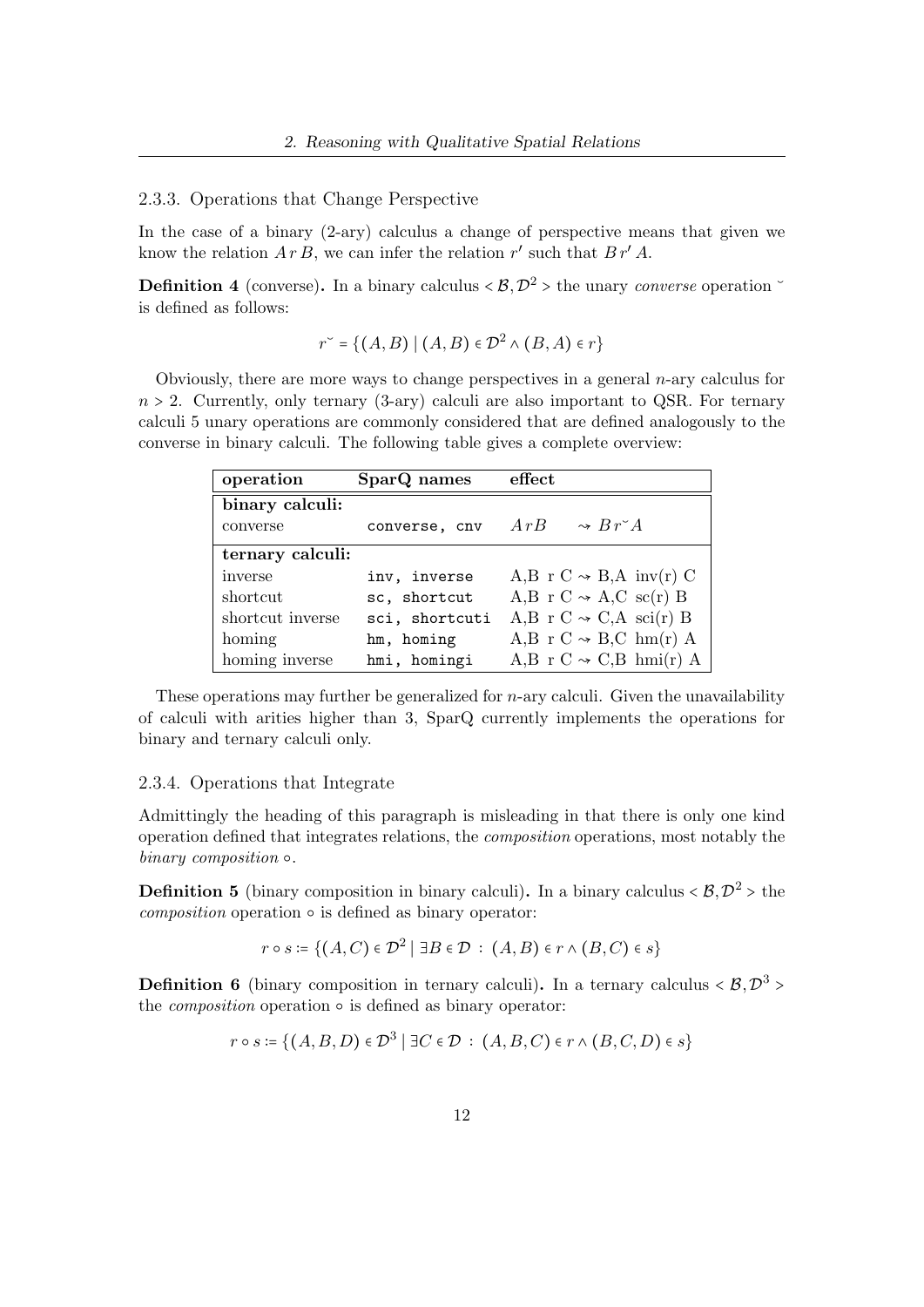<span id="page-11-0"></span>2.3.3. Operations that Change Perspective

In the case of a binary (2-ary) calculus a change of perspective means that given we know the relation  $A r B$ , we can infer the relation r' such that  $B r' A$ .

**Definition 4** (converse). In a binary calculus  $\langle \mathcal{B}, \mathcal{D}^2 \rangle$  the unary *converse* operation  $\check{\phantom{a}}$ is defined as follows:

$$
r^{\check{}} = \{(A, B) \mid (A, B) \in \mathcal{D}^2 \land (B, A) \in r\}
$$

Obviously, there are more ways to change perspectives in a general  $n$ -ary calculus for  $n > 2$ . Currently, only ternary (3-ary) calculi are also important to QSR. For ternary calculi 5 unary operations are commonly considered that are defined analogously to the converse in binary calculi. The following table gives a complete overview:

| operation        | SparQ names    | effect                               |
|------------------|----------------|--------------------------------------|
| binary calculi:  |                |                                      |
| converse         | converse, cnv  | ArB<br>$\rightarrow B r \check{f} A$ |
| ternary calculi: |                |                                      |
| inverse          | inv, inverse   | A,B r C $\sim$ B,A inv(r) C          |
| shortcut         | sc, shortcut   | A,B r C $\sim$ A,C sc(r) B           |
| shortcut inverse | sci, shortcuti | A,B r C $\sim$ C,A sci(r) B          |
| homing           | hm, homing     | A,B r C $\sim$ B,C hm(r) A           |
| homing inverse   | hmi, homingi   | A,B r C $\sim$ C,B hmi(r) A          |

These operations may further be generalized for *n*-ary calculi. Given the unavailability of calculi with arities higher than 3, SparQ currently implements the operations for binary and ternary calculi only.

#### <span id="page-11-1"></span>2.3.4. Operations that Integrate

Admittingly the heading of this paragraph is misleading in that there is only one kind operation defined that integrates relations, the composition operations, most notably the binary composition ○.

**Definition 5** (binary composition in binary calculi). In a binary calculus  $\langle \mathcal{B}, \mathcal{D}^2 \rangle$  the  $composition$  operation  $\circ$  is defined as binary operator:

 $r \circ s \coloneqq \{(A, C) \in \mathcal{D}^2 \mid \exists B \in \mathcal{D} \, : \, (A, B) \in r \wedge (B, C) \in s\}$ 

**Definition 6** (binary composition in ternary calculi). In a ternary calculus  $\langle \mathcal{B}, \mathcal{D}^3 \rangle$ the *composition* operation  $\circ$  is defined as binary operator:

$$
r \circ s := \{ (A, B, D) \in \mathcal{D}^3 \mid \exists C \in \mathcal{D} : (A, B, C) \in r \land (B, C, D) \in s \}
$$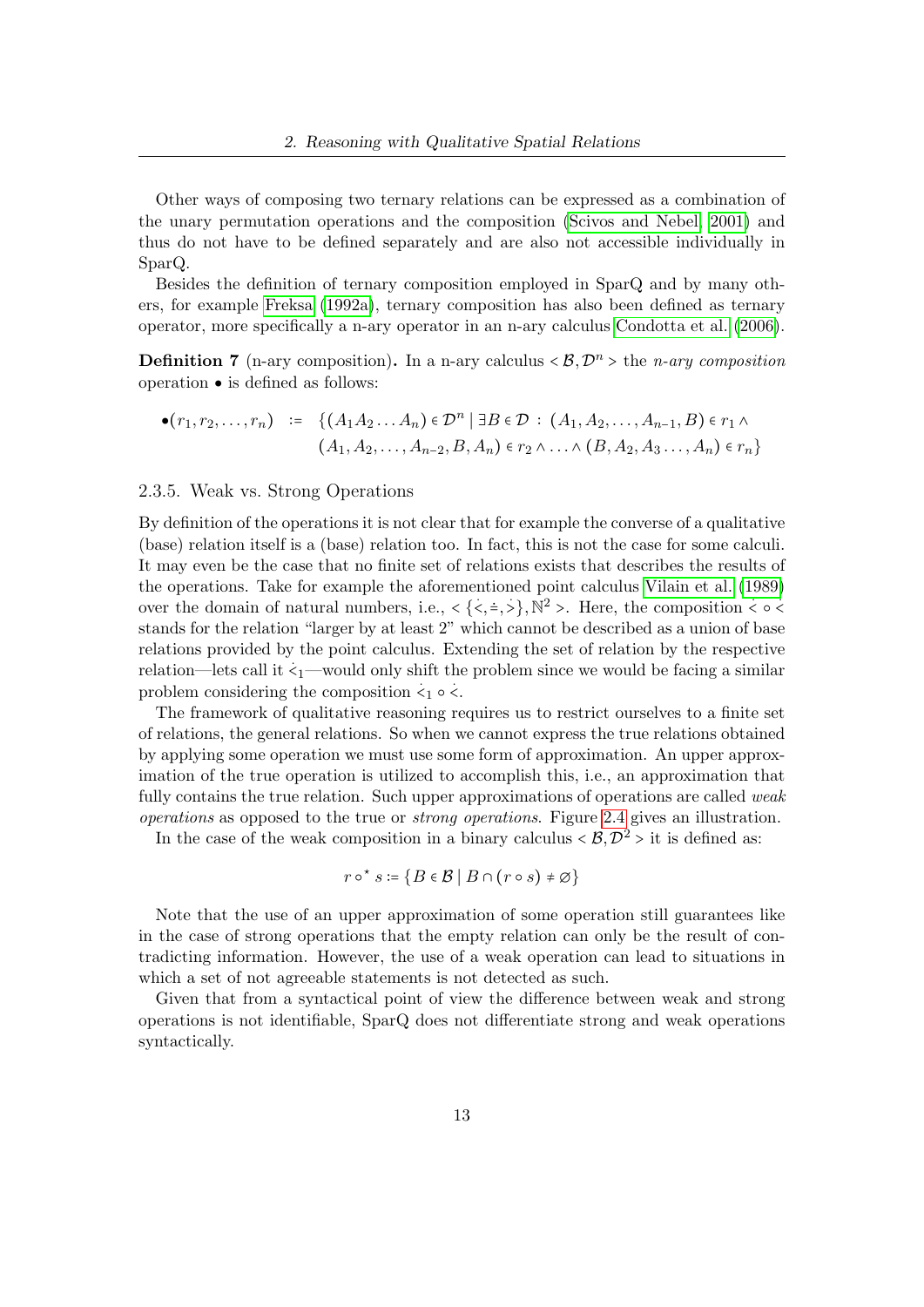Other ways of composing two ternary relations can be expressed as a combination of the unary permutation operations and the composition [\(Scivos and Nebel, 2001\)](#page-50-2) and thus do not have to be defined separately and are also not accessible individually in SparQ.

Besides the definition of ternary composition employed in SparQ and by many others, for example [Freksa](#page-49-2) [\(1992a\)](#page-49-2), ternary composition has also been defined as ternary operator, more specifically a n-ary operator in an n-ary calculus [Condotta et al.](#page-48-3) [\(2006\)](#page-48-3).

**Definition 7** (n-ary composition). In a n-ary calculus  $\langle \mathcal{B}, \mathcal{D}^n \rangle$  the *n-ary composition* operation ● is defined as follows:

$$
\bullet(r_1, r_2, \dots, r_n) \; := \; \{ (A_1A_2 \dots A_n) \in \mathcal{D}^n \mid \exists B \in \mathcal{D} \, : \, (A_1, A_2, \dots, A_{n-1}, B) \in r_1 \land (A_1, A_2, \dots, A_{n-2}, B, A_n) \in r_2 \land \dots \land (B, A_2, A_3 \dots, A_n) \in r_n \}
$$

#### <span id="page-12-0"></span>2.3.5. Weak vs. Strong Operations

By definition of the operations it is not clear that for example the converse of a qualitative (base) relation itself is a (base) relation too. In fact, this is not the case for some calculi. It may even be the case that no finite set of relations exists that describes the results of the operations. Take for example the aforementioned point calculus [Vilain et al.](#page-51-0) [\(1989\)](#page-51-0) over the domain of natural numbers, i.e.,  $\langle \langle \cdot, \frac{1}{2}, \cdot \rangle, \mathbb{N}^2 \rangle$ . Here, the composition  $\langle \cdot, \cdot \rangle$ . stands for the relation "larger by at least 2" which cannot be described as a union of base relations provided by the point calculus. Extending the set of relation by the respective relation—lets call it  $\zeta_1$ —would only shift the problem since we would be facing a similar problem considering the composition  $\langle 1 \rangle \circ \langle 1 \rangle$ .

The framework of qualitative reasoning requires us to restrict ourselves to a finite set of relations, the general relations. So when we cannot express the true relations obtained by applying some operation we must use some form of approximation. An upper approximation of the true operation is utilized to accomplish this, i.e., an approximation that fully contains the true relation. Such upper approximations of operations are called *weak* operations as opposed to the true or strong operations. Figure [2.4](#page-13-1) gives an illustration.

In the case of the weak composition in a binary calculus  $\langle \mathcal{B}, \mathcal{D}^2 \rangle$  it is defined as:

$$
r \circ^{\star} s := \{ B \in \mathcal{B} \mid B \cap (r \circ s) \neq \varnothing \}
$$

Note that the use of an upper approximation of some operation still guarantees like in the case of strong operations that the empty relation can only be the result of contradicting information. However, the use of a weak operation can lead to situations in which a set of not agreeable statements is not detected as such.

Given that from a syntactical point of view the difference between weak and strong operations is not identifiable, SparQ does not differentiate strong and weak operations syntactically.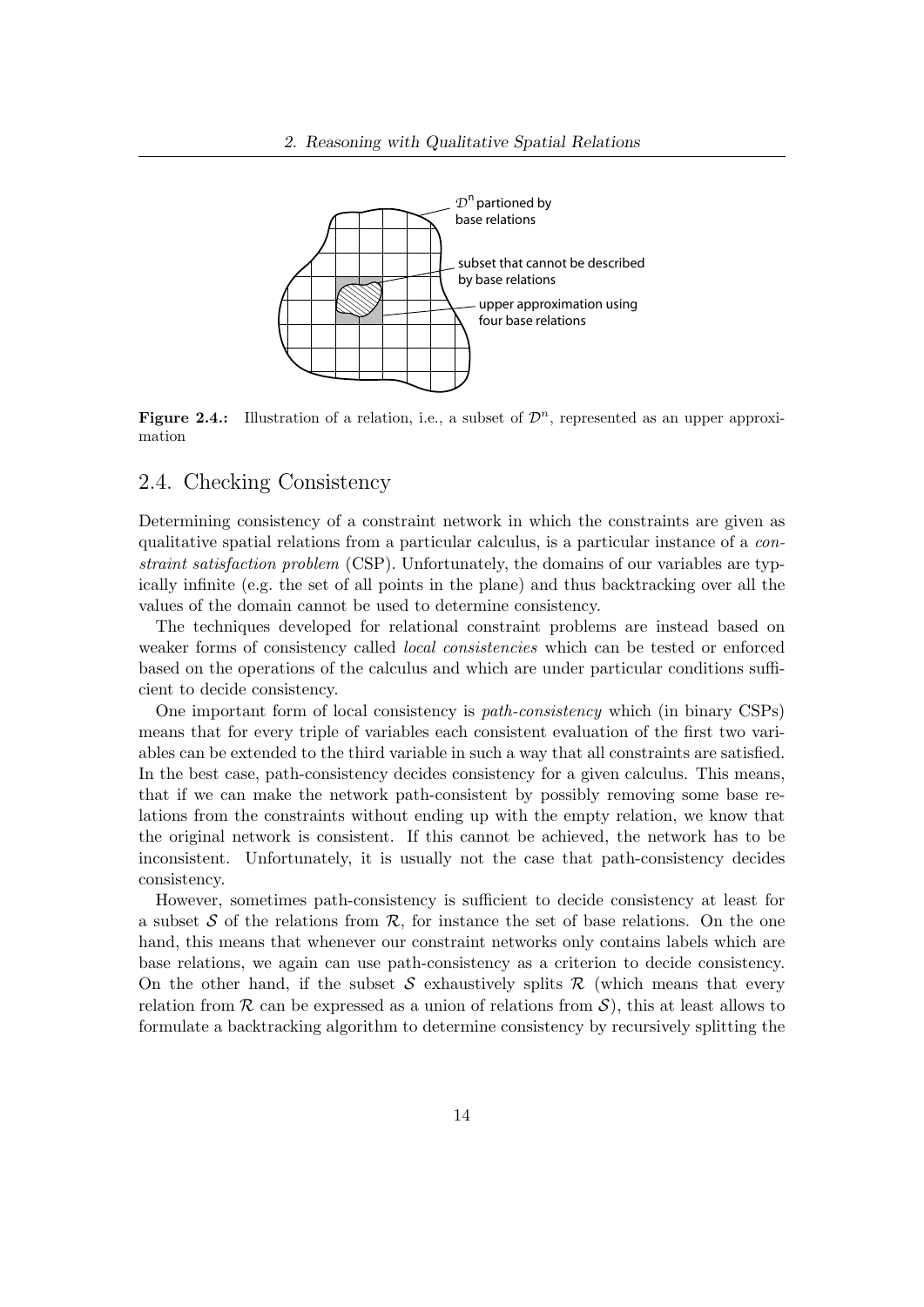

<span id="page-13-1"></span>**Figure 2.4.:** Illustration of a relation, i.e., a subset of  $\mathcal{D}^n$ , represented as an upper approximation

#### <span id="page-13-0"></span>2.4. Checking Consistency

Determining consistency of a constraint network in which the constraints are given as qualitative spatial relations from a particular calculus, is a particular instance of a constraint satisfaction problem (CSP). Unfortunately, the domains of our variables are typically infinite (e.g. the set of all points in the plane) and thus backtracking over all the values of the domain cannot be used to determine consistency.

The techniques developed for relational constraint problems are instead based on weaker forms of consistency called local consistencies which can be tested or enforced based on the operations of the calculus and which are under particular conditions sufficient to decide consistency.

One important form of local consistency is path-consistency which (in binary CSPs) means that for every triple of variables each consistent evaluation of the first two variables can be extended to the third variable in such a way that all constraints are satisfied. In the best case, path-consistency decides consistency for a given calculus. This means, that if we can make the network path-consistent by possibly removing some base relations from the constraints without ending up with the empty relation, we know that the original network is consistent. If this cannot be achieved, the network has to be inconsistent. Unfortunately, it is usually not the case that path-consistency decides consistency.

However, sometimes path-consistency is sufficient to decide consistency at least for a subset S of the relations from  $\mathcal{R}$ , for instance the set of base relations. On the one hand, this means that whenever our constraint networks only contains labels which are base relations, we again can use path-consistency as a criterion to decide consistency. On the other hand, if the subset S exhaustively splits  $\mathcal R$  (which means that every relation from  $\mathcal R$  can be expressed as a union of relations from  $\mathcal S$ ), this at least allows to formulate a backtracking algorithm to determine consistency by recursively splitting the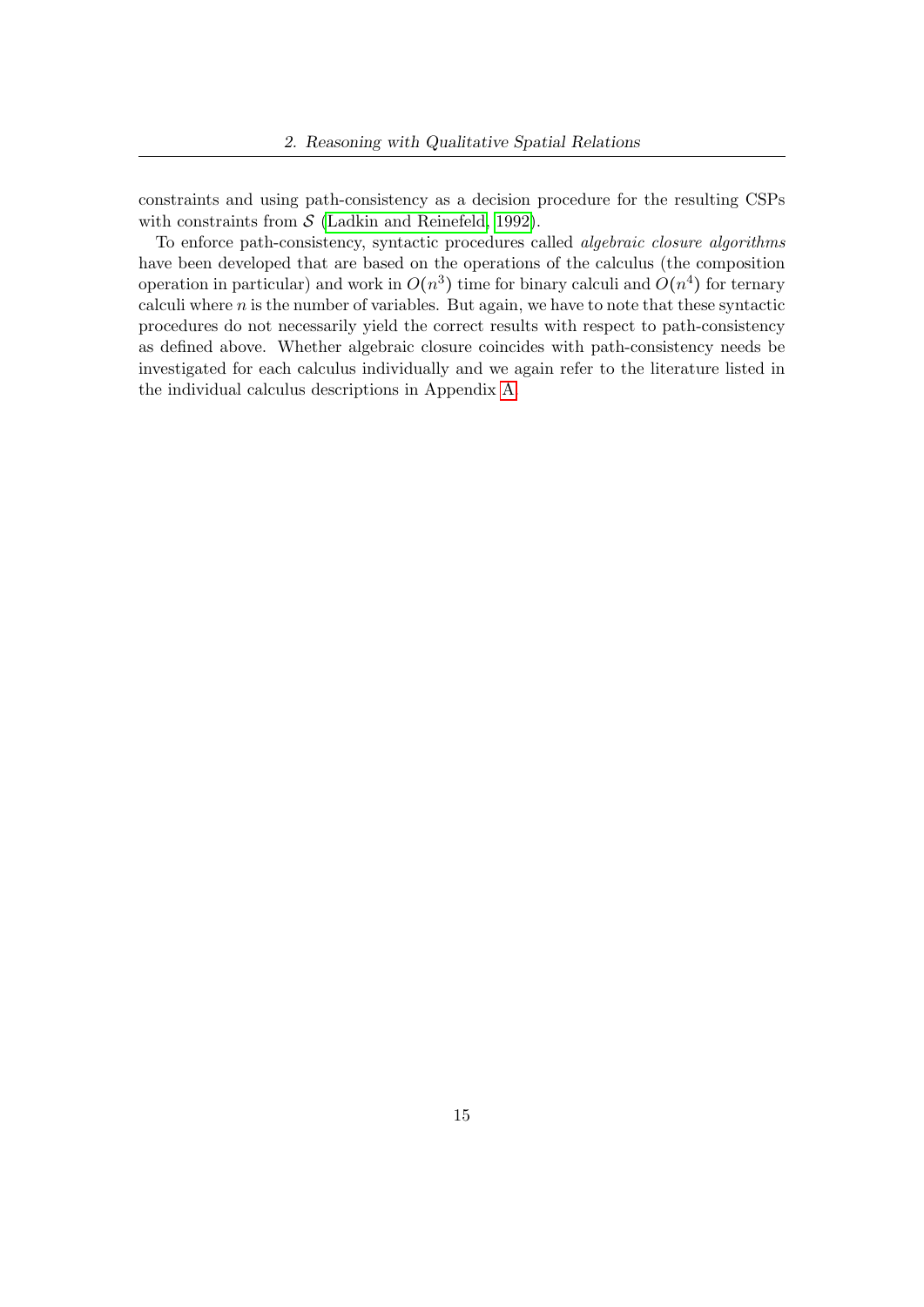constraints and using path-consistency as a decision procedure for the resulting CSPs with constraints from  $S$  [\(Ladkin and Reinefeld, 1992\)](#page-49-0).

To enforce path-consistency, syntactic procedures called algebraic closure algorithms have been developed that are based on the operations of the calculus (the composition operation in particular) and work in  $O(n^3)$  time for binary calculi and  $O(n^4)$  for ternary calculi where  $n$  is the number of variables. But again, we have to note that these syntactic procedures do not necessarily yield the correct results with respect to path-consistency as defined above. Whether algebraic closure coincides with path-consistency needs be investigated for each calculus individually and we again refer to the literature listed in the individual calculus descriptions in Appendix [A.](#page-52-0)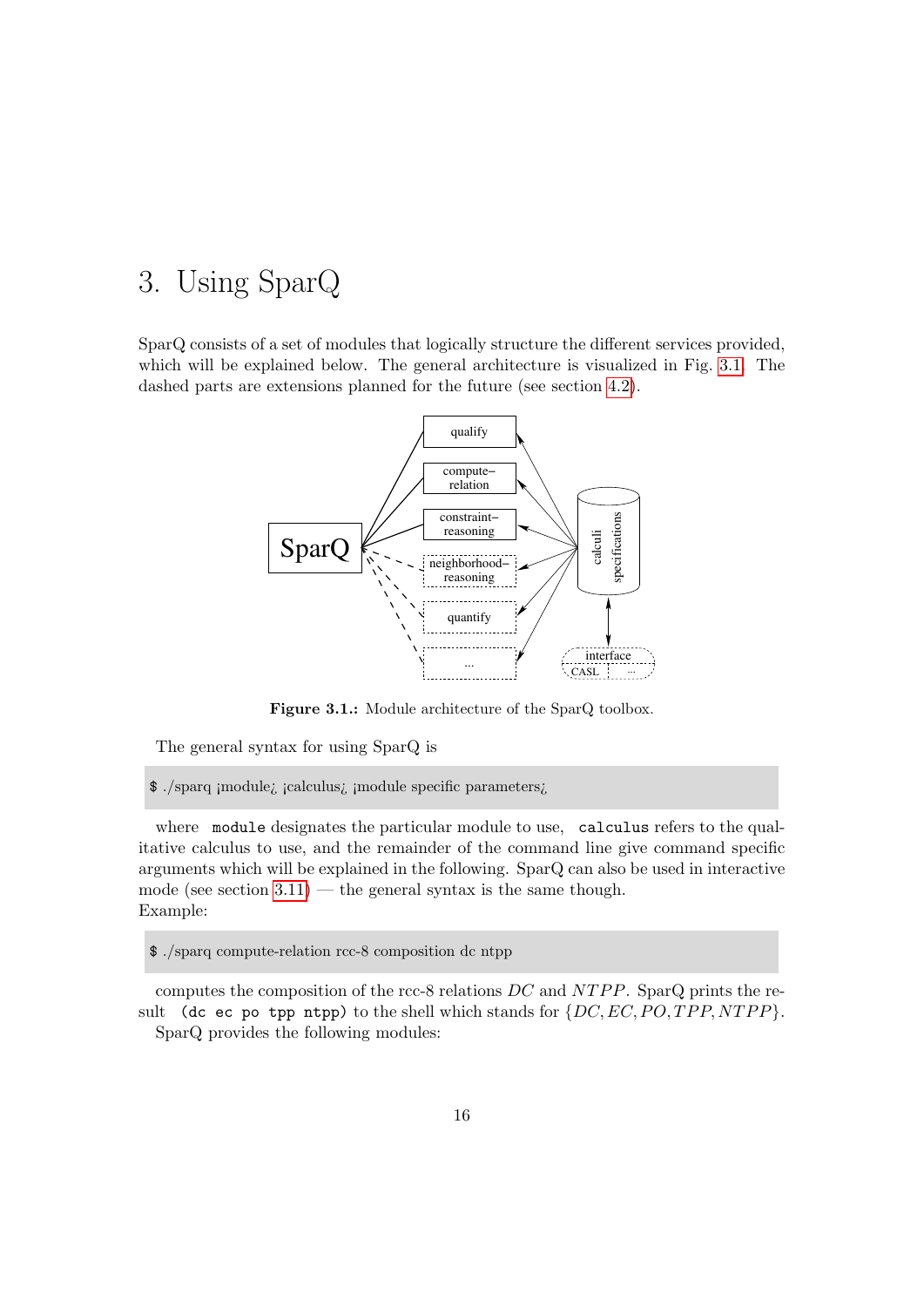## <span id="page-15-0"></span>3. Using SparQ

SparQ consists of a set of modules that logically structure the different services provided, which will be explained below. The general architecture is visualized in Fig. [3.1.](#page-15-1) The dashed parts are extensions planned for the future (see section [4.2\)](#page-47-0).



<span id="page-15-1"></span>Figure 3.1.: Module architecture of the SparQ toolbox.

The general syntax for using SparQ is

\$ ./sparq ¡module¿ ¡calculus¿ ¡module specific parameters¿

where module designates the particular module to use, calculus refers to the qualitative calculus to use, and the remainder of the command line give command specific arguments which will be explained in the following. SparQ can also be used in interactive mode (see section  $3.11$ ) — the general syntax is the same though. Example:

\$ ./sparq compute-relation rcc-8 composition dc ntpp

computes the composition of the rcc-8 relations  $DC$  and  $NTPP$ . SparQ prints the result (dc ec po tpp ntpp) to the shell which stands for  $\{DC, EC, PO, TPP, NTPP\}$ . SparQ provides the following modules: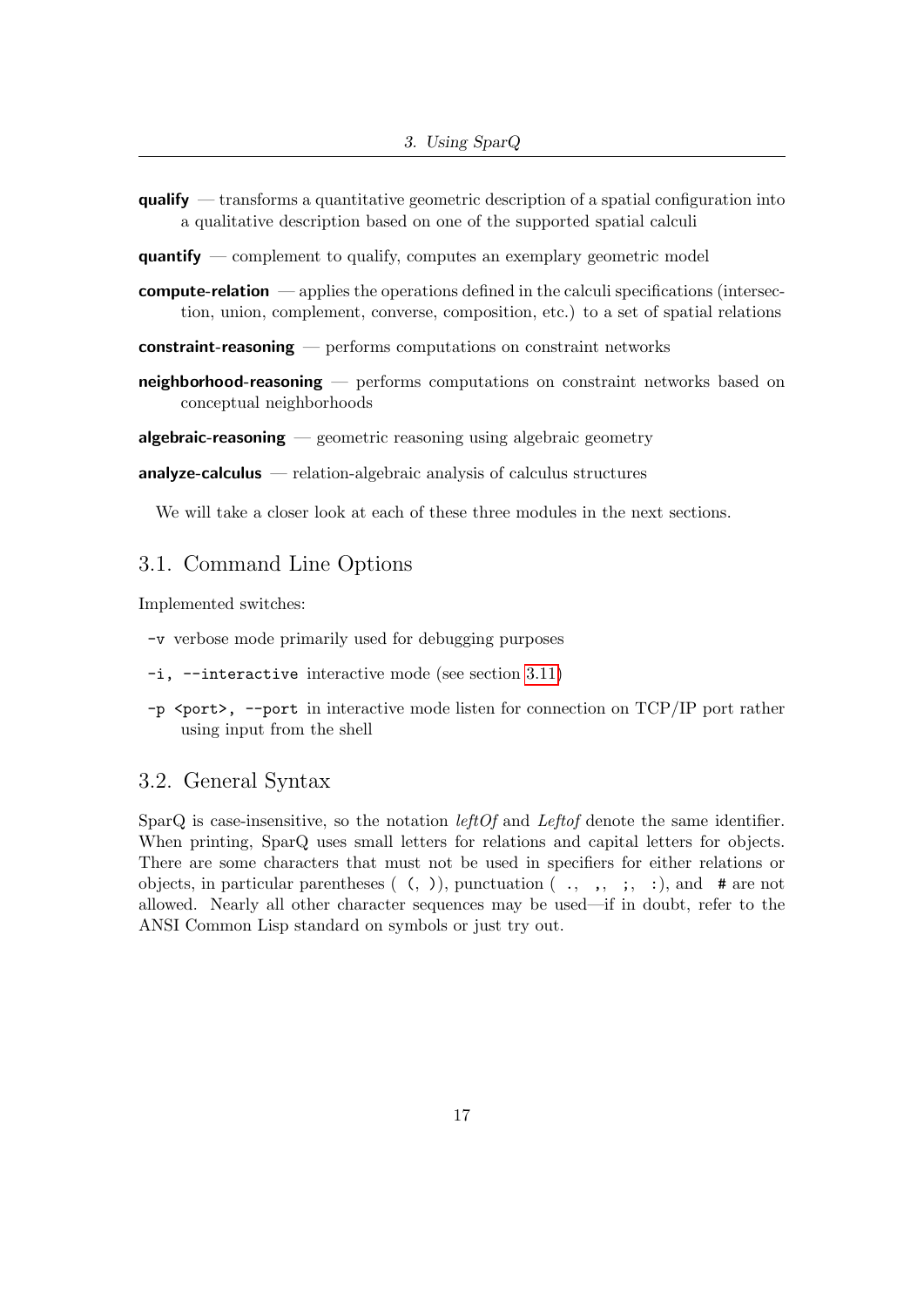$qualify$  — transforms a quantitative geometric description of a spatial configuration into a qualitative description based on one of the supported spatial calculi

quantify — complement to qualify, computes an exemplary geometric model

**compute-relation** — applies the operations defined in the calculi specifications (intersection, union, complement, converse, composition, etc.) to a set of spatial relations

constraint-reasoning — performs computations on constraint networks

- neighborhood-reasoning performs computations on constraint networks based on conceptual neighborhoods
- **algebraic-reasoning**  $\equiv$  geometric reasoning using algebraic geometry

 $analyze-calculus$  — relation-algebraic analysis of calculus structures

We will take a closer look at each of these three modules in the next sections.

## <span id="page-16-0"></span>3.1. Command Line Options

Implemented switches:

- -v verbose mode primarily used for debugging purposes
- -i, --interactive interactive mode (see section [3.11\)](#page-31-1)
- -p <port>, --port in interactive mode listen for connection on TCP/IP port rather using input from the shell

## <span id="page-16-1"></span>3.2. General Syntax

SparQ is case-insensitive, so the notation *leftOf* and *Leftof* denote the same identifier. When printing, SparQ uses small letters for relations and capital letters for objects. There are some characters that must not be used in specifiers for either relations or objects, in particular parentheses  $( , )$ , punctuation  $( , , , , ; , :)$ , and # are not allowed. Nearly all other character sequences may be used—if in doubt, refer to the ANSI Common Lisp standard on symbols or just try out.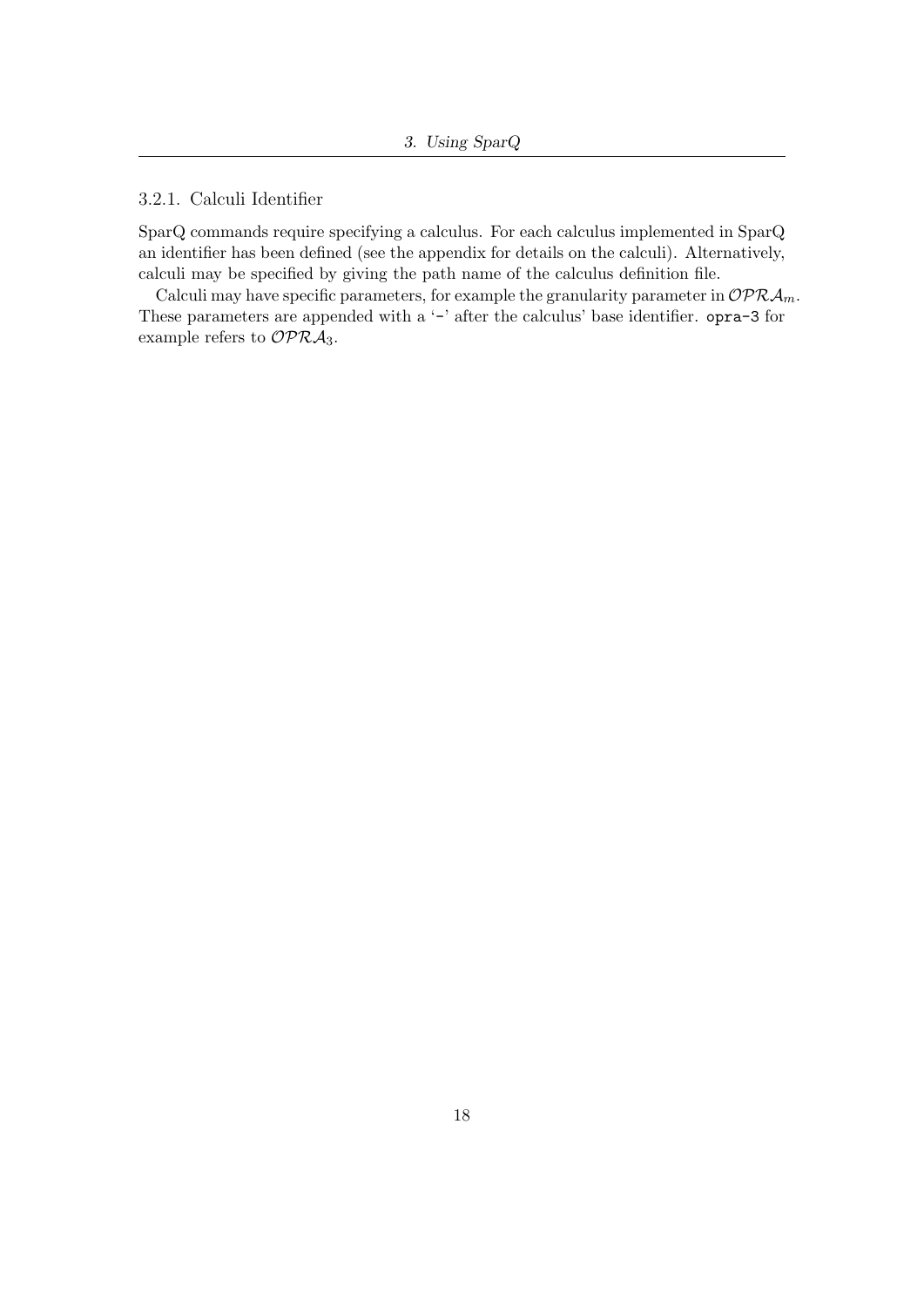## <span id="page-17-0"></span>3.2.1. Calculi Identifier

SparQ commands require specifying a calculus. For each calculus implemented in SparQ an identifier has been defined (see the appendix for details on the calculi). Alternatively, calculi may be specified by giving the path name of the calculus definition file.

Calculi may have specific parameters, for example the granularity parameter in  $\mathcal{OPRA}_m$ . These parameters are appended with a '-' after the calculus' base identifier. opra-3 for example refers to  $\mathcal{OPRA}_3$ .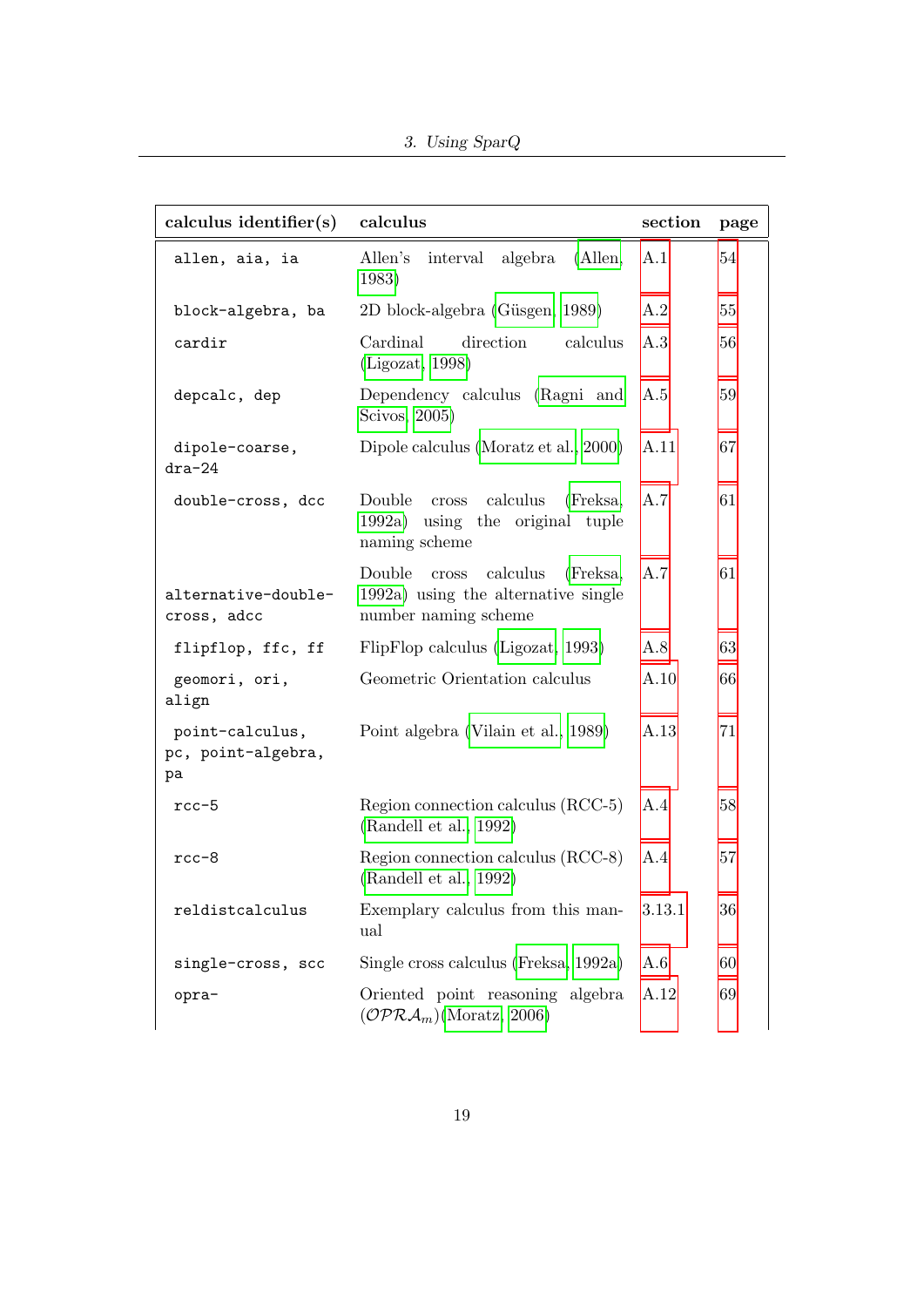3. Using SparQ

| calculus identifier(s)                      | calculus                                                                                               | section | page |
|---------------------------------------------|--------------------------------------------------------------------------------------------------------|---------|------|
| allen, aia, ia                              | algebra<br>Allen's<br>interval<br>(Allen,<br>1983)                                                     | A.1     | 54   |
| block-algebra, ba                           | 2D block-algebra (Güsgen, 1989)                                                                        | A.2     | 55   |
| cardir                                      | Cardinal<br>direction<br>calculus<br>(Ligozat, 1998)                                                   | A.3     | 56   |
| depcalc, dep                                | Dependency calculus (Ragni and<br>Scivos, 2005)                                                        | A.5     | 59   |
| dipole-coarse,<br>$dra-24$                  | Dipole calculus (Moratz et al., 2000)                                                                  | A.11    | 67   |
| double-cross, dcc                           | Double<br>calculus<br>(Freksa,<br>$\csc$<br>1992a) using the original tuple<br>naming scheme           | A.7     | 61   |
| alternative-double-<br>cross, adcc          | Double<br>calculus<br>(Freksa,<br>cross<br>1992a) using the alternative single<br>number naming scheme | A.7     | 61   |
| flipflop, ffc, ff                           | FlipFlop calculus (Ligozat, 1993)                                                                      | A.8     | 63   |
| geomori, ori,<br>align                      | Geometric Orientation calculus                                                                         | A.10    | 66   |
| point-calculus,<br>pc, point-algebra,<br>pa | Point algebra (Vilain et al., 1989)                                                                    | A.13    | 71   |
| $rcc-5$                                     | Region connection calculus (RCC-5)<br>(Randell et al., 1992)                                           | A.4     | 58   |
| rcc-8                                       | Region connection calculus (RCC-8)<br>(Randell et al., 1992)                                           | A.4     | 57   |
| reldistcalculus                             | Exemplary calculus from this man-<br>ual                                                               | 3.13.1  | 36   |
| single-cross, scc                           | Single cross calculus (Freksa, 1992a)                                                                  | A.6     | 60   |
| opra-                                       | Oriented point reasoning algebra<br>$(\mathcal{OPRA}_m)$ (Moratz, 2006)                                | A.12    | 69   |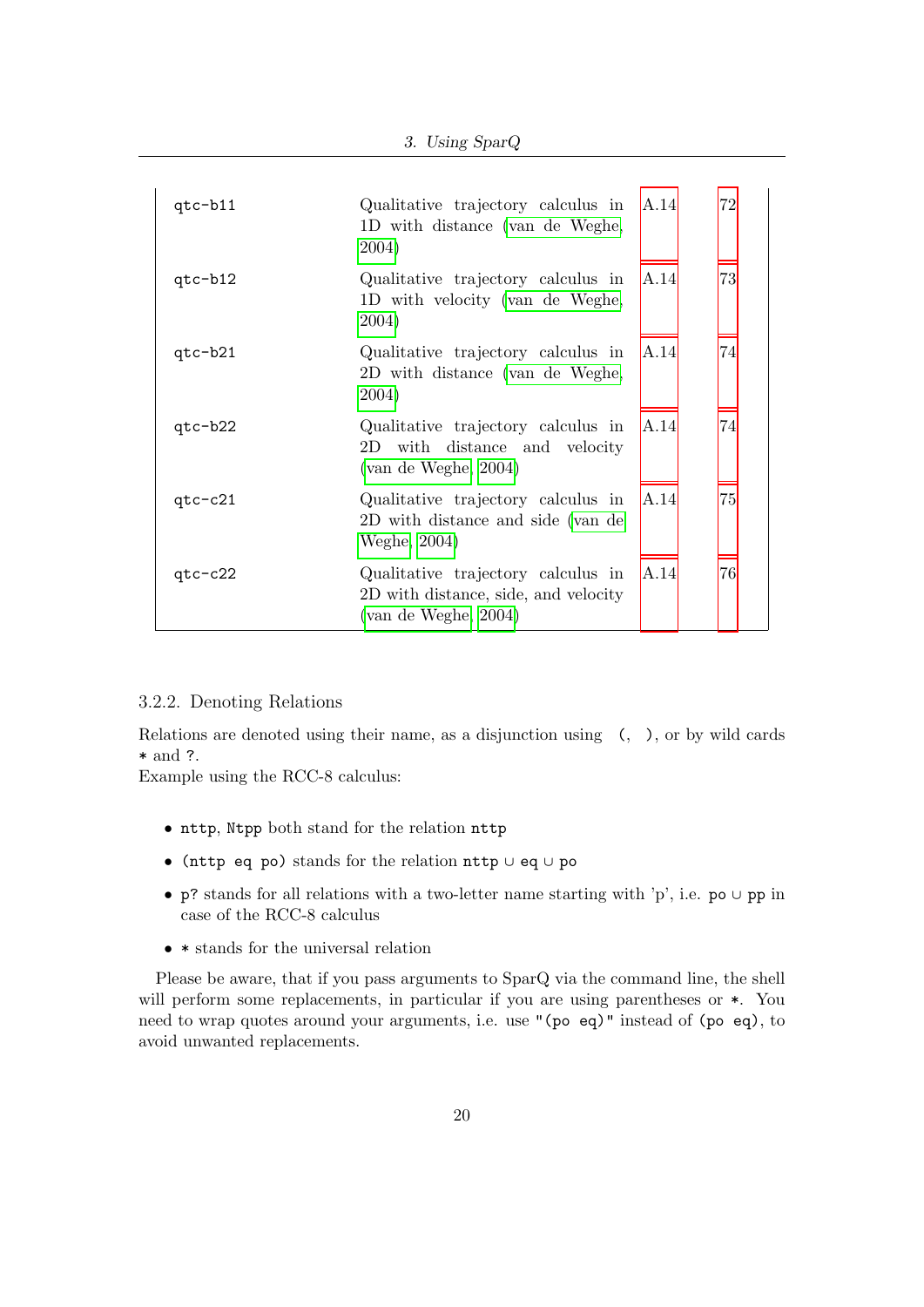| $qtc-b11$ | Qualitative trajectory calculus in A.14<br>1D with distance (van de Weghe,<br>2004)                     | 72 |
|-----------|---------------------------------------------------------------------------------------------------------|----|
| $qtc-b12$ | Qualitative trajectory calculus in A.14<br>1D with velocity (van de Weghe,<br>2004)                     | 73 |
| qtc-b21   | Qualitative trajectory calculus in A.14<br>2D with distance (van de Weghe,<br>2004)                     | 74 |
| $qtc-b22$ | Qualitative trajectory calculus in A.14<br>2D with distance and velocity<br>(van de Weghe, 2004)        | 74 |
| $qtc-c21$ | Qualitative trajectory calculus in A.14<br>2D with distance and side (van de<br>Weghe, 2004)            | 75 |
| $qtc-c22$ | Qualitative trajectory calculus in A.14<br>2D with distance, side, and velocity<br>(van de Weghe, 2004) | 76 |

#### <span id="page-19-0"></span>3.2.2. Denoting Relations

Relations are denoted using their name, as a disjunction using (, ), or by wild cards \* and ?.

Example using the RCC-8 calculus:

- nttp, Ntpp both stand for the relation nttp
- (nttp eq po) stands for the relation nttp ∪ eq ∪ po
- p? stands for all relations with a two-letter name starting with 'p', i.e. po ∪ pp in case of the RCC-8 calculus
- \* stands for the universal relation

Please be aware, that if you pass arguments to SparQ via the command line, the shell will perform some replacements, in particular if you are using parentheses or  $*$ . You need to wrap quotes around your arguments, i.e. use "(po eq)" instead of (po eq), to avoid unwanted replacements.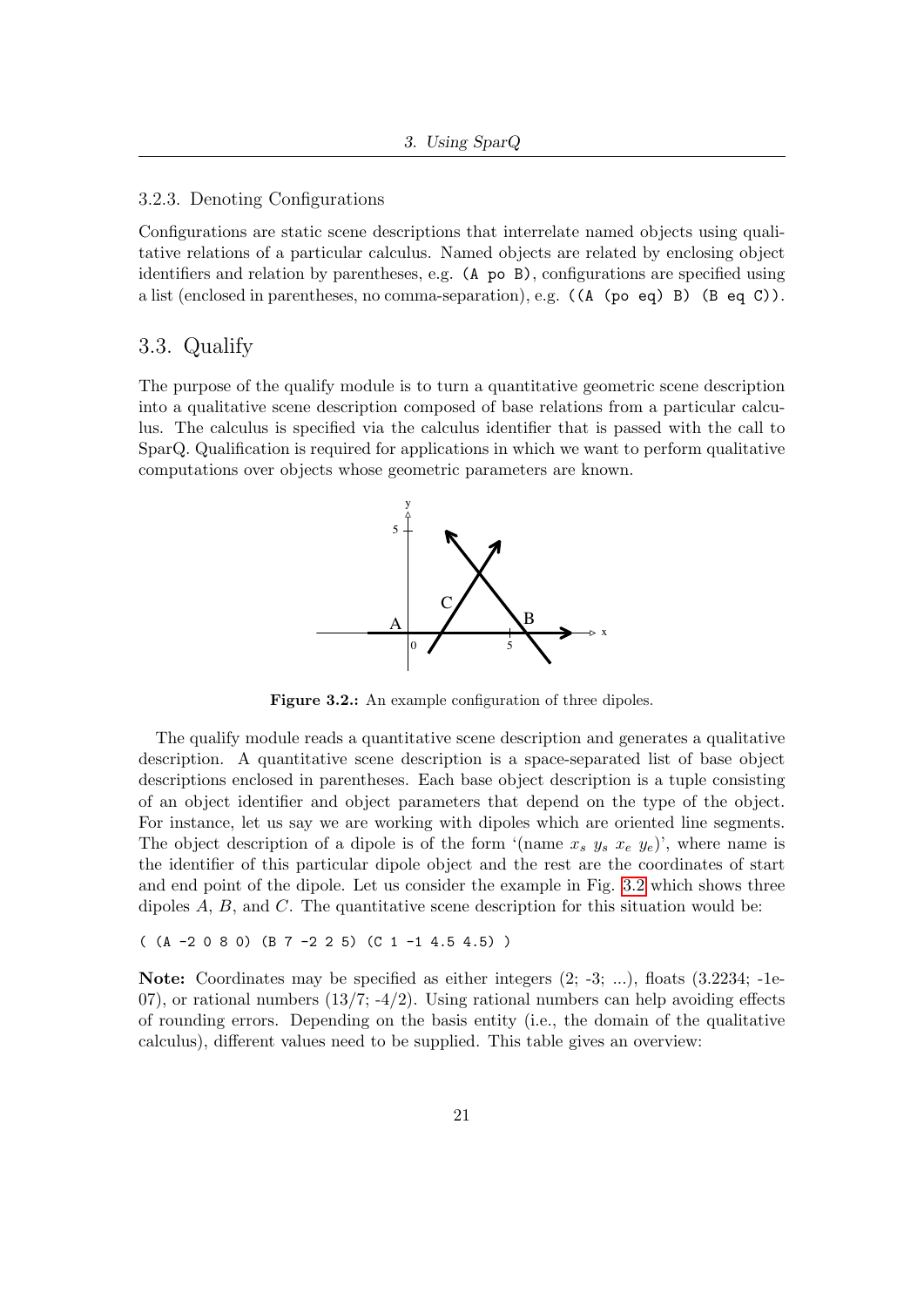#### <span id="page-20-0"></span>3.2.3. Denoting Configurations

Configurations are static scene descriptions that interrelate named objects using qualitative relations of a particular calculus. Named objects are related by enclosing object identifiers and relation by parentheses, e.g. (A po B), configurations are specified using a list (enclosed in parentheses, no comma-separation), e.g. ((A (po eq) B) (B eq C)).

#### <span id="page-20-1"></span>3.3. Qualify

The purpose of the qualify module is to turn a quantitative geometric scene description into a qualitative scene description composed of base relations from a particular calculus. The calculus is specified via the calculus identifier that is passed with the call to SparQ. Qualification is required for applications in which we want to perform qualitative computations over objects whose geometric parameters are known.



<span id="page-20-2"></span>Figure 3.2.: An example configuration of three dipoles.

The qualify module reads a quantitative scene description and generates a qualitative description. A quantitative scene description is a space-separated list of base object descriptions enclosed in parentheses. Each base object description is a tuple consisting of an object identifier and object parameters that depend on the type of the object. For instance, let us say we are working with dipoles which are oriented line segments. The object description of a dipole is of the form '(name  $x_s$   $y_s$   $x_e$   $y_e$ )', where name is the identifier of this particular dipole object and the rest are the coordinates of start and end point of the dipole. Let us consider the example in Fig. [3.2](#page-20-2) which shows three dipoles  $A, B$ , and  $C$ . The quantitative scene description for this situation would be:

 $((A - 2 0 8 0) (B 7 - 2 2 5) (C 1 - 1 4.5 4.5))$ 

Note: Coordinates may be specified as either integers  $(2; -3; ...)$ , floats  $(3.2234; -1e-$ 07), or rational numbers  $(13/7, -4/2)$ . Using rational numbers can help avoiding effects of rounding errors. Depending on the basis entity (i.e., the domain of the qualitative calculus), different values need to be supplied. This table gives an overview: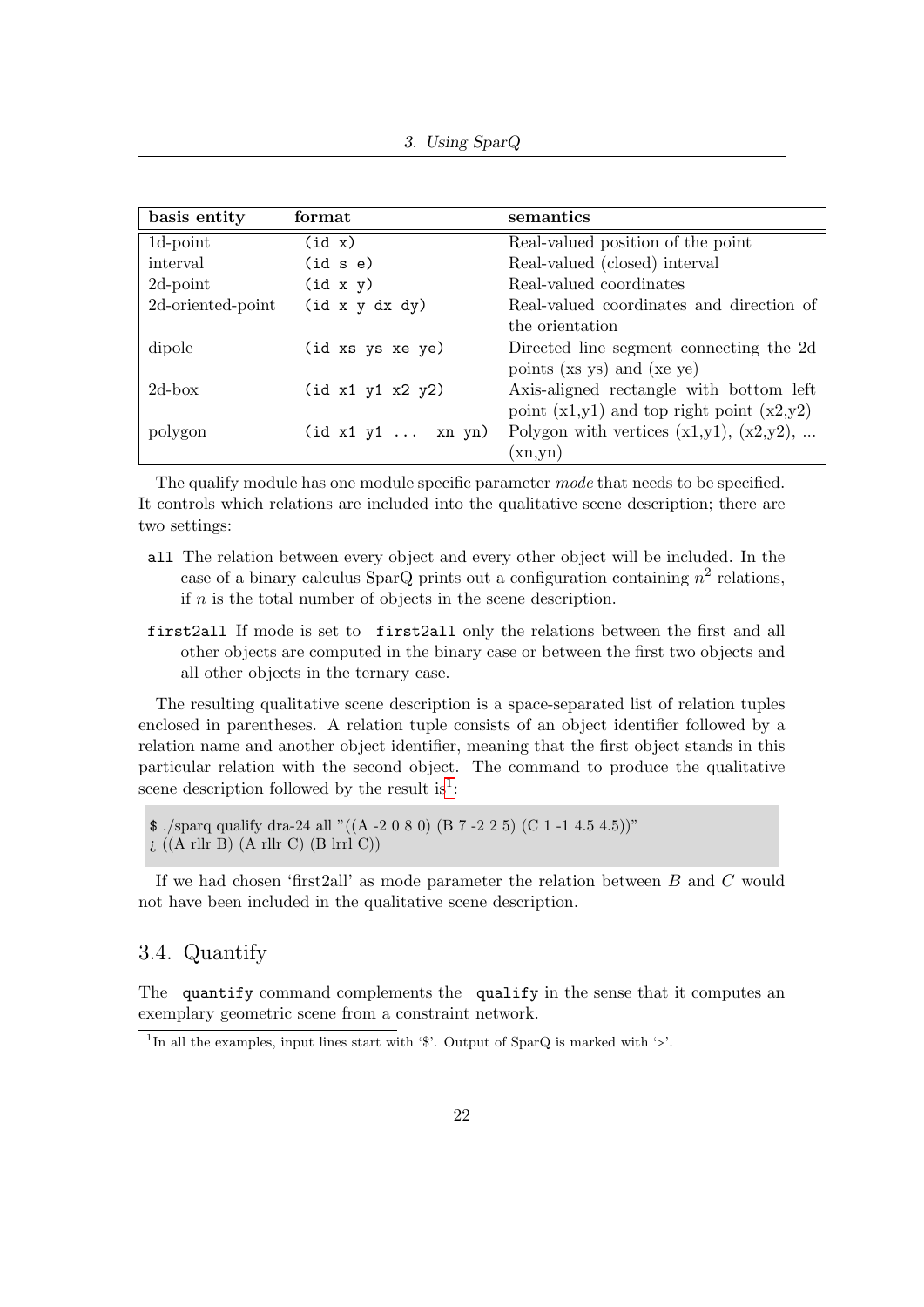| basis entity      | format            | semantics                                     |
|-------------------|-------------------|-----------------------------------------------|
| 1d-point          | (id x)            | Real-valued position of the point             |
| interval          | (id s e)          | Real-valued (closed) interval                 |
| $2d$ -point       | (id x y)          | Real-valued coordinates                       |
| 2d-oriented-point | (id x y dx dy)    | Real-valued coordinates and direction of      |
|                   |                   | the orientation                               |
| dipole            | (id xs ys xe ye)  | Directed line segment connecting the 2d       |
|                   |                   | points (xs ys) and (xe ye)                    |
| $2d$ -box         | (id x1 y1 x2 y2)  | Axis-aligned rectangle with bottom left       |
|                   |                   | point $(x1,y1)$ and top right point $(x2,y2)$ |
| polygon           | (id x1 y1  xn yn) | Polygon with vertices $(x1,y1)$ , $(x2,y2)$ , |
|                   |                   | (xn,yn)                                       |

The qualify module has one module specific parameter mode that needs to be specified. It controls which relations are included into the qualitative scene description; there are two settings:

- all The relation between every object and every other object will be included. In the case of a binary calculus SparQ prints out a configuration containing  $n^2$  relations, if  $n$  is the total number of objects in the scene description.
- first2all If mode is set to first2all only the relations between the first and all other objects are computed in the binary case or between the first two objects and all other objects in the ternary case.

The resulting qualitative scene description is a space-separated list of relation tuples enclosed in parentheses. A relation tuple consists of an object identifier followed by a relation name and another object identifier, meaning that the first object stands in this particular relation with the second object. The command to produce the qualitative scene description followed by the result is<sup>[1](#page-21-1)</sup>:

 $\frac{1}{2}$ ./sparq qualify dra-24 all "((A-2 0 8 0) (B 7 -2 2 5) (C 1 -1 4.5 4.5))" ¿ ((A rllr B) (A rllr C) (B lrrl C))

If we had chosen 'first2all' as mode parameter the relation between  $B$  and  $C$  would not have been included in the qualitative scene description.

## <span id="page-21-0"></span>3.4. Quantify

The quantify command complements the qualify in the sense that it computes an exemplary geometric scene from a constraint network.

<span id="page-21-1"></span><sup>&</sup>lt;sup>1</sup>In all the examples, input lines start with '\$'. Output of SparQ is marked with '>'.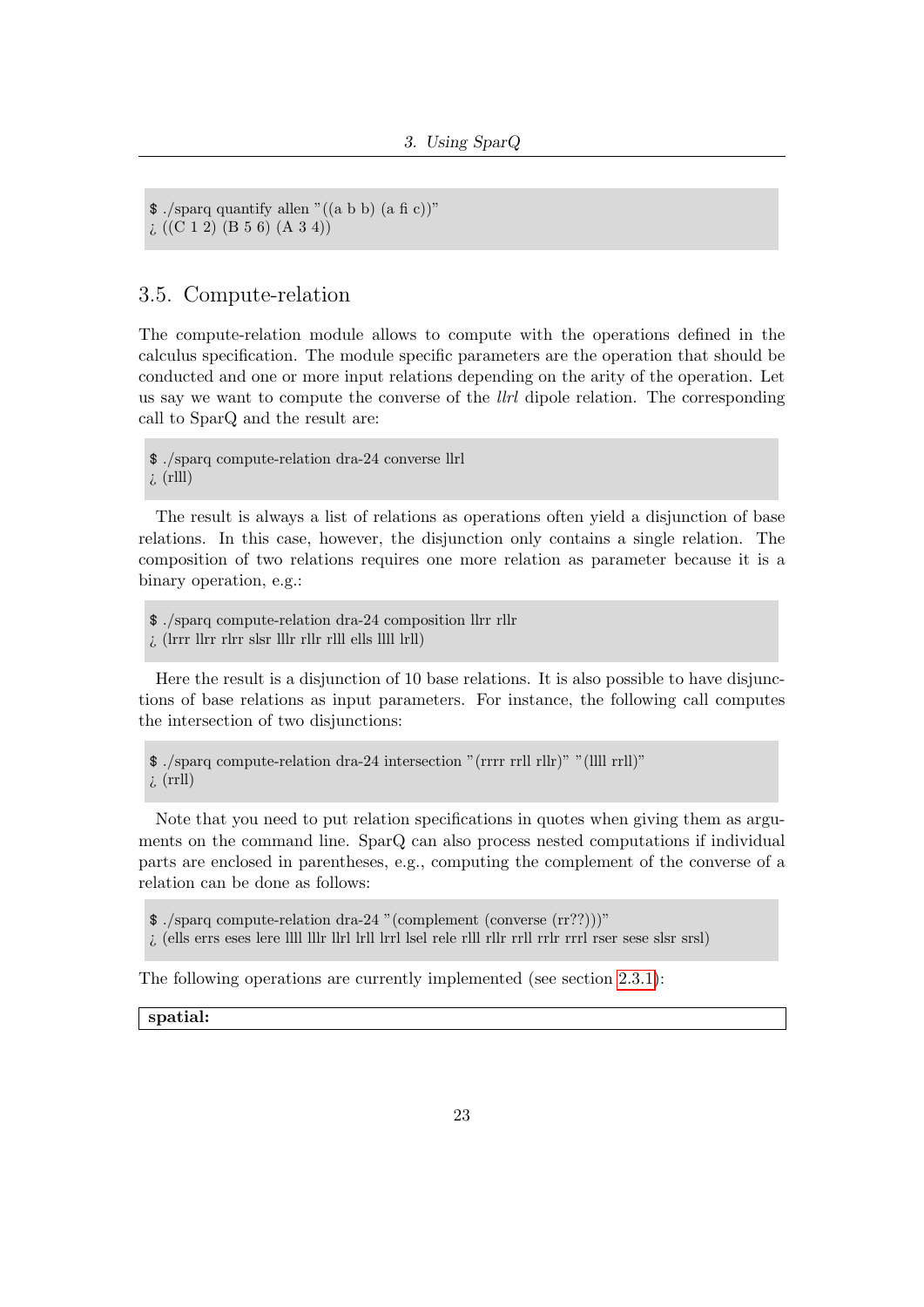```
\frac{1}{2}./sparq quantify allen "((a b b) (a fi c))"
i((C 1 2) (B 5 6) (A 3 4))
```
## <span id="page-22-0"></span>3.5. Compute-relation

The compute-relation module allows to compute with the operations defined in the calculus specification. The module specific parameters are the operation that should be conducted and one or more input relations depending on the arity of the operation. Let us say we want to compute the converse of the *llrl* dipole relation. The corresponding call to SparQ and the result are:

\$ ./sparq compute-relation dra-24 converse llrl  $\lambda$  (rlll)

The result is always a list of relations as operations often yield a disjunction of base relations. In this case, however, the disjunction only contains a single relation. The composition of two relations requires one more relation as parameter because it is a binary operation, e.g.:

\$ ./sparq compute-relation dra-24 composition llrr rllr ¿ (lrrr llrr rlrr slsr lllr rllr rlll ells llll lrll)

Here the result is a disjunction of 10 base relations. It is also possible to have disjunctions of base relations as input parameters. For instance, the following call computes the intersection of two disjunctions:

\$ ./sparq compute-relation dra-24 intersection "(rrrr rrll rllr)" "(llll rrll)"  $\lambda$  (rrll)

Note that you need to put relation specifications in quotes when giving them as arguments on the command line. SparQ can also process nested computations if individual parts are enclosed in parentheses, e.g., computing the complement of the converse of a relation can be done as follows:

\$ ./sparq compute-relation dra-24 "(complement (converse (rr??)))"

 $\lambda$  (ells errs eses lere llll lllr llrl lrll lrrl lsel rele rlll rllr rrll rrlr rrrl rser sese slsr srsl)

The following operations are currently implemented (see section [2.3.1\)](#page-10-0):

spatial: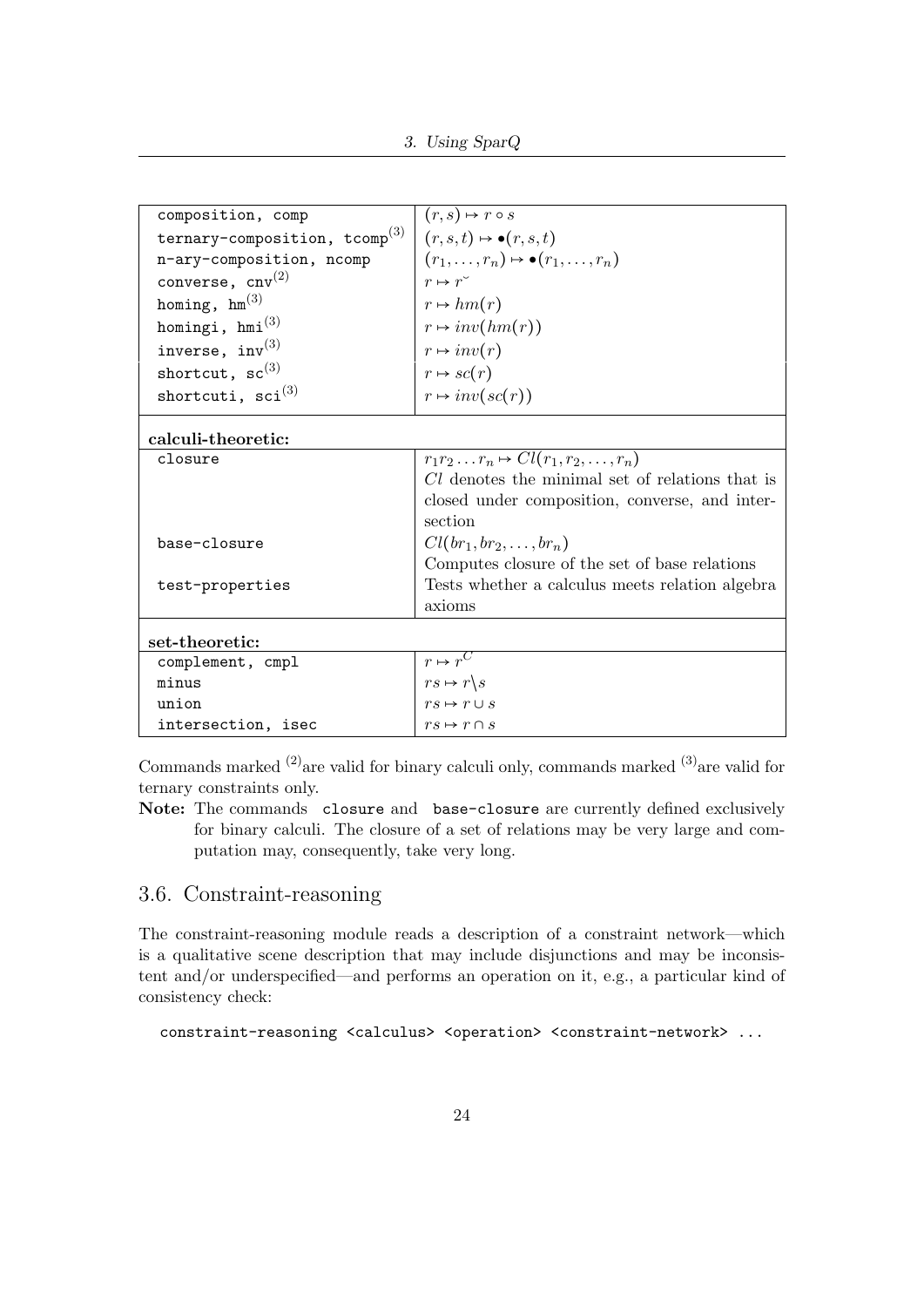| composition, comp                  | $(r, s) \mapsto r \circ s$                        |
|------------------------------------|---------------------------------------------------|
| ternary-composition, $tcomp^{(3)}$ | $(r, s, t) \mapsto \bullet(r, s, t)$              |
| n-ary-composition, ncomp           | $(r_1,\ldots,r_n)\mapsto \bullet(r_1,\ldots,r_n)$ |
| converse, $cnv^{(2)}$              | $r \mapsto r^{\circ}$                             |
| homing, $hm^{(3)}$                 | $r \mapsto hm(r)$                                 |
| homingi, $hmi^{(3)}$               | $r \mapsto inv(hm(r))$                            |
| inverse, $inv^{(3)}$               | $r \mapsto inv(r)$                                |
| shortcut, $\text{sc}^{(3)}$        | $r \mapsto \mathit{sc}(r)$                        |
| shortcuti, $\text{sci}^{(3)}$      | $r \mapsto inv(sc(r))$                            |
| calculi-theoretic:                 |                                                   |
| closure                            | $r_1r_2\ldots r_n \mapsto Cl(r_1,r_2,\ldots,r_n)$ |
|                                    | Cl denotes the minimal set of relations that is   |
|                                    | closed under composition, converse, and inter-    |
|                                    | section                                           |
| base-closure                       | $Cl(br_1, br_2, \ldots, br_n)$                    |
|                                    | Computes closure of the set of base relations     |
| test-properties                    | Tests whether a calculus meets relation algebra   |
|                                    | axioms                                            |
| set-theoretic:                     |                                                   |
| complement, cmpl                   | $r \mapsto \overline{r^C}$                        |
| minus                              | $rs \mapsto r \backslash s$                       |
| union                              | $rs \mapsto r \cup s$                             |
| intersection, isec                 | $rs \mapsto r \cap s$                             |

Commands marked  $(2)$  are valid for binary calculi only, commands marked  $(3)$  are valid for ternary constraints only.

Note: The commands closure and base-closure are currently defined exclusively for binary calculi. The closure of a set of relations may be very large and computation may, consequently, take very long.

## <span id="page-23-0"></span>3.6. Constraint-reasoning

The constraint-reasoning module reads a description of a constraint network—which is a qualitative scene description that may include disjunctions and may be inconsistent and/or underspecified—and performs an operation on it, e.g., a particular kind of consistency check:

```
constraint-reasoning <calculus> <operation> <constraint-network> ...
```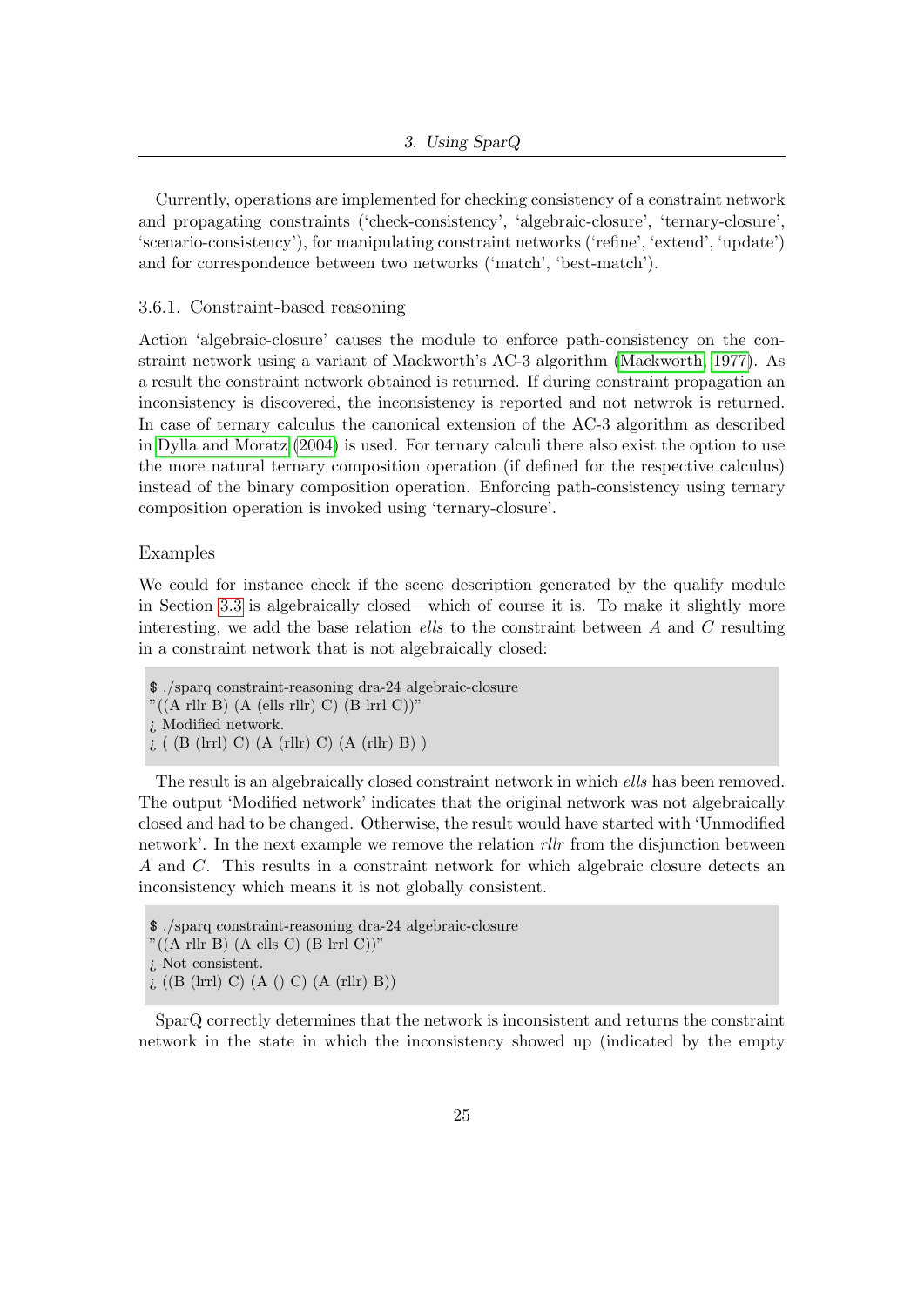Currently, operations are implemented for checking consistency of a constraint network and propagating constraints ('check-consistency', 'algebraic-closure', 'ternary-closure', 'scenario-consistency'), for manipulating constraint networks ('refine', 'extend', 'update') and for correspondence between two networks ('match', 'best-match').

#### <span id="page-24-0"></span>3.6.1. Constraint-based reasoning

Action 'algebraic-closure' causes the module to enforce path-consistency on the constraint network using a variant of Mackworth's AC-3 algorithm [\(Mackworth, 1977\)](#page-50-7). As a result the constraint network obtained is returned. If during constraint propagation an inconsistency is discovered, the inconsistency is reported and not netwrok is returned. In case of ternary calculus the canonical extension of the AC-3 algorithm as described in [Dylla and Moratz](#page-49-6) [\(2004\)](#page-49-6) is used. For ternary calculi there also exist the option to use the more natural ternary composition operation (if defined for the respective calculus) instead of the binary composition operation. Enforcing path-consistency using ternary composition operation is invoked using 'ternary-closure'.

#### Examples

We could for instance check if the scene description generated by the qualify module in Section [3.3](#page-20-1) is algebraically closed—which of course it is. To make it slightly more interesting, we add the base relation ells to the constraint between  $A$  and  $C$  resulting in a constraint network that is not algebraically closed:

\$ ./sparq constraint-reasoning dra-24 algebraic-closure  $"((A \rvert \text{llr B}) (A \rvert \text{ells } \text{rlr}) C) (B \rvert \text{lrr1 } C))"$ ¿ Modified network.  $\lambda$  ( (B (lrrl) C) (A (rllr) C) (A (rllr) B) )

The result is an algebraically closed constraint network in which ells has been removed. The output 'Modified network' indicates that the original network was not algebraically closed and had to be changed. Otherwise, the result would have started with 'Unmodified network'. In the next example we remove the relation *rllr* from the disjunction between A and C. This results in a constraint network for which algebraic closure detects an inconsistency which means it is not globally consistent.

SparQ correctly determines that the network is inconsistent and returns the constraint network in the state in which the inconsistency showed up (indicated by the empty

<sup>\$</sup> ./sparq constraint-reasoning dra-24 algebraic-closure

 $"((A \rvert \text{llr B}) (A \rvert \text{ells C}) (B \rvert \text{lrrl C}))"$ 

<sup>¿</sup> Not consistent.

 $\lambda$  ((B (lrrl) C) (A () C) (A (rllr) B))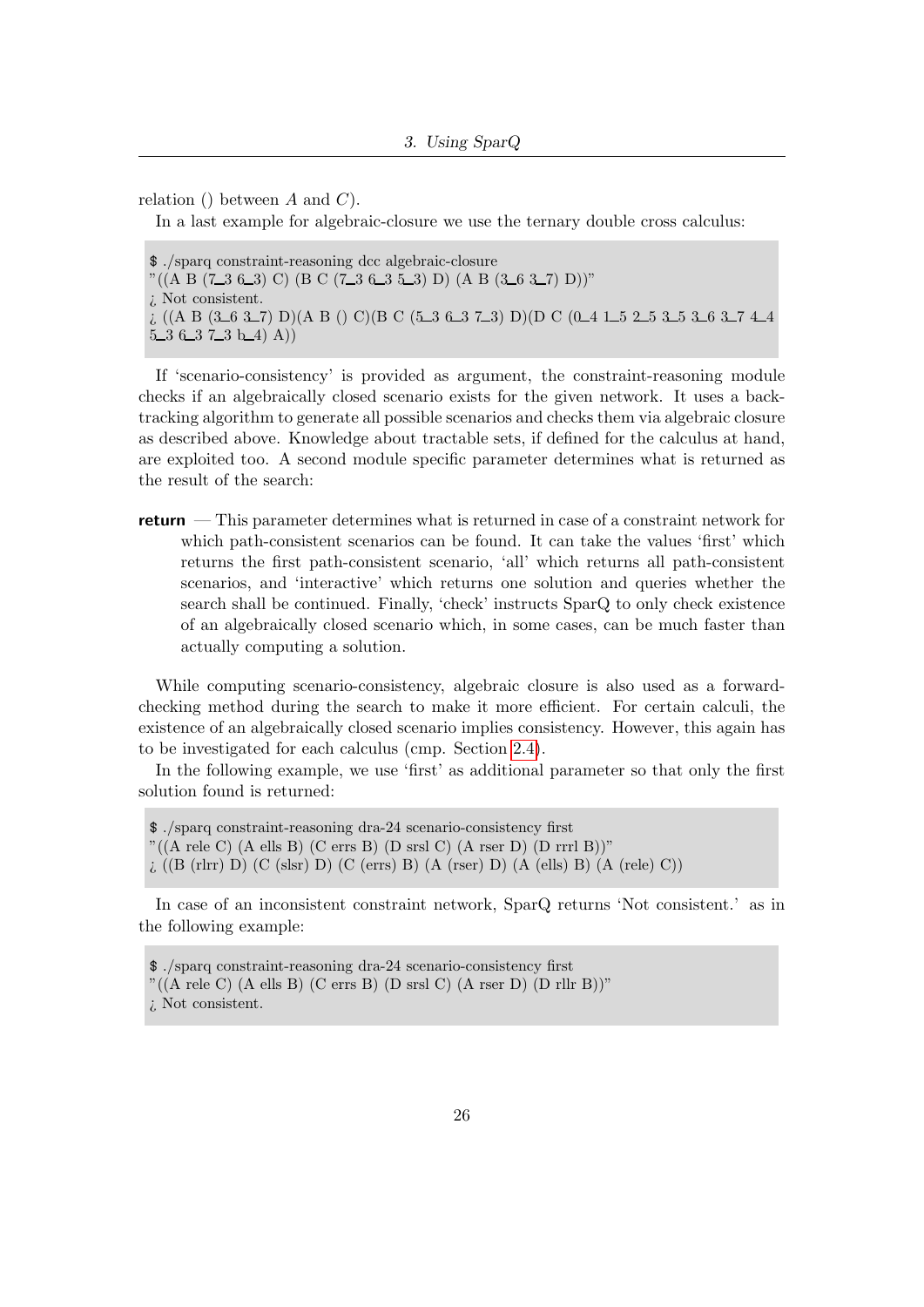relation () between A and  $C$ ).

In a last example for algebraic-closure we use the ternary double cross calculus:

\$ ./sparq constraint-reasoning dcc algebraic-closure  $"((A B (7.3 6.3) C) (B C (7.3 6.3 5.3) D) (A B (3.6 3.7) D))"$ ¿ Not consistent.  $\chi$  ((A B (3\_6 3\_7) D)(A B () C)(B C (5\_3 6\_3 7\_3) D)(D C (0\_4 1\_5 2\_5 3\_5 3\_6 3\_7 4\_4  $5-3$   $6-3$   $7-3$   $b-4$   $A)$ 

If 'scenario-consistency' is provided as argument, the constraint-reasoning module checks if an algebraically closed scenario exists for the given network. It uses a backtracking algorithm to generate all possible scenarios and checks them via algebraic closure as described above. Knowledge about tractable sets, if defined for the calculus at hand, are exploited too. A second module specific parameter determines what is returned as the result of the search:

**return** — This parameter determines what is returned in case of a constraint network for which path-consistent scenarios can be found. It can take the values 'first' which returns the first path-consistent scenario, 'all' which returns all path-consistent scenarios, and 'interactive' which returns one solution and queries whether the search shall be continued. Finally, 'check' instructs SparQ to only check existence of an algebraically closed scenario which, in some cases, can be much faster than actually computing a solution.

While computing scenario-consistency, algebraic closure is also used as a forwardchecking method during the search to make it more efficient. For certain calculi, the existence of an algebraically closed scenario implies consistency. However, this again has to be investigated for each calculus (cmp. Section [2.4\)](#page-13-0).

In the following example, we use 'first' as additional parameter so that only the first solution found is returned:

\$ ./sparq constraint-reasoning dra-24 scenario-consistency first  $"((A \text{ rele C}) (A \text{ ells B}) (C \text{ errs B}) (D \text{ srsl C}) (A \text{ rser D}) (D \text{ rrrl B}))"$ ¿ ((B (rlrr) D) (C (slsr) D) (C (errs) B) (A (rser) D) (A (ells) B) (A (rele) C))

In case of an inconsistent constraint network, SparQ returns 'Not consistent.' as in the following example:

<sup>\$</sup> ./sparq constraint-reasoning dra-24 scenario-consistency first "((A rele C) (A ells B) (C errs B) (D srsl C) (A rser D) (D rllr B))"

<sup>¿</sup> Not consistent.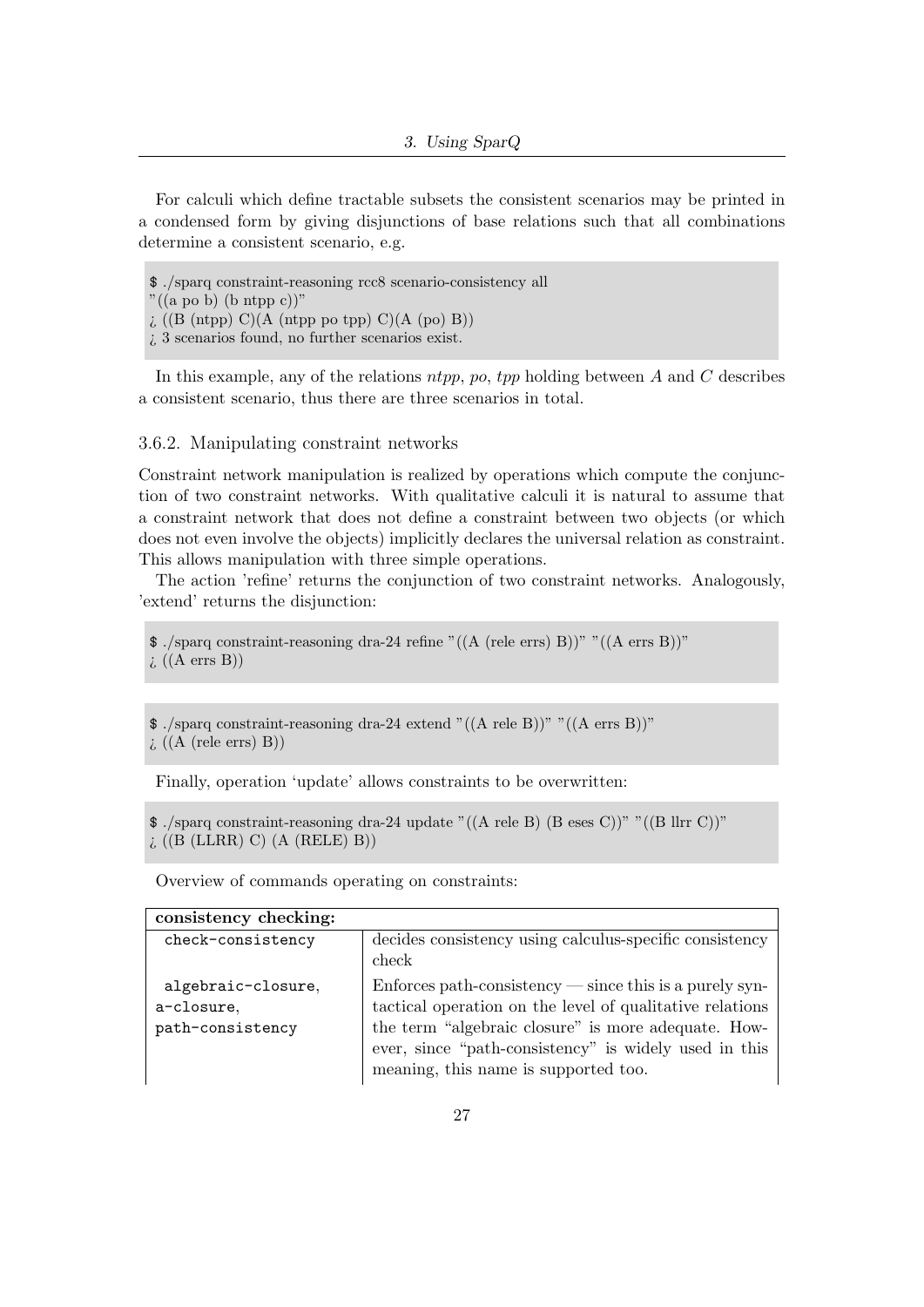For calculi which define tractable subsets the consistent scenarios may be printed in a condensed form by giving disjunctions of base relations such that all combinations determine a consistent scenario, e.g.

\$ ./sparq constraint-reasoning rcc8 scenario-consistency all  $"((a\text{ po }b)\text{ (b ntpp }c))"$  $\chi$  ((B (ntpp) C)(A (ntpp po tpp) C)(A (po) B)) ¿ 3 scenarios found, no further scenarios exist.

In this example, any of the relations  $ntp$ ,  $p$ ,  $tpp$  holding between A and C describes a consistent scenario, thus there are three scenarios in total.

#### <span id="page-26-0"></span>3.6.2. Manipulating constraint networks

Constraint network manipulation is realized by operations which compute the conjunction of two constraint networks. With qualitative calculi it is natural to assume that a constraint network that does not define a constraint between two objects (or which does not even involve the objects) implicitly declares the universal relation as constraint. This allows manipulation with three simple operations.

The action 'refine' returns the conjunction of two constraint networks. Analogously, 'extend' returns the disjunction:

```
$ ./sparq constraint-reasoning dra-24 refine "((A (rele errs) B))" "((A errs B))"
\iota ((A errs B))
```

```
$ ./sparq constraint-reasoning dra-24 extend "((A rele B))" "((A errs B))"
\iota ((A (rele errs) B))
```
Finally, operation 'update' allows constraints to be overwritten:

```
$ ./sparq constraint-reasoning dra-24 update "((A rele B) (B eses C))" "((B llrr C))"
i ((B (LLRR) C) (A (RELE) B))
```
Overview of commands operating on constraints:

| consistency checking: |                                                                    |
|-----------------------|--------------------------------------------------------------------|
| check-consistency     | decides consistency using calculus-specific consistency            |
|                       | check                                                              |
| algebraic-closure,    | $Enforces path-consistency \text{---} since this is a purely syn-$ |
| a-closure,            | tactical operation on the level of qualitative relations           |
| path-consistency      | the term "algebraic closure" is more adequate. How-                |
|                       | ever, since "path-consistency" is widely used in this              |
|                       | meaning, this name is supported too.                               |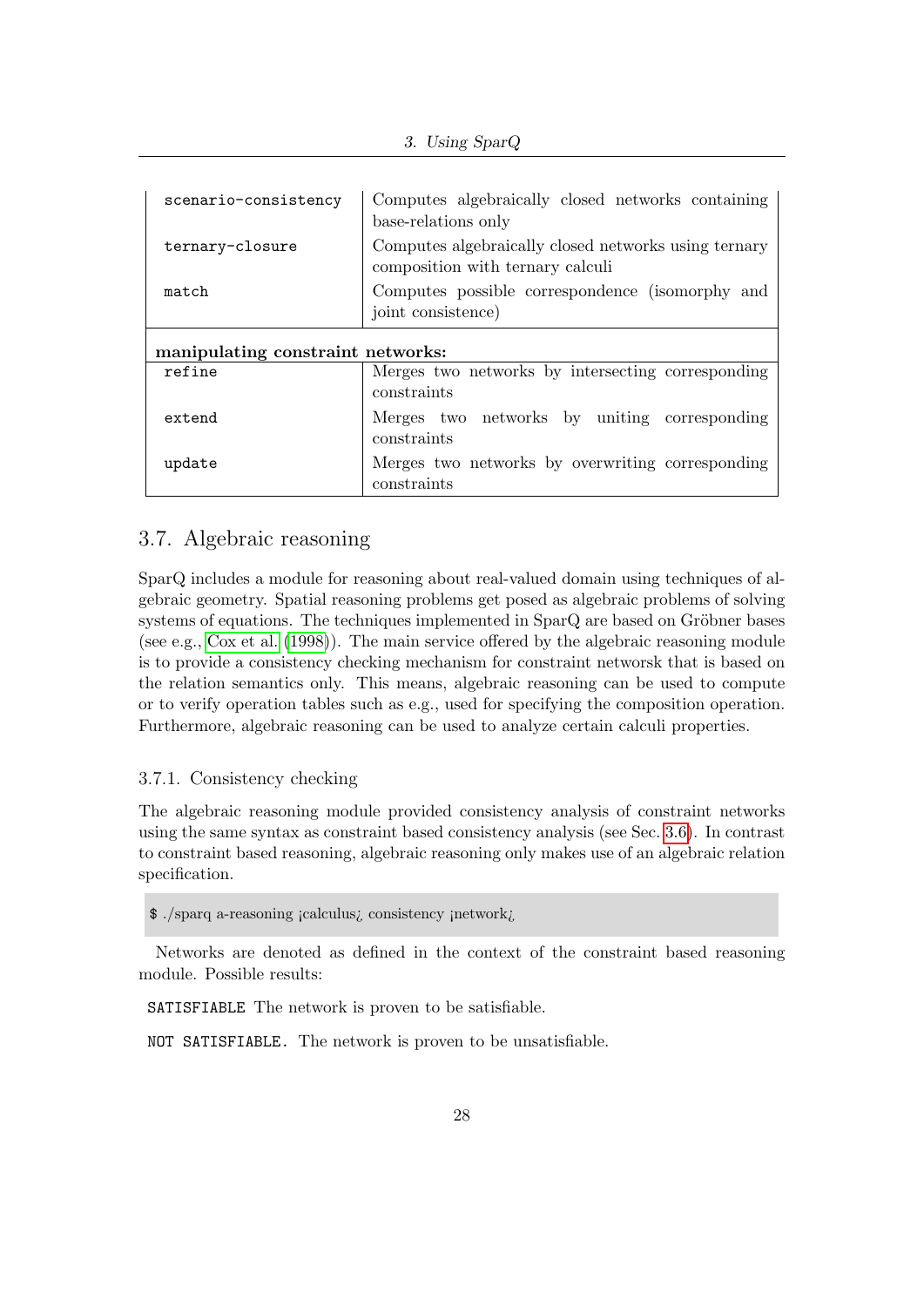| scenario-consistency              | Computes algebraically closed networks containing<br>base-relations only                 |  |
|-----------------------------------|------------------------------------------------------------------------------------------|--|
| ternary-closure                   | Computes algebraically closed networks using ternary<br>composition with ternary calculi |  |
| match                             | Computes possible correspondence (isomorphy and<br>joint consistence)                    |  |
| manipulating constraint networks: |                                                                                          |  |
| refine                            | Merges two networks by intersecting corresponding<br>constraints                         |  |
| extend                            | Merges two networks by uniting corresponding<br>constraints                              |  |
| update                            | Merges two networks by overwriting corresponding<br>constraints                          |  |

## <span id="page-27-0"></span>3.7. Algebraic reasoning

SparQ includes a module for reasoning about real-valued domain using techniques of algebraic geometry. Spatial reasoning problems get posed as algebraic problems of solving systems of equations. The techniques implemented in  $SparQ$  are based on Gröbner bases (see e.g., [Cox et al.](#page-48-5) [\(1998\)](#page-48-5)). The main service offered by the algebraic reasoning module is to provide a consistency checking mechanism for constraint networsk that is based on the relation semantics only. This means, algebraic reasoning can be used to compute or to verify operation tables such as e.g., used for specifying the composition operation. Furthermore, algebraic reasoning can be used to analyze certain calculi properties.

#### <span id="page-27-1"></span>3.7.1. Consistency checking

The algebraic reasoning module provided consistency analysis of constraint networks using the same syntax as constraint based consistency analysis (see Sec. [3.6\)](#page-23-0). In contrast to constraint based reasoning, algebraic reasoning only makes use of an algebraic relation specification.

\$ ./sparq a-reasoning ¡calculus¿ consistency ¡network¿

Networks are denoted as defined in the context of the constraint based reasoning module. Possible results:

SATISFIABLE The network is proven to be satisfiable.

NOT SATISFIABLE. The network is proven to be unsatisfiable.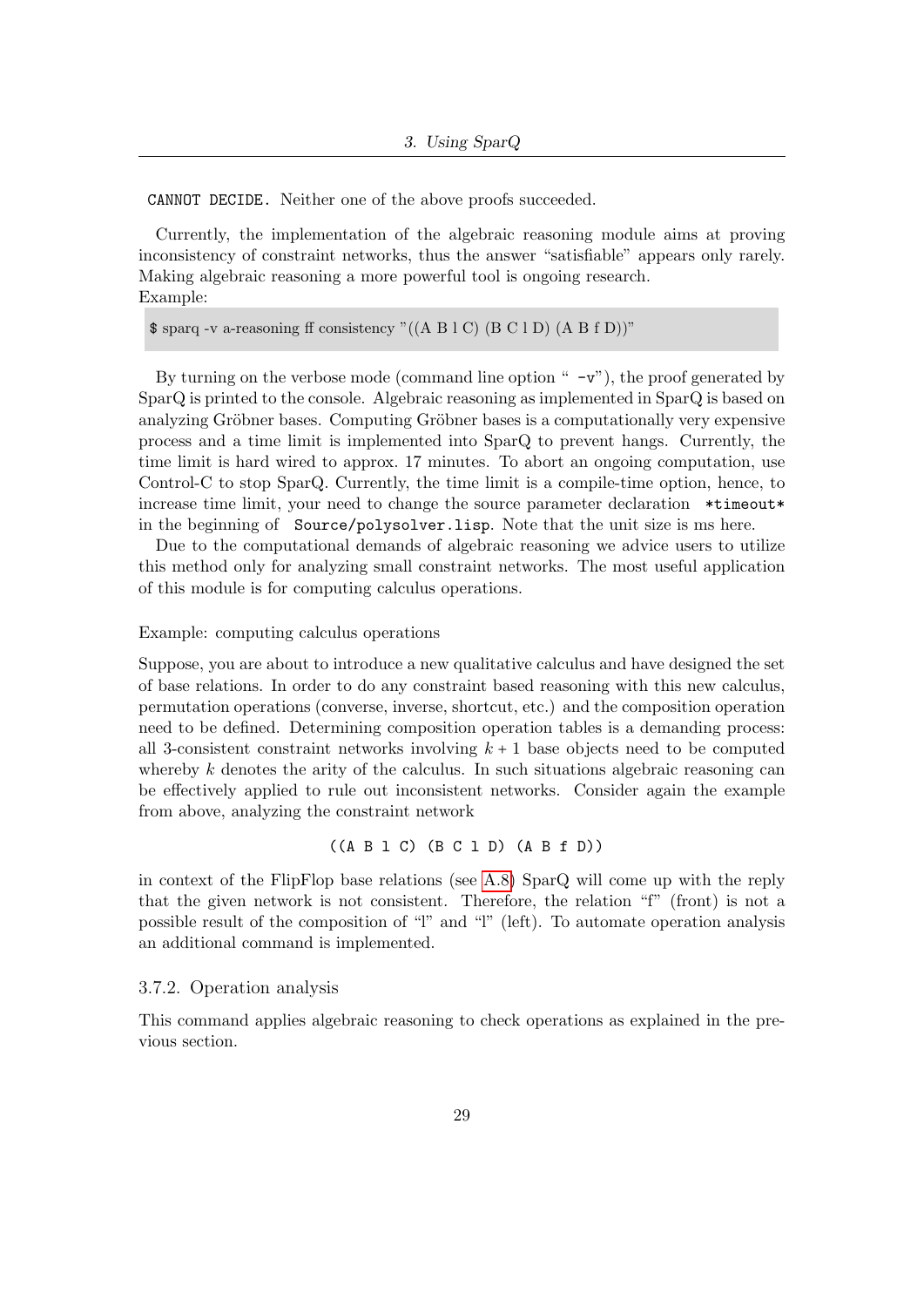CANNOT DECIDE. Neither one of the above proofs succeeded.

Currently, the implementation of the algebraic reasoning module aims at proving inconsistency of constraint networks, thus the answer "satisfiable" appears only rarely. Making algebraic reasoning a more powerful tool is ongoing research. Example:

\$ sparq -v a-reasoning ff consistency "((A B l C) (B C l D) (A B f D))"

By turning on the verbose mode (command line option  $" -v"$ ), the proof generated by SparQ is printed to the console. Algebraic reasoning as implemented in SparQ is based on analyzing Gröbner bases. Computing Gröbner bases is a computationally very expensive process and a time limit is implemented into SparQ to prevent hangs. Currently, the time limit is hard wired to approx. 17 minutes. To abort an ongoing computation, use Control-C to stop SparQ. Currently, the time limit is a compile-time option, hence, to increase time limit, your need to change the source parameter declaration \*timeout\* in the beginning of Source/polysolver.lisp. Note that the unit size is ms here.

Due to the computational demands of algebraic reasoning we advice users to utilize this method only for analyzing small constraint networks. The most useful application of this module is for computing calculus operations.

#### Example: computing calculus operations

Suppose, you are about to introduce a new qualitative calculus and have designed the set of base relations. In order to do any constraint based reasoning with this new calculus, permutation operations (converse, inverse, shortcut, etc.) and the composition operation need to be defined. Determining composition operation tables is a demanding process: all 3-consistent constraint networks involving  $k + 1$  base objects need to be computed whereby  $k$  denotes the arity of the calculus. In such situations algebraic reasoning can be effectively applied to rule out inconsistent networks. Consider again the example from above, analyzing the constraint network

$$
((A \ B \ 1 \ C) \ (B \ C \ 1 \ D) \ (A \ B \ f \ D))
$$

in context of the FlipFlop base relations (see [A.8\)](#page-62-0) SparQ will come up with the reply that the given network is not consistent. Therefore, the relation "f" (front) is not a possible result of the composition of "l" and "l" (left). To automate operation analysis an additional command is implemented.

#### <span id="page-28-0"></span>3.7.2. Operation analysis

This command applies algebraic reasoning to check operations as explained in the previous section.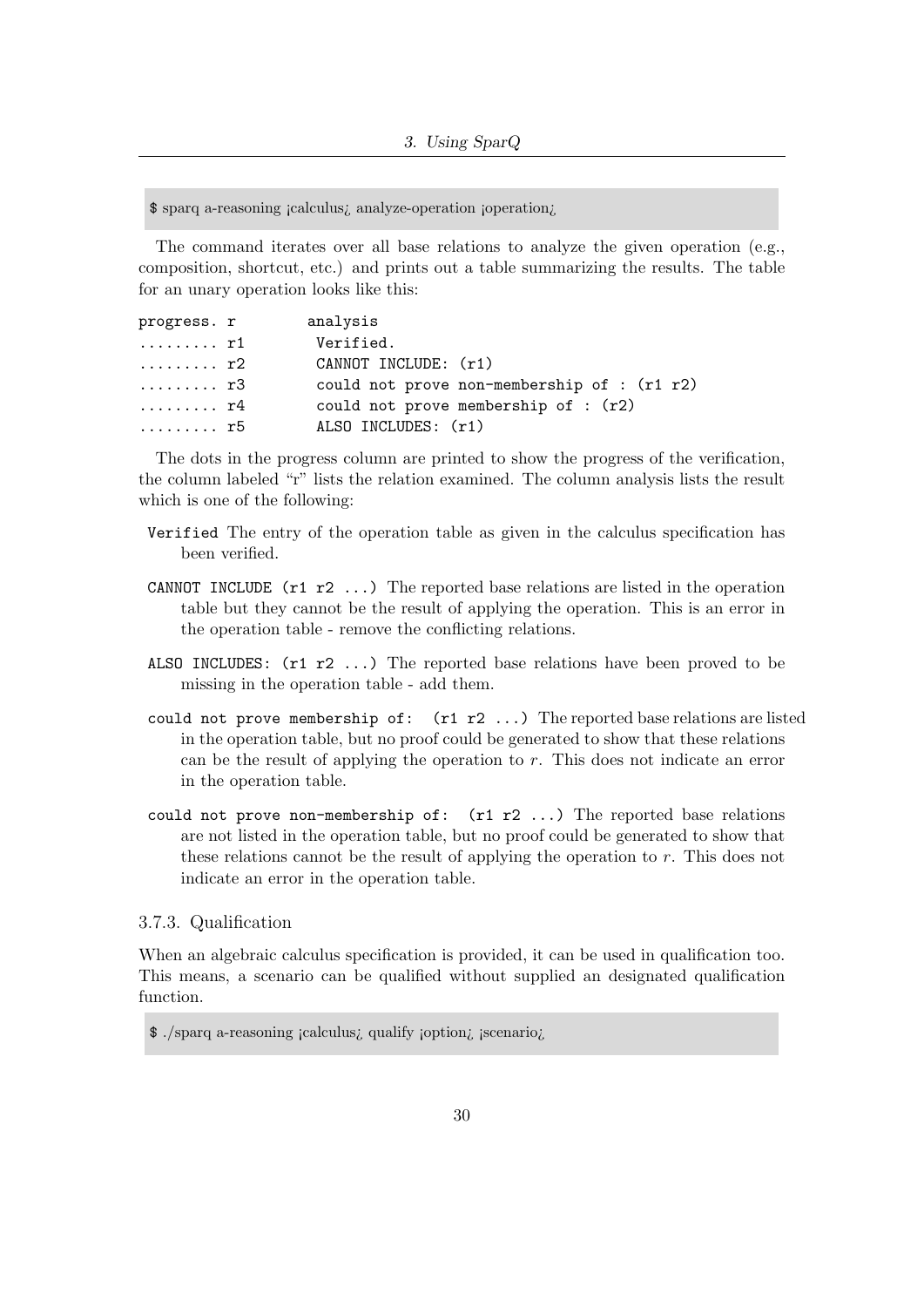\$ sparq a-reasoning ¡calculus¿ analyze-operation ¡operation¿

The command iterates over all base relations to analyze the given operation (e.g., composition, shortcut, etc.) and prints out a table summarizing the results. The table for an unary operation looks like this:

| progress. r               | analysis                                    |
|---------------------------|---------------------------------------------|
| . r1                      | Verified.                                   |
| . r2                      | CANNOT INCLUDE: (r1)                        |
| . r3                      | could not prove non-membership of : (r1 r2) |
| $\ldots \ldots \ldots$ r4 | could not prove membership of : $(r2)$      |
| rb                        | ALSO INCLUDES: (r1)                         |

The dots in the progress column are printed to show the progress of the verification, the column labeled "r" lists the relation examined. The column analysis lists the result which is one of the following:

- Verified The entry of the operation table as given in the calculus specification has been verified.
- CANNOT INCLUDE  $(r1 r2 \ldots)$  The reported base relations are listed in the operation table but they cannot be the result of applying the operation. This is an error in the operation table - remove the conflicting relations.
- ALSO INCLUDES: (r1 r2 ...) The reported base relations have been proved to be missing in the operation table - add them.
- could not prove membership of:  $(r1 r2 ...)$  The reported base relations are listed in the operation table, but no proof could be generated to show that these relations can be the result of applying the operation to  $r$ . This does not indicate an error in the operation table.
- could not prove non-membership of:  $(r1 r2 ...)$  The reported base relations are not listed in the operation table, but no proof could be generated to show that these relations cannot be the result of applying the operation to  $r$ . This does not indicate an error in the operation table.

#### <span id="page-29-0"></span>3.7.3. Qualification

When an algebraic calculus specification is provided, it can be used in qualification too. This means, a scenario can be qualified without supplied an designated qualification function.

<sup>\$</sup> ./sparq a-reasoning ¡calculus¿ qualify ¡option¿ ¡scenario¿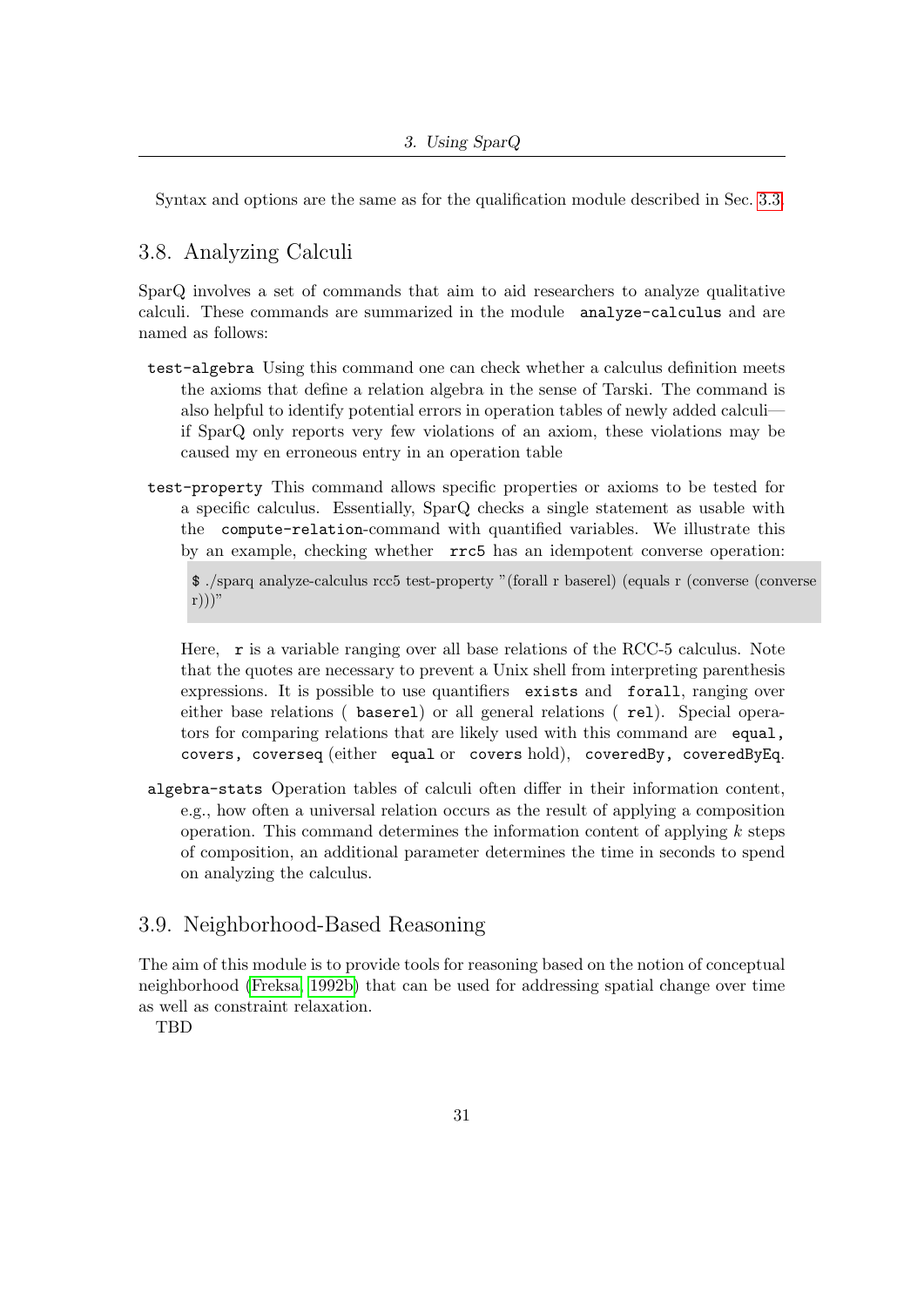Syntax and options are the same as for the qualification module described in Sec. [3.3.](#page-20-1)

## <span id="page-30-0"></span>3.8. Analyzing Calculi

SparQ involves a set of commands that aim to aid researchers to analyze qualitative calculi. These commands are summarized in the module analyze-calculus and are named as follows:

- test-algebra Using this command one can check whether a calculus definition meets the axioms that define a relation algebra in the sense of Tarski. The command is also helpful to identify potential errors in operation tables of newly added calculi if SparQ only reports very few violations of an axiom, these violations may be caused my en erroneous entry in an operation table
- test-property This command allows specific properties or axioms to be tested for a specific calculus. Essentially, SparQ checks a single statement as usable with the compute-relation-command with quantified variables. We illustrate this by an example, checking whether rrc5 has an idempotent converse operation:

\$ ./sparq analyze-calculus rcc5 test-property "(forall r baserel) (equals r (converse (converse  $r))$ "

Here, r is a variable ranging over all base relations of the RCC-5 calculus. Note that the quotes are necessary to prevent a Unix shell from interpreting parenthesis expressions. It is possible to use quantifiers exists and forall, ranging over either base relations ( baserel) or all general relations ( rel). Special operators for comparing relations that are likely used with this command are equal, covers, coverseq (either equal or covers hold), coveredBy, coveredByEq.

algebra-stats Operation tables of calculi often differ in their information content, e.g., how often a universal relation occurs as the result of applying a composition operation. This command determines the information content of applying  $k$  steps of composition, an additional parameter determines the time in seconds to spend on analyzing the calculus.

## <span id="page-30-1"></span>3.9. Neighborhood-Based Reasoning

The aim of this module is to provide tools for reasoning based on the notion of conceptual neighborhood [\(Freksa, 1992b\)](#page-49-7) that can be used for addressing spatial change over time as well as constraint relaxation.

TBD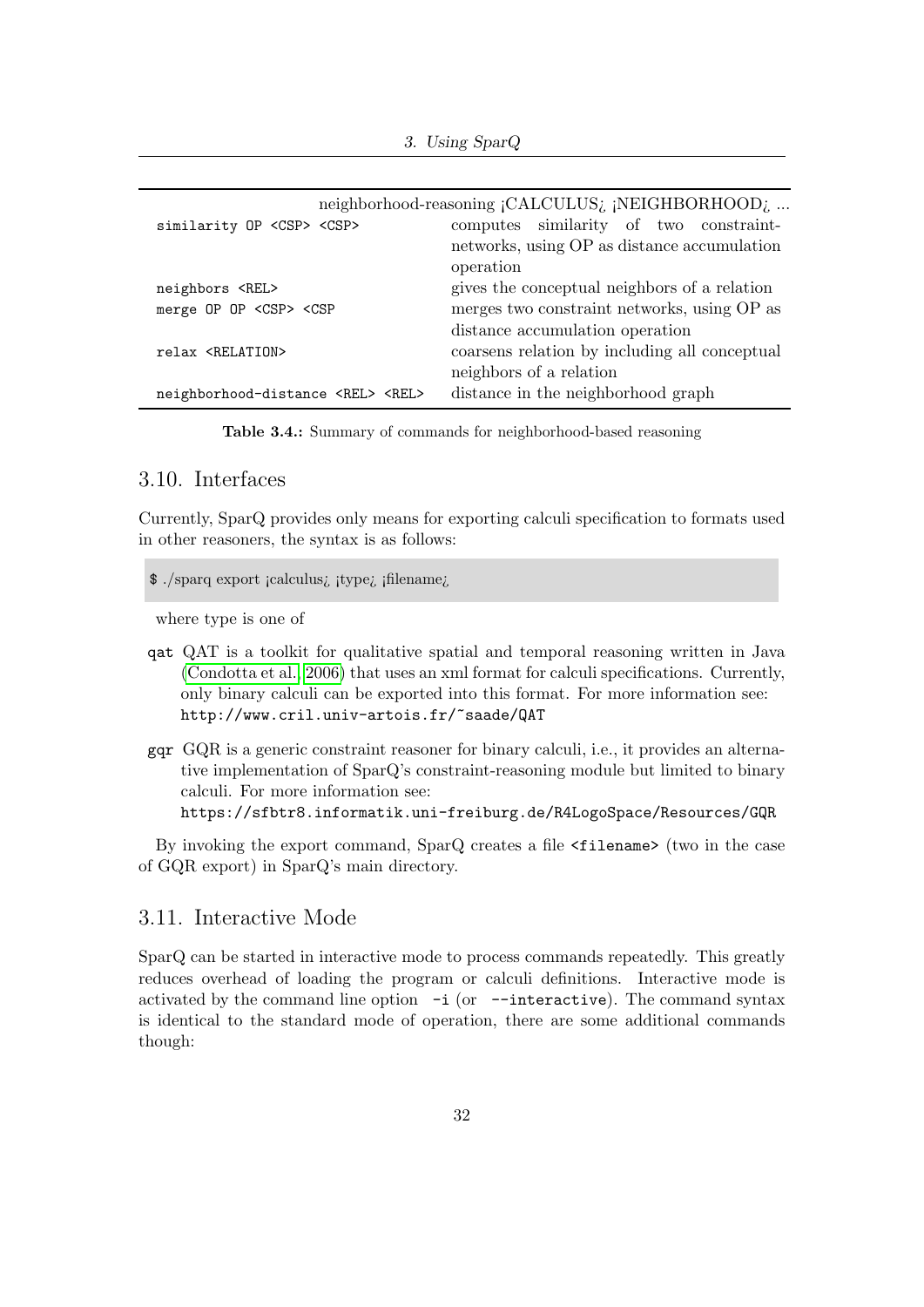3. Using SparQ

| similarity OP <csp> <csp></csp></csp>                                                           | neighborhood-reasoning ¡CALCULUS; ¡NEIGHBORHOOD;<br>computes similarity of two constraint-<br>networks, using OP as distance accumulation |
|-------------------------------------------------------------------------------------------------|-------------------------------------------------------------------------------------------------------------------------------------------|
|                                                                                                 | operation                                                                                                                                 |
| neighbors <rel></rel>                                                                           | gives the conceptual neighbors of a relation                                                                                              |
| merge OP OP <csp> <csp< td=""><td>merges two constraint networks, using OP as</td></csp<></csp> | merges two constraint networks, using OP as                                                                                               |
|                                                                                                 | distance accumulation operation                                                                                                           |
| relax <relation></relation>                                                                     | coarsens relation by including all conceptual                                                                                             |
|                                                                                                 | neighbors of a relation                                                                                                                   |
| neighborhood-distance <rel> <rel></rel></rel>                                                   | distance in the neighborhood graph                                                                                                        |

Table 3.4.: Summary of commands for neighborhood-based reasoning

#### <span id="page-31-0"></span>3.10. Interfaces

Currently, SparQ provides only means for exporting calculi specification to formats used in other reasoners, the syntax is as follows:

\$ ./sparq export ¡calculus¿ ¡type¿ ¡filename¿

where type is one of

- qat QAT is a toolkit for qualitative spatial and temporal reasoning written in Java [\(Condotta et al., 2006\)](#page-48-3) that uses an xml format for calculi specifications. Currently, only binary calculi can be exported into this format. For more information see: http://www.cril.univ-artois.fr/~saade/QAT
- gqr GQR is a generic constraint reasoner for binary calculi, i.e., it provides an alternative implementation of SparQ's constraint-reasoning module but limited to binary calculi. For more information see: https://sfbtr8.informatik.uni-freiburg.de/R4LogoSpace/Resources/GQR

By invoking the export command, SparQ creates a file <filename> (two in the case of GQR export) in SparQ's main directory.

## <span id="page-31-1"></span>3.11. Interactive Mode

SparQ can be started in interactive mode to process commands repeatedly. This greatly reduces overhead of loading the program or calculi definitions. Interactive mode is activated by the command line option  $-i$  (or  $-i$ nteractive). The command syntax is identical to the standard mode of operation, there are some additional commands though: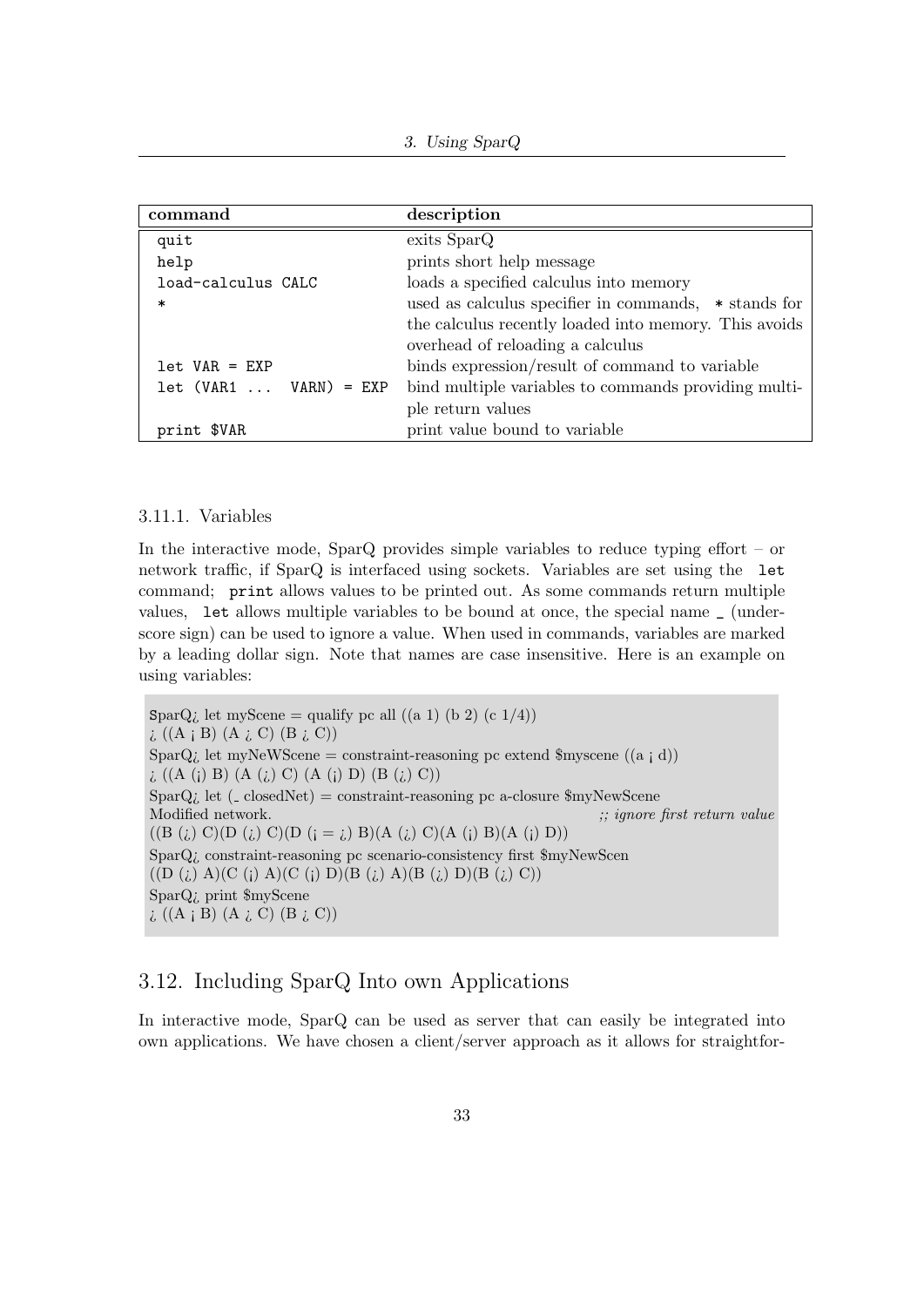| command                  | description                                            |
|--------------------------|--------------------------------------------------------|
| quit                     | exits SparQ                                            |
| help                     | prints short help message                              |
| load-calculus CALC       | loads a specified calculus into memory                 |
| $\ast$                   | used as calculus specifier in commands, $*$ stands for |
|                          | the calculus recently loaded into memory. This avoids  |
|                          | overhead of reloading a calculus                       |
| $let VAR = EXP$          | binds expression/result of command to variable         |
| $let (VAR1  VARN) = EXP$ | bind multiple variables to commands providing multi-   |
|                          | ple return values                                      |
| print \$VAR              | print value bound to variable                          |

#### <span id="page-32-0"></span>3.11.1. Variables

In the interactive mode, SparQ provides simple variables to reduce typing effort – or network traffic, if SparQ is interfaced using sockets. Variables are set using the let command; print allows values to be printed out. As some commands return multiple values, let allows multiple variables to be bound at once, the special name \_ (underscore sign) can be used to ignore a value. When used in commands, variables are marked by a leading dollar sign. Note that names are case insensitive. Here is an example on using variables:

SparQ $\overline{\iota}$  let myScene = qualify pc all ((a 1) (b 2) (c 1/4))  $\iota$  ((A  $\iota$  B) (A  $\iota$  C) (B  $\iota$  C)) SparQ<sub>i</sub> let myNeWScene = constraint-reasoning pc extend \$myscene ((a  $\vert$  d))  $\iota$  ((A (i) B) (A (i) C) (A (i) D) (B (i) C)) SparQ; let  $($  closedNet $)$  = constraint-reasoning pc a-closure \$myNewScene Modified network.  $\therefore$  ignore first return value  $((B (i) C)(D (i) C)(D (i = i) B)(A (i) C)(A (i) B)(A (i) D))$ SparQ¿ constraint-reasoning pc scenario-consistency first \$myNewScen  $((D (i) A)(C (i) A)(C (i) D)(B (i) A)(B (i) D)(B (i) C))$ SparQ¿ print \$myScene  $\iota$  ((A  $\iota$  B) (A  $\iota$  C) (B  $\iota$  C))

## <span id="page-32-1"></span>3.12. Including SparQ Into own Applications

In interactive mode, SparQ can be used as server that can easily be integrated into own applications. We have chosen a client/server approach as it allows for straightfor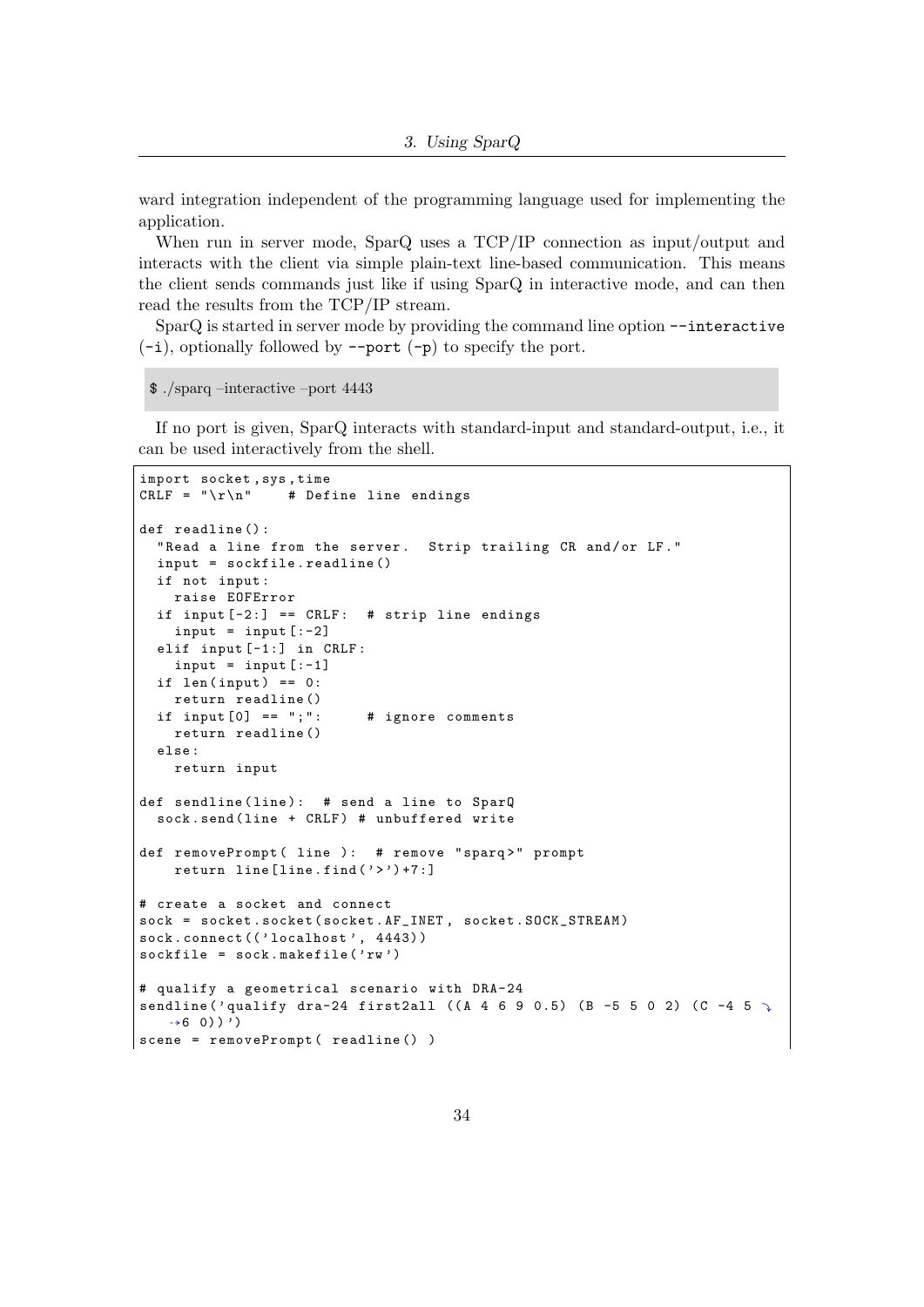ward integration independent of the programming language used for implementing the application.

When run in server mode, SparQ uses a TCP/IP connection as input/output and interacts with the client via simple plain-text line-based communication. This means the client sends commands just like if using SparQ in interactive mode, and can then read the results from the TCP/IP stream.

SparQ is started in server mode by providing the command line option --interactive  $(-i)$ , optionally followed by  $-\text{port }(-p)$  to specify the port.

```
$ ./sparq –interactive –port 4443
```
If no port is given, SparQ interacts with standard-input and standard-output, i.e., it can be used interactively from the shell.

```
import socket, sys, time<br>CRLF = "\r\n" # Def
                 # Define line endings
def readline () :
  " Read a line from the server. Strip trailing CR and/or LF."
  input = sockfile . readline ()
  if not input :
    raise EOFError
  if input [-2:] == CRLF: # strip line endings
    input = input [-2]elif input [-1:] in CRLF :
    input = input [-1]if len(input) == 0:return readline ()
  if input [0] == "; ": # ignore comments
    return readline ()
  else :
    return input
def sendline (line): # send a line to SparQ
  sock.send (line + CRLF) # unbuffered write
def removePrompt ( line ): # remove "sparq>" prompt
    return line[line].find('>')+7:]# create a socket and connect
sock = socket . socket ( socket . AF_INET , socket . SOCK_STREAM )
sock.connect(('localhost', 4443))
sockfile = sock.makefile('rw')# qualify a geometrical scenario with DRA-24
sendline ('qualify dra-24 first2all ((A 4 6 9 0.5) (B -5 5 0 2) (C -4 5 7)\rightarrow 6 0) ) ')
scene = removePrompt ( readline () )
```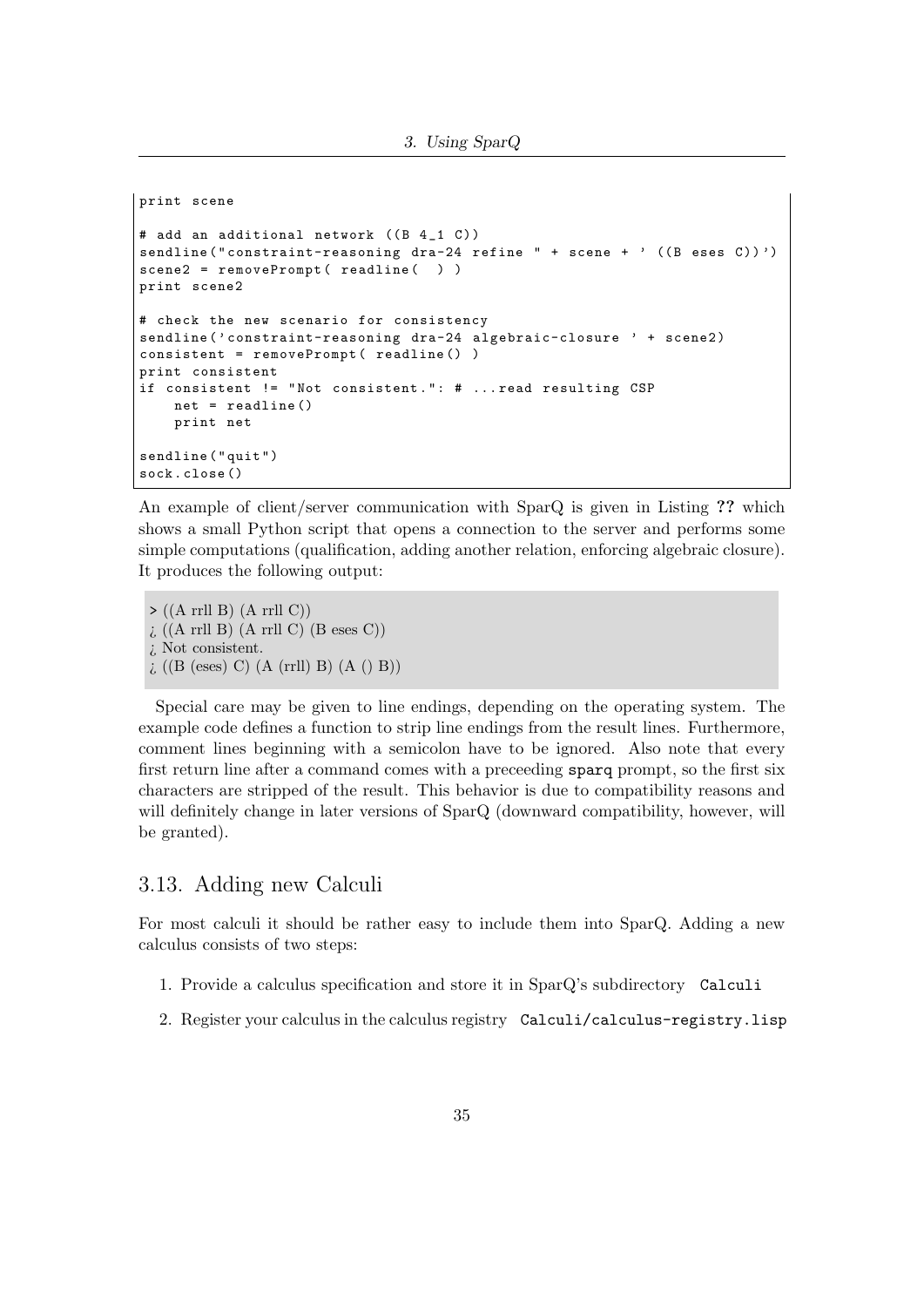3. Using SparQ

```
print scene
# add an additional network ((B 4_1 0))sendline ("constraint-reasoning dra-24 refine " + scene + ' ((B \text{ } e \text{ } s \text{ } c))')')
scene2 = removePrompt( readline( ))
print scene2
# check the new scenario for consistency
sendline ('constraint-reasoning dra-24 algebraic-closure ' + scene2)
consistent = removePrompt ( readline () )
print consistent
if consistent != "Not consistent.": # ... read resulting CSP
    net = readline ()
    print net
sendline ( " quit " )
sock . close ()
```
An example of client/server communication with SparQ is given in Listing ?? which shows a small Python script that opens a connection to the server and performs some simple computations (qualification, adding another relation, enforcing algebraic closure). It produces the following output:

 $\triangleright$  ((A rrll B) (A rrll C))  $\iota$  ((A rrll B) (A rrll C) (B eses C)) ¿ Not consistent.  $\iota$  ((B (eses) C) (A (rrll) B) (A () B))

Special care may be given to line endings, depending on the operating system. The example code defines a function to strip line endings from the result lines. Furthermore, comment lines beginning with a semicolon have to be ignored. Also note that every first return line after a command comes with a preceeding sparq prompt, so the first six characters are stripped of the result. This behavior is due to compatibility reasons and will definitely change in later versions of SparQ (downward compatibility, however, will be granted).

## <span id="page-34-0"></span>3.13. Adding new Calculi

For most calculi it should be rather easy to include them into SparQ. Adding a new calculus consists of two steps:

- 1. Provide a calculus specification and store it in SparQ's subdirectory Calculi
- 2. Register your calculus in the calculus registry Calculi/calculus-registry.lisp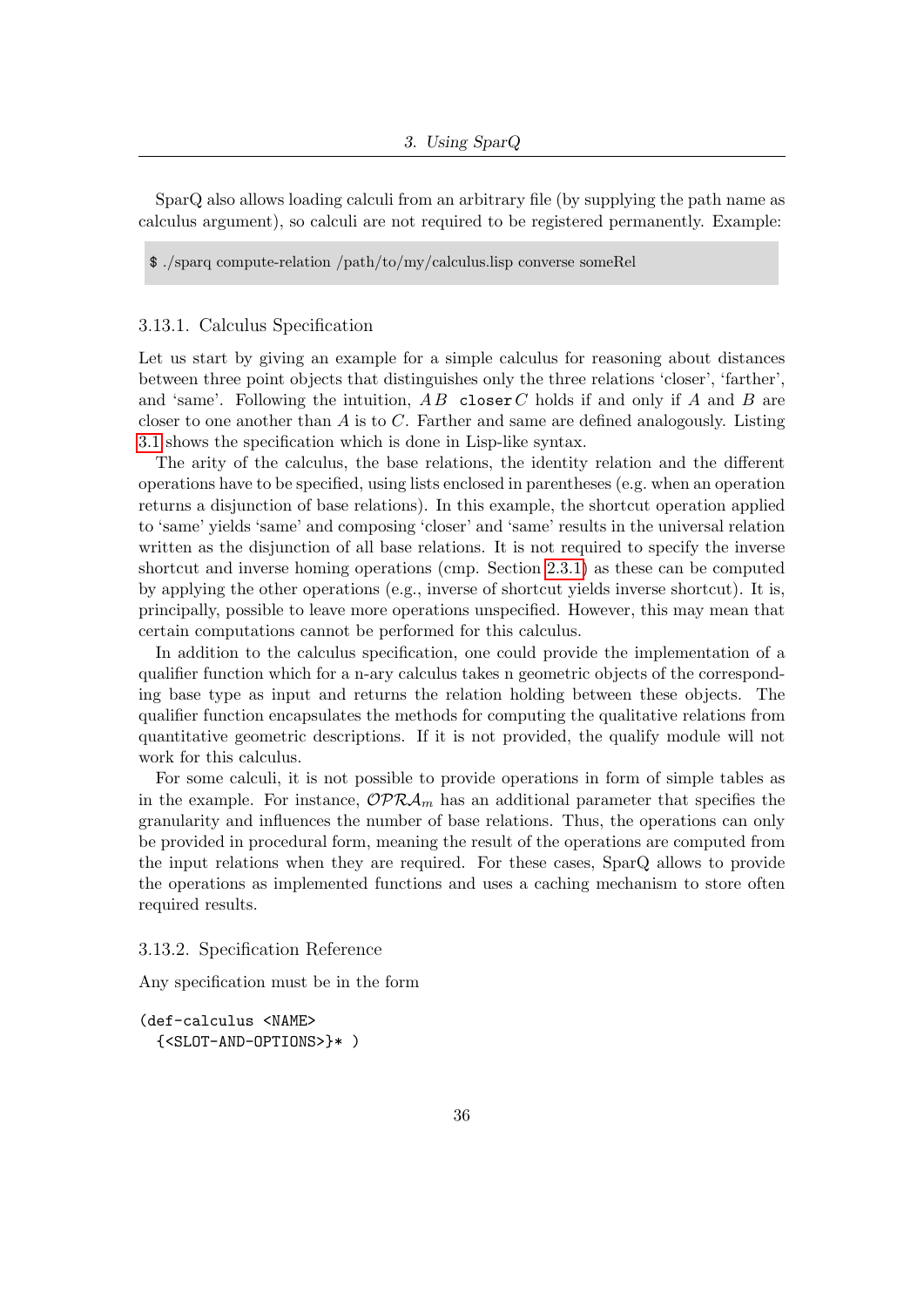SparQ also allows loading calculi from an arbitrary file (by supplying the path name as calculus argument), so calculi are not required to be registered permanently. Example:

\$ ./sparq compute-relation /path/to/my/calculus.lisp converse someRel

#### <span id="page-35-0"></span>3.13.1. Calculus Specification

Let us start by giving an example for a simple calculus for reasoning about distances between three point objects that distinguishes only the three relations 'closer', 'farther', and 'same'. Following the intuition,  $AB$  closer C holds if and only if A and B are closer to one another than  $A$  is to  $C$ . Farther and same are defined analogously. Listing [3.1](#page-36-0) shows the specification which is done in Lisp-like syntax.

The arity of the calculus, the base relations, the identity relation and the different operations have to be specified, using lists enclosed in parentheses (e.g. when an operation returns a disjunction of base relations). In this example, the shortcut operation applied to 'same' yields 'same' and composing 'closer' and 'same' results in the universal relation written as the disjunction of all base relations. It is not required to specify the inverse shortcut and inverse homing operations (cmp. Section [2.3.1\)](#page-10-0) as these can be computed by applying the other operations (e.g., inverse of shortcut yields inverse shortcut). It is, principally, possible to leave more operations unspecified. However, this may mean that certain computations cannot be performed for this calculus.

In addition to the calculus specification, one could provide the implementation of a qualifier function which for a n-ary calculus takes n geometric objects of the corresponding base type as input and returns the relation holding between these objects. The qualifier function encapsulates the methods for computing the qualitative relations from quantitative geometric descriptions. If it is not provided, the qualify module will not work for this calculus.

For some calculi, it is not possible to provide operations in form of simple tables as in the example. For instance,  $\mathcal{OPRA}_m$  has an additional parameter that specifies the granularity and influences the number of base relations. Thus, the operations can only be provided in procedural form, meaning the result of the operations are computed from the input relations when they are required. For these cases, SparQ allows to provide the operations as implemented functions and uses a caching mechanism to store often required results.

<span id="page-35-1"></span>3.13.2. Specification Reference

Any specification must be in the form

```
(def-calculus <NAME>
  {<SLOT-AND-OPTIONS>}* )
```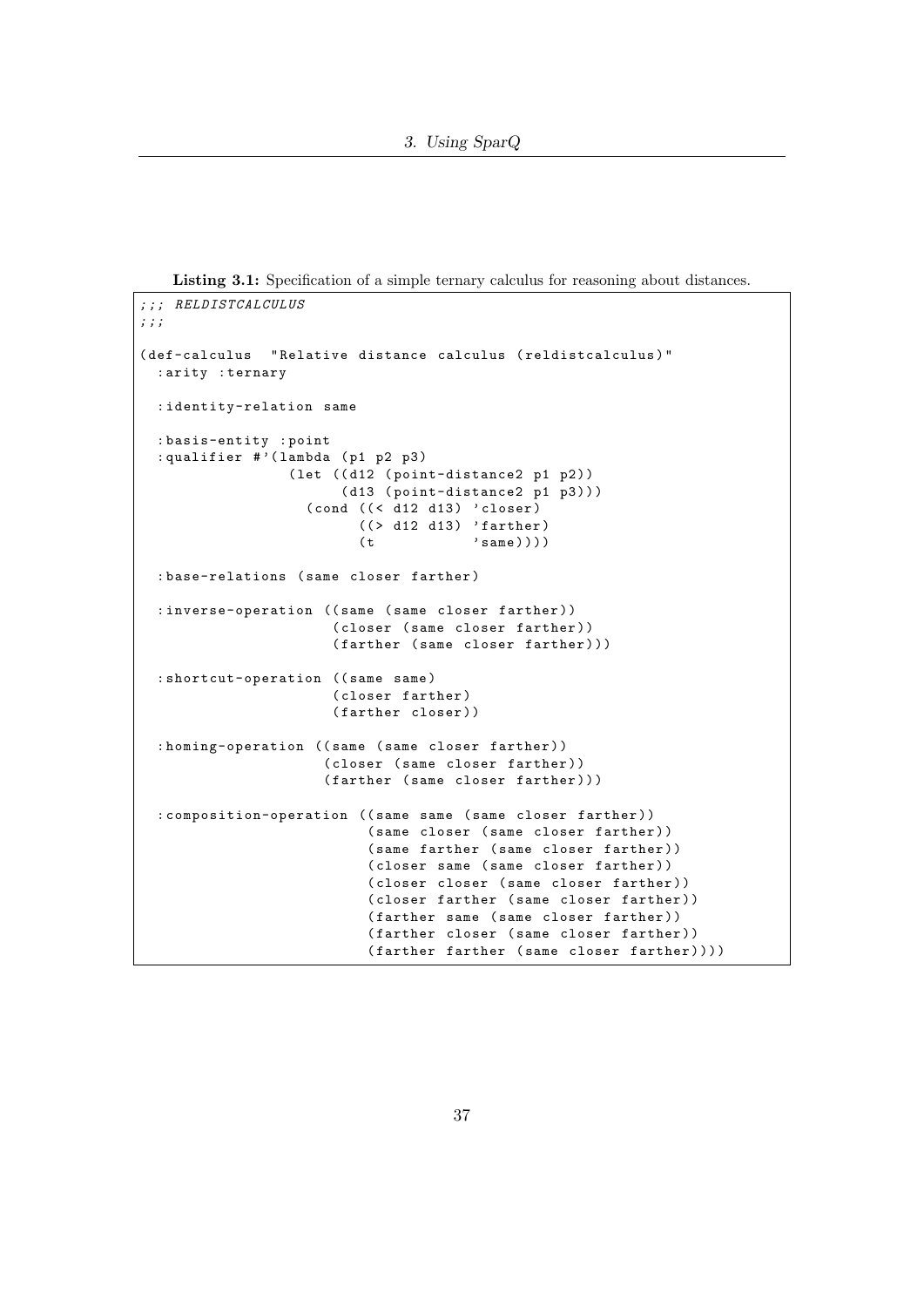Listing 3.1: Specification of a simple ternary calculus for reasoning about distances.

```
; ;; RELDISTCALCULUS
; ;;
( def-calculus " Relative distance calculus ( reldistcalculus ) "
  : arity : ternary
  : identity-relation same
  : basis-entity : point
  : qualifier #'(lambda (p1 p2 p3)
                  ( let ((d12 ( point-distance 2 p1 p2))
                        (d13 (point-distance2 p1 p3)))
                    (cond ((< d12 d13) 'closer)(( > d12 d13) 'farther)
                          (t \qquad \qquad 'same) )): base-relations ( same closer farther )
  : inverse-operation ((same (same closer farther))
                       ( closer ( same closer farther ) )
                       (farther (same closer farther)))
  : shortcut-operation ((same same)
                       ( closer farther )
                       (farther closer))
  : homing-operation ((same (same closer farther))
                      (closer (same closer farther))
                      (farther (same closer farther)))
  : composition-operation (( same same ( same closer farther ) )
                           (same closer (same closer farther))
                           (same farther (same closer farther))
                           (closer same (same closer farther))
                           (closer closer (same closer farther))
                           (closer farther (same closer farther))
                           (farther same (same closer farther))
                           (farther closer (same closer farther))
                           (farther farther (same closer farther))))
```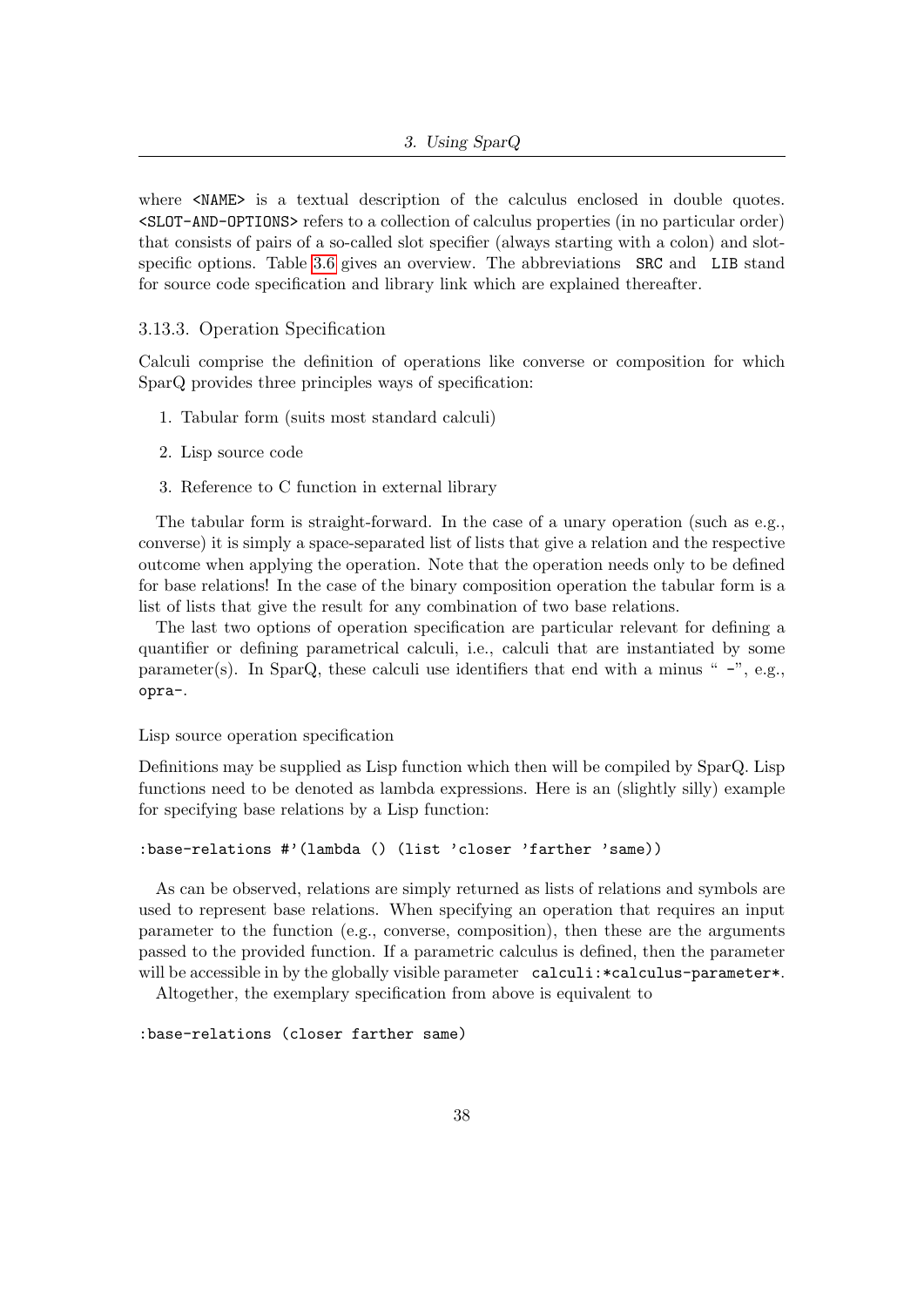where  $\langle NAME \rangle$  is a textual description of the calculus enclosed in double quotes. <SLOT-AND-OPTIONS> refers to a collection of calculus properties (in no particular order) that consists of pairs of a so-called slot specifier (always starting with a colon) and slot-specific options. Table [3.6](#page-38-0) gives an overview. The abbreviations SRC and LIB stand for source code specification and library link which are explained thereafter.

#### 3.13.3. Operation Specification

Calculi comprise the definition of operations like converse or composition for which SparQ provides three principles ways of specification:

- 1. Tabular form (suits most standard calculi)
- 2. Lisp source code
- 3. Reference to C function in external library

The tabular form is straight-forward. In the case of a unary operation (such as e.g., converse) it is simply a space-separated list of lists that give a relation and the respective outcome when applying the operation. Note that the operation needs only to be defined for base relations! In the case of the binary composition operation the tabular form is a list of lists that give the result for any combination of two base relations.

The last two options of operation specification are particular relevant for defining a quantifier or defining parametrical calculi, i.e., calculi that are instantiated by some parameter(s). In SparQ, these calculi use identifiers that end with a minus " $-$ ", e.g., opra-.

#### Lisp source operation specification

Definitions may be supplied as Lisp function which then will be compiled by SparQ. Lisp functions need to be denoted as lambda expressions. Here is an (slightly silly) example for specifying base relations by a Lisp function:

```
:base-relations #'(lambda () (list 'closer 'farther 'same))
```
As can be observed, relations are simply returned as lists of relations and symbols are used to represent base relations. When specifying an operation that requires an input parameter to the function (e.g., converse, composition), then these are the arguments passed to the provided function. If a parametric calculus is defined, then the parameter will be accessible in by the globally visible parameter calculi: \*calculus-parameter\*.

Altogether, the exemplary specification from above is equivalent to

:base-relations (closer farther same)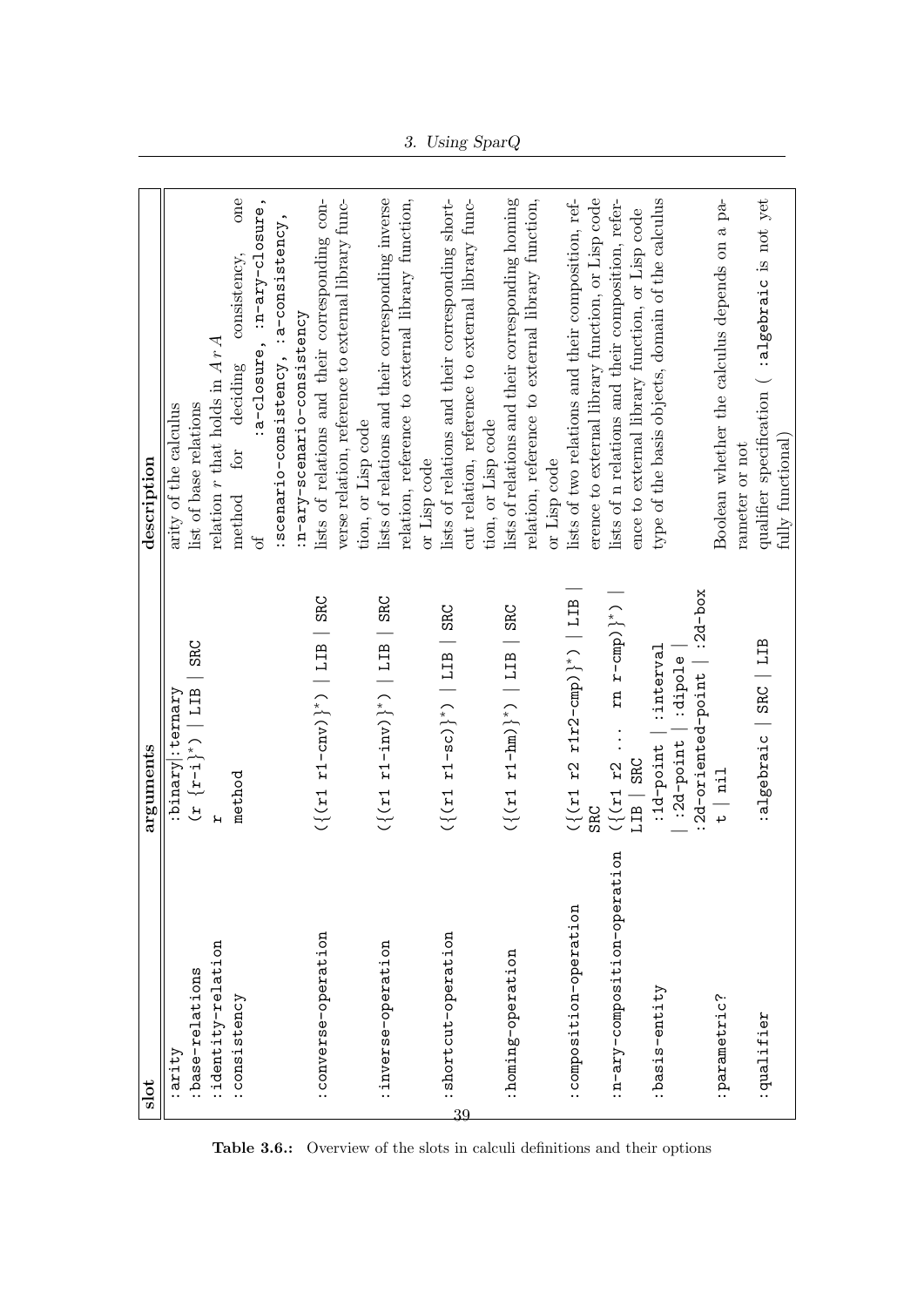| slot                             | arguments                                                                 | description                                                          |
|----------------------------------|---------------------------------------------------------------------------|----------------------------------------------------------------------|
| arity:                           | :binary :ternary                                                          | arity of the calculus                                                |
| :base-relations                  | $(x {r-i}^*)$ [ $E11$ ] SRC                                               | list of base relations                                               |
| identity-relation                |                                                                           | relation $r$ that holds in $ArA$                                     |
| :consistency                     | method                                                                    | one<br>consistency,<br>deciding<br>for<br>method                     |
|                                  |                                                                           | :a-closure, :n-ary-closure<br>Ъ                                      |
|                                  |                                                                           | :scenario-consistency, :a-consistency,                               |
|                                  |                                                                           | :n-ary-scenario-consistency                                          |
| converse-operation               | $(\{r1 \ r1-cnv)\}^*$   $IIB$   SRC                                       | lists of relations and their corresponding con-                      |
|                                  |                                                                           | verse relation, reference to external library func-                  |
|                                  |                                                                           | tion, or Lisp code                                                   |
| inverse-operation                | $\binom{1}{x}$ = 1 = 1( $\binom{x}{x}$ = 1( $\binom{x}{x}$ ) = 121 = 13RC | lists of relations and their corresponding inverse                   |
|                                  |                                                                           | relation, reference to external library function,                    |
|                                  |                                                                           | or Lisp code                                                         |
| :shortcut-operation              | $(282   511   1 - 50)$ <sup>*</sup> )   LIB   SRC                         | lists of relations and their corresponding short-                    |
| 39                               |                                                                           | cut relation, reference to external library func-                    |
|                                  |                                                                           | tion, or Lisp code                                                   |
| :homing-operation                | $({r1 r1 r1/m})^*$   LIB   SRC                                            | lists of relations and their corresponding homing                    |
|                                  |                                                                           | relation, reference to external library function,                    |
|                                  |                                                                           | or Lisp code                                                         |
| composition-operation:           | $({x1 r2 r1 r2-cmp)}^*/$ [LIB                                             | lists of two relations and their composition, ref-                   |
|                                  | SRC                                                                       | erence to external library function, or Lisp code                    |
| EO<br>:n-ary-composition-operati | $({x_1 \; x_2 \;  \; x_n \; r-cmp})^*$                                    | lists of n relations and their composition, refer-                   |
|                                  | LIB   SRC                                                                 | ence to external library function, or Lisp code                      |
| :basis-entity                    | :interval<br>:1d-point                                                    | type of the basis objects, domain of the calculus                    |
|                                  | :dipole<br>$:2d$ -point                                                   |                                                                      |
|                                  | :2d-oriented-point   :2d-box                                              |                                                                      |
| :parametric?                     | $\frac{1}{2}$                                                             | Boolean whether the calculus depends on a pa-                        |
|                                  |                                                                           | rameter or not                                                       |
| :qualifier                       | :algebraic   SRC   LIB                                                    | qualifier specification ( :algebraic is not yet<br>fully functional) |
|                                  |                                                                           |                                                                      |

<span id="page-38-0"></span>Table 3.6.: Overview of the slots in calculi definitions and their options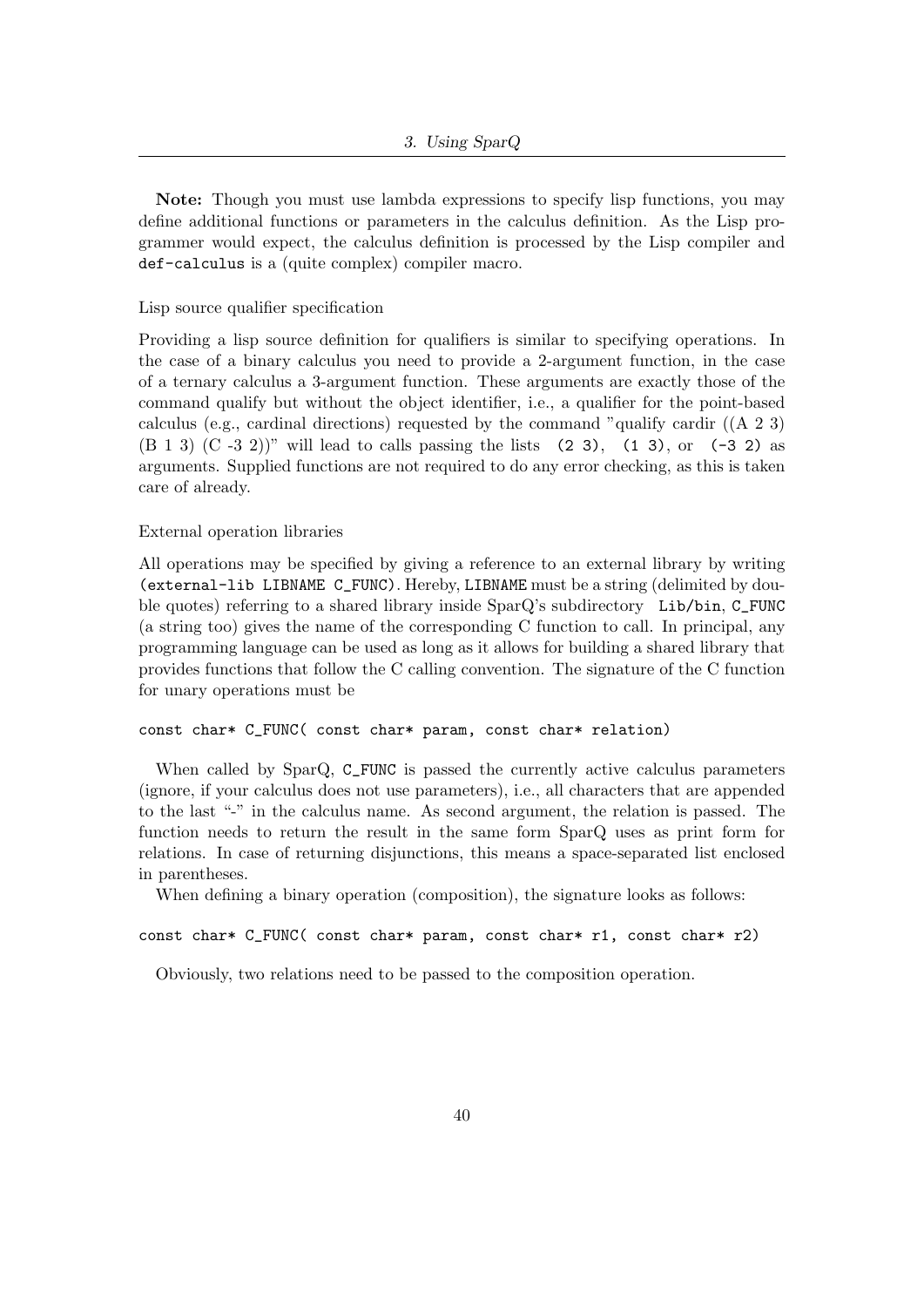Note: Though you must use lambda expressions to specify lisp functions, you may define additional functions or parameters in the calculus definition. As the Lisp programmer would expect, the calculus definition is processed by the Lisp compiler and def-calculus is a (quite complex) compiler macro.

Lisp source qualifier specification

Providing a lisp source definition for qualifiers is similar to specifying operations. In the case of a binary calculus you need to provide a 2-argument function, in the case of a ternary calculus a 3-argument function. These arguments are exactly those of the command qualify but without the object identifier, i.e., a qualifier for the point-based calculus (e.g., cardinal directions) requested by the command "qualify cardir ((A 2 3)  $(B 1 3)$   $(C -3 2)$ " will lead to calls passing the lists  $(2 3)$ ,  $(1 3)$ , or  $(-3 2)$  as arguments. Supplied functions are not required to do any error checking, as this is taken care of already.

#### External operation libraries

All operations may be specified by giving a reference to an external library by writing (external-lib LIBNAME C\_FUNC). Hereby, LIBNAME must be a string (delimited by double quotes) referring to a shared library inside SparQ's subdirectory Lib/bin, C\_FUNC (a string too) gives the name of the corresponding C function to call. In principal, any programming language can be used as long as it allows for building a shared library that provides functions that follow the C calling convention. The signature of the C function for unary operations must be

#### const char\* C\_FUNC( const char\* param, const char\* relation)

When called by SparQ, C\_FUNC is passed the currently active calculus parameters (ignore, if your calculus does not use parameters), i.e., all characters that are appended to the last "-" in the calculus name. As second argument, the relation is passed. The function needs to return the result in the same form SparQ uses as print form for relations. In case of returning disjunctions, this means a space-separated list enclosed in parentheses.

When defining a binary operation (composition), the signature looks as follows:

const char\* C\_FUNC( const char\* param, const char\* r1, const char\* r2)

Obviously, two relations need to be passed to the composition operation.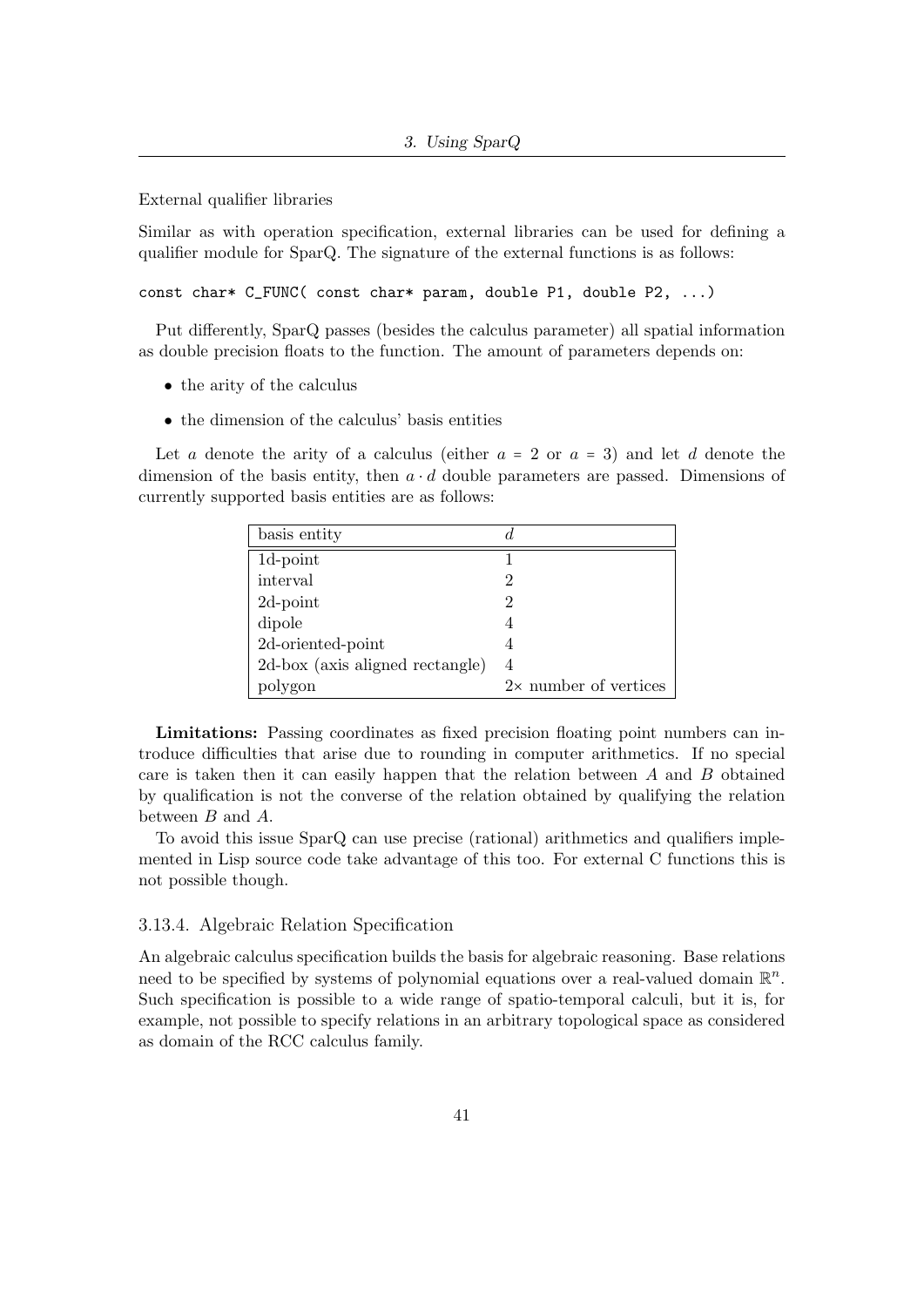External qualifier libraries

Similar as with operation specification, external libraries can be used for defining a qualifier module for SparQ. The signature of the external functions is as follows:

const char\* C\_FUNC( const char\* param, double P1, double P2, ...)

Put differently, SparQ passes (besides the calculus parameter) all spatial information as double precision floats to the function. The amount of parameters depends on:

- the arity of the calculus
- the dimension of the calculus' basis entities

Let a denote the arity of a calculus (either  $a = 2$  or  $a = 3$ ) and let d denote the dimension of the basis entity, then  $a \cdot d$  double parameters are passed. Dimensions of currently supported basis entities are as follows:

| basis entity                    |                              |
|---------------------------------|------------------------------|
| $1d$ -point                     |                              |
| interval                        | 2                            |
| $2d$ -point                     |                              |
| dipole                          |                              |
| 2d-oriented-point               |                              |
| 2d-box (axis aligned rectangle) | 4                            |
| polygon                         | $2\times$ number of vertices |

Limitations: Passing coordinates as fixed precision floating point numbers can introduce difficulties that arise due to rounding in computer arithmetics. If no special care is taken then it can easily happen that the relation between  $A$  and  $B$  obtained by qualification is not the converse of the relation obtained by qualifying the relation between B and A.

To avoid this issue SparQ can use precise (rational) arithmetics and qualifiers implemented in Lisp source code take advantage of this too. For external C functions this is not possible though.

#### 3.13.4. Algebraic Relation Specification

An algebraic calculus specification builds the basis for algebraic reasoning. Base relations need to be specified by systems of polynomial equations over a real-valued domain  $\mathbb{R}^n$ . Such specification is possible to a wide range of spatio-temporal calculi, but it is, for example, not possible to specify relations in an arbitrary topological space as considered as domain of the RCC calculus family.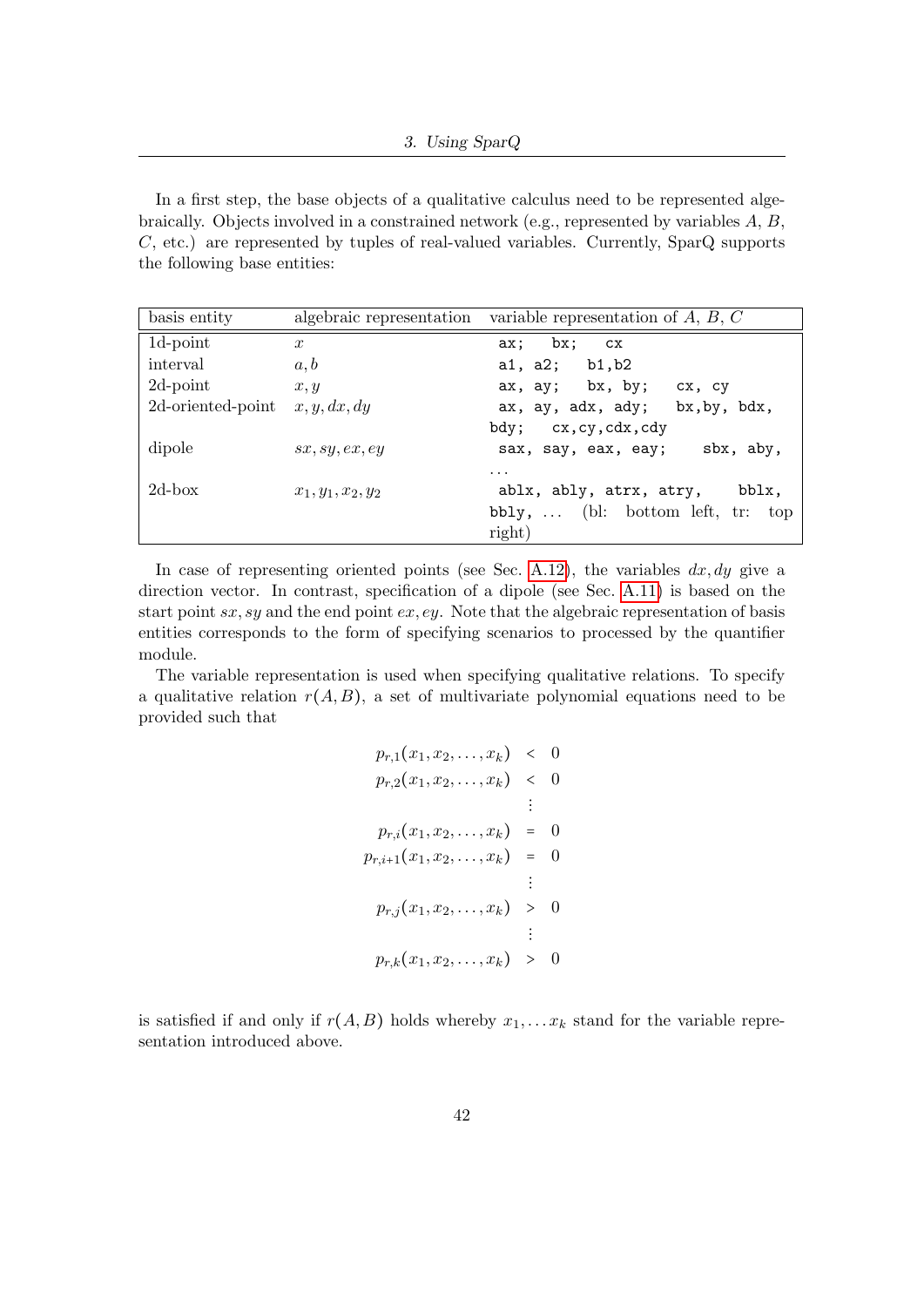In a first step, the base objects of a qualitative calculus need to be represented algebraically. Objects involved in a constrained network (e.g., represented by variables A, B, C, etc.) are represented by tuples of real-valued variables. Currently, SparQ supports the following base entities:

| basis entity      | algebraic representation | variable representation of $A, B, C$     |
|-------------------|--------------------------|------------------------------------------|
| 1d-point          | $\boldsymbol{x}$         | ax; bx; cx                               |
| interval          | a, b                     | a1, a2; $b1, b2$                         |
| 2d-point          | x, y                     | $ax, ay;$ bx, by;<br>сх, су              |
| 2d-oriented-point | x, y, dx, dy             | ax, ay, adx, ady;<br>bx, by, bdx,        |
|                   |                          | bdy; cx, cy, cdx, cdy                    |
| dipole            | sx, sy, ex, ey           | sbx, aby,<br>sax, say, eax, eay;         |
|                   |                          | $\cdot$ $\cdot$ $\cdot$                  |
| $2d$ -box         | $x_1, y_1, x_2, y_2$     | ablx, ably, atrx, atry,<br>bblx,         |
|                   |                          | $bbly, \ldots$ (bl: bottom left, tr: top |
|                   |                          | right)                                   |

In case of representing oriented points (see Sec. [A.12\)](#page-68-0), the variables  $dx, dy$  give a direction vector. In contrast, specification of a dipole (see Sec. [A.11\)](#page-66-0) is based on the start point  $sx, sy$  and the end point  $ex, ey$ . Note that the algebraic representation of basis entities corresponds to the form of specifying scenarios to processed by the quantifier module.

The variable representation is used when specifying qualitative relations. To specify a qualitative relation  $r(A, B)$ , a set of multivariate polynomial equations need to be provided such that

$$
p_{r,1}(x_1, x_2, \ldots, x_k) < 0
$$
\n
$$
p_{r,2}(x_1, x_2, \ldots, x_k) < 0
$$
\n
$$
\vdots
$$
\n
$$
p_{r,i}(x_1, x_2, \ldots, x_k) = 0
$$
\n
$$
p_{r,i+1}(x_1, x_2, \ldots, x_k) = 0
$$
\n
$$
\vdots
$$
\n
$$
p_{r,j}(x_1, x_2, \ldots, x_k) > 0
$$
\n
$$
\vdots
$$
\n
$$
p_{r,k}(x_1, x_2, \ldots, x_k) > 0
$$

is satisfied if and only if  $r(A, B)$  holds whereby  $x_1, \ldots x_k$  stand for the variable representation introduced above.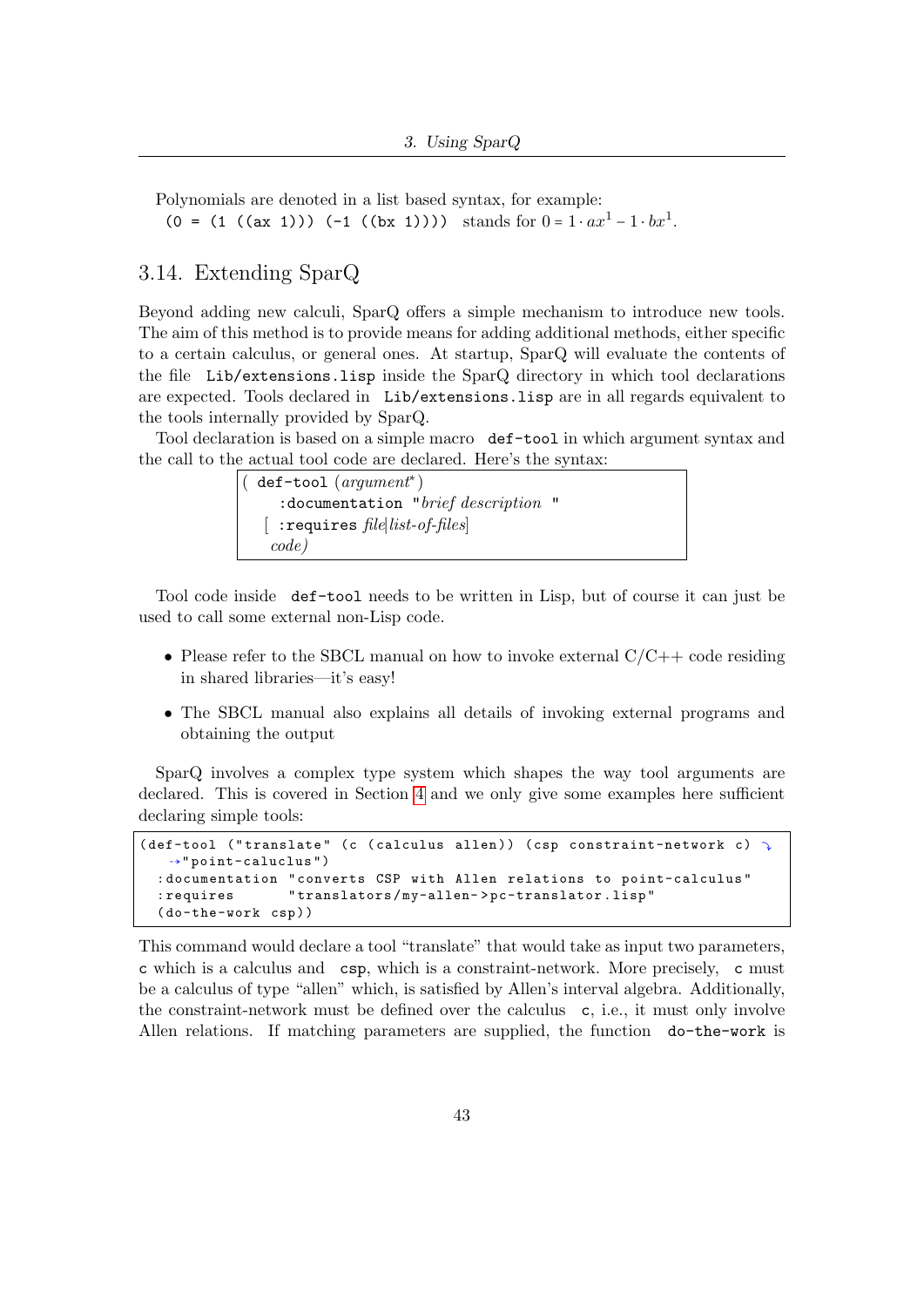Polynomials are denoted in a list based syntax, for example: (0 = (1 ((ax 1))) (-1 ((bx 1)))) stands for  $0 = 1 \cdot ax^{1} - 1 \cdot bx^{1}$ .

#### 3.14. Extending SparQ

Beyond adding new calculi, SparQ offers a simple mechanism to introduce new tools. The aim of this method is to provide means for adding additional methods, either specific to a certain calculus, or general ones. At startup, SparQ will evaluate the contents of the file Lib/extensions.lisp inside the SparQ directory in which tool declarations are expected. Tools declared in Lib/extensions.lisp are in all regards equivalent to the tools internally provided by SparQ.

Tool declaration is based on a simple macro def-tool in which argument syntax and the call to the actual tool code are declared. Here's the syntax:

> ( def-tool (argument<sup>∗</sup> ) :documentation "brief description " [ :requires file∣list-of-files] code)

Tool code inside def-tool needs to be written in Lisp, but of course it can just be used to call some external non-Lisp code.

- Please refer to the SBCL manual on how to invoke external  $C/C++$  code residing in shared libraries—it's easy!
- The SBCL manual also explains all details of invoking external programs and obtaining the output

SparQ involves a complex type system which shapes the way tool arguments are declared. This is covered in Section [4](#page-44-0) and we only give some examples here sufficient declaring simple tools:

```
(def-tool ("translate" (c (calculus allen)) (csp constraint-network c)
   ⇢" point-caluclus " )
  : documentation " converts CSP with Allen relations to point-calculus "
  : requires " translators / my-allen- > pc-translator . lisp "
  ( do-the-work csp ) )
```
This command would declare a tool "translate" that would take as input two parameters, c which is a calculus and csp, which is a constraint-network. More precisely, c must be a calculus of type "allen" which, is satisfied by Allen's interval algebra. Additionally, the constraint-network must be defined over the calculus c, i.e., it must only involve Allen relations. If matching parameters are supplied, the function do-the-work is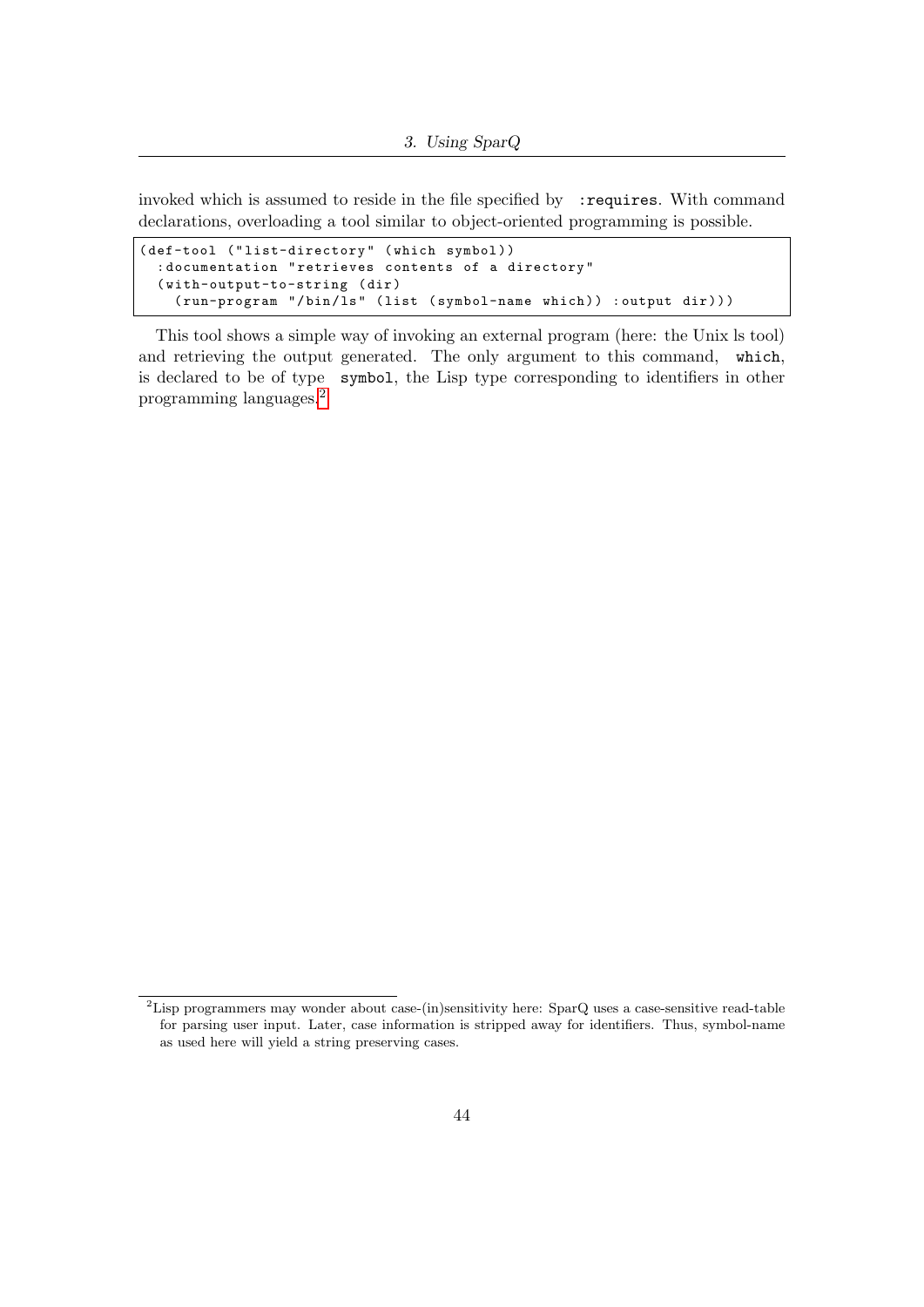invoked which is assumed to reside in the file specified by : requires. With command declarations, overloading a tool similar to object-oriented programming is possible.

```
(def-tool ("list-directory" (which symbol))
  : documentation " retrieves contents of a directory "
  ( with-output-to-string ( dir )
    ( run-program "/bin/ls" (list ( symbol-name which ) ) : output dir ) ) )
```
This tool shows a simple way of invoking an external program (here: the Unix ls tool) and retrieving the output generated. The only argument to this command, which, is declared to be of type symbol, the Lisp type corresponding to identifiers in other programming languages.[2](#page-43-0)

<span id="page-43-0"></span><sup>&</sup>lt;sup>2</sup>Lisp programmers may wonder about case-(in)sensitivity here: SparQ uses a case-sensitive read-table for parsing user input. Later, case information is stripped away for identifiers. Thus, symbol-name as used here will yield a string preserving cases.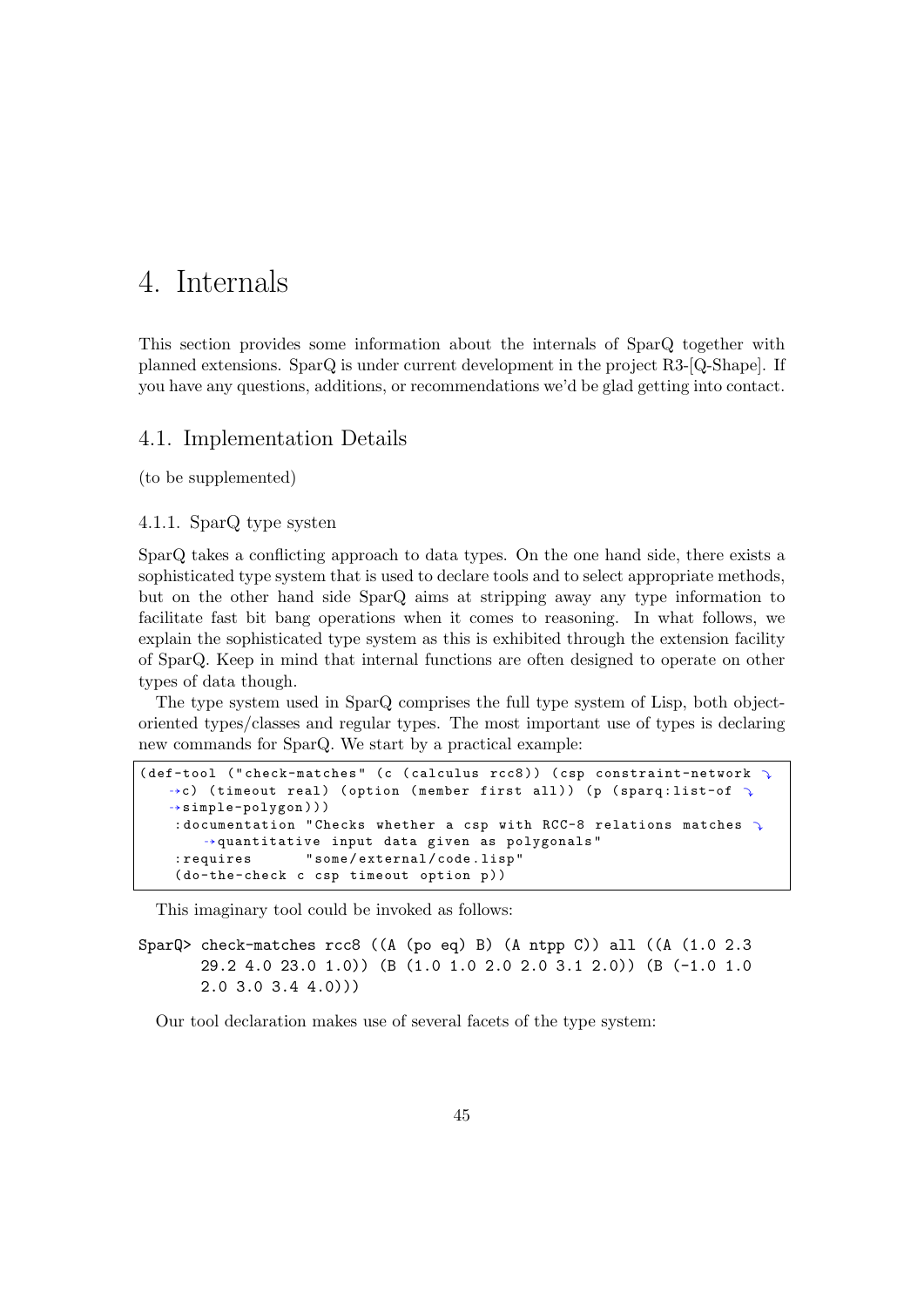# <span id="page-44-0"></span>4. Internals

This section provides some information about the internals of SparQ together with planned extensions. SparQ is under current development in the project R3-[Q-Shape]. If you have any questions, additions, or recommendations we'd be glad getting into contact.

#### 4.1. Implementation Details

(to be supplemented)

#### 4.1.1. SparQ type systen

SparQ takes a conflicting approach to data types. On the one hand side, there exists a sophisticated type system that is used to declare tools and to select appropriate methods, but on the other hand side SparQ aims at stripping away any type information to facilitate fast bit bang operations when it comes to reasoning. In what follows, we explain the sophisticated type system as this is exhibited through the extension facility of SparQ. Keep in mind that internal functions are often designed to operate on other types of data though.

The type system used in SparQ comprises the full type system of Lisp, both objectoriented types/classes and regular types. The most important use of types is declaring new commands for SparQ. We start by a practical example:

```
( def-tool (" check-matches" ( c ( calculus rcc8 ) ) ( csp constraint-network \sqrt{ }\rightarrowc) (timeout real) (option (member first all)) (p (sparq:list-of \rightarrow⇢simple-polygon ) ) )
    : documentation "Checks whether a csp with RCC-8 relations matches \rightarrow⇢quantitative input data given as polygonals "
    : requires " some / external / code . lisp "
    (do-the-check c csp timeout option p))
```
This imaginary tool could be invoked as follows:

```
SparQ> check-matches rcc8 ((A (po eq) B) (A ntpp C)) all ((A (1.0 2.3)
       29.2 4.0 23.0 1.0)) (B (1.0 1.0 2.0 2.0 3.1 2.0)) (B (-1.0 1.0
       2.0 3.0 3.4 4.0)))
```
Our tool declaration makes use of several facets of the type system: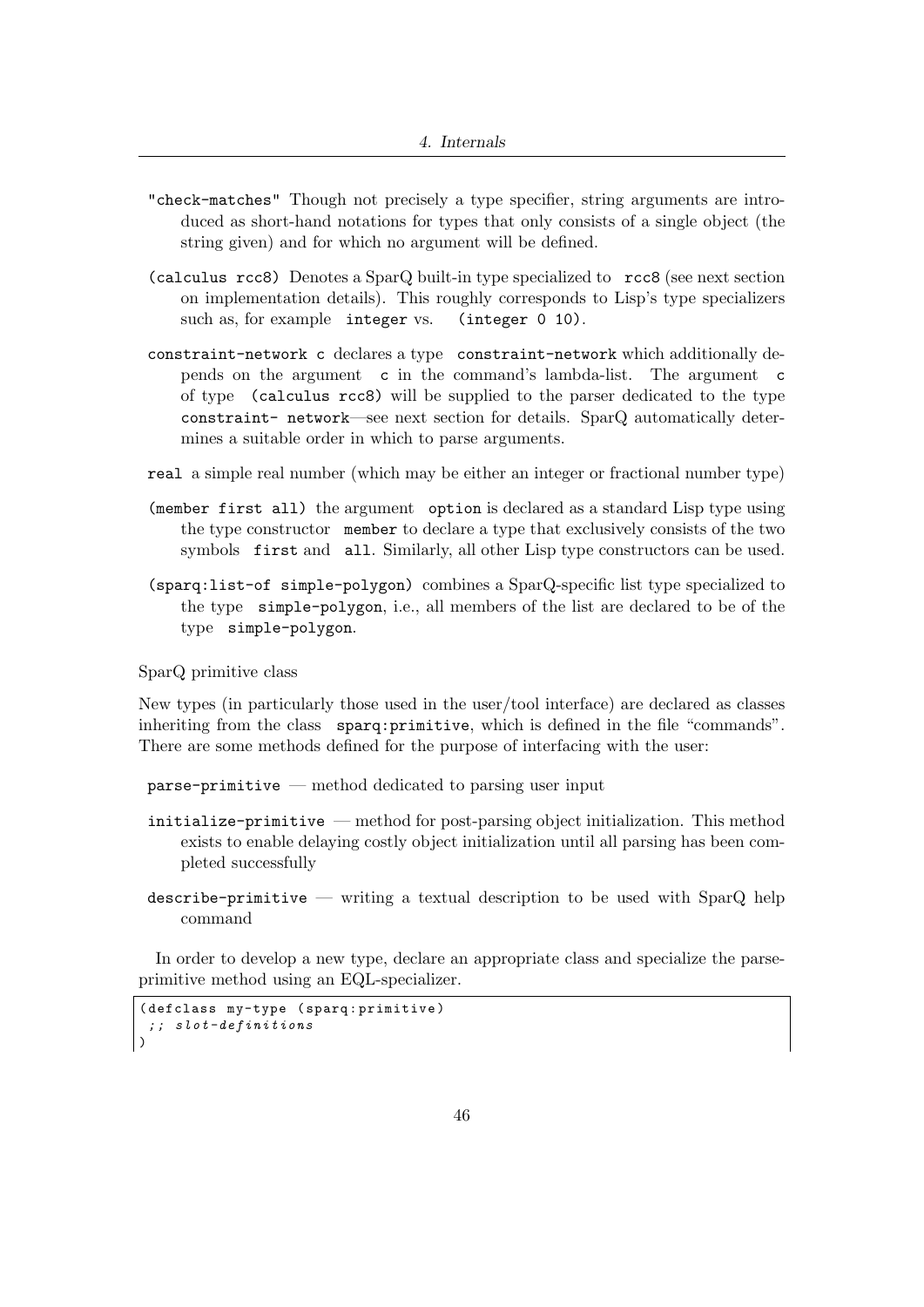- "check-matches" Though not precisely a type specifier, string arguments are introduced as short-hand notations for types that only consists of a single object (the string given) and for which no argument will be defined.
- (calculus rcc8) Denotes a SparQ built-in type specialized to rcc8 (see next section on implementation details). This roughly corresponds to Lisp's type specializers such as, for example integer vs. (integer 0 10).
- constraint-network c declares a type constraint-network which additionally depends on the argument c in the command's lambda-list. The argument c of type (calculus rcc8) will be supplied to the parser dedicated to the type constraint- network—see next section for details. SparQ automatically determines a suitable order in which to parse arguments.
- real a simple real number (which may be either an integer or fractional number type)
- (member first all) the argument option is declared as a standard Lisp type using the type constructor member to declare a type that exclusively consists of the two symbols first and all. Similarly, all other Lisp type constructors can be used.
- (sparq:list-of simple-polygon) combines a SparQ-specific list type specialized to the type simple-polygon, i.e., all members of the list are declared to be of the type simple-polygon.

SparQ primitive class

New types (in particularly those used in the user/tool interface) are declared as classes inheriting from the class sparq:primitive, which is defined in the file "commands". There are some methods defined for the purpose of interfacing with the user:

- parse-primitive method dedicated to parsing user input
- initialize-primitive method for post-parsing object initialization. This method exists to enable delaying costly object initialization until all parsing has been completed successfully
- describe-primitive writing a textual description to be used with SparQ help command

In order to develop a new type, declare an appropriate class and specialize the parseprimitive method using an EQL-specializer.

```
( defclass my-type ( sparq : primitive )
; ; slot-definitions
)
```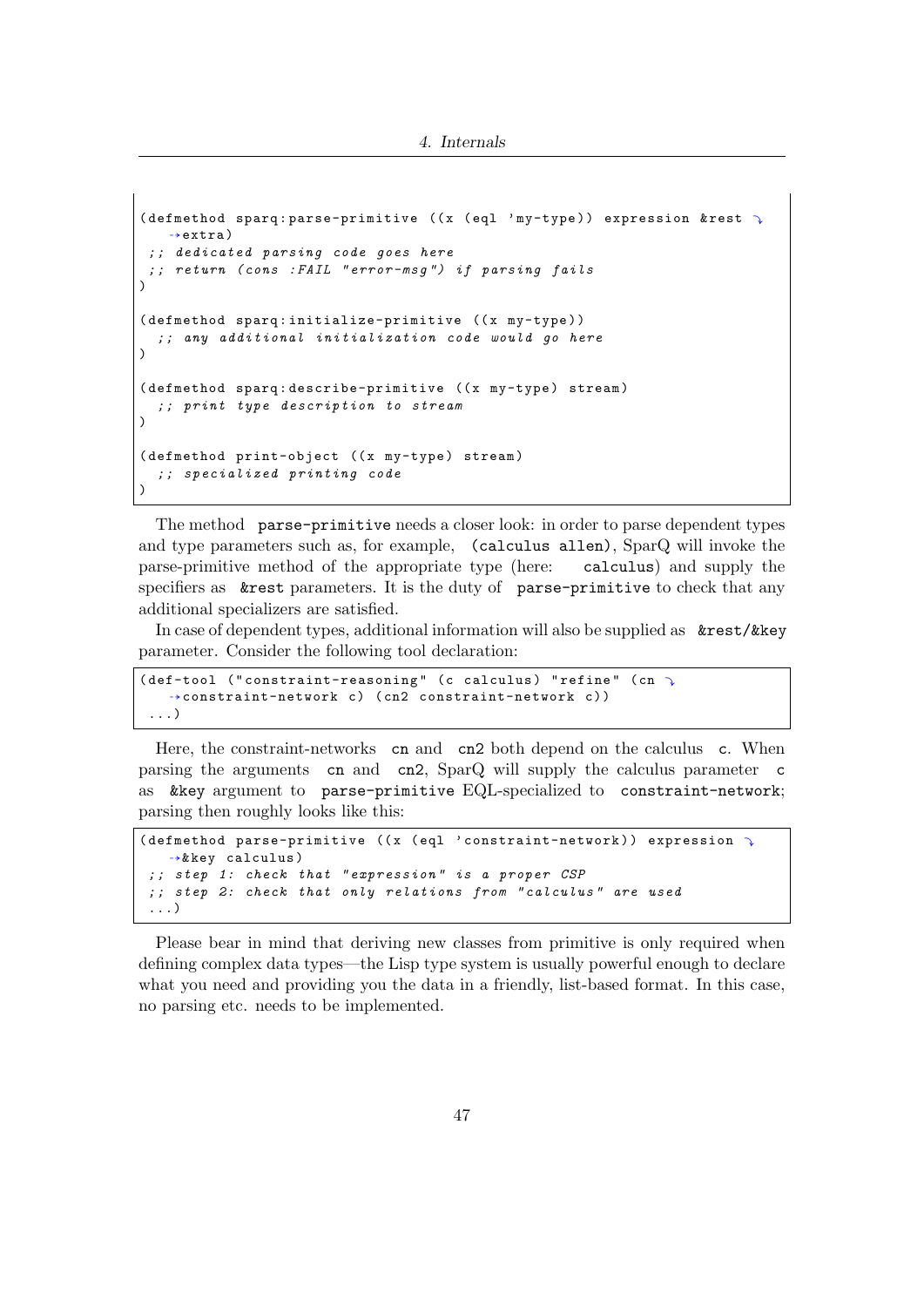```
(defmethod sparq: parse-primitive ((x (eq1) m\gamma-type)) expression & rest \gamma\rightarrowextra)
 ; ; dedicated parsing code goes here
; ; return ( cons : FAIL " error-msg ") if parsing fails
)
(defmethod sparq:initialize-primitive ((x my-type))
  ; ; any additional initialization code would go here
\lambda(defmethod sparq:describe-primitive ((x my-type) stream)
  ; ; print type description to stream
\lambda(defmethod print-object ((x my-type) stream)
  ; ; specialized printing code
\lambda
```
The method parse-primitive needs a closer look: in order to parse dependent types and type parameters such as, for example, (calculus allen), SparQ will invoke the parse-primitive method of the appropriate type (here: calculus) and supply the specifiers as &rest parameters. It is the duty of parse-primitive to check that any additional specializers are satisfied.

In case of dependent types, additional information will also be supplied as &rest/&key parameter. Consider the following tool declaration:

```
(def-tool ("constraint-reasoning" (c calculus) "refine" (cn \rightarrow→constraint-network c) (cn2 constraint-network c))
...)
```
Here, the constraint-networks cn and cn2 both depend on the calculus c. When parsing the arguments cn and cn2, SparQ will supply the calculus parameter c as &key argument to parse-primitive EQL-specialized to constraint-network; parsing then roughly looks like this:

```
(defmethod parse-primitive ((x (eql 'constraint-network)) expression \gamma⇢& key calculus )
 ; ; step 1: check that " expression " is a proper CSP
; ; step 2: check that only relations from " calculus " are used
 ...)
```
Please bear in mind that deriving new classes from primitive is only required when defining complex data types—the Lisp type system is usually powerful enough to declare what you need and providing you the data in a friendly, list-based format. In this case, no parsing etc. needs to be implemented.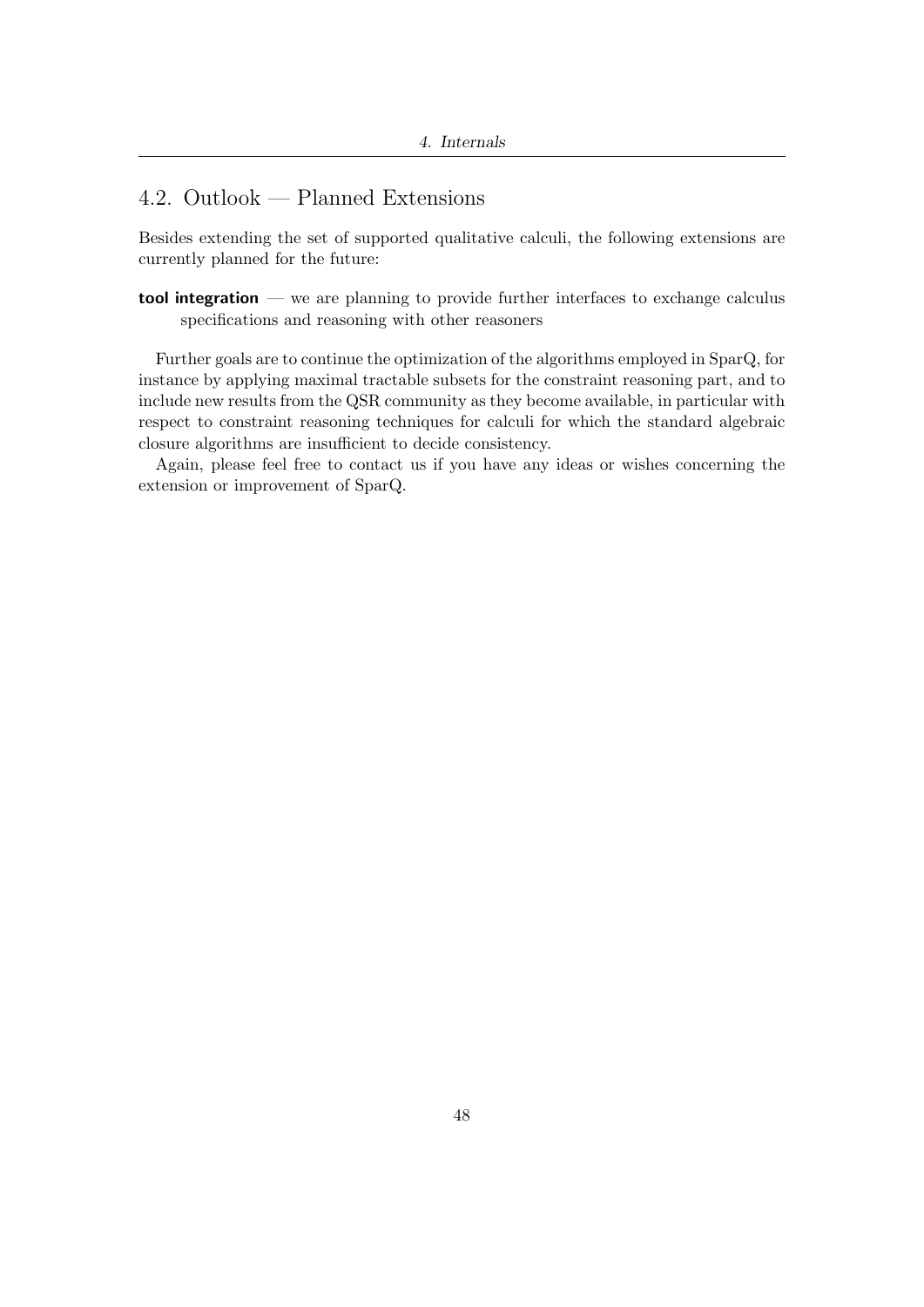## 4.2. Outlook — Planned Extensions

Besides extending the set of supported qualitative calculi, the following extensions are currently planned for the future:

tool integration — we are planning to provide further interfaces to exchange calculus specifications and reasoning with other reasoners

Further goals are to continue the optimization of the algorithms employed in SparQ, for instance by applying maximal tractable subsets for the constraint reasoning part, and to include new results from the QSR community as they become available, in particular with respect to constraint reasoning techniques for calculi for which the standard algebraic closure algorithms are insufficient to decide consistency.

Again, please feel free to contact us if you have any ideas or wishes concerning the extension or improvement of SparQ.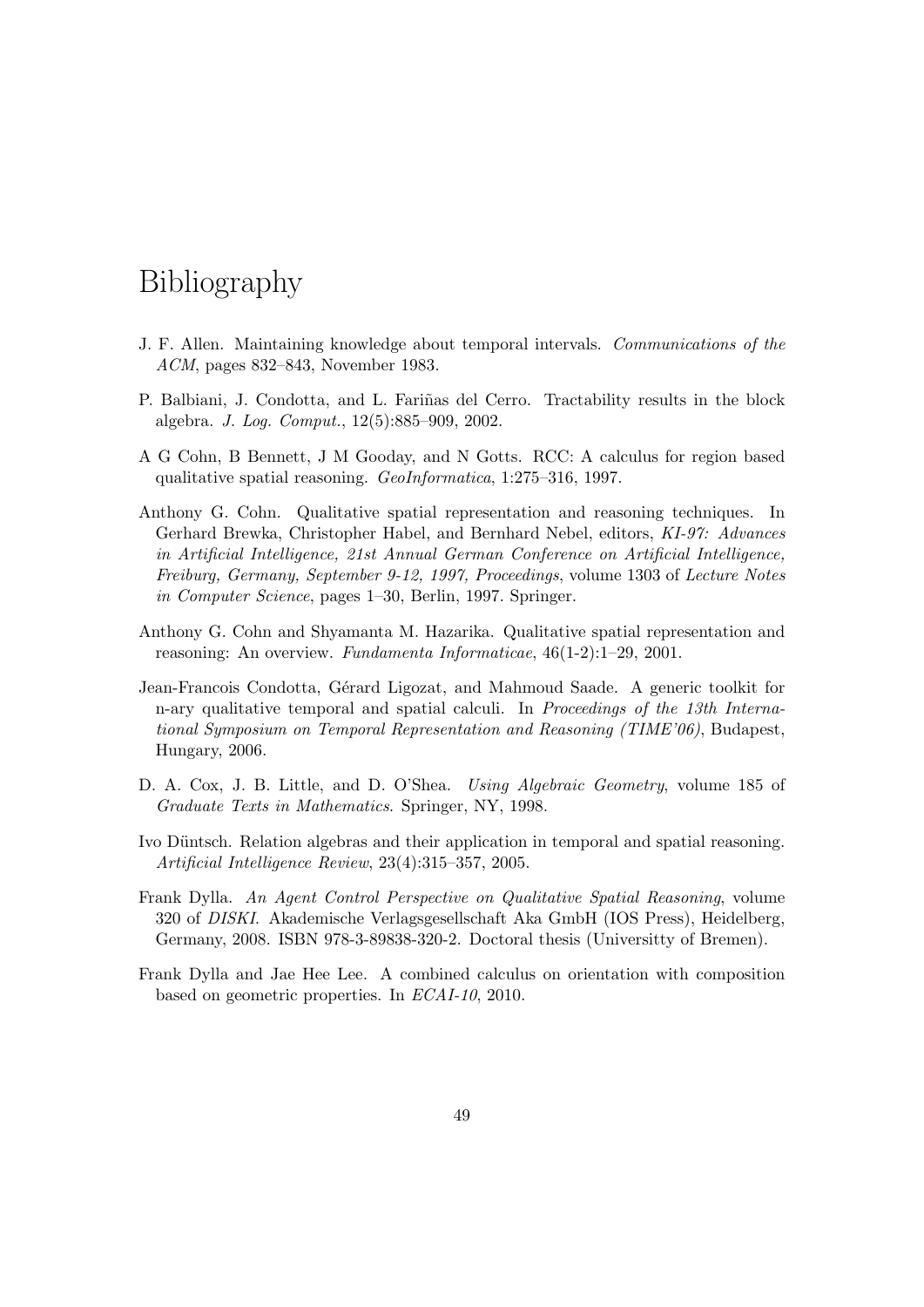# Bibliography

- <span id="page-48-0"></span>J. F. Allen. Maintaining knowledge about temporal intervals. Communications of the ACM, pages 832–843, November 1983.
- <span id="page-48-1"></span>P. Balbiani, J. Condotta, and L. Fariñas del Cerro. Tractability results in the block algebra. J. Log. Comput., 12(5):885–909, 2002.
- <span id="page-48-2"></span>A G Cohn, B Bennett, J M Gooday, and N Gotts. RCC: A calculus for region based qualitative spatial reasoning. GeoInformatica, 1:275–316, 1997.
- Anthony G. Cohn. Qualitative spatial representation and reasoning techniques. In Gerhard Brewka, Christopher Habel, and Bernhard Nebel, editors, KI-97: Advances in Artificial Intelligence, 21st Annual German Conference on Artificial Intelligence, Freiburg, Germany, September 9-12, 1997, Proceedings, volume 1303 of Lecture Notes in Computer Science, pages 1–30, Berlin, 1997. Springer.
- Anthony G. Cohn and Shyamanta M. Hazarika. Qualitative spatial representation and reasoning: An overview. Fundamenta Informaticae, 46(1-2):1–29, 2001.
- Jean-Francois Condotta, Gérard Ligozat, and Mahmoud Saade. A generic toolkit for n-ary qualitative temporal and spatial calculi. In Proceedings of the 13th International Symposium on Temporal Representation and Reasoning (TIME'06), Budapest, Hungary, 2006.
- D. A. Cox, J. B. Little, and D. O'Shea. Using Algebraic Geometry, volume 185 of Graduate Texts in Mathematics. Springer, NY, 1998.
- Ivo Düntsch. Relation algebras and their application in temporal and spatial reasoning. Artificial Intelligence Review, 23(4):315–357, 2005.
- <span id="page-48-3"></span>Frank Dylla. An Agent Control Perspective on Qualitative Spatial Reasoning, volume 320 of DISKI. Akademische Verlagsgesellschaft Aka GmbH (IOS Press), Heidelberg, Germany, 2008. ISBN 978-3-89838-320-2. Doctoral thesis (Universitty of Bremen).
- <span id="page-48-4"></span>Frank Dylla and Jae Hee Lee. A combined calculus on orientation with composition based on geometric properties. In ECAI-10, 2010.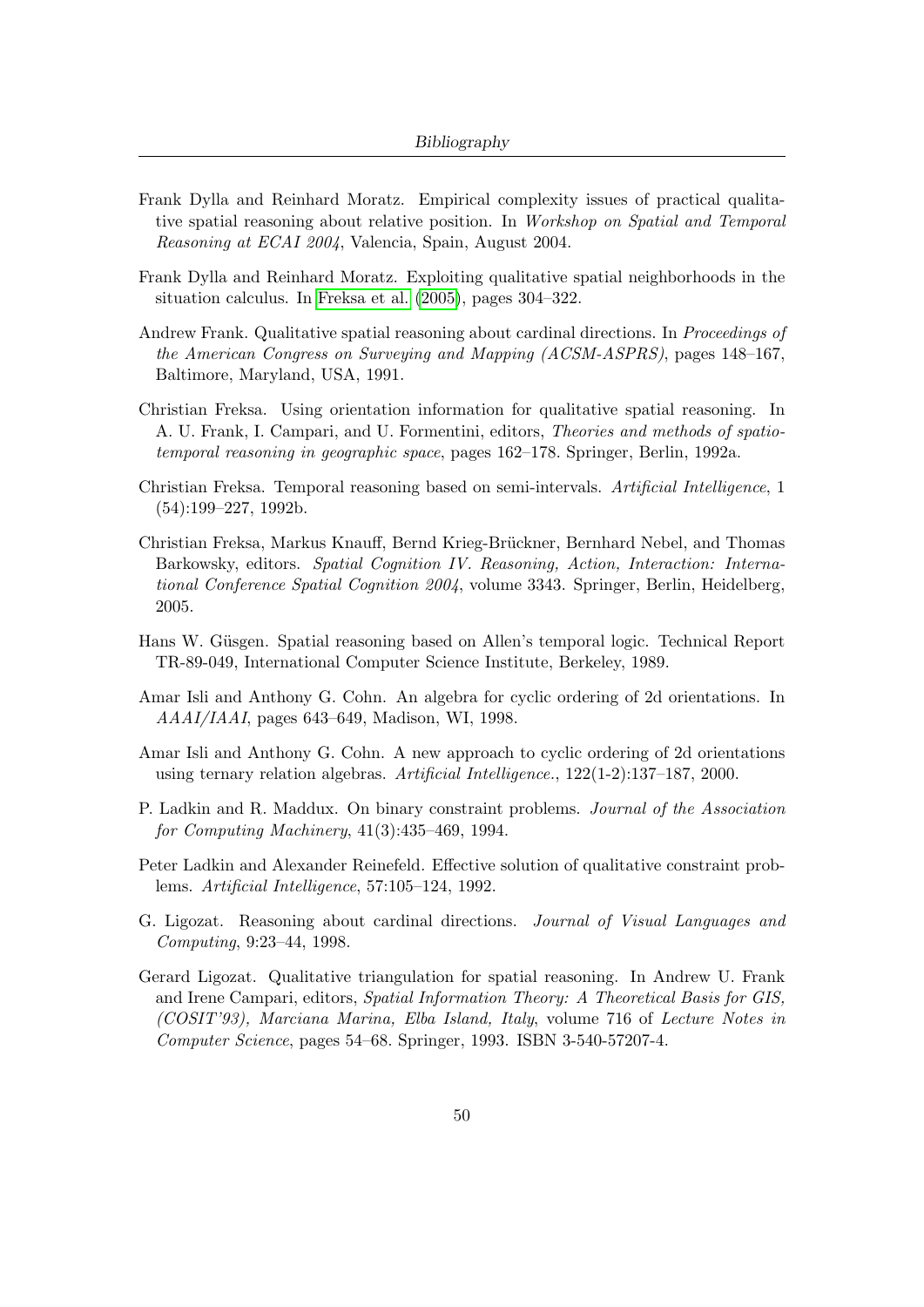- Frank Dylla and Reinhard Moratz. Empirical complexity issues of practical qualitative spatial reasoning about relative position. In Workshop on Spatial and Temporal Reasoning at ECAI 2004, Valencia, Spain, August 2004.
- <span id="page-49-8"></span>Frank Dylla and Reinhard Moratz. Exploiting qualitative spatial neighborhoods in the situation calculus. In [Freksa et al.](#page-49-0) [\(2005\)](#page-49-0), pages 304–322.
- <span id="page-49-2"></span>Andrew Frank. Qualitative spatial reasoning about cardinal directions. In *Proceedings of* the American Congress on Surveying and Mapping (ACSM-ASPRS), pages 148–167, Baltimore, Maryland, USA, 1991.
- <span id="page-49-4"></span>Christian Freksa. Using orientation information for qualitative spatial reasoning. In A. U. Frank, I. Campari, and U. Formentini, editors, Theories and methods of spatiotemporal reasoning in geographic space, pages 162–178. Springer, Berlin, 1992a.
- Christian Freksa. Temporal reasoning based on semi-intervals. Artificial Intelligence, 1 (54):199–227, 1992b.
- <span id="page-49-0"></span>Christian Freksa, Markus Knauff, Bernd Krieg-Brückner, Bernhard Nebel, and Thomas Barkowsky, editors. Spatial Cognition IV. Reasoning, Action, Interaction: International Conference Spatial Cognition 2004, volume 3343. Springer, Berlin, Heidelberg, 2005.
- <span id="page-49-1"></span>Hans W. Güsgen. Spatial reasoning based on Allen's temporal logic. Technical Report TR-89-049, International Computer Science Institute, Berkeley, 1989.
- <span id="page-49-6"></span>Amar Isli and Anthony G. Cohn. An algebra for cyclic ordering of 2d orientations. In AAAI/IAAI, pages 643–649, Madison, WI, 1998.
- <span id="page-49-7"></span>Amar Isli and Anthony G. Cohn. A new approach to cyclic ordering of 2d orientations using ternary relation algebras. Artificial Intelligence., 122(1-2):137–187, 2000.
- P. Ladkin and R. Maddux. On binary constraint problems. Journal of the Association for Computing Machinery, 41(3):435–469, 1994.
- Peter Ladkin and Alexander Reinefeld. Effective solution of qualitative constraint problems. Artificial Intelligence, 57:105–124, 1992.
- <span id="page-49-3"></span>G. Ligozat. Reasoning about cardinal directions. Journal of Visual Languages and Computing, 9:23–44, 1998.
- <span id="page-49-5"></span>Gerard Ligozat. Qualitative triangulation for spatial reasoning. In Andrew U. Frank and Irene Campari, editors, Spatial Information Theory: A Theoretical Basis for GIS, (COSIT'93), Marciana Marina, Elba Island, Italy, volume 716 of Lecture Notes in Computer Science, pages 54–68. Springer, 1993. ISBN 3-540-57207-4.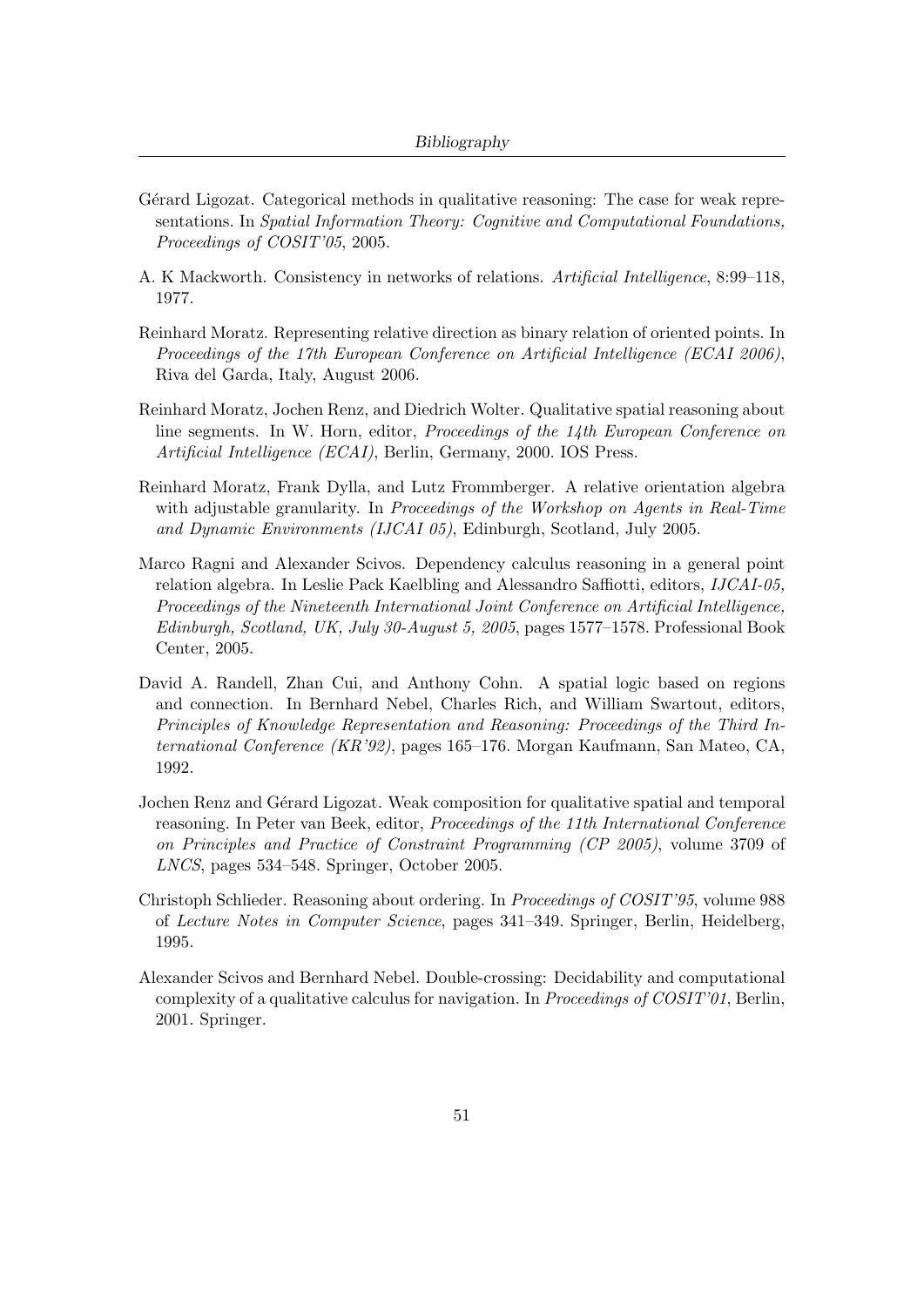- Gérard Ligozat. Categorical methods in qualitative reasoning: The case for weak representations. In Spatial Information Theory: Cognitive and Computational Foundations, Proceedings of COSIT'05, 2005.
- A. K Mackworth. Consistency in networks of relations. Artificial Intelligence, 8:99–118, 1977.
- <span id="page-50-5"></span>Reinhard Moratz. Representing relative direction as binary relation of oriented points. In Proceedings of the 17th European Conference on Artificial Intelligence (ECAI 2006), Riva del Garda, Italy, August 2006.
- <span id="page-50-3"></span>Reinhard Moratz, Jochen Renz, and Diedrich Wolter. Qualitative spatial reasoning about line segments. In W. Horn, editor, Proceedings of the 14th European Conference on Artificial Intelligence (ECAI), Berlin, Germany, 2000. IOS Press.
- <span id="page-50-4"></span>Reinhard Moratz, Frank Dylla, and Lutz Frommberger. A relative orientation algebra with adjustable granularity. In *Proceedings of the Workshop on Agents in Real-Time* and Dynamic Environments (IJCAI 05), Edinburgh, Scotland, July 2005.
- <span id="page-50-1"></span>Marco Ragni and Alexander Scivos. Dependency calculus reasoning in a general point relation algebra. In Leslie Pack Kaelbling and Alessandro Saffiotti, editors, IJCAI-05, Proceedings of the Nineteenth International Joint Conference on Artificial Intelligence, Edinburgh, Scotland, UK, July 30-August 5, 2005, pages 1577–1578. Professional Book Center, 2005.
- <span id="page-50-0"></span>David A. Randell, Zhan Cui, and Anthony Cohn. A spatial logic based on regions and connection. In Bernhard Nebel, Charles Rich, and William Swartout, editors, Principles of Knowledge Representation and Reasoning: Proceedings of the Third International Conference (KR'92), pages 165–176. Morgan Kaufmann, San Mateo, CA, 1992.
- Jochen Renz and Gérard Ligozat. Weak composition for qualitative spatial and temporal reasoning. In Peter van Beek, editor, Proceedings of the 11th International Conference on Principles and Practice of Constraint Programming (CP 2005), volume 3709 of LNCS, pages 534–548. Springer, October 2005.
- <span id="page-50-2"></span>Christoph Schlieder. Reasoning about ordering. In Proceedings of COSIT'95, volume 988 of Lecture Notes in Computer Science, pages 341–349. Springer, Berlin, Heidelberg, 1995.
- Alexander Scivos and Bernhard Nebel. Double-crossing: Decidability and computational complexity of a qualitative calculus for navigation. In Proceedings of COSIT'01, Berlin, 2001. Springer.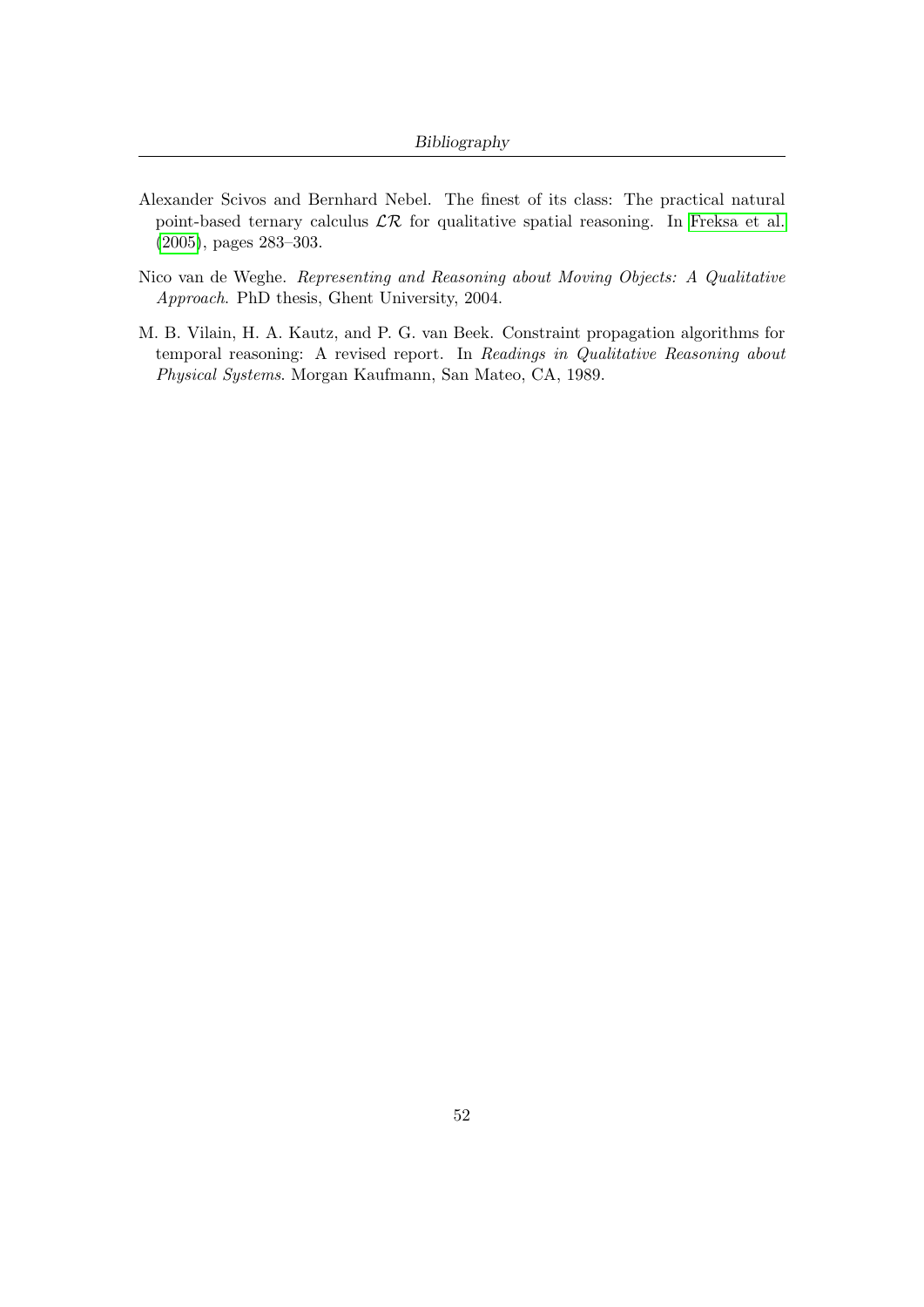- <span id="page-51-0"></span>Alexander Scivos and Bernhard Nebel. The finest of its class: The practical natural point-based ternary calculus  $\mathcal{LR}$  for qualitative spatial reasoning. In [Freksa et al.](#page-49-0) [\(2005\)](#page-49-0), pages 283–303.
- <span id="page-51-2"></span>Nico van de Weghe. Representing and Reasoning about Moving Objects: A Qualitative Approach. PhD thesis, Ghent University, 2004.
- <span id="page-51-1"></span>M. B. Vilain, H. A. Kautz, and P. G. van Beek. Constraint propagation algorithms for temporal reasoning: A revised report. In Readings in Qualitative Reasoning about Physical Systems. Morgan Kaufmann, San Mateo, CA, 1989.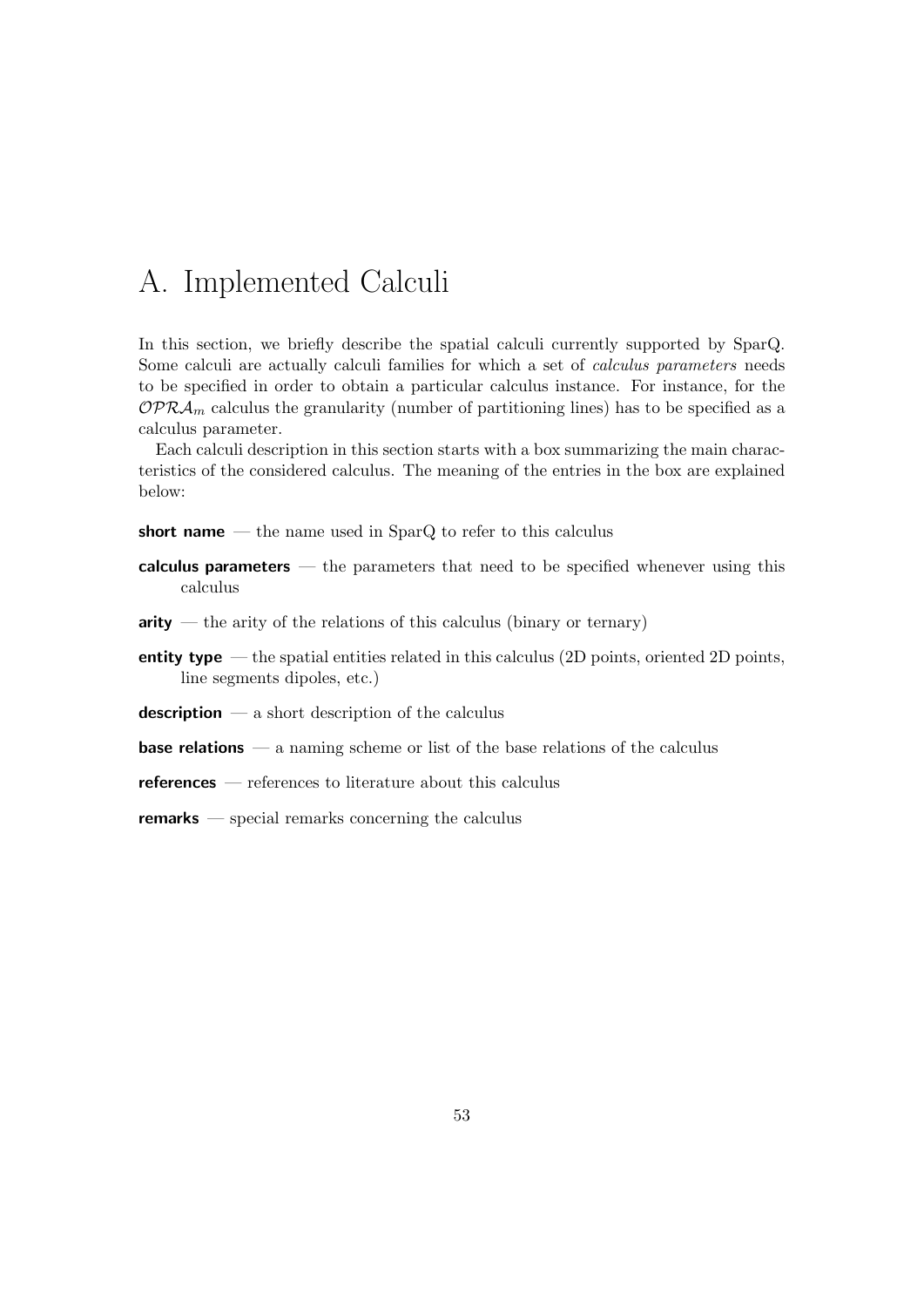# A. Implemented Calculi

In this section, we briefly describe the spatial calculi currently supported by SparQ. Some calculi are actually calculi families for which a set of calculus parameters needs to be specified in order to obtain a particular calculus instance. For instance, for the  $OPR\mathcal{A}_m$  calculus the granularity (number of partitioning lines) has to be specified as a calculus parameter.

Each calculi description in this section starts with a box summarizing the main characteristics of the considered calculus. The meaning of the entries in the box are explained below:

short name  $-$  the name used in SparQ to refer to this calculus

- calculus parameters the parameters that need to be specified whenever using this calculus
- $\text{arity}$  the arity of the relations of this calculus (binary or ternary)
- **entity type** the spatial entities related in this calculus  $(2D \text{ points}, \text{oriented } 2D \text{ points}, \text{or } D)$ line segments dipoles, etc.)
- **description** a short description of the calculus
- **base relations** a naming scheme or list of the base relations of the calculus

references — references to literature about this calculus

**remarks** — special remarks concerning the calculus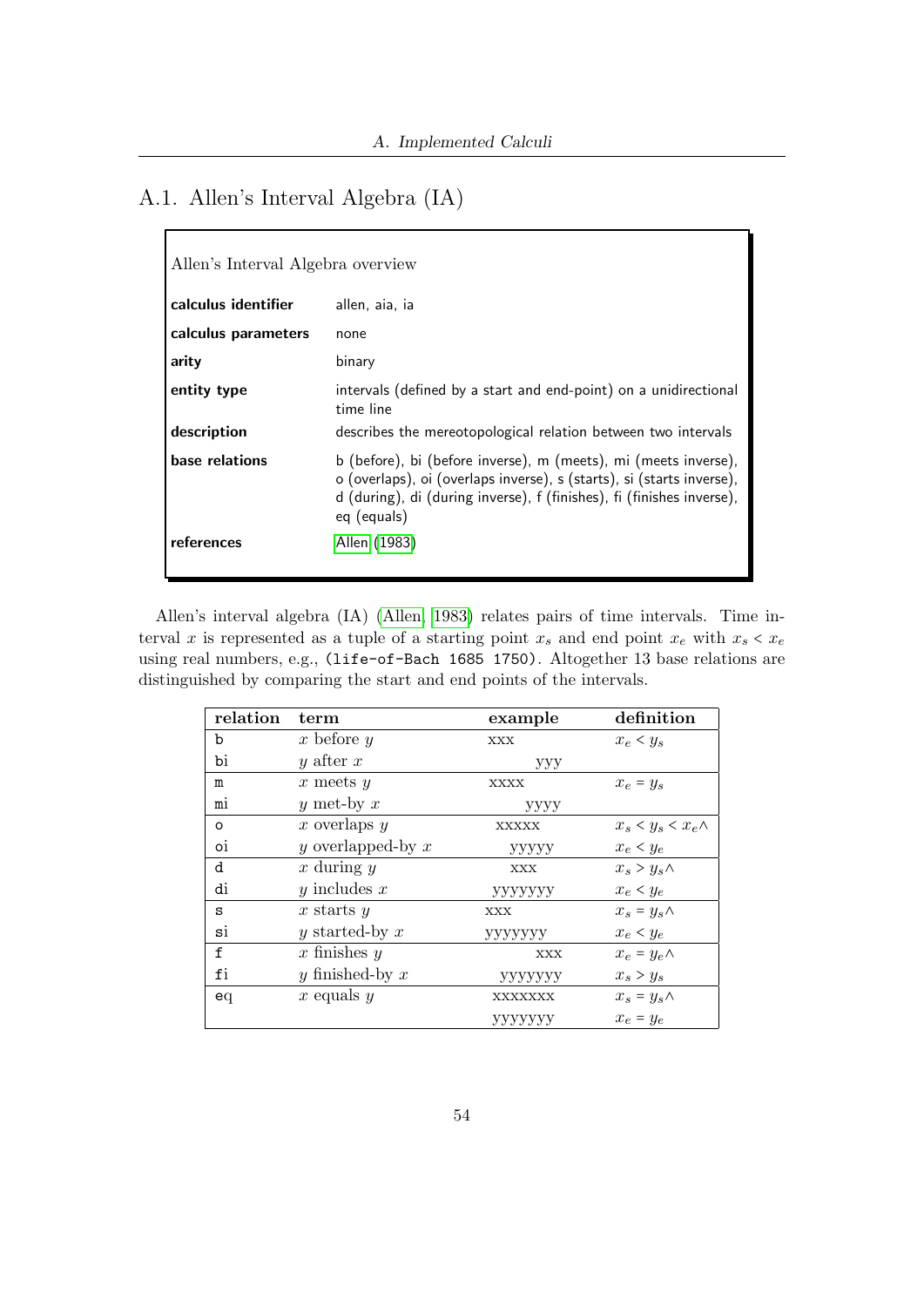# A.1. Allen's Interval Algebra (IA)

| Allen's Interval Algebra overview |                                                                                                                                                                                                                                  |  |
|-----------------------------------|----------------------------------------------------------------------------------------------------------------------------------------------------------------------------------------------------------------------------------|--|
| calculus identifier               | allen, aia, ia                                                                                                                                                                                                                   |  |
| calculus parameters               | none                                                                                                                                                                                                                             |  |
| arity                             | binary                                                                                                                                                                                                                           |  |
| entity type                       | intervals (defined by a start and end-point) on a unidirectional<br>time line                                                                                                                                                    |  |
| description                       | describes the mereotopological relation between two intervals                                                                                                                                                                    |  |
| base relations                    | b (before), bi (before inverse), m (meets), mi (meets inverse),<br>o (overlaps), oi (overlaps inverse), s (starts), si (starts inverse),<br>d (during), di (during inverse), f (finishes), fi (finishes inverse),<br>eq (equals) |  |
| references                        | Allen (1983)                                                                                                                                                                                                                     |  |

Allen's interval algebra (IA) [\(Allen, 1983\)](#page-48-0) relates pairs of time intervals. Time interval x is represented as a tuple of a starting point  $x_s$  and end point  $x_e$  with  $x_s < x_e$ using real numbers, e.g., (life-of-Bach 1685 1750). Altogether 13 base relations are distinguished by comparing the start and end points of the intervals.

| relation       | term                | example        | definition               |
|----------------|---------------------|----------------|--------------------------|
| b              | x before $y$        | XXX            | $x_e \leq y_s$           |
| bi             | y after $x$         | ууу            |                          |
| m              | $x$ meets $y$       | <b>XXXX</b>    | $x_e = y_s$              |
| m <sub>1</sub> | y met-by $x$        | уууу           |                          |
| o              | x overlaps $y$      | <b>XXXXX</b>   | $x_s < y_s < x_e \wedge$ |
| oi             | y overlapped-by $x$ | <b>YYYYY</b>   | $x_e < y_e$              |
| d              | $x$ during $y$      | <b>XXX</b>     | $x_s > y_s \wedge$       |
| di             | y includes $x$      | <b>УУУУУУУ</b> | $x_e < y_e$              |
| S              | x starts $y$        | <b>XXX</b>     | $x_s = y_s \wedge$       |
| si             | y started-by $x$    | ууууууу        | $x_e < y_e$              |
| £              | x finishes $y$      | <b>XXX</b>     | $x_e = y_e \wedge$       |
| fi             | y finished-by $x$   | ууууууу        | $x_s > y_s$              |
| eq             | x equals $y$        | XXXXXXX        | $x_s = y_s \wedge$       |
|                |                     | ууууууу        | $x_e = y_e$              |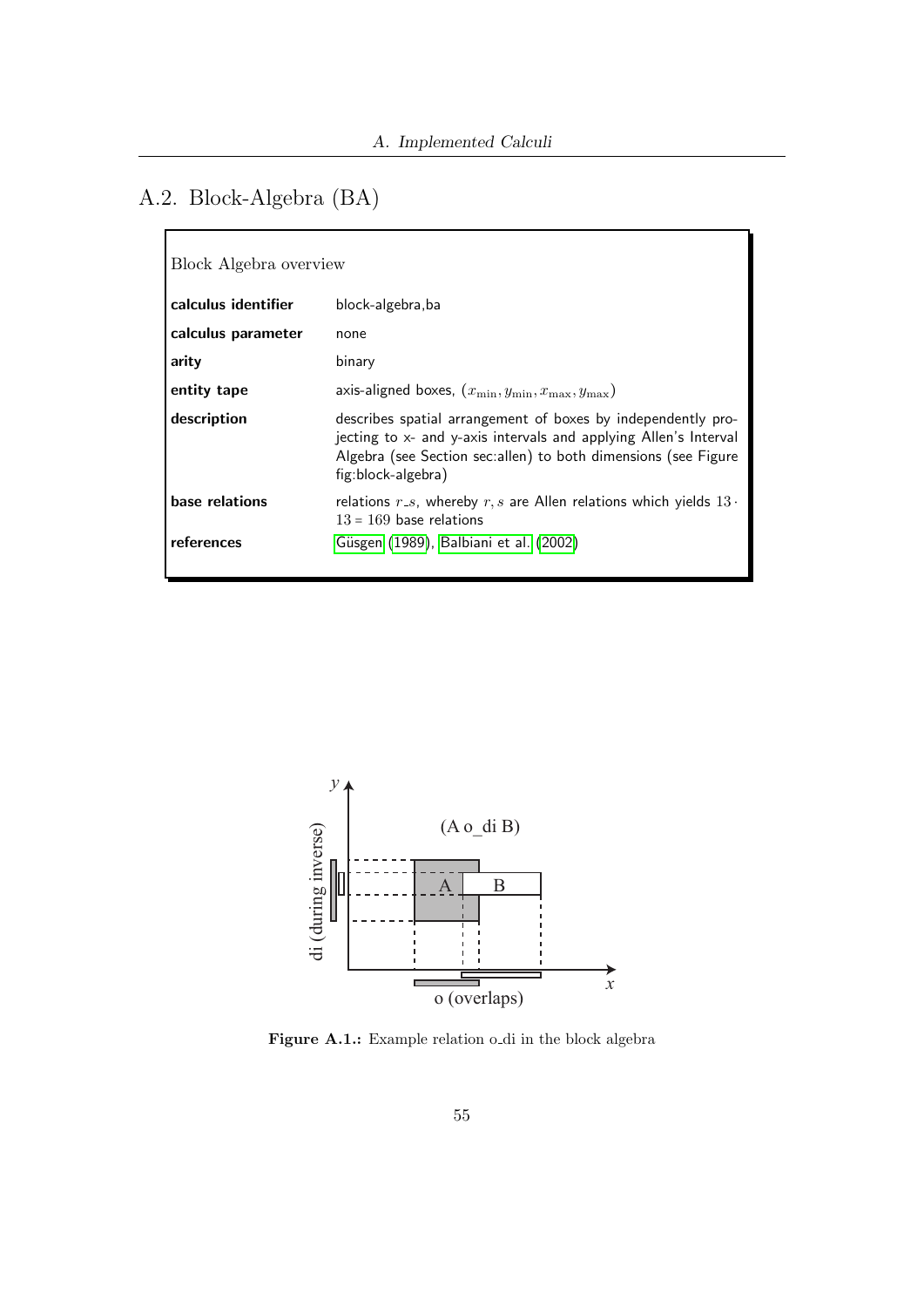# A.2. Block-Algebra (BA)

| Block Algebra overview |                                                                                                                                                                                                                          |  |
|------------------------|--------------------------------------------------------------------------------------------------------------------------------------------------------------------------------------------------------------------------|--|
| calculus identifier    | block-algebra, ba                                                                                                                                                                                                        |  |
| calculus parameter     | none                                                                                                                                                                                                                     |  |
| arity                  | binary                                                                                                                                                                                                                   |  |
| entity tape            | axis-aligned boxes, $(x_{\min}, y_{\min}, x_{\max}, y_{\max})$                                                                                                                                                           |  |
| description            | describes spatial arrangement of boxes by independently pro-<br>jecting to x- and y-axis intervals and applying Allen's Interval<br>Algebra (see Section sec:allen) to both dimensions (see Figure<br>fig:block-algebra) |  |
| base relations         | relations $r_{-s}$ , whereby $r, s$ are Allen relations which yields $13 \cdot$<br>$13 = 169$ base relations                                                                                                             |  |
| references             | Güsgen (1989), Balbiani et al. (2002)                                                                                                                                                                                    |  |



Figure A.1.: Example relation o di in the block algebra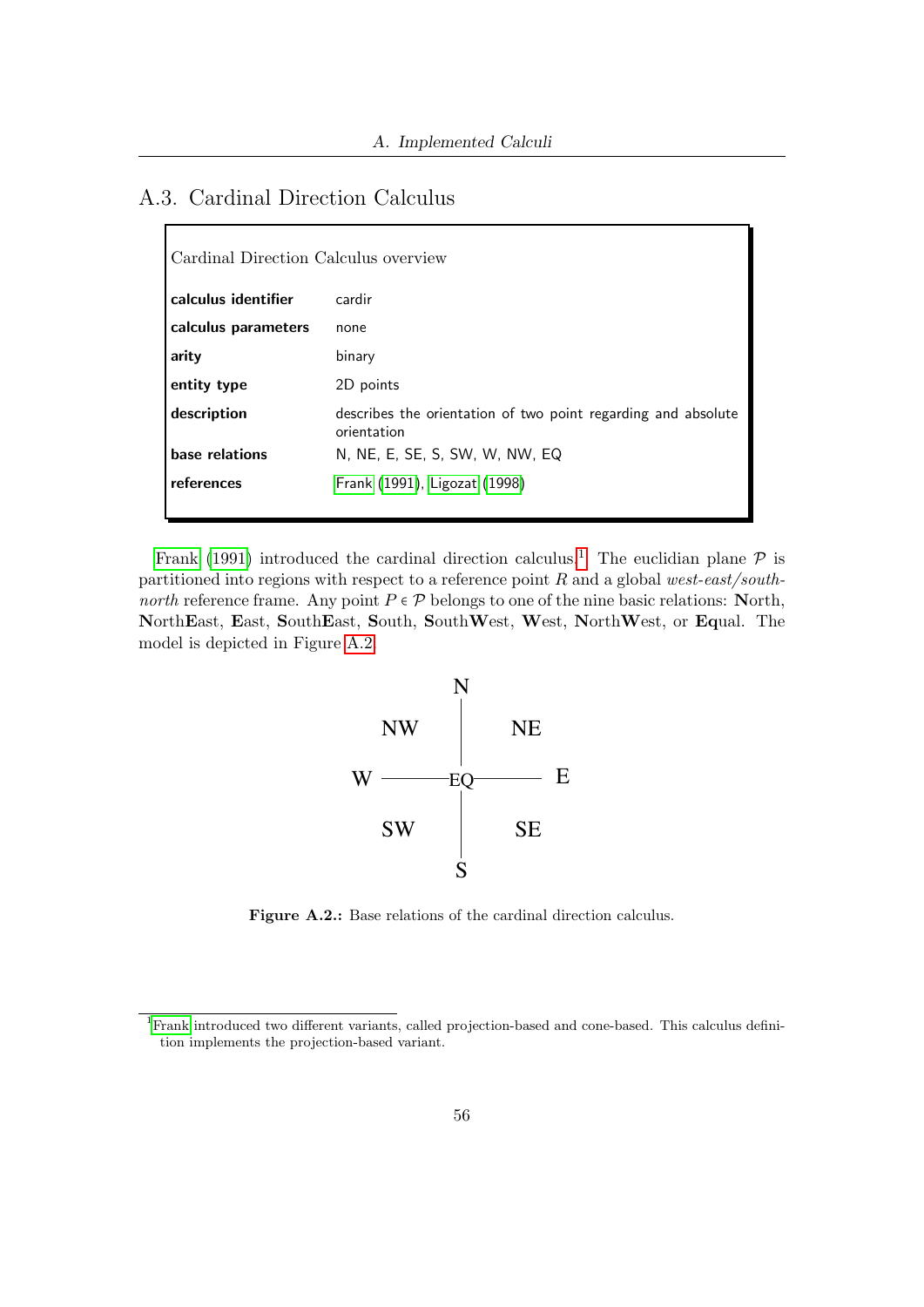## A.3. Cardinal Direction Calculus

 $\Gamma$ 

| Cardinal Direction Calculus overview |                                                                              |  |
|--------------------------------------|------------------------------------------------------------------------------|--|
| calculus identifier                  | cardir                                                                       |  |
| calculus parameters                  | none                                                                         |  |
| arity                                | binary                                                                       |  |
| entity type                          | 2D points                                                                    |  |
| description                          | describes the orientation of two point regarding and absolute<br>orientation |  |
| base relations                       | N, NE, E, SE, S, SW, W, NW, EQ                                               |  |
| references                           | Frank (1991), Ligozat (1998)                                                 |  |

[Frank](#page-49-2) [\(1991\)](#page-49-2) introduced the cardinal direction calculus.<sup>[1](#page-55-0)</sup> The euclidian plane  $P$  is partitioned into regions with respect to a reference point  $R$  and a global west-east/south*north* reference frame. Any point  $P \in \mathcal{P}$  belongs to one of the nine basic relations: North, NorthEast, East, SouthEast, South, SouthWest, West, NorthWest, or Equal. The model is depicted in Figure [A.2.](#page-55-1)



<span id="page-55-1"></span>Figure A.2.: Base relations of the cardinal direction calculus.

<span id="page-55-0"></span><sup>1</sup>[Frank](#page-49-2) introduced two different variants, called projection-based and cone-based. This calculus definition implements the projection-based variant.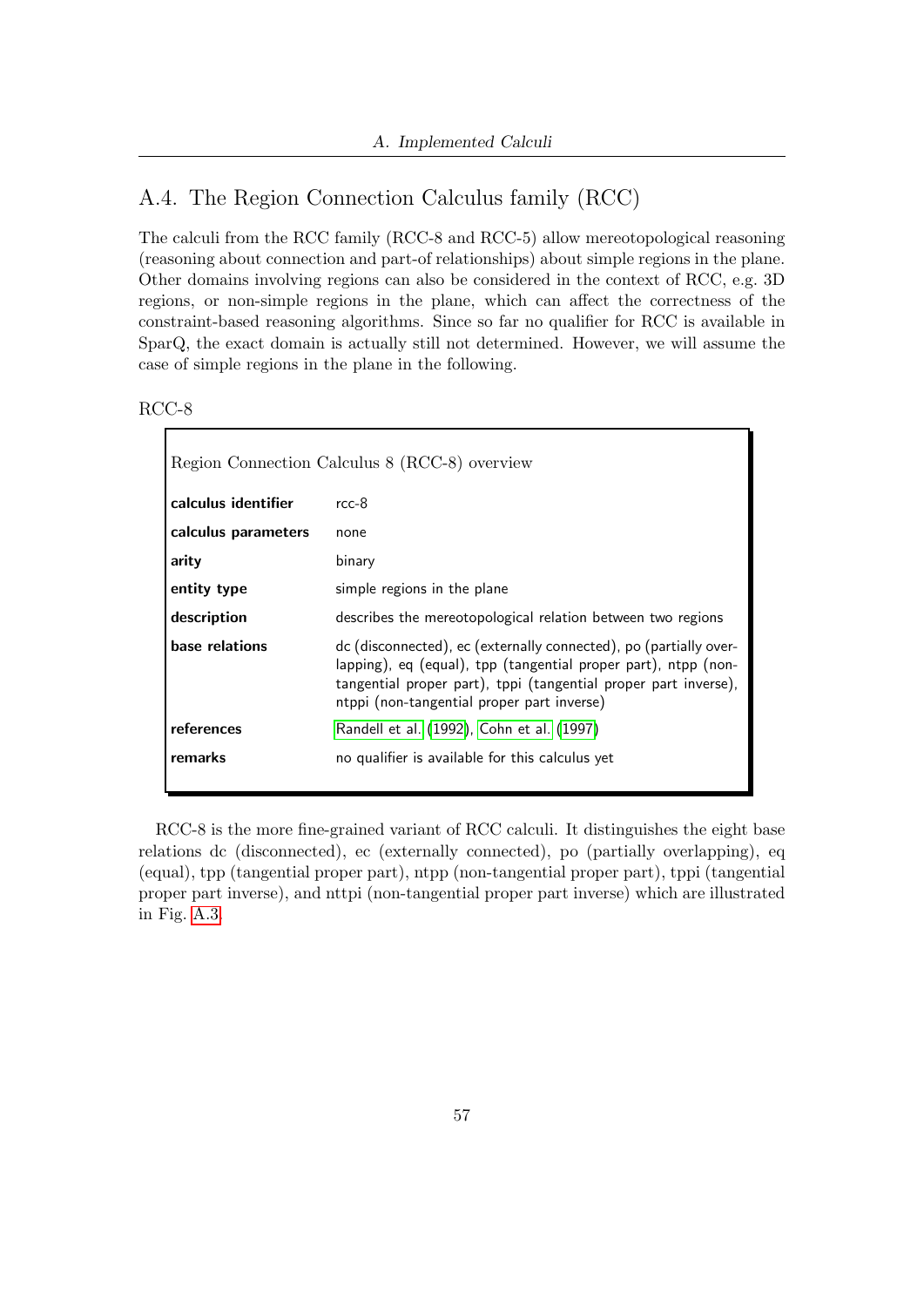## A.4. The Region Connection Calculus family (RCC)

The calculi from the RCC family (RCC-8 and RCC-5) allow mereotopological reasoning (reasoning about connection and part-of relationships) about simple regions in the plane. Other domains involving regions can also be considered in the context of RCC, e.g. 3D regions, or non-simple regions in the plane, which can affect the correctness of the constraint-based reasoning algorithms. Since so far no qualifier for RCC is available in SparQ, the exact domain is actually still not determined. However, we will assume the case of simple regions in the plane in the following.

RCC-8

| Region Connection Calculus 8 (RCC-8) overview |                                                                                                                                                                                                                                                      |  |
|-----------------------------------------------|------------------------------------------------------------------------------------------------------------------------------------------------------------------------------------------------------------------------------------------------------|--|
| calculus identifier                           | $rcc-8$                                                                                                                                                                                                                                              |  |
| calculus parameters                           | none                                                                                                                                                                                                                                                 |  |
| arity                                         | binary                                                                                                                                                                                                                                               |  |
| entity type                                   | simple regions in the plane                                                                                                                                                                                                                          |  |
| description                                   | describes the mereotopological relation between two regions                                                                                                                                                                                          |  |
| base relations                                | dc (disconnected), ec (externally connected), po (partially over-<br>lapping), eq (equal), tpp (tangential proper part), ntpp (non-<br>tangential proper part), tppi (tangential proper part inverse),<br>ntppi (non-tangential proper part inverse) |  |
| references                                    | Randell et al. (1992), Cohn et al. (1997)                                                                                                                                                                                                            |  |
| remarks                                       | no qualifier is available for this calculus yet                                                                                                                                                                                                      |  |

RCC-8 is the more fine-grained variant of RCC calculi. It distinguishes the eight base relations dc (disconnected), ec (externally connected), po (partially overlapping), eq (equal), tpp (tangential proper part), ntpp (non-tangential proper part), tppi (tangential proper part inverse), and nttpi (non-tangential proper part inverse) which are illustrated in Fig. [A.3.](#page-57-0)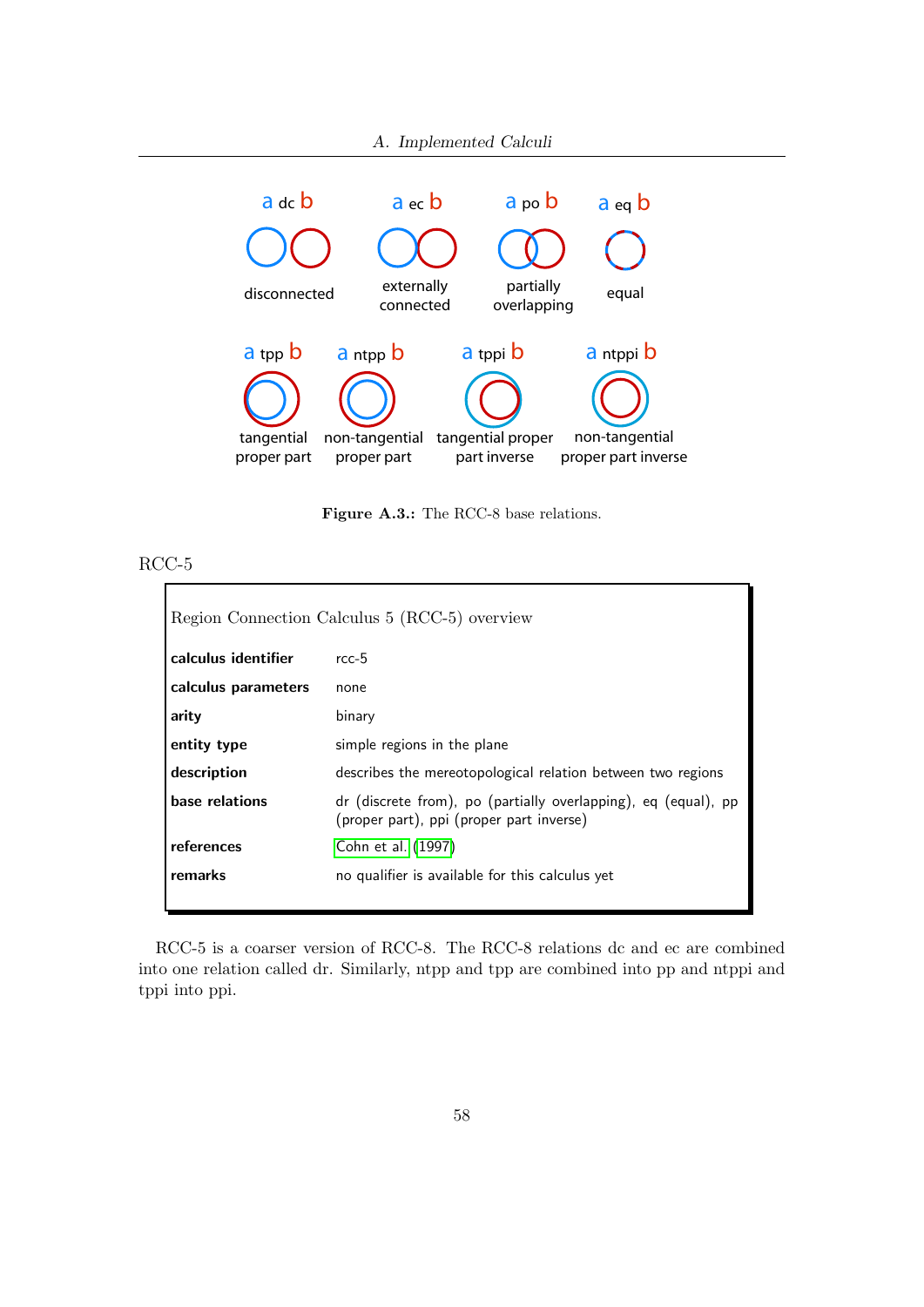

<span id="page-57-0"></span>Figure A.3.: The RCC-8 base relations.

#### RCC-5  $\mathbf{r}$

| Region Connection Calculus 5 (RCC-5) overview |                                                                                                            |  |
|-----------------------------------------------|------------------------------------------------------------------------------------------------------------|--|
| calculus identifier                           | $rcc-5$                                                                                                    |  |
| calculus parameters                           | none                                                                                                       |  |
| arity                                         | binary                                                                                                     |  |
| entity type                                   | simple regions in the plane                                                                                |  |
| description                                   | describes the mereotopological relation between two regions                                                |  |
| base relations                                | dr (discrete from), po (partially overlapping), eq (equal), pp<br>(proper part), ppi (proper part inverse) |  |
| references                                    | Cohn et al. (1997)                                                                                         |  |
| remarks                                       | no qualifier is available for this calculus yet                                                            |  |

RCC-5 is a coarser version of RCC-8. The RCC-8 relations dc and ec are combined into one relation called dr. Similarly, ntpp and tpp are combined into pp and ntppi and tppi into ppi.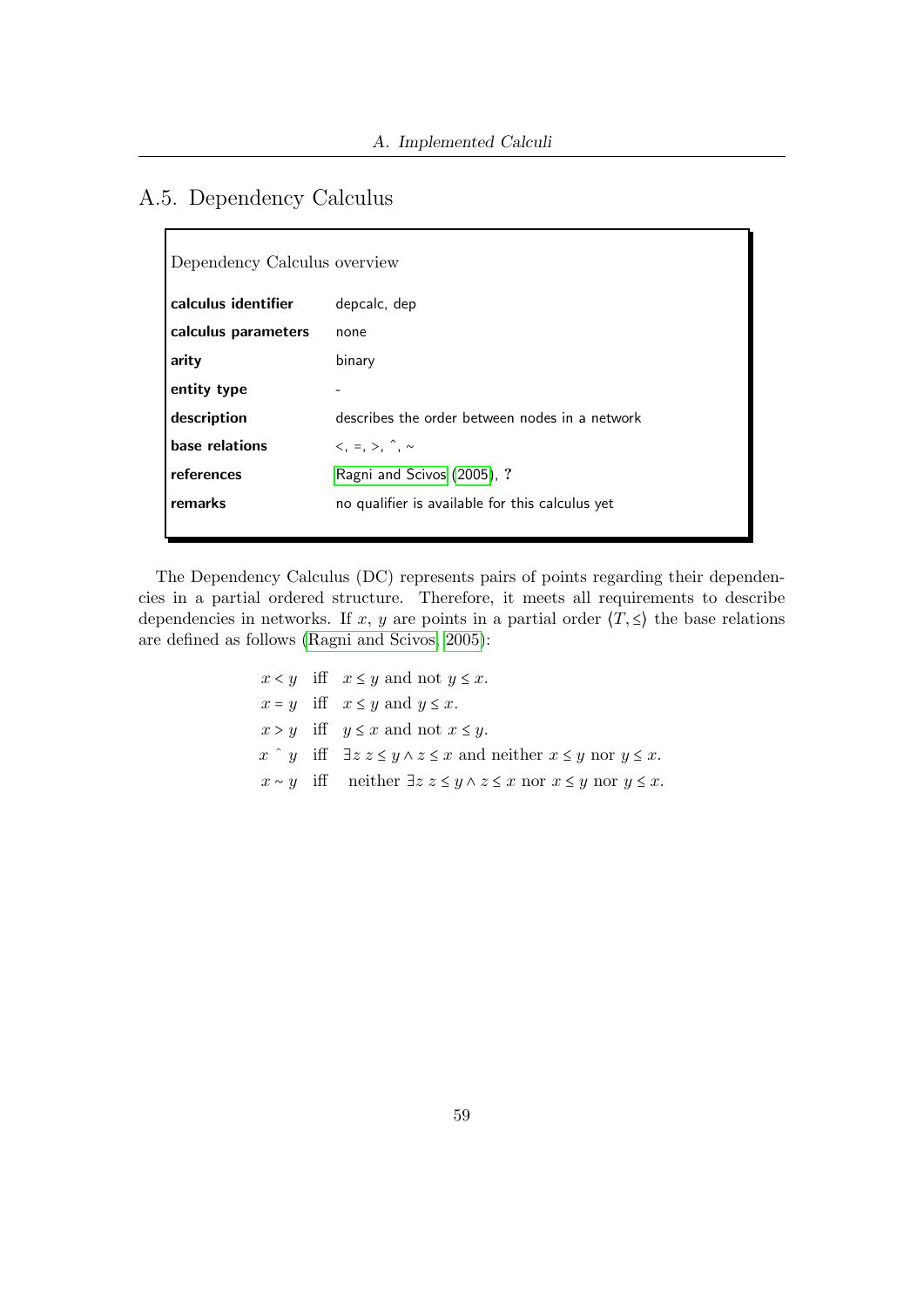## A.5. Dependency Calculus

| Dependency Calculus overview |                                                 |  |
|------------------------------|-------------------------------------------------|--|
| calculus identifier          | depcalc, dep                                    |  |
| calculus parameters          | none                                            |  |
| arity                        | binary                                          |  |
| entity type                  |                                                 |  |
| description                  | describes the order between nodes in a network  |  |
| base relations               | $\langle , = , > , \hat{\ } , \sim$             |  |
| references                   | Ragni and Scivos (2005), ?                      |  |
| remarks                      | no qualifier is available for this calculus yet |  |
|                              |                                                 |  |

The Dependency Calculus (DC) represents pairs of points regarding their dependencies in a partial ordered structure. Therefore, it meets all requirements to describe dependencies in networks. If x, y are points in a partial order  $\langle T, \leq \rangle$  the base relations are defined as follows [\(Ragni and Scivos, 2005\)](#page-50-1):

> $x < y$  iff  $x \leq y$  and not  $y \leq x$ .  $x = y$  iff  $x \leq y$  and  $y \leq x$ .  $x > y$  iff  $y \leq x$  and not  $x \leq y$ .  $x \hat{y}$  iff  $\exists z \ z \leq y \land z \leq x$  and neither  $x \leq y$  nor  $y \leq x$ .  $x \sim y$  iff neither  $\exists z \ z \leq y \land z \leq x$  nor  $x \leq y$  nor  $y \leq x$ .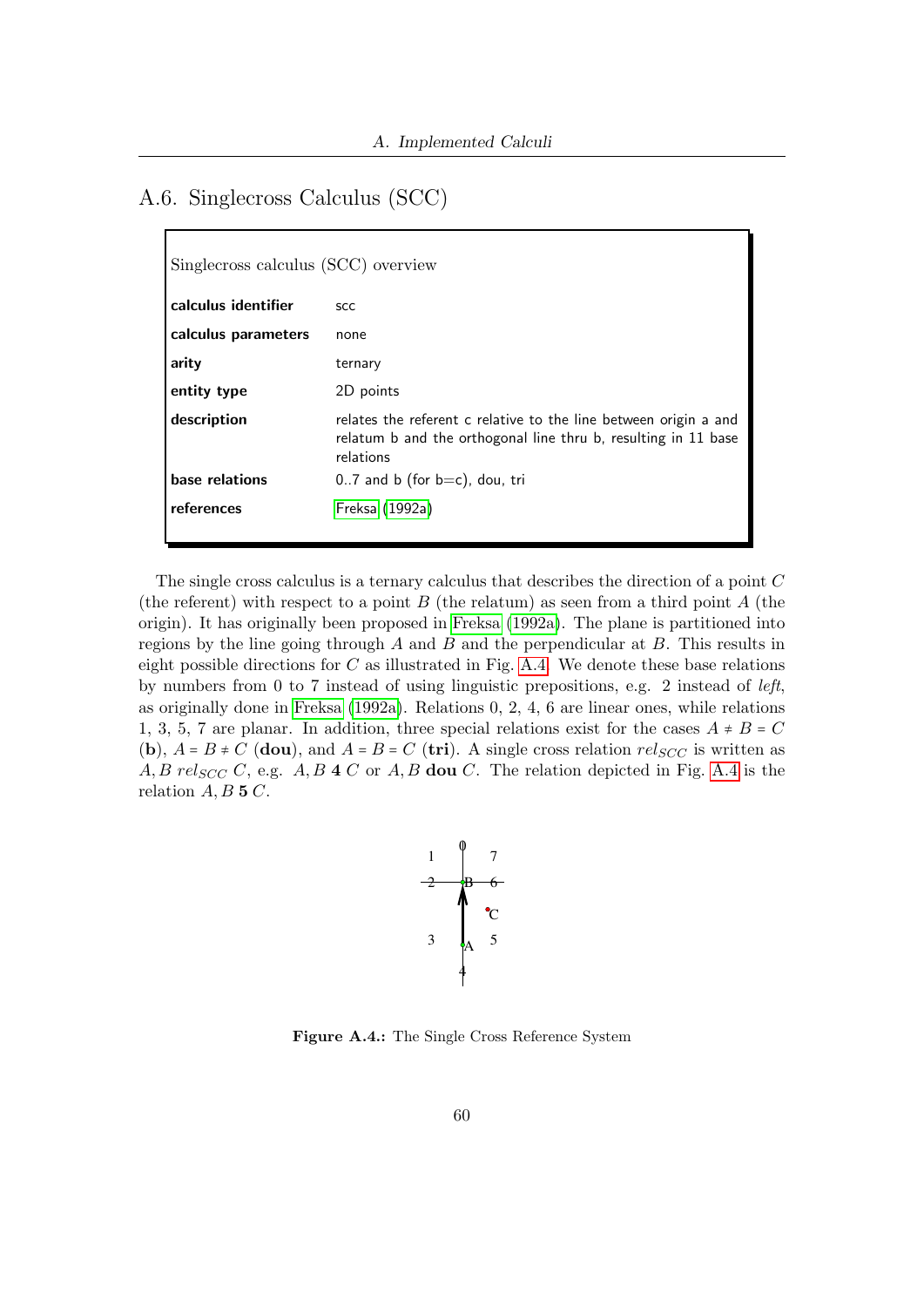## A.6. Singlecross Calculus (SCC)

| Singlecross calculus (SCC) overview |                                                                                                                                                 |  |
|-------------------------------------|-------------------------------------------------------------------------------------------------------------------------------------------------|--|
| calculus identifier                 | <b>SCC</b>                                                                                                                                      |  |
| calculus parameters                 | none                                                                                                                                            |  |
| arity                               | ternary                                                                                                                                         |  |
| entity type                         | 2D points                                                                                                                                       |  |
| description                         | relates the referent c relative to the line between origin a and<br>relatum b and the orthogonal line thru b, resulting in 11 base<br>relations |  |
| base relations                      | $0.7$ and b (for $b=c$ ), dou, tri                                                                                                              |  |
| references                          | Freksa (1992a)                                                                                                                                  |  |

The single cross calculus is a ternary calculus that describes the direction of a point C (the referent) with respect to a point  $B$  (the relatum) as seen from a third point  $A$  (the origin). It has originally been proposed in [Freksa](#page-49-4) [\(1992a\)](#page-49-4). The plane is partitioned into regions by the line going through  $A$  and  $B$  and the perpendicular at  $B$ . This results in eight possible directions for  $C$  as illustrated in Fig. [A.4.](#page-59-0) We denote these base relations by numbers from 0 to 7 instead of using linguistic prepositions, e.g. 2 instead of left, as originally done in [Freksa](#page-49-4) [\(1992a\)](#page-49-4). Relations 0, 2, 4, 6 are linear ones, while relations 1, 3, 5, 7 are planar. In addition, three special relations exist for the cases  $A \neq B = C$ (b),  $A = B \neq C$  (dou), and  $A = B = C$  (tri). A single cross relation  $rel_{SCC}$  is written as A, B rel<sub>SCC</sub> C, e.g. A, B 4 C or A, B dou C. The relation depicted in Fig. [A.4](#page-59-0) is the relation  $A, B$  5  $C$ .



<span id="page-59-0"></span>Figure A.4.: The Single Cross Reference System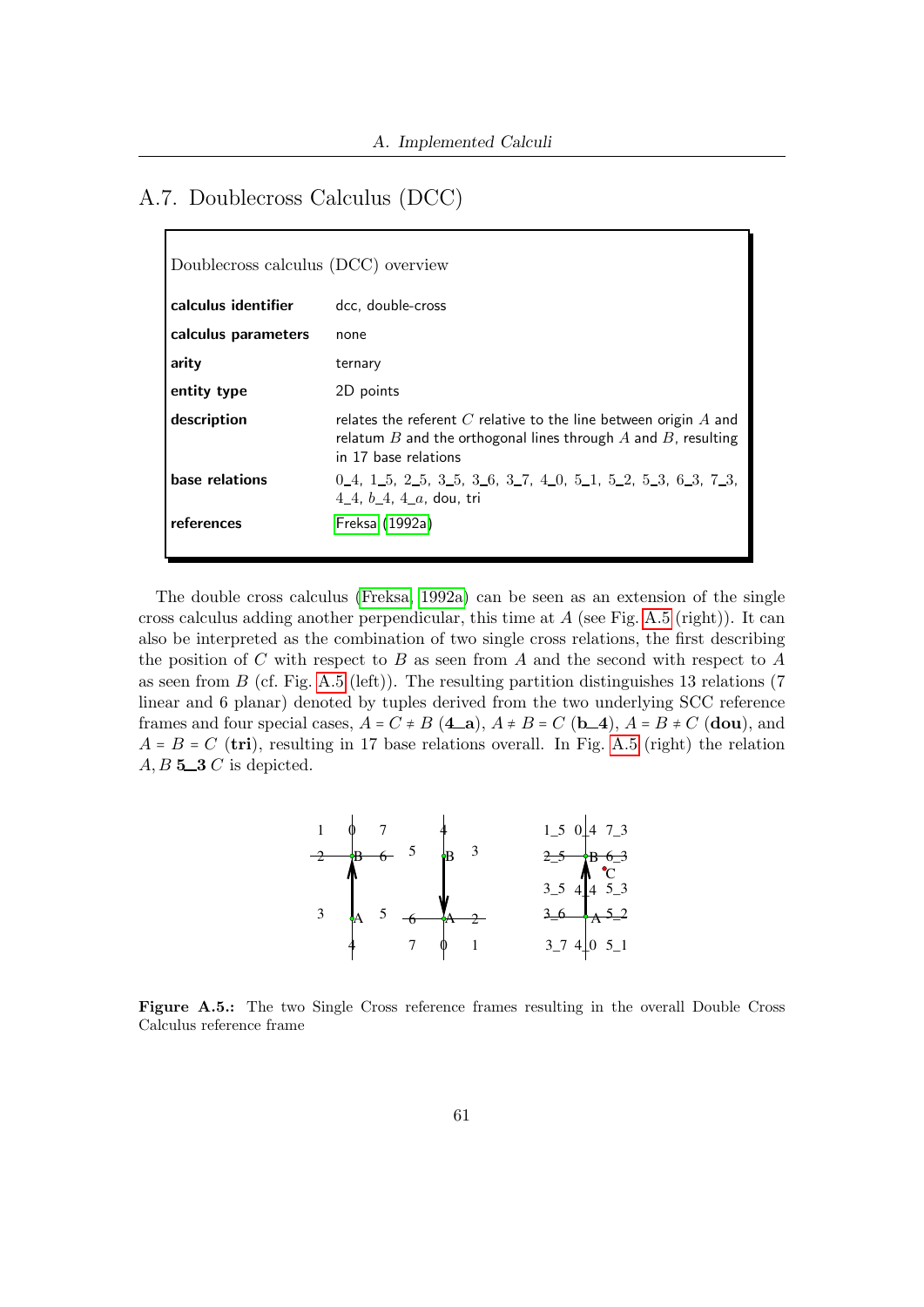### A.7. Doublecross Calculus (DCC)

| Doublecross calculus (DCC) overview |                                                                                                                                                                      |  |
|-------------------------------------|----------------------------------------------------------------------------------------------------------------------------------------------------------------------|--|
| calculus identifier                 | dcc. double-cross                                                                                                                                                    |  |
| calculus parameters                 | none                                                                                                                                                                 |  |
| arity                               | ternary                                                                                                                                                              |  |
| entity type                         | 2D points                                                                                                                                                            |  |
| description                         | relates the referent $C$ relative to the line between origin $A$ and<br>relatum $B$ and the orthogonal lines through $A$ and $B$ , resulting<br>in 17 base relations |  |
| base relations                      | $0_4$ , 1, 5, 2, 5, 3, 5, 3, 6, 3, 7, 4, 0, 5, 1, 5, 2, 5, 3, 6, 3, 7, 3,<br>4_4, $b_4$ , 4_a, dou, tri                                                              |  |
| references                          | Freksa (1992a)                                                                                                                                                       |  |

The double cross calculus [\(Freksa, 1992a\)](#page-49-4) can be seen as an extension of the single cross calculus adding another perpendicular, this time at  $A$  (see Fig. [A.5](#page-60-0) (right)). It can also be interpreted as the combination of two single cross relations, the first describing the position of  $C$  with respect to  $B$  as seen from  $A$  and the second with respect to  $A$ as seen from  $B$  (cf. Fig. [A.5](#page-60-0) (left)). The resulting partition distinguishes 13 relations (7) linear and 6 planar) denoted by tuples derived from the two underlying SCC reference frames and four special cases,  $A = C \neq B$  (4 a),  $A \neq B = C$  (b 4),  $A = B \neq C$  (dou), and  $A = B = C$  (tri), resulting in 17 base relations overall. In Fig. [A.5](#page-60-0) (right) the relation  $A, B$  5-3  $C$  is depicted.



<span id="page-60-0"></span>Figure A.5.: The two Single Cross reference frames resulting in the overall Double Cross Calculus reference frame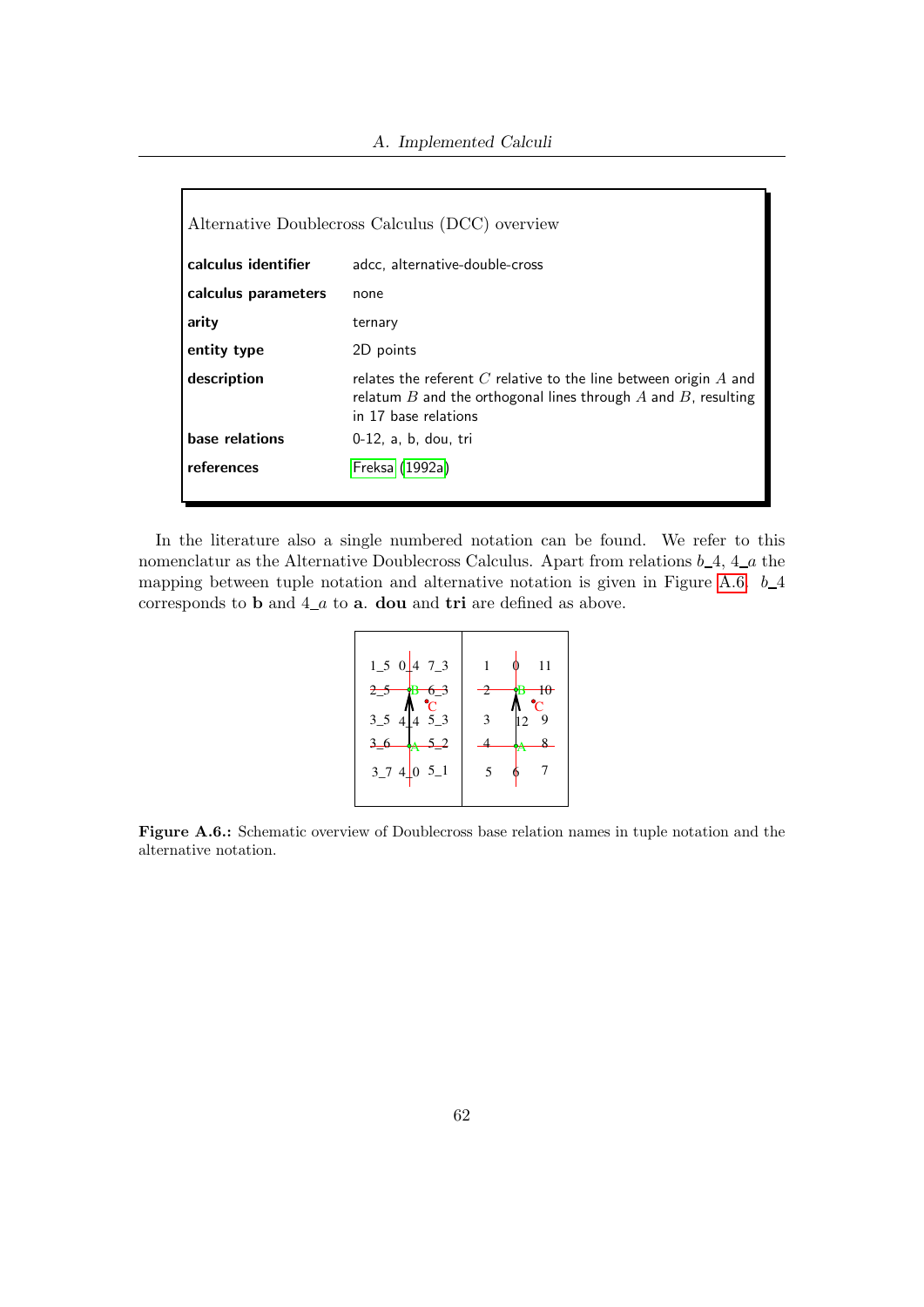| Alternative Doublecross Calculus (DCC) overview |                                                                                                                                                                      |
|-------------------------------------------------|----------------------------------------------------------------------------------------------------------------------------------------------------------------------|
| calculus identifier                             | adcc, alternative-double-cross                                                                                                                                       |
| calculus parameters                             | none                                                                                                                                                                 |
| arity                                           | ternary                                                                                                                                                              |
| entity type                                     | 2D points                                                                                                                                                            |
| description                                     | relates the referent $C$ relative to the line between origin $A$ and<br>relatum $B$ and the orthogonal lines through $A$ and $B$ , resulting<br>in 17 base relations |
| base relations                                  | 0-12, a, b, dou, tri                                                                                                                                                 |
| references                                      | Freksa (1992a)                                                                                                                                                       |

In the literature also a single numbered notation can be found. We refer to this nomenclatur as the Alternative Doublecross Calculus. Apart from relations  $b_4$ ,  $4_a$  the mapping between tuple notation and alternative notation is given in Figure [A.6.](#page-61-0)  $b_4$ corresponds to **b** and  $4_a a$  to **a**. **dou** and **tri** are defined as above.



<span id="page-61-0"></span>Figure A.6.: Schematic overview of Doublecross base relation names in tuple notation and the alternative notation.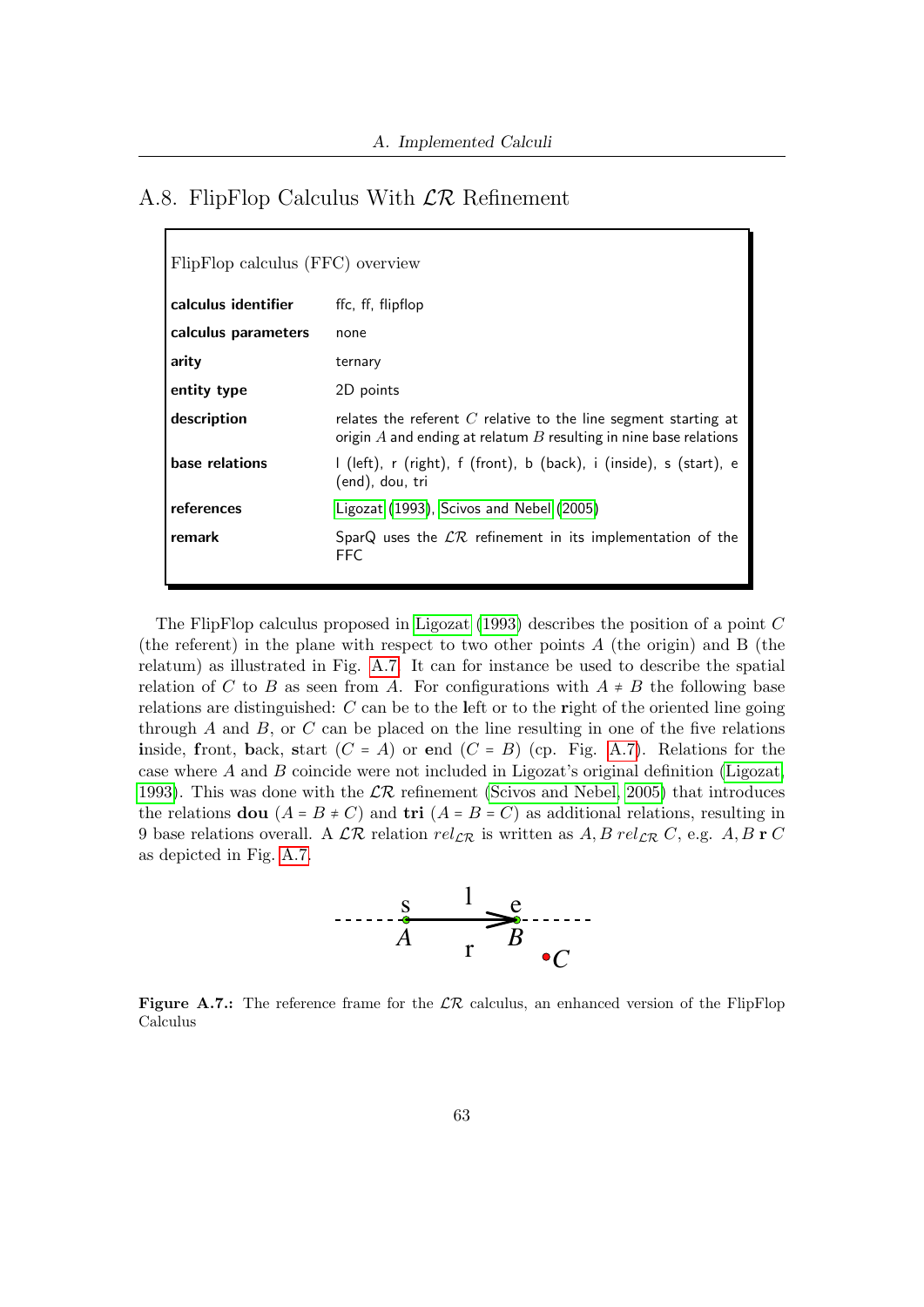## A.8. FlipFlop Calculus With LR Refinement

| FlipFlop calculus (FFC) overview |                                                                                                                                            |
|----------------------------------|--------------------------------------------------------------------------------------------------------------------------------------------|
| calculus identifier              | ffc, ff, flipflop                                                                                                                          |
| calculus parameters              | none                                                                                                                                       |
| arity                            | ternary                                                                                                                                    |
| entity type                      | 2D points                                                                                                                                  |
| description                      | relates the referent $C$ relative to the line segment starting at<br>origin $A$ and ending at relatum $B$ resulting in nine base relations |
| base relations                   | I (left), r (right), f (front), b (back), i (inside), s (start), e<br>(end), dou, tri                                                      |
| references                       | Ligozat (1993), Scivos and Nebel (2005)                                                                                                    |
| remark                           | SparQ uses the $\mathcal{LR}$ refinement in its implementation of the<br>FFC                                                               |

The FlipFlop calculus proposed in [Ligozat](#page-49-5) [\(1993\)](#page-49-5) describes the position of a point C (the referent) in the plane with respect to two other points  $A$  (the origin) and  $B$  (the relatum) as illustrated in Fig. [A.7.](#page-62-0) It can for instance be used to describe the spatial relation of C to B as seen from A. For configurations with  $A \neq B$  the following base relations are distinguished:  $C$  can be to the left or to the right of the oriented line going through  $A$  and  $B$ , or  $C$  can be placed on the line resulting in one of the five relations inside, front, back, start  $(C = A)$  or end  $(C = B)$  (cp. Fig. [A.7\)](#page-62-0). Relations for the case where  $A$  and  $B$  coincide were not included in Ligozat's original definition [\(Ligozat,](#page-49-5) [1993\)](#page-49-5). This was done with the  $\mathcal{LR}$  refinement [\(Scivos and Nebel, 2005\)](#page-51-0) that introduces the relations **dou**  $(A = B \neq C)$  and **tri**  $(A = B = C)$  as additional relations, resulting in 9 base relations overall. A  $\mathcal{LR}$  relation  $rel_{\mathcal{LR}}$  is written as  $A, B$   $rel_{\mathcal{LR}} C$ , e.g.  $A, B$  **r**  $C$ as depicted in Fig. [A.7.](#page-62-0)



<span id="page-62-0"></span>Figure A.7.: The reference frame for the  $\mathcal{LR}$  calculus, an enhanced version of the FlipFlop Calculus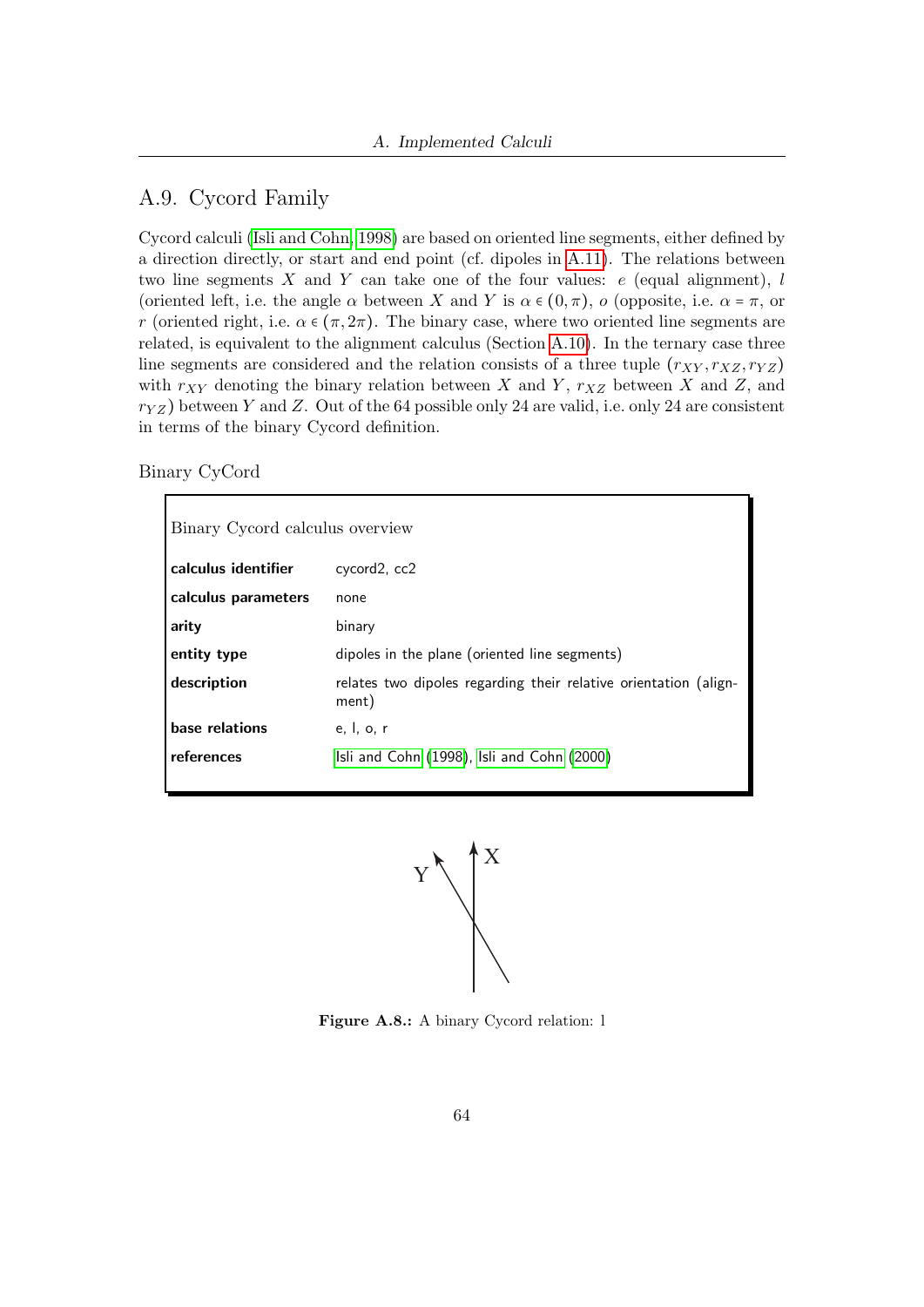## A.9. Cycord Family

Cycord calculi [\(Isli and Cohn, 1998\)](#page-49-6) are based on oriented line segments, either defined by a direction directly, or start and end point (cf. dipoles in [A.11\)](#page-66-0). The relations between two line segments X and Y can take one of the four values:  $e$  (equal alignment), l (oriented left, i.e. the angle  $\alpha$  between X and Y is  $\alpha \in (0, \pi)$ , o (opposite, i.e.  $\alpha = \pi$ , or r (oriented right, i.e.  $\alpha \in (\pi, 2\pi)$ ). The binary case, where two oriented line segments are related, is equivalent to the alignment calculus (Section [A.10\)](#page-65-0). In the ternary case three line segments are considered and the relation consists of a three tuple  $(r_{XY}, r_{XZ}, r_{YZ})$ with  $r_{XY}$  denoting the binary relation between X and Y,  $r_{XZ}$  between X and Z, and  $r_{YZ}$ ) between Y and Z. Out of the 64 possible only 24 are valid, i.e. only 24 are consistent in terms of the binary Cycord definition.

Binary CyCord

| Binary Cycord calculus overview |                                                                           |
|---------------------------------|---------------------------------------------------------------------------|
| calculus identifier             | cycord <sub>2</sub> , cc <sub>2</sub>                                     |
| calculus parameters             | none                                                                      |
| arity                           | binary                                                                    |
| entity type                     | dipoles in the plane (oriented line segments)                             |
| description                     | relates two dipoles regarding their relative orientation (align-<br>ment) |
| base relations                  | e, I, o, r                                                                |
| references                      | Isli and Cohn (1998), Isli and Cohn (2000)                                |



Figure A.8.: A binary Cycord relation: l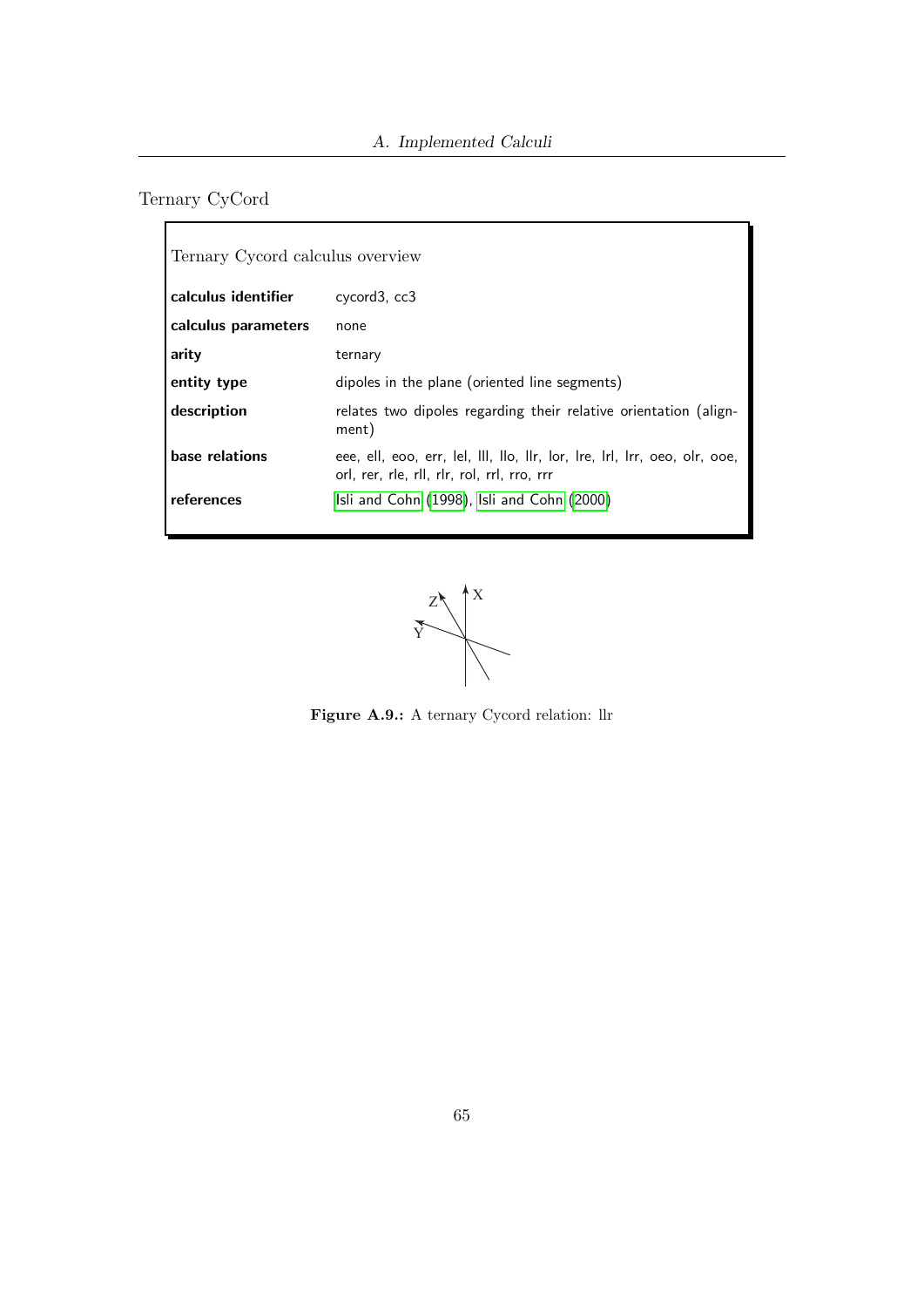# <span id="page-64-0"></span>Ternary CyCord

| Ternary Cycord calculus overview |                                                                                                                           |
|----------------------------------|---------------------------------------------------------------------------------------------------------------------------|
| calculus identifier              | cycord3, cc3                                                                                                              |
| calculus parameters              | none                                                                                                                      |
| arity                            | ternary                                                                                                                   |
| entity type                      | dipoles in the plane (oriented line segments)                                                                             |
| description                      | relates two dipoles regarding their relative orientation (align-<br>ment)                                                 |
| base relations                   | eee, ell, eoo, err, lel, III, llo, IIr, lor, Ire, Irl, Irr, oeo, olr, ooe,<br>orl, rer, rle, rll, rlr, rol, rrl, rro, rrr |
| references                       | Isli and Cohn (1998), Isli and Cohn (2000)                                                                                |



Figure A.9.: A ternary Cycord relation: llr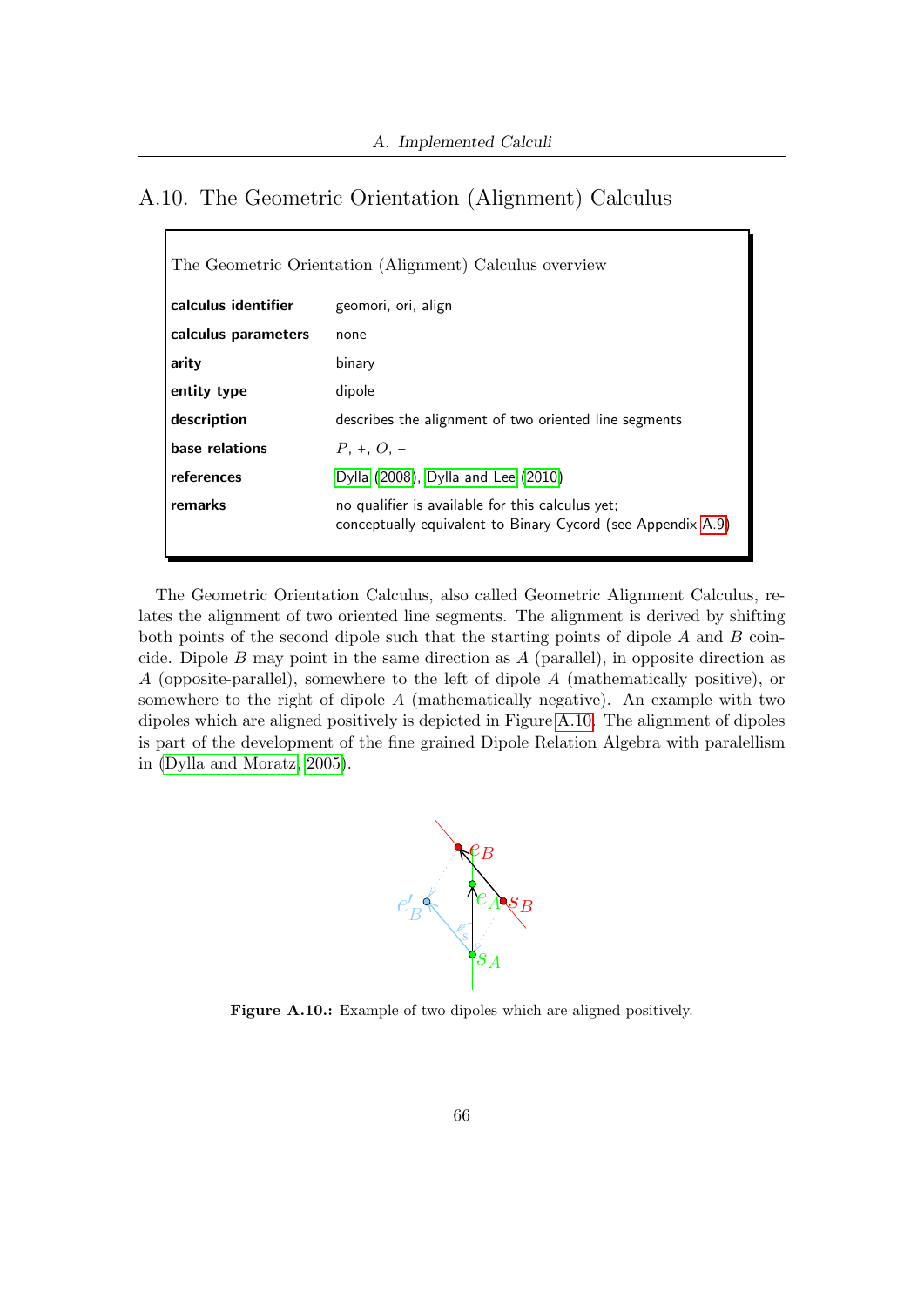### <span id="page-65-0"></span>A.10. The Geometric Orientation (Alignment) Calculus

| The Geometric Orientation (Alignment) Calculus overview |                                                                                                                 |
|---------------------------------------------------------|-----------------------------------------------------------------------------------------------------------------|
| calculus identifier                                     | geomori, ori, align                                                                                             |
| calculus parameters                                     | none                                                                                                            |
| arity                                                   | binary                                                                                                          |
| entity type                                             | dipole                                                                                                          |
| description                                             | describes the alignment of two oriented line segments                                                           |
| base relations                                          | $P_+ + Q_-$                                                                                                     |
| references                                              | Dylla (2008), Dylla and Lee (2010)                                                                              |
| remarks                                                 | no qualifier is available for this calculus yet;<br>conceptually equivalent to Binary Cycord (see Appendix A.9) |

The Geometric Orientation Calculus, also called Geometric Alignment Calculus, relates the alignment of two oriented line segments. The alignment is derived by shifting both points of the second dipole such that the starting points of dipole A and B coincide. Dipole  $B$  may point in the same direction as  $A$  (parallel), in opposite direction as A (opposite-parallel), somewhere to the left of dipole A (mathematically positive), or somewhere to the right of dipole A (mathematically negative). An example with two dipoles which are aligned positively is depicted in Figure [A.10.](#page-65-1) The alignment of dipoles is part of the development of the fine grained Dipole Relation Algebra with paralellism in [\(Dylla and Moratz, 2005\)](#page-49-8).



<span id="page-65-1"></span>Figure A.10.: Example of two dipoles which are aligned positively.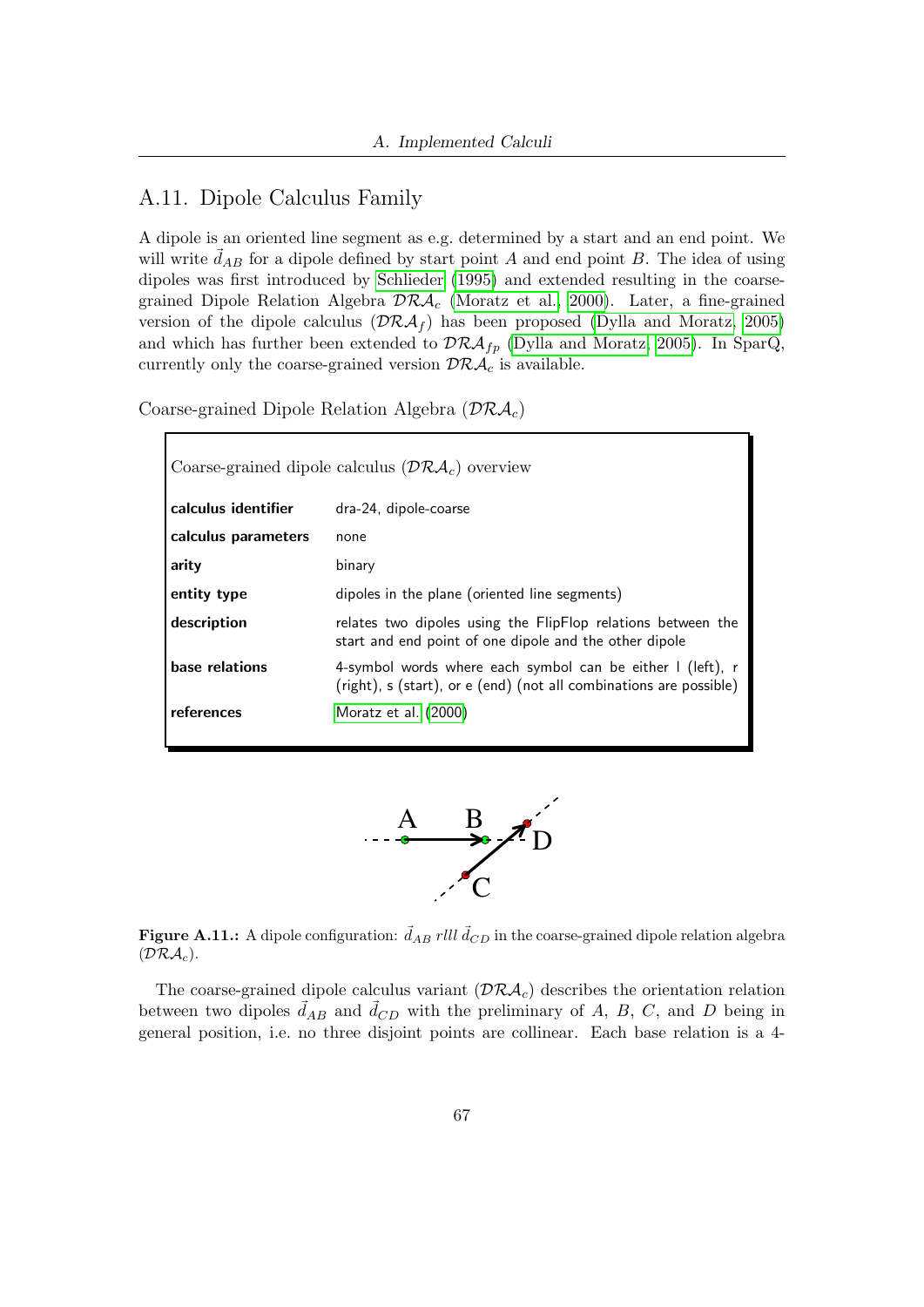### <span id="page-66-0"></span>A.11. Dipole Calculus Family

A dipole is an oriented line segment as e.g. determined by a start and an end point. We will write  $\vec{d}_{AB}$  for a dipole defined by start point A and end point B. The idea of using dipoles was first introduced by [Schlieder](#page-50-2) [\(1995\)](#page-50-2) and extended resulting in the coarsegrained Dipole Relation Algebra  $\mathcal{DRA}_c$  [\(Moratz et al., 2000\)](#page-50-3). Later, a fine-grained version of the dipole calculus  $(\mathcal{DRA}_f)$  has been proposed [\(Dylla and Moratz, 2005\)](#page-49-8) and which has further been extended to  $\mathcal{DRA}_{fp}$  [\(Dylla and Moratz, 2005\)](#page-49-8). In SparQ, currently only the coarse-grained version  $\mathcal{DRA}_c$  is available.

Coarse-grained Dipole Relation Algebra  $(\mathcal{DRA}_c)$ 

| Coarse-grained dipole calculus $(\mathcal{DRA}_c)$ overview |                                                                                                                                  |
|-------------------------------------------------------------|----------------------------------------------------------------------------------------------------------------------------------|
| calculus identifier                                         | dra-24, dipole-coarse                                                                                                            |
| calculus parameters                                         | none                                                                                                                             |
| arity                                                       | binary                                                                                                                           |
| entity type                                                 | dipoles in the plane (oriented line segments)                                                                                    |
| description                                                 | relates two dipoles using the FlipFlop relations between the<br>start and end point of one dipole and the other dipole           |
| base relations                                              | 4-symbol words where each symbol can be either I (left), r<br>(right), s (start), or e (end) (not all combinations are possible) |
| references                                                  | Moratz et al. (2000)                                                                                                             |



<span id="page-66-1"></span>**Figure A.11.:** A dipole configuration:  $\vec{d}_{AB}$  rlll  $\vec{d}_{CD}$  in the coarse-grained dipole relation algebra  $(\mathcal{DRA}_c).$ 

The coarse-grained dipole calculus variant  $(\mathcal{DRA}_c)$  describes the orientation relation between two dipoles  $\vec{d}_{AB}$  and  $\vec{d}_{CD}$  with the preliminary of A, B, C, and D being in general position, i.e. no three disjoint points are collinear. Each base relation is a 4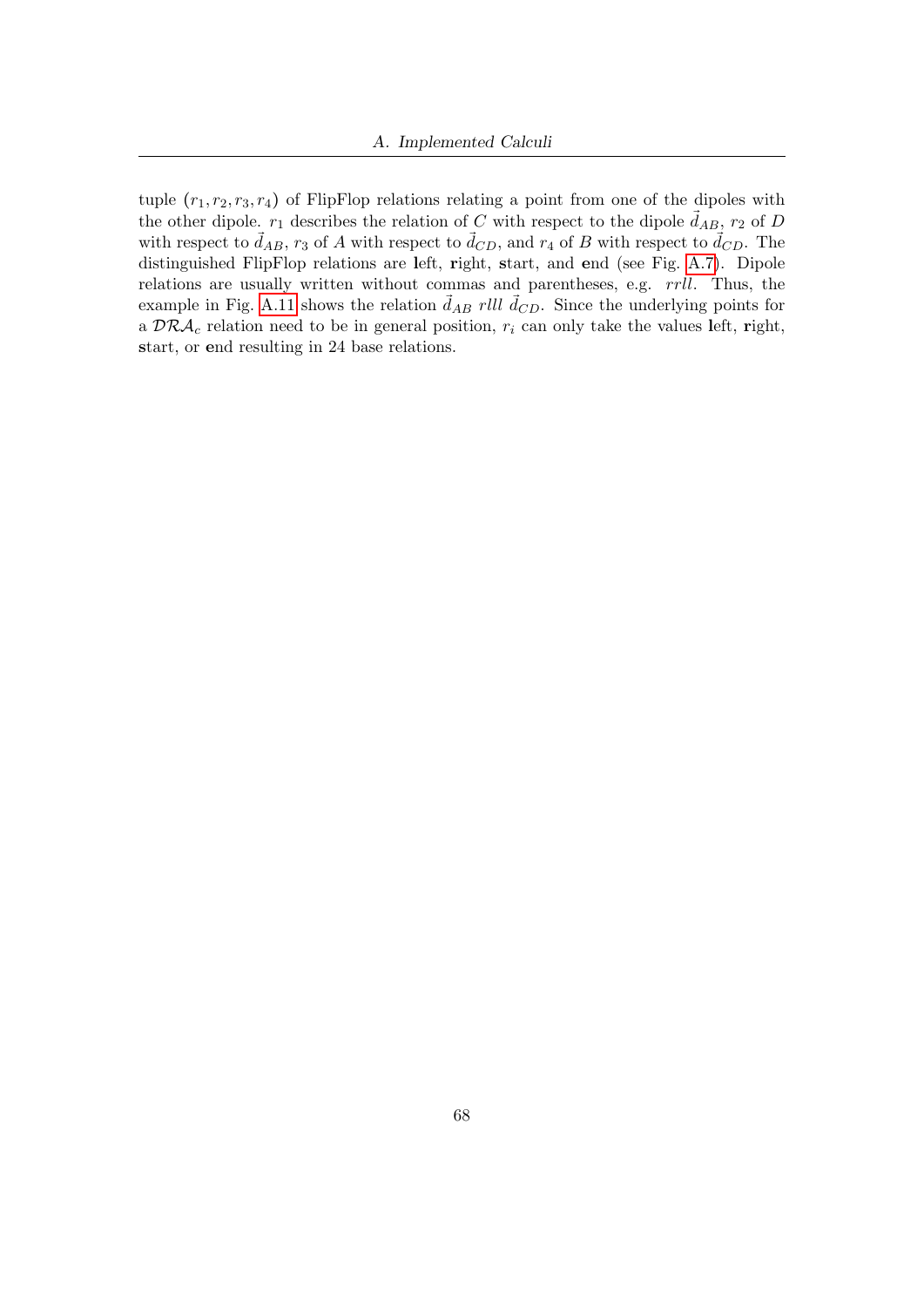tuple  $(r_1, r_2, r_3, r_4)$  of FlipFlop relations relating a point from one of the dipoles with the other dipole.  $r_1$  describes the relation of C with respect to the dipole  $\vec{d}_{AB}$ ,  $r_2$  of D with respect to  $\vec{d}_{AB}$ ,  $r_3$  of A with respect to  $\vec{d}_{CD}$ , and  $r_4$  of B with respect to  $\vec{d}_{CD}$ . The distinguished FlipFlop relations are left, right, start, and end (see Fig. [A.7\)](#page-62-0). Dipole relations are usually written without commas and parentheses, e.g.  $rrll$ . Thus, the example in Fig. [A.11](#page-66-1) shows the relation  $\vec{d}_{AB}$  rlll  $\vec{d}_{CD}$ . Since the underlying points for a  $\mathcal{DRA}_c$  relation need to be in general position,  $r_i$  can only take the values left, right, start, or end resulting in 24 base relations.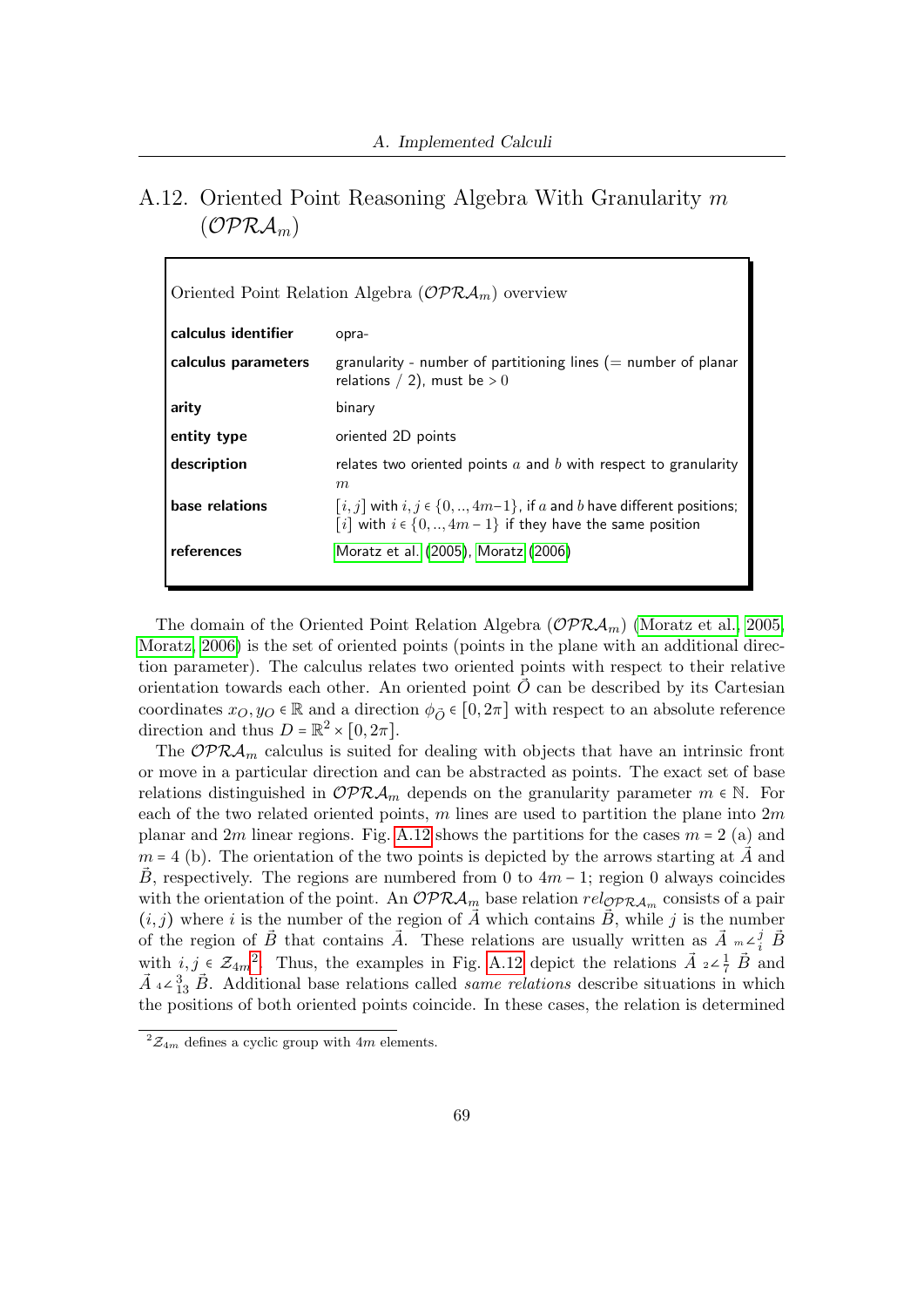## <span id="page-68-0"></span>A.12. Oriented Point Reasoning Algebra With Granularity m  $(\mathcal{OPRA}_{m})$

| Oriented Point Relation Algebra ( $\mathcal{OPRA}_m$ ) overview |                                                                                                                                                  |
|-----------------------------------------------------------------|--------------------------------------------------------------------------------------------------------------------------------------------------|
| calculus identifier                                             | opra-                                                                                                                                            |
| calculus parameters                                             | granularity - number of partitioning lines ( $=$ number of planar<br>relations / 2), must be $>0$                                                |
| arity                                                           | binary                                                                                                                                           |
| entity type                                                     | oriented 2D points                                                                                                                               |
| description                                                     | relates two oriented points $a$ and $b$ with respect to granularity<br>m                                                                         |
| base relations                                                  | $[i, j]$ with $i, j \in \{0, , 4m-1\}$ , if a and b have different positions;<br>$[i]$ with $i \in \{0, , 4m-1\}$ if they have the same position |
| references                                                      | Moratz et al. (2005), Moratz (2006)                                                                                                              |

The domain of the Oriented Point Relation Algebra ( $\mathcal{OPRA}_m$ ) [\(Moratz et al., 2005,](#page-50-4) [Moratz, 2006\)](#page-50-5) is the set of oriented points (points in the plane with an additional direction parameter). The calculus relates two oriented points with respect to their relative orientation towards each other. An oriented point  $\overrightarrow{O}$  can be described by its Cartesian coordinates  $x_O, y_O \in \mathbb{R}$  and a direction  $\phi_{\vec{O}} \in [0, 2\pi]$  with respect to an absolute reference direction and thus  $D = \mathbb{R}^2 \times [0, 2\pi]$ .

The  $\mathcal{OPRA}_m$  calculus is suited for dealing with objects that have an intrinsic front or move in a particular direction and can be abstracted as points. The exact set of base relations distinguished in  $\mathcal{OPRA}_m$  depends on the granularity parameter  $m \in \mathbb{N}$ . For each of the two related oriented points, m lines are used to partition the plane into  $2m$ planar and 2m linear regions. Fig. [A.12](#page-69-0) shows the partitions for the cases  $m = 2$  (a) and  $m = 4$  (b). The orientation of the two points is depicted by the arrows starting at  $\tilde{A}$  and B, respectively. The regions are numbered from 0 to  $4m-1$ ; region 0 always coincides with the orientation of the point. An  $\mathcal{OPRA}_m$  base relation  $rel_{\mathcal{OPRA}_m}$  consists of a pair  $(i, j)$  where i is the number of the region of  $\overline{A}$  which contains  $\overline{B}$ , while j is the number of the region of  $\vec{B}$  that contains  $\vec{A}$ . These relations are usually written as  $\vec{A}$   $_{m} \angle_{i}^{j}$   $\vec{B}$ with  $i, j \in \mathcal{Z}_{4m}^2$  $i, j \in \mathcal{Z}_{4m}^2$ . Thus, the examples in Fig. [A.12](#page-69-0) depict the relations  $\vec{A}$   $_2 \angle \frac{1}{7}$   $\vec{B}$  and  $\vec{A}$  4∠ ${}^{3}_{13}$   $\vec{B}$ . Additional base relations called *same relations* describe situations in which the positions of both oriented points coincide. In these cases, the relation is determined

<span id="page-68-1"></span> $^{2}Z_{4m}$  defines a cyclic group with 4m elements.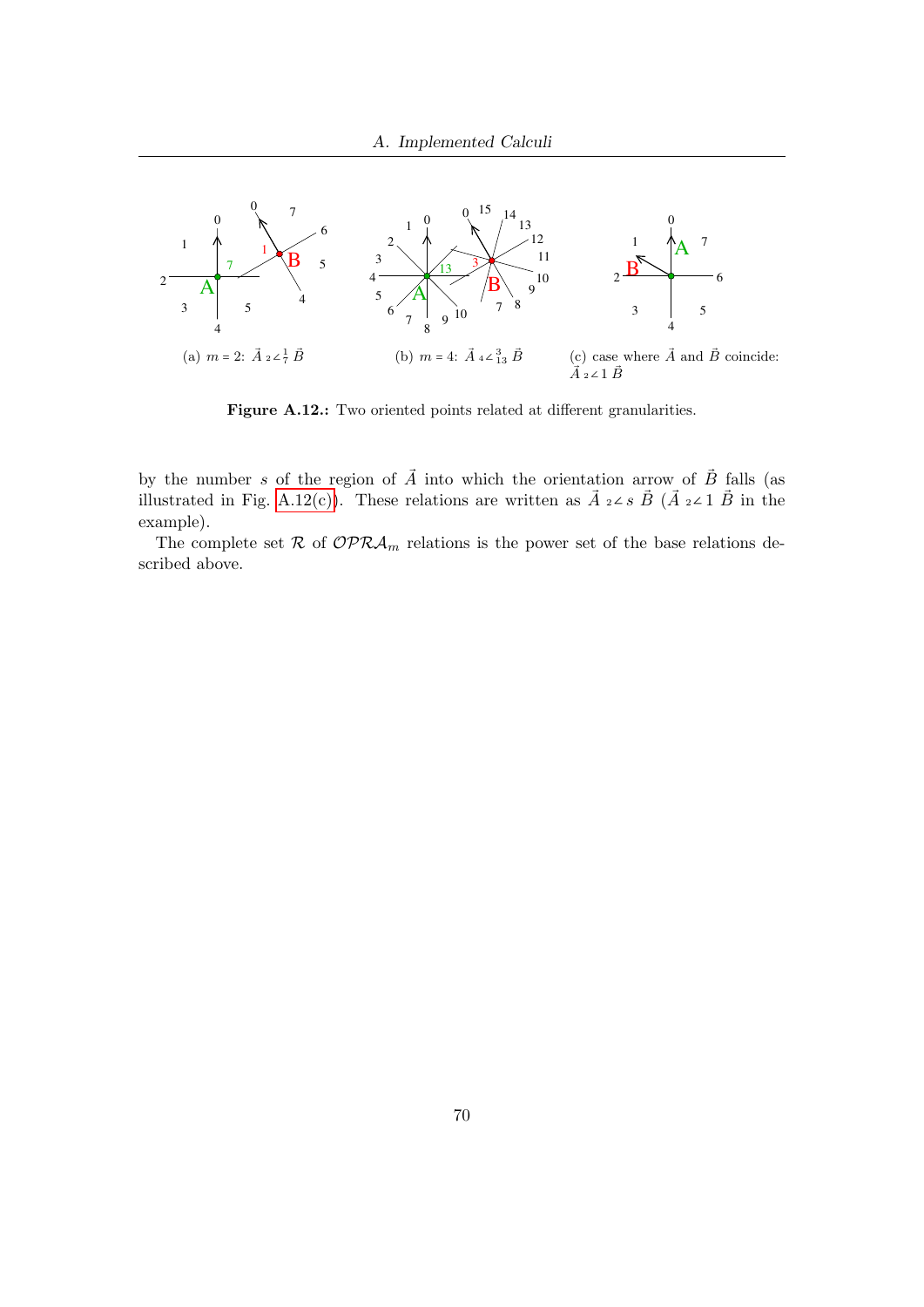

<span id="page-69-1"></span><span id="page-69-0"></span>Figure A.12.: Two oriented points related at different granularities.

by the number s of the region of  $\vec{A}$  into which the orientation arrow of  $\vec{B}$  falls (as illustrated in Fig. [A.12\(c\)\)](#page-69-1). These relations are written as  $\vec{A}$  2∠s  $\vec{B}$  ( $\vec{A}$  2∠1  $\vec{B}$  in the example).

The complete set  $\mathcal R$  of  $\mathcal{OPRA}_m$  relations is the power set of the base relations described above.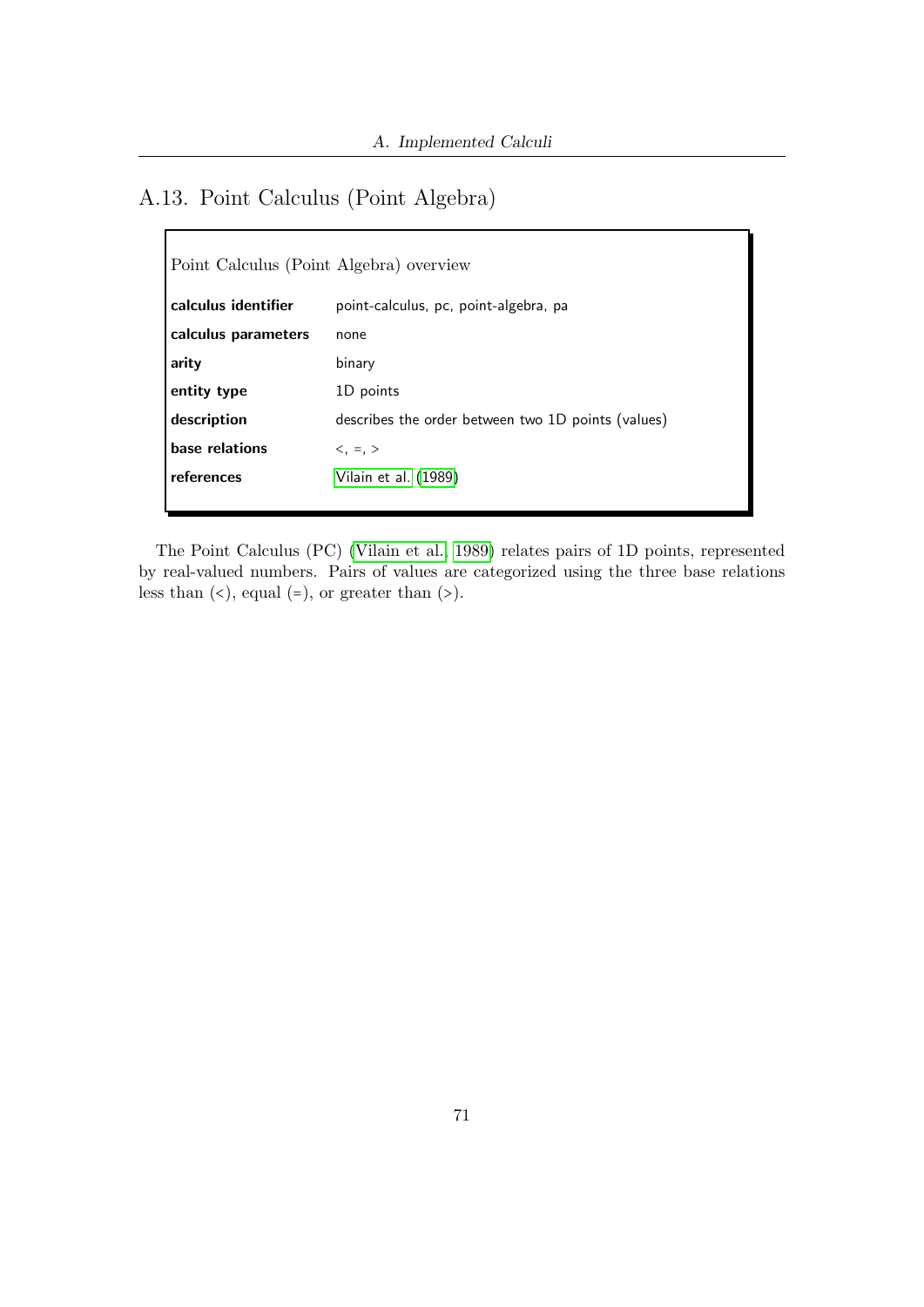# A.13. Point Calculus (Point Algebra)

 $\mathbf{r}$ 

| Point Calculus (Point Algebra) overview |                                                    |
|-----------------------------------------|----------------------------------------------------|
| calculus identifier                     | point-calculus, pc, point-algebra, pa              |
| calculus parameters                     | none                                               |
| arity                                   | binary                                             |
| entity type                             | 1D points                                          |
| description                             | describes the order between two 1D points (values) |
| base relations                          | $\lt$ , =, $>$                                     |
| references                              | Vilain et al. (1989)                               |
|                                         |                                                    |

The Point Calculus (PC) [\(Vilain et al., 1989\)](#page-51-1) relates pairs of 1D points, represented by real-valued numbers. Pairs of values are categorized using the three base relations less than  $(\leq)$ , equal  $(=)$ , or greater than  $(\geq)$ .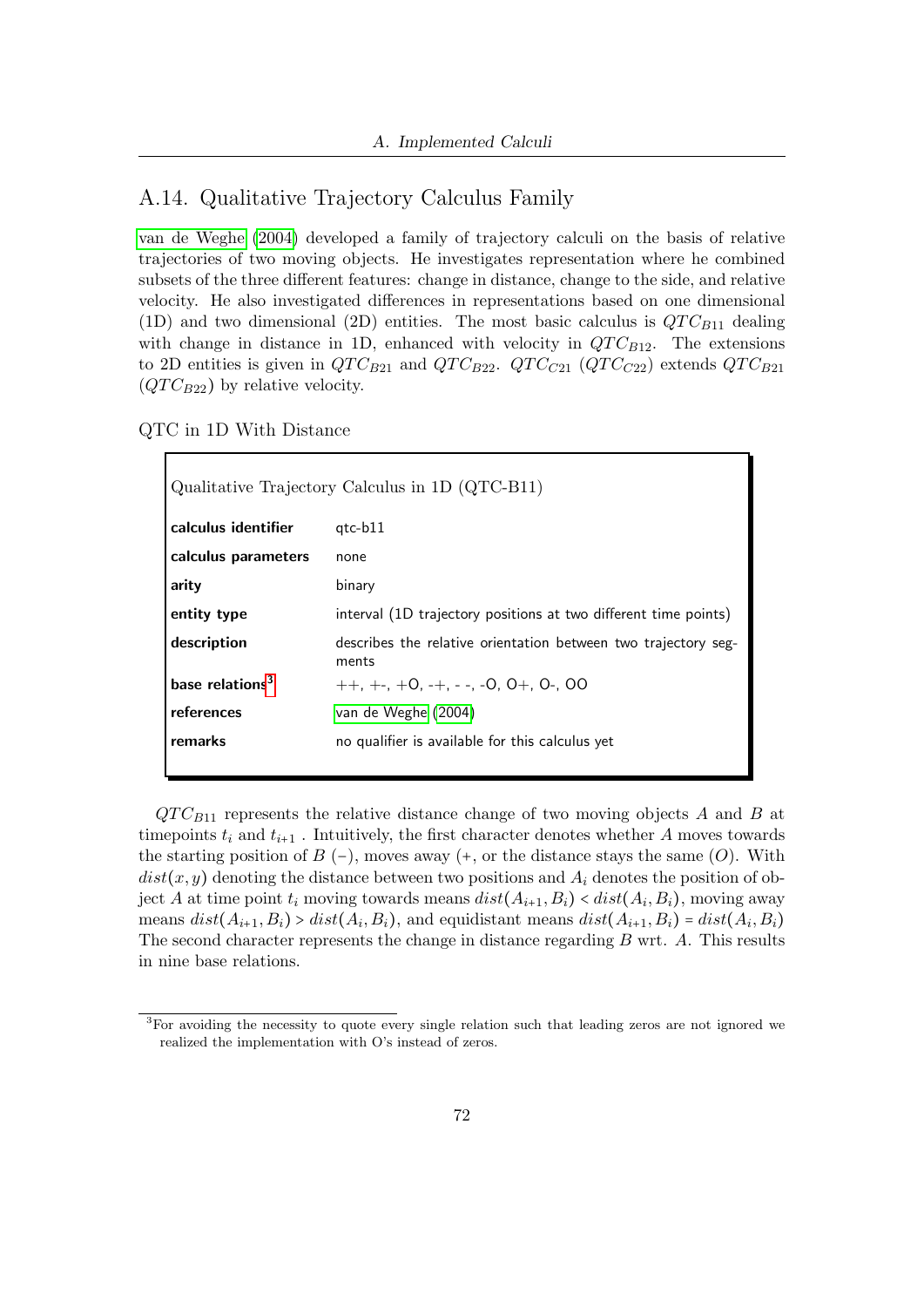### A.14. Qualitative Trajectory Calculus Family

[van de Weghe](#page-51-2) [\(2004\)](#page-51-2) developed a family of trajectory calculi on the basis of relative trajectories of two moving objects. He investigates representation where he combined subsets of the three different features: change in distance, change to the side, and relative velocity. He also investigated differences in representations based on one dimensional (1D) and two dimensional (2D) entities. The most basic calculus is  $QTC_{B11}$  dealing with change in distance in 1D, enhanced with velocity in  $QTC_{B12}$ . The extensions to 2D entities is given in  $QTC_{B21}$  and  $QTC_{B22}$ .  $QTC_{C21}$  ( $QTC_{C22}$ ) extends  $QTC_{B21}$  $(QTC_{B22})$  by relative velocity.

QTC in 1D With Distance

| Qualitative Trajectory Calculus in 1D (QTC-B11) |                                                                         |
|-------------------------------------------------|-------------------------------------------------------------------------|
| calculus identifier                             | $qtc-b11$                                                               |
| calculus parameters                             | none                                                                    |
| arity                                           | binary                                                                  |
| entity type                                     | interval (1D trajectory positions at two different time points)         |
| description                                     | describes the relative orientation between two trajectory seg-<br>ments |
| base relations <sup>3</sup>                     | $++, +-, +0, -+, --, -0, 0+, 0-, 00$                                    |
| references                                      | van de Weghe (2004)                                                     |
| remarks                                         | no qualifier is available for this calculus yet                         |

 $QTC_{B11}$  represents the relative distance change of two moving objects A and B at time points  $t_i$  and  $t_{i+1}$ . Intuitively, the first character denotes whether A moves towards the starting position of  $B$  (−), moves away (+, or the distance stays the same (O). With  $dist(x, y)$  denoting the distance between two positions and  $A_i$  denotes the position of object A at time point  $t_i$  moving towards means  $dist(A_{i+1}, B_i) < dist(A_i, B_i)$ , moving away means  $dist(A_{i+1}, B_i) > dist(A_i, B_i)$ , and equidistant means  $dist(A_{i+1}, B_i) = dist(A_i, B_i)$ The second character represents the change in distance regarding  $B$  wrt.  $A$ . This results in nine base relations.

<span id="page-71-0"></span><sup>&</sup>lt;sup>3</sup>For avoiding the necessity to quote every single relation such that leading zeros are not ignored we realized the implementation with O's instead of zeros.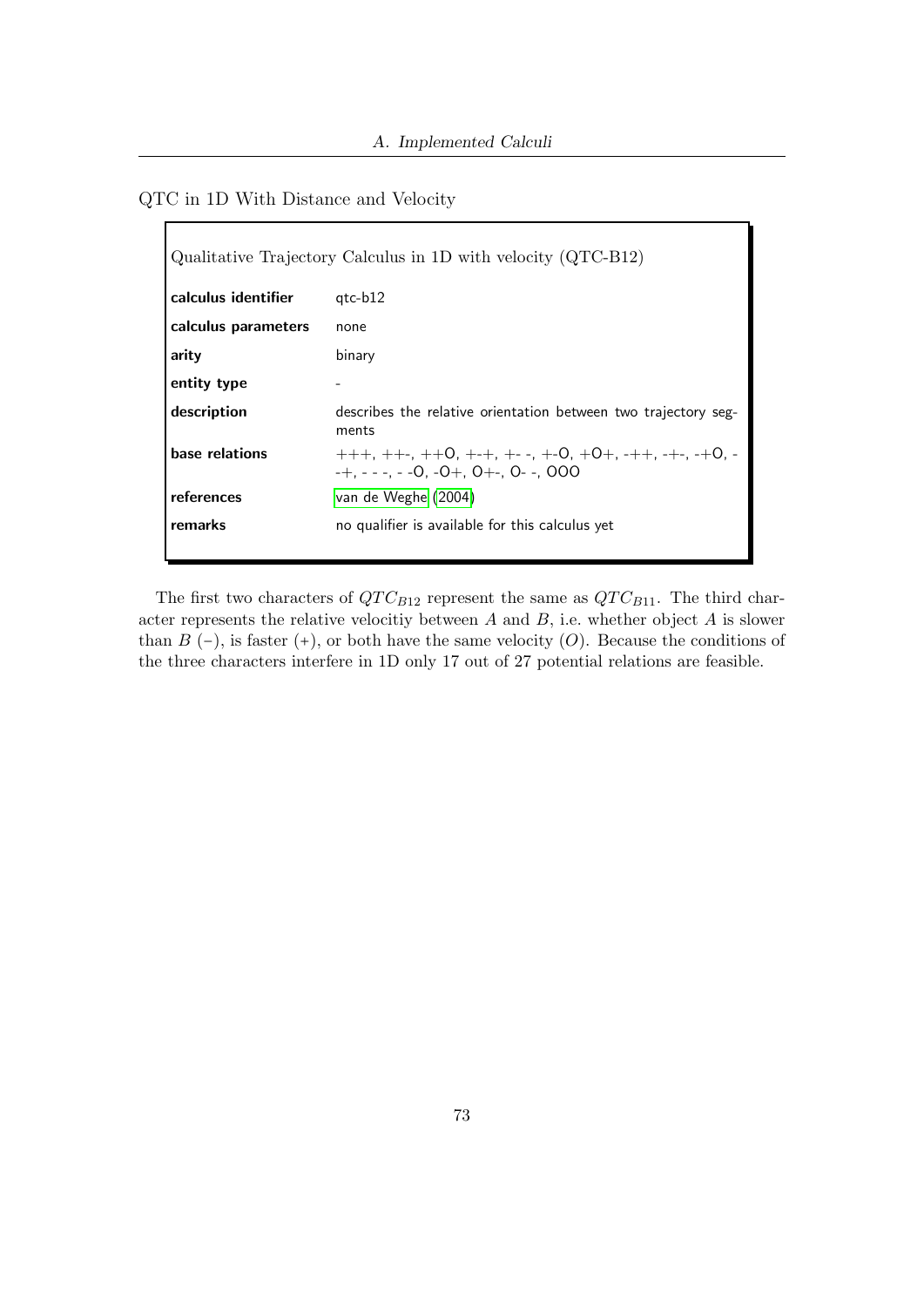#### <span id="page-72-0"></span>QTC in 1D With Distance and Velocity

| Qualitative Trajectory Calculus in 1D with velocity (QTC-B12) |                                                                                                                   |  |  |
|---------------------------------------------------------------|-------------------------------------------------------------------------------------------------------------------|--|--|
| calculus identifier                                           | gtc-b12                                                                                                           |  |  |
| calculus parameters                                           | none                                                                                                              |  |  |
| arity                                                         | binary                                                                                                            |  |  |
| entity type                                                   |                                                                                                                   |  |  |
| description                                                   | describes the relative orientation between two trajectory seg-<br>ments                                           |  |  |
| base relations                                                | $+++, ++-, ++0, +-+, +--, +-0, +0+, -++, -+-, -+0, -$<br>$-+$ , $ -$ , $  0$ , $ 0$ $+$ , $0$ $+$ , $0$ $-$ , $0$ |  |  |
| references                                                    | van de Weghe (2004)                                                                                               |  |  |
| remarks                                                       | no qualifier is available for this calculus yet                                                                   |  |  |

The first two characters of  $QTC_{B12}$  represent the same as  $QTC_{B11}$ . The third character represents the relative velocitiy between  $A$  and  $B$ , i.e. whether object  $A$  is slower than  $B$  (−), is faster (+), or both have the same velocity  $(O)$ . Because the conditions of the three characters interfere in 1D only 17 out of 27 potential relations are feasible.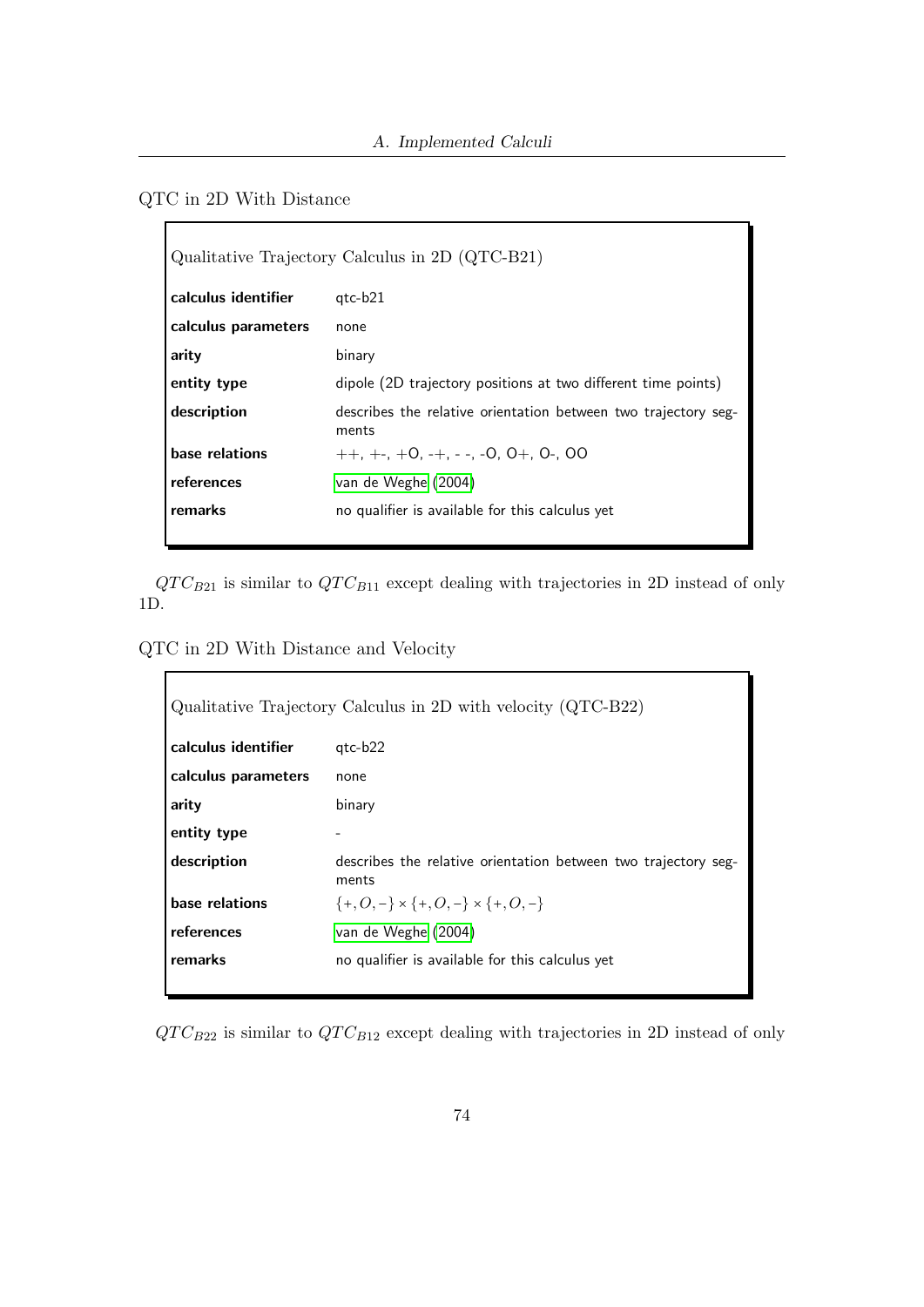<span id="page-73-0"></span>QTC in 2D With Distance

| Qualitative Trajectory Calculus in 2D (QTC-B21) |                                                                         |  |  |
|-------------------------------------------------|-------------------------------------------------------------------------|--|--|
| calculus identifier                             | $qtc-b21$                                                               |  |  |
| calculus parameters                             | none                                                                    |  |  |
| arity                                           | binary                                                                  |  |  |
| entity type                                     | dipole (2D trajectory positions at two different time points)           |  |  |
| description                                     | describes the relative orientation between two trajectory seg-<br>ments |  |  |
| base relations                                  | $++. +-. +0. -+. -. -0. 0+. 0-. 00$                                     |  |  |
| references                                      | van de Weghe (2004)                                                     |  |  |
| remarks                                         | no qualifier is available for this calculus yet                         |  |  |

 $QTC_{B21}$  is similar to  $QTC_{B11}$  except dealing with trajectories in 2D instead of only 1D.

<span id="page-73-1"></span>QTC in 2D With Distance and Velocity

| Qualitative Trajectory Calculus in 2D with velocity (QTC-B22) |                                                                         |  |  |
|---------------------------------------------------------------|-------------------------------------------------------------------------|--|--|
| calculus identifier                                           | gtc-b22                                                                 |  |  |
| calculus parameters                                           | none                                                                    |  |  |
| arity                                                         | binary                                                                  |  |  |
| entity type                                                   | -                                                                       |  |  |
| description                                                   | describes the relative orientation between two trajectory seg-<br>ments |  |  |
| base relations                                                | $\{+,O,-\} \times \{+,O,-\} \times \{+,O,-\}$                           |  |  |
| references                                                    | van de Weghe (2004)                                                     |  |  |
| remarks                                                       | no qualifier is available for this calculus yet                         |  |  |

 $QTC_{B22}$  is similar to  $QTC_{B12}$  except dealing with trajectories in 2D instead of only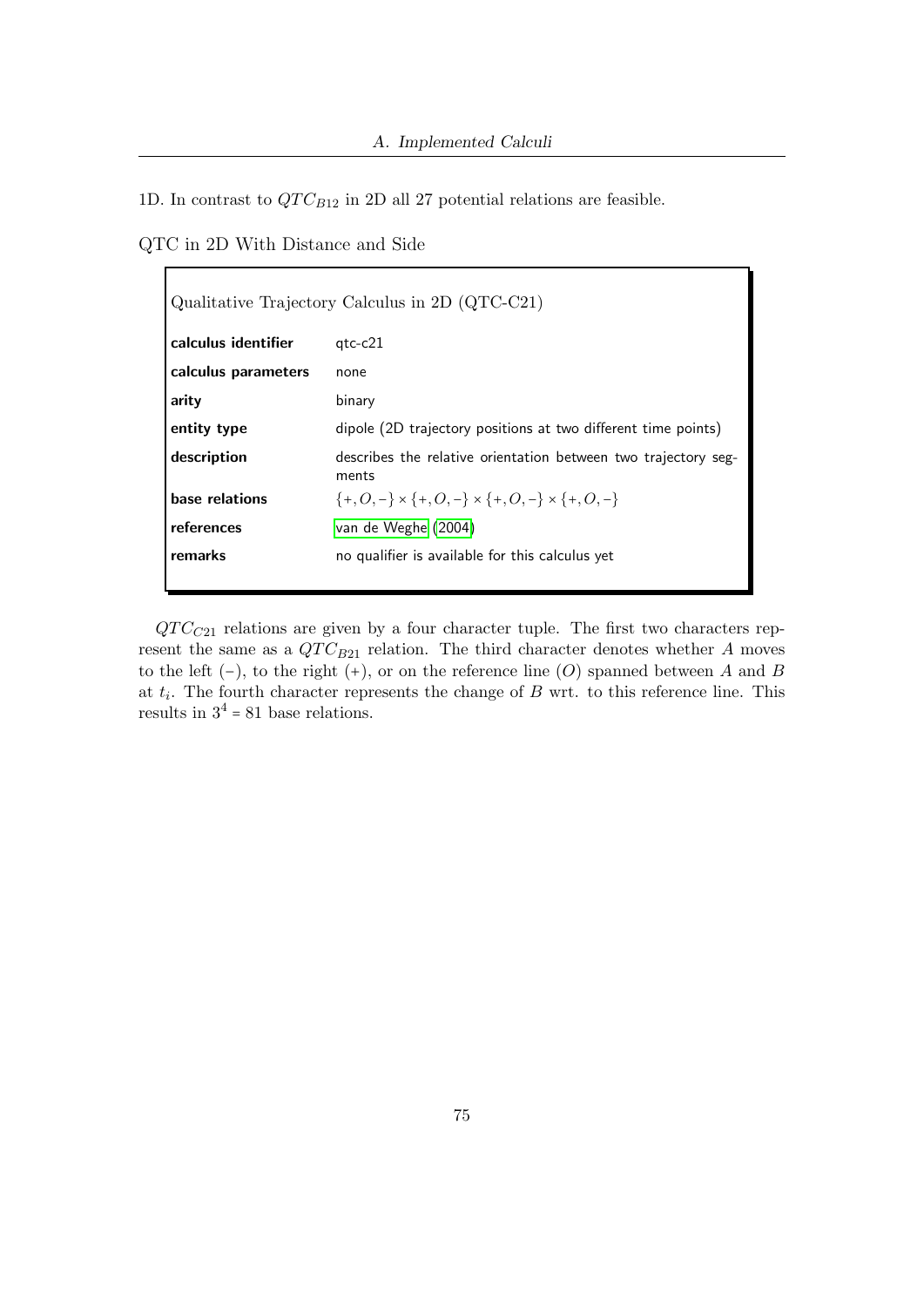1D. In contrast to  $QTC_{B12}$  in 2D all 27 potential relations are feasible.

<span id="page-74-0"></span>QTC in 2D With Distance and Side

| Qualitative Trajectory Calculus in 2D (QTC-C21) |                                                                         |  |  |
|-------------------------------------------------|-------------------------------------------------------------------------|--|--|
| calculus identifier                             | $qtc-c21$                                                               |  |  |
| calculus parameters                             | none                                                                    |  |  |
| arity                                           | binary                                                                  |  |  |
| entity type                                     | dipole (2D trajectory positions at two different time points)           |  |  |
| description                                     | describes the relative orientation between two trajectory seg-<br>ments |  |  |
| base relations                                  | $\{+,O,-\} \times \{+,O,-\} \times \{+,O,-\} \times \{+,O,-\}$          |  |  |
| references                                      | van de Weghe (2004)                                                     |  |  |
| remarks                                         | no qualifier is available for this calculus yet                         |  |  |

 $QTC_{C21}$  relations are given by a four character tuple. The first two characters represent the same as a  $QTC_{B21}$  relation. The third character denotes whether A moves to the left  $(-)$ , to the right  $(+)$ , or on the reference line  $(O)$  spanned between A and B at  $t_i$ . The fourth character represents the change of B wrt. to this reference line. This results in  $3^4 = 81$  base relations.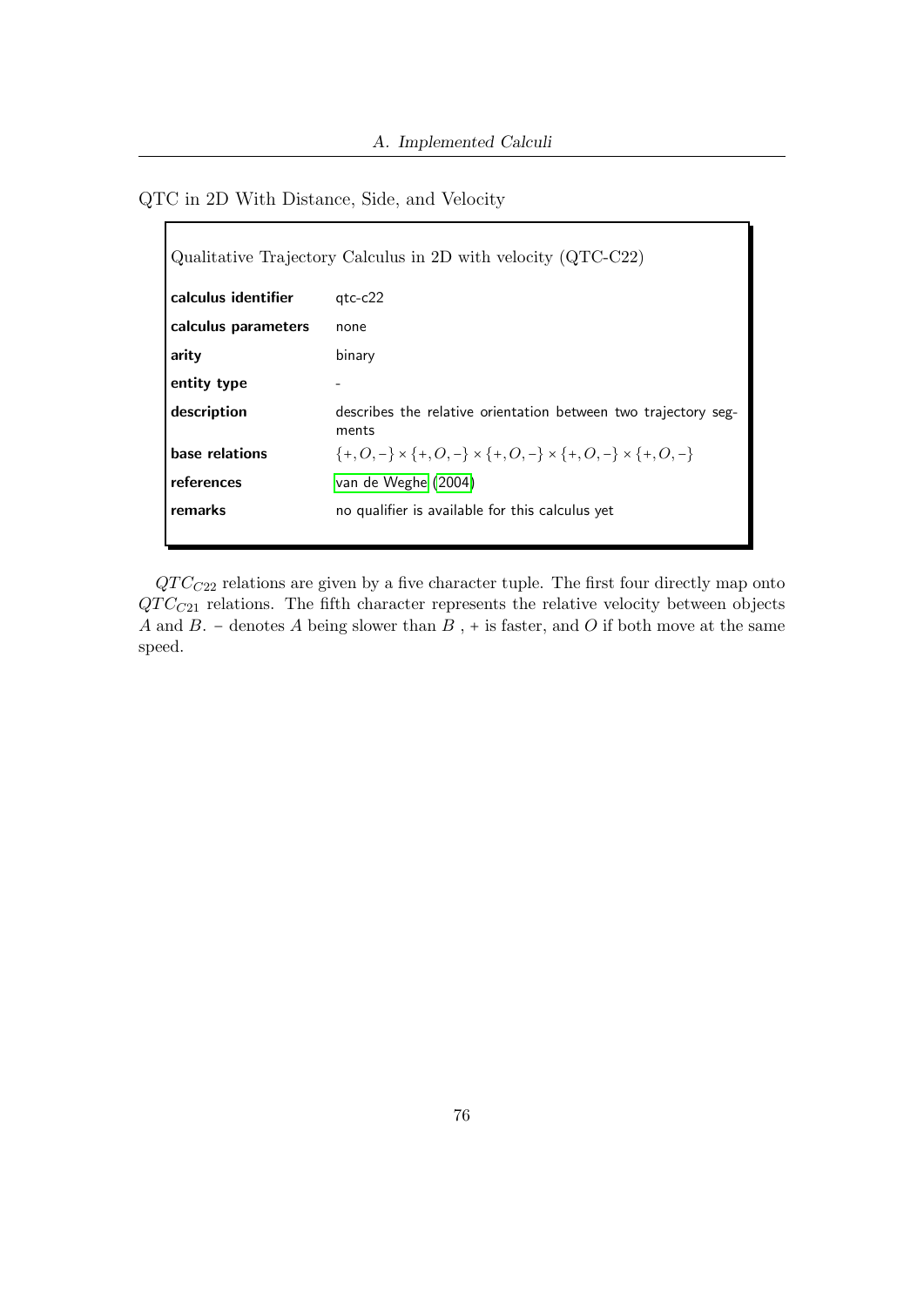#### <span id="page-75-0"></span>QTC in 2D With Distance, Side, and Velocity

| Qualitative Trajectory Calculus in 2D with velocity $(QTC-C22)$ |                                                                                           |  |
|-----------------------------------------------------------------|-------------------------------------------------------------------------------------------|--|
| calculus identifier                                             | $qtc-c22$                                                                                 |  |
| calculus parameters                                             | none                                                                                      |  |
| arity                                                           | binary                                                                                    |  |
| entity type                                                     | -                                                                                         |  |
| description                                                     | describes the relative orientation between two trajectory seg-<br>ments                   |  |
| base relations                                                  | $\{+, O, -\} \times \{+, O, -\} \times \{+, O, -\} \times \{+, O, -\} \times \{+, O, -\}$ |  |
| references                                                      | van de Weghe (2004)                                                                       |  |
| remarks                                                         | no qualifier is available for this calculus yet                                           |  |

 $QTC_{C22}$  relations are given by a five character tuple. The first four directly map onto  $QTC_{C21}$  relations. The fifth character represents the relative velocity between objects A and B. – denotes A being slower than  $B$ , + is faster, and O if both move at the same speed.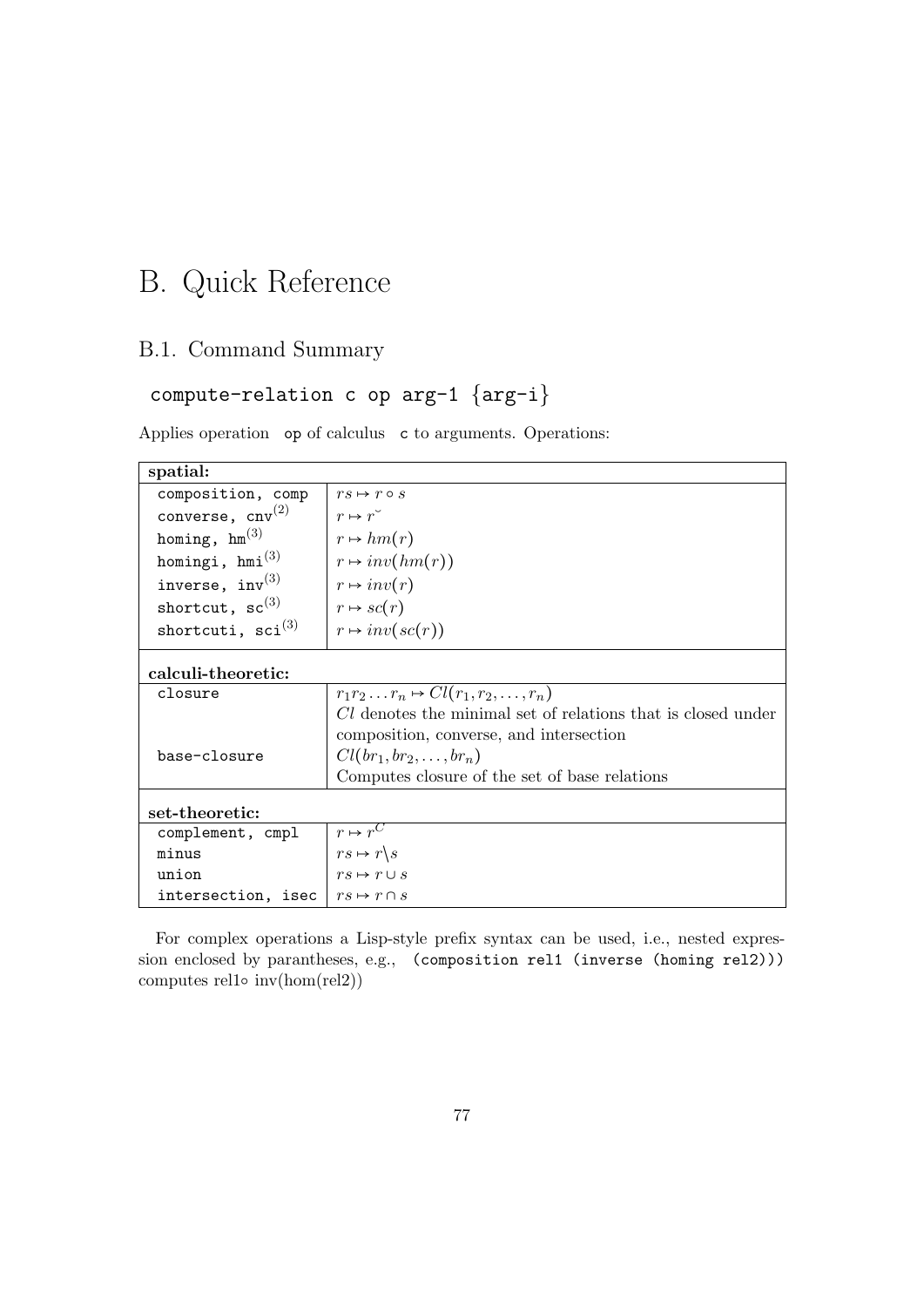# B. Quick Reference

### B.1. Command Summary

## compute-relation c op arg-1 {arg-i}

Applies operation op of calculus c to arguments. Operations:

| spatial:                                      |                                                              |  |
|-----------------------------------------------|--------------------------------------------------------------|--|
| composition, comp                             | $rs \mapsto r \circ s$                                       |  |
| converse, $cnv^{(2)}$                         | $r \mapsto r^{\check{ }}$                                    |  |
| homing, $hm^{(3)}$                            | $r \mapsto hm(r)$                                            |  |
| homingi, $hmi^{(3)}$                          | $r \mapsto inv(hm(r))$                                       |  |
| inverse, $inv^{(3)}$                          | $r \mapsto inv(r)$                                           |  |
| shortcut, $sc^{(3)}$                          | $r \mapsto \mathit{sc}(r)$                                   |  |
| shortcuti, $\text{sci}^{(3)}$                 | $r \mapsto inv(sc(r))$                                       |  |
| calculi-theoretic:                            |                                                              |  |
| closure                                       | $r_1r_2\ldots r_n \mapsto Cl(r_1,r_2,\ldots,r_n)$            |  |
|                                               | Cl denotes the minimal set of relations that is closed under |  |
|                                               | composition, converse, and intersection                      |  |
| base-closure                                  | $Cl(br_1, br_2, \ldots, br_n)$                               |  |
|                                               | Computes closure of the set of base relations                |  |
| set-theoretic:                                |                                                              |  |
| complement, cmpl                              | $r \mapsto r^C$                                              |  |
| minus                                         | $rs \mapsto r \backslash s$                                  |  |
| union                                         | $rs \mapsto r \cup s$                                        |  |
| intersection, isec $\mid rs \mapsto r \cap s$ |                                                              |  |

For complex operations a Lisp-style prefix syntax can be used, i.e., nested expression enclosed by parantheses, e.g., (composition rel1 (inverse (homing rel2))) computes rel1 $\circ$  inv(hom(rel2))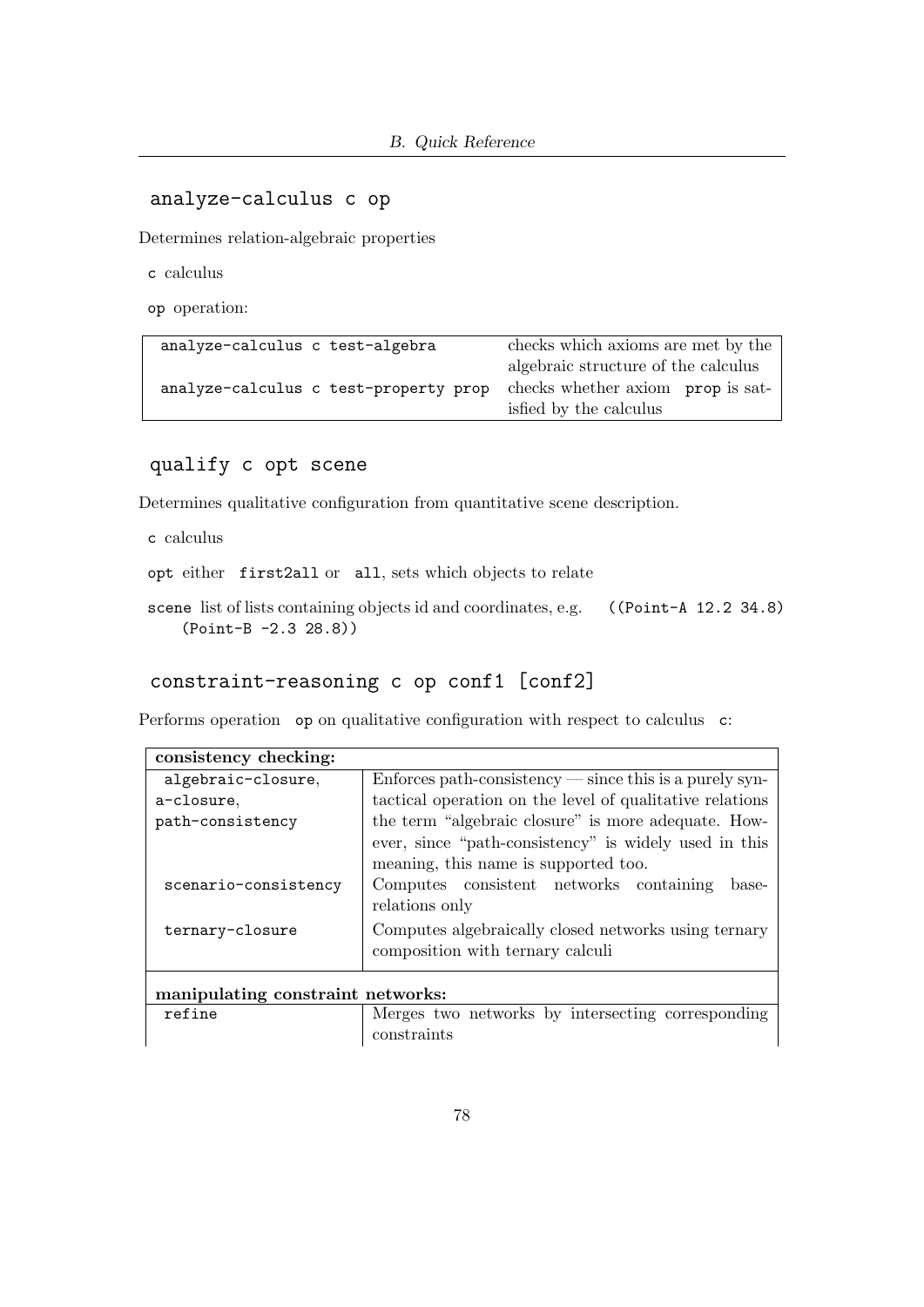#### analyze-calculus c op

Determines relation-algebraic properties

c calculus

op operation:

| analyze-calculus c test-algebra       | checks which axioms are met by the  |  |
|---------------------------------------|-------------------------------------|--|
|                                       | algebraic structure of the calculus |  |
| analyze-calculus c test-property prop | checks whether axiom prop is sat-   |  |
|                                       | isfied by the calculus              |  |

qualify c opt scene

Determines qualitative configuration from quantitative scene description.

c calculus

opt either first2all or all, sets which objects to relate

scene list of lists containing objects id and coordinates, e.g. ((Point-A 12.2 34.8) (Point-B -2.3 28.8))

#### constraint-reasoning c op conf1 [conf2]

Performs operation op on qualitative configuration with respect to calculus c:

| consistency checking:             |                                                                    |  |
|-----------------------------------|--------------------------------------------------------------------|--|
| algebraic-closure,                | $Enforces path-consistency \text{---} since this is a purely syn-$ |  |
| a-closure.                        | tactical operation on the level of qualitative relations           |  |
| path-consistency                  | the term "algebraic closure" is more adequate. How-                |  |
|                                   | ever, since "path-consistency" is widely used in this              |  |
|                                   | meaning, this name is supported too.                               |  |
| scenario-consistency              | Computes consistent networks containing<br>base-                   |  |
|                                   | relations only                                                     |  |
| ternary-closure                   | Computes algebraically closed networks using ternary               |  |
|                                   | composition with ternary calculi                                   |  |
|                                   |                                                                    |  |
| manipulating constraint networks: |                                                                    |  |
| refine                            | Merges two networks by intersecting corresponding                  |  |
|                                   | constraints                                                        |  |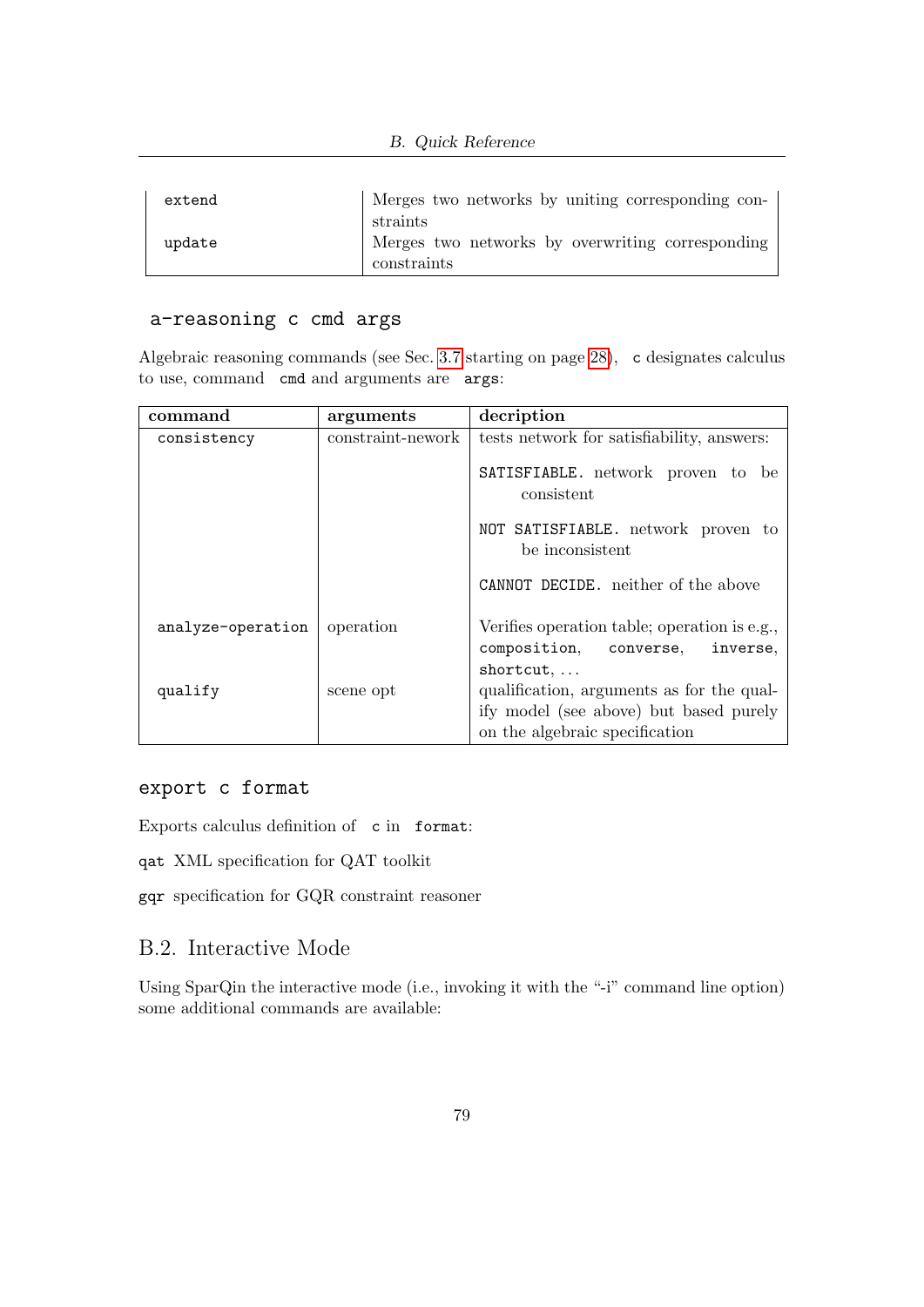| extend | Merges two networks by uniting corresponding con-                           |
|--------|-----------------------------------------------------------------------------|
| update | straints<br>Merges two networks by overwriting corresponding<br>constraints |

#### a-reasoning c cmd args

Algebraic reasoning commands (see Sec. [3.7](#page-27-0) starting on page [28\)](#page-27-0), c designates calculus to use, command cmd and arguments are args:

| command           | arguments         | decription                                                                                                                                             |  |
|-------------------|-------------------|--------------------------------------------------------------------------------------------------------------------------------------------------------|--|
| consistency       | constraint-nework | tests network for satisfiability, answers:<br>SATISFIABLE. network proven to be<br>consistent<br>NOT SATISFIABLE. network proven to<br>be inconsistent |  |
|                   |                   |                                                                                                                                                        |  |
|                   |                   |                                                                                                                                                        |  |
|                   |                   | CANNOT DECIDE, neither of the above                                                                                                                    |  |
| analyze-operation | operation         | Verifies operation table; operation is e.g.,<br>composition, converse,<br>inverse,<br>$shortcut, \ldots$                                               |  |
| qualify           | scene opt         | qualification, arguments as for the qual-<br>ify model (see above) but based purely<br>on the algebraic specification                                  |  |

#### export c format

Exports calculus definition of c in format:

qat XML specification for QAT toolkit

gqr specification for GQR constraint reasoner

#### B.2. Interactive Mode

Using SparQin the interactive mode (i.e., invoking it with the "-i" command line option) some additional commands are available: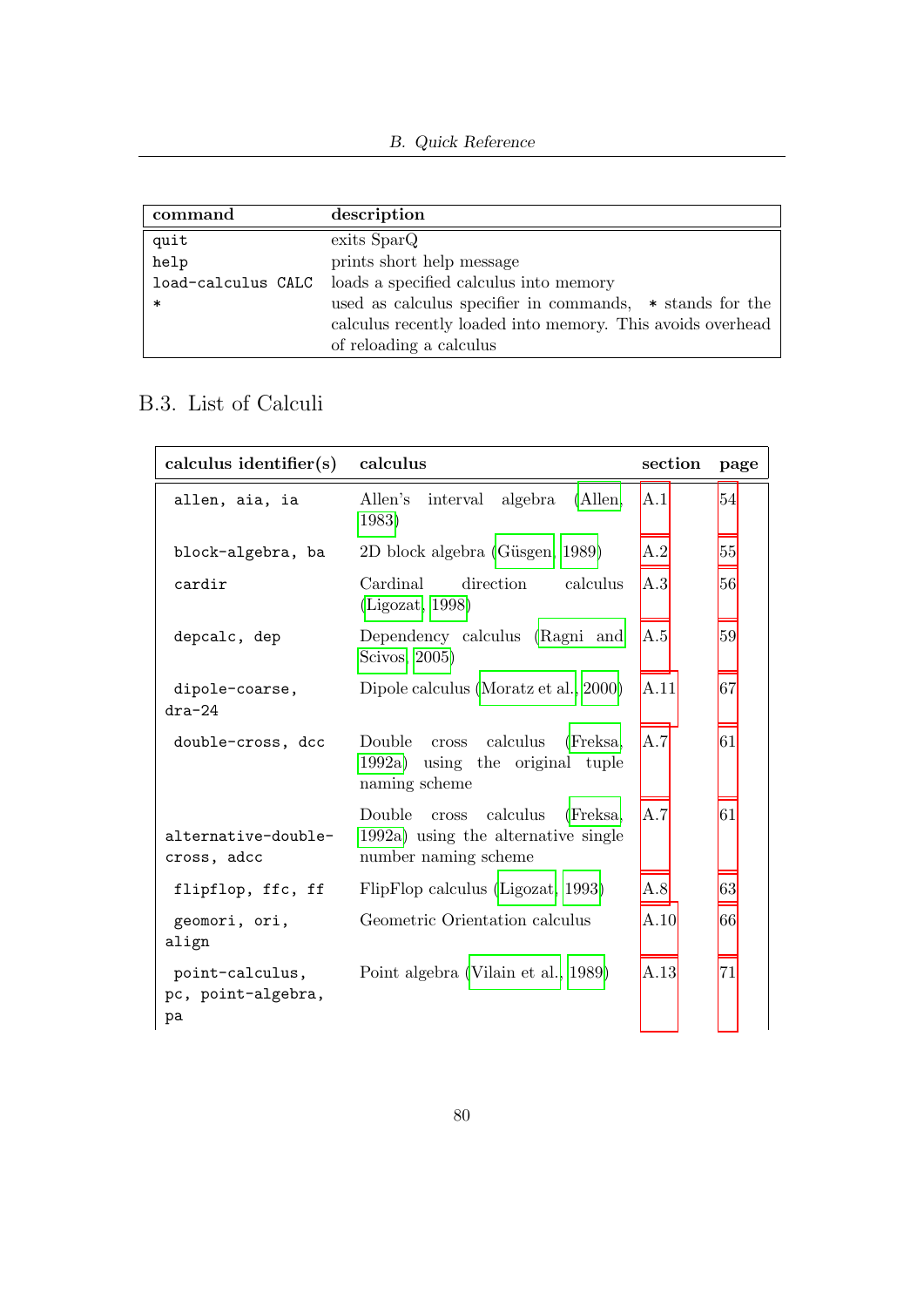| command            | description                                                |
|--------------------|------------------------------------------------------------|
| quit               | exits SparQ                                                |
| help               | prints short help message                                  |
| load-calculus CALC | loads a specified calculus into memory                     |
| $\ast$             | used as calculus specifier in commands, $*$ stands for the |
|                    | calculus recently loaded into memory. This avoids overhead |
|                    | of reloading a calculus                                    |

### B.3. List of Calculi

| calculus identifier(s)                      | calculus                                                                                            | section    | page |
|---------------------------------------------|-----------------------------------------------------------------------------------------------------|------------|------|
| allen, aia, ia                              | $\Lambda$ llen, A.1<br>Allen's<br>interval algebra<br>1983)                                         |            | 54   |
| block-algebra, ba                           | 2D block algebra (Güsgen, 1989)                                                                     | A.2        | 55   |
| cardir                                      | Cardinal<br>direction<br>calculus<br>(Ligozat, 1998)                                                | A $\rm{3}$ | 56   |
| depcalc, dep                                | Dependency calculus (Ragni and<br>Scivos, 2005)                                                     | A.5        | 59   |
| dipole-coarse,<br>$dra-24$                  | Dipole calculus (Moratz et al., 2000)                                                               | A.11       | 67   |
| double-cross, dcc                           | calculus<br>(Freksa,<br>Double<br>cross<br>1992a) using the original tuple<br>naming scheme         | A.7        | 61   |
| alternative-double-<br>cross, adcc          | Double<br>cross calculus<br>(Freksa,<br>1992a) using the alternative single<br>number naming scheme | A.7        | 61   |
| flipflop, ffc, ff                           | FlipFlop calculus (Ligozat, 1993)                                                                   | A.8        | 63   |
| geomori, ori,<br>align                      | Geometric Orientation calculus                                                                      | A.10       | 66   |
| point-calculus,<br>pc, point-algebra,<br>pa | Point algebra (Vilain et al., 1989)                                                                 | A.13       | 71   |